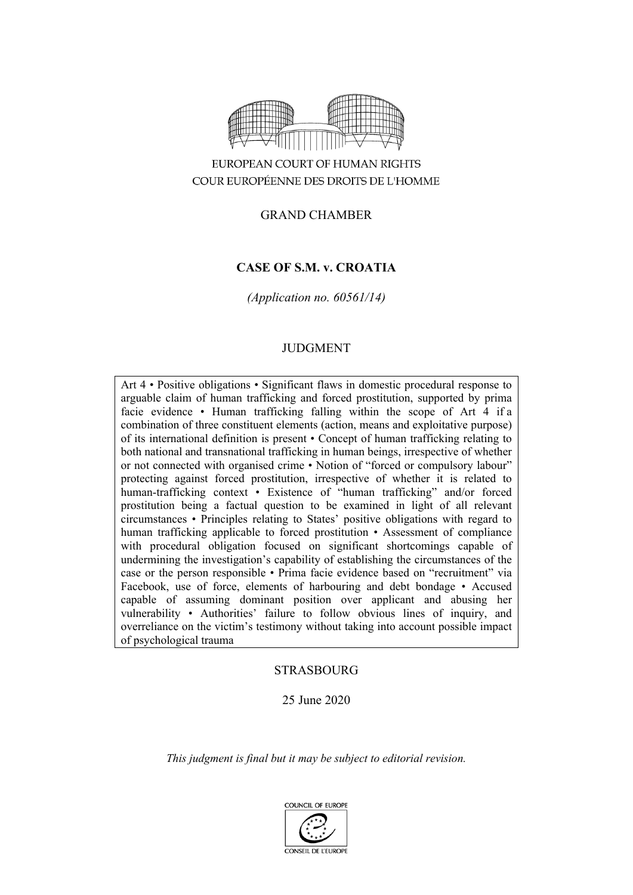

# EUROPEAN COURT OF HUMAN RIGHTS COUR EUROPÉENNE DES DROITS DE L'HOMME

# GRAND CHAMBER

# **CASE OF S.M. v. CROATIA**

*(Application no. 60561/14)*

# JUDGMENT

Art 4 • Positive obligations • Significant flaws in domestic procedural response to arguable claim of human trafficking and forced prostitution, supported by prima facie evidence • Human trafficking falling within the scope of Art 4 if a combination of three constituent elements (action, means and exploitative purpose) of its international definition is present • Concept of human trafficking relating to both national and transnational trafficking in human beings, irrespective of whether or not connected with organised crime • Notion of "forced or compulsory labour" protecting against forced prostitution, irrespective of whether it is related to human-trafficking context • Existence of "human trafficking" and/or forced prostitution being a factual question to be examined in light of all relevant circumstances • Principles relating to States' positive obligations with regard to human trafficking applicable to forced prostitution • Assessment of compliance with procedural obligation focused on significant shortcomings capable of undermining the investigation's capability of establishing the circumstances of the case or the person responsible • Prima facie evidence based on "recruitment" via Facebook, use of force, elements of harbouring and debt bondage • Accused capable of assuming dominant position over applicant and abusing her vulnerability • Authorities' failure to follow obvious lines of inquiry, and overreliance on the victim's testimony without taking into account possible impact of psychological trauma

# **STRASBOURG**

## 25 June 2020

*This judgment is final but it may be subject to editorial revision.*

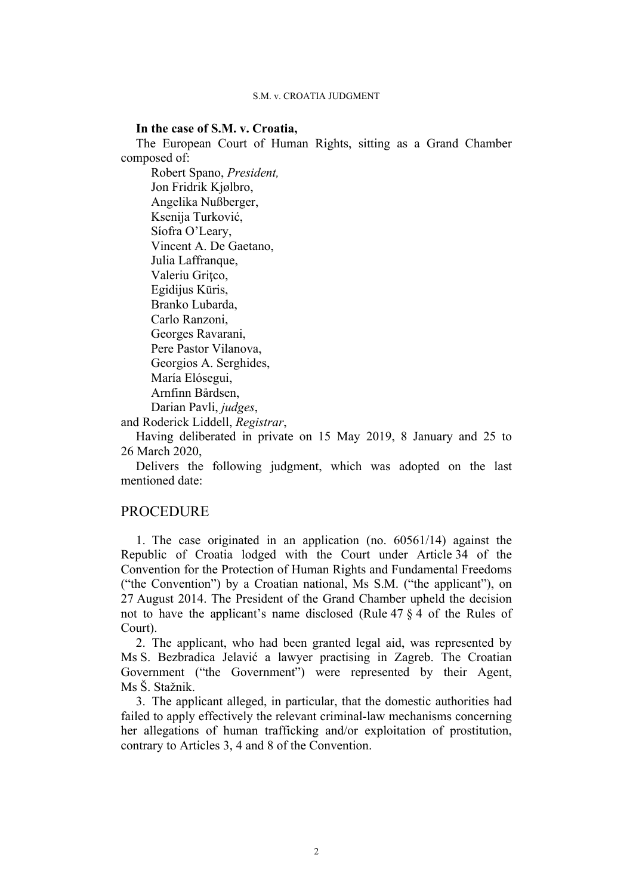### **In the case of S.M. v. Croatia,**

The European Court of Human Rights, sitting as a Grand Chamber composed of:

Robert Spano, *President,* Jon Fridrik Kjølbro, Angelika Nußberger, Ksenija Turković, Síofra O'Leary, Vincent A. De Gaetano, Julia Laffranque, Valeriu Gritco, Egidijus Kūris, Branko Lubarda, Carlo Ranzoni, Georges Ravarani, Pere Pastor Vilanova, Georgios A. Serghides, María Elósegui, Arnfinn Bårdsen, Darian Pavli, *judges*,

and Roderick Liddell, *Registrar*,

Having deliberated in private on 15 May 2019, 8 January and 25 to 26 March 2020,

Delivers the following judgment, which was adopted on the last mentioned date:

# PROCEDURE

1. The case originated in an application (no. 60561/14) against the Republic of Croatia lodged with the Court under Article 34 of the Convention for the Protection of Human Rights and Fundamental Freedoms ("the Convention") by a Croatian national, Ms S.M. ("the applicant"), on 27 August 2014. The President of the Grand Chamber upheld the decision not to have the applicant's name disclosed (Rule 47 § 4 of the Rules of Court).

2. The applicant, who had been granted legal aid, was represented by Ms S. Bezbradica Jelavić a lawyer practising in Zagreb. The Croatian Government ("the Government") were represented by their Agent, Ms Š. Stažnik.

3. The applicant alleged, in particular, that the domestic authorities had failed to apply effectively the relevant criminal-law mechanisms concerning her allegations of human trafficking and/or exploitation of prostitution, contrary to Articles 3, 4 and 8 of the Convention.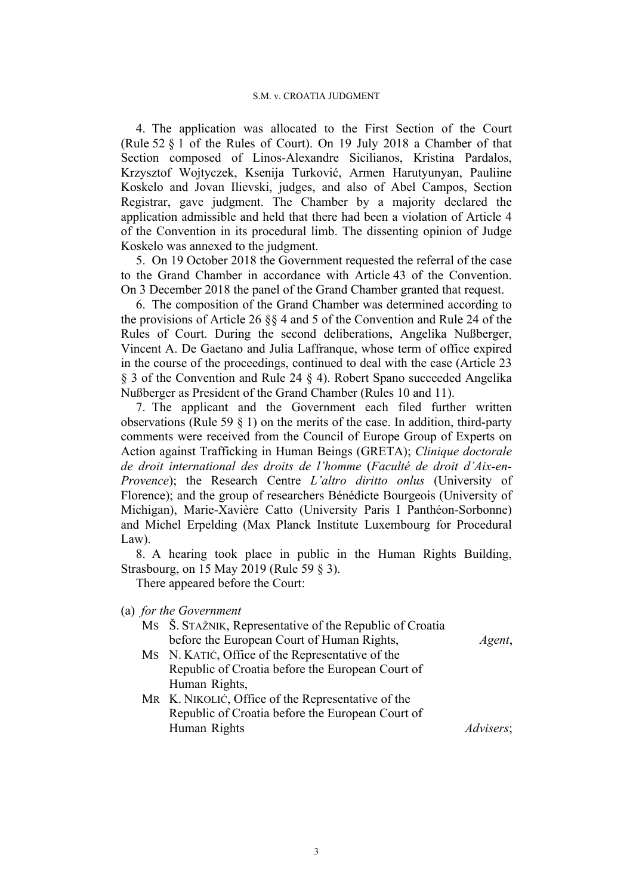4. The application was allocated to the First Section of the Court (Rule 52 § 1 of the Rules of Court). On 19 July 2018 a Chamber of that Section composed of Linos-Alexandre Sicilianos, Kristina Pardalos, Krzysztof Wojtyczek, Ksenija Turković, Armen Harutyunyan, Pauliine Koskelo and Jovan Ilievski, judges, and also of Abel Campos, Section Registrar, gave judgment. The Chamber by a majority declared the application admissible and held that there had been a violation of Article 4 of the Convention in its procedural limb. The dissenting opinion of Judge Koskelo was annexed to the judgment.

5. On 19 October 2018 the Government requested the referral of the case to the Grand Chamber in accordance with Article 43 of the Convention. On 3 December 2018 the panel of the Grand Chamber granted that request.

6. The composition of the Grand Chamber was determined according to the provisions of Article 26 §§ 4 and 5 of the Convention and Rule 24 of the Rules of Court. During the second deliberations, Angelika Nußberger, Vincent A. De Gaetano and Julia Laffranque, whose term of office expired in the course of the proceedings, continued to deal with the case (Article 23 § 3 of the Convention and Rule 24 § 4). Robert Spano succeeded Angelika Nußberger as President of the Grand Chamber (Rules 10 and 11).

7. The applicant and the Government each filed further written observations (Rule 59  $\S$  1) on the merits of the case. In addition, third-party comments were received from the Council of Europe Group of Experts on Action against Trafficking in Human Beings (GRETA); *Clinique doctorale de droit international des droits de l'homme* (*Faculté de droit d'Aix-en-Provence*); the Research Centre *L'altro diritto onlus* (University of Florence); and the group of researchers Bénédicte Bourgeois (University of Michigan), Marie-Xavière Catto (University Paris I Panthéon-Sorbonne) and Michel Erpelding (Max Planck Institute Luxembourg for Procedural Law).

8. A hearing took place in public in the Human Rights Building, Strasbourg, on 15 May 2019 (Rule 59 § 3).

There appeared before the Court:

(a) *for the Government*

MS Š. STAŽNIK, Representative of the Republic of Croatia before the European Court of Human Rights, *Agent*,

- MS N. KATIĆ, Office of the Representative of the Republic of Croatia before the European Court of Human Rights,
- MR K. NIKOLIĆ, Office of the Representative of the Republic of Croatia before the European Court of Human Rights *Advisers*;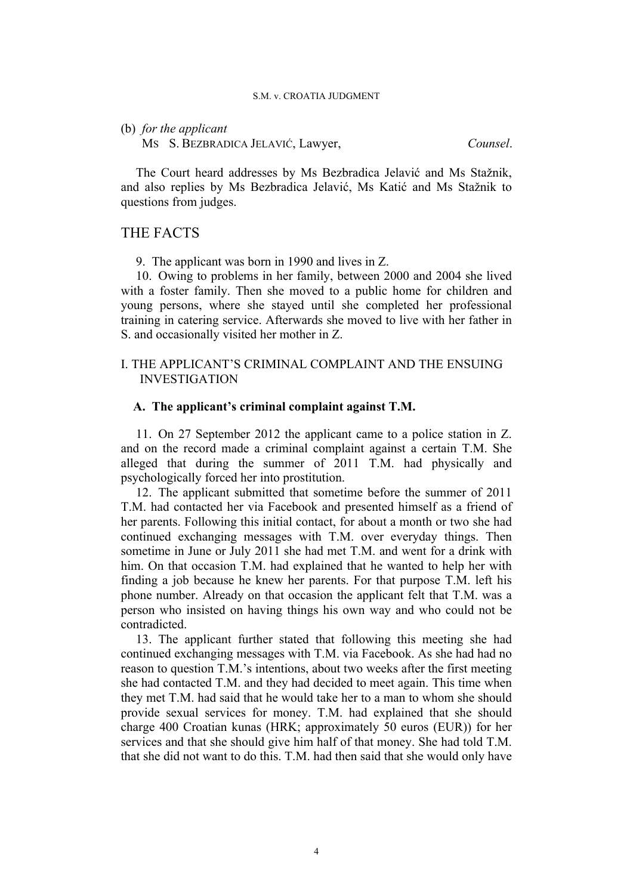### (b) *for the applicant*

MS S. BEZBRADICA JELAVIĆ, Lawyer, *Counsel*.

The Court heard addresses by Ms Bezbradica Jelavić and Ms Stažnik, and also replies by Ms Bezbradica Jelavić, Ms Katić and Ms Stažnik to questions from judges.

# THE FACTS

9. The applicant was born in 1990 and lives in Z.

10. Owing to problems in her family, between 2000 and 2004 she lived with a foster family. Then she moved to a public home for children and young persons, where she stayed until she completed her professional training in catering service. Afterwards she moved to live with her father in S. and occasionally visited her mother in Z.

# I. THE APPLICANT'S CRIMINAL COMPLAINT AND THE ENSUING INVESTIGATION

### **A. The applicant's criminal complaint against T.M.**

11. On 27 September 2012 the applicant came to a police station in Z. and on the record made a criminal complaint against a certain T.M. She alleged that during the summer of 2011 T.M. had physically and psychologically forced her into prostitution.

12. The applicant submitted that sometime before the summer of 2011 T.M. had contacted her via Facebook and presented himself as a friend of her parents. Following this initial contact, for about a month or two she had continued exchanging messages with T.M. over everyday things. Then sometime in June or July 2011 she had met T.M. and went for a drink with him. On that occasion T.M. had explained that he wanted to help her with finding a job because he knew her parents. For that purpose T.M. left his phone number. Already on that occasion the applicant felt that T.M. was a person who insisted on having things his own way and who could not be contradicted.

13. The applicant further stated that following this meeting she had continued exchanging messages with T.M. via Facebook. As she had had no reason to question T.M.'s intentions, about two weeks after the first meeting she had contacted T.M. and they had decided to meet again. This time when they met T.M. had said that he would take her to a man to whom she should provide sexual services for money. T.M. had explained that she should charge 400 Croatian kunas (HRK; approximately 50 euros (EUR)) for her services and that she should give him half of that money. She had told T.M. that she did not want to do this. T.M. had then said that she would only have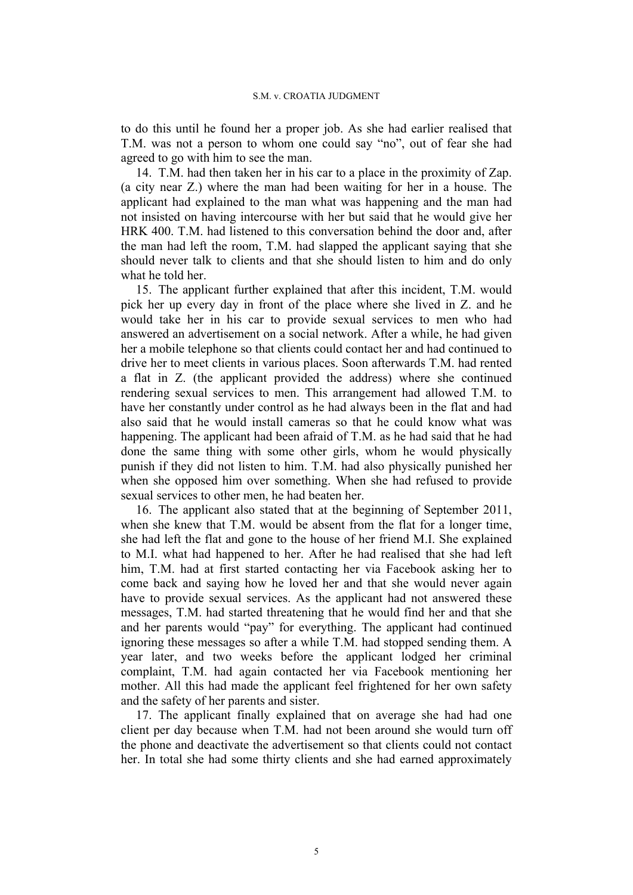to do this until he found her a proper job. As she had earlier realised that T.M. was not a person to whom one could say "no", out of fear she had agreed to go with him to see the man.

14. T.M. had then taken her in his car to a place in the proximity of Zap. (a city near Z.) where the man had been waiting for her in a house. The applicant had explained to the man what was happening and the man had not insisted on having intercourse with her but said that he would give her HRK 400. T.M. had listened to this conversation behind the door and, after the man had left the room, T.M. had slapped the applicant saying that she should never talk to clients and that she should listen to him and do only what he told her.

15. The applicant further explained that after this incident, T.M. would pick her up every day in front of the place where she lived in Z. and he would take her in his car to provide sexual services to men who had answered an advertisement on a social network. After a while, he had given her a mobile telephone so that clients could contact her and had continued to drive her to meet clients in various places. Soon afterwards T.M. had rented a flat in Z. (the applicant provided the address) where she continued rendering sexual services to men. This arrangement had allowed T.M. to have her constantly under control as he had always been in the flat and had also said that he would install cameras so that he could know what was happening. The applicant had been afraid of T.M. as he had said that he had done the same thing with some other girls, whom he would physically punish if they did not listen to him. T.M. had also physically punished her when she opposed him over something. When she had refused to provide sexual services to other men, he had beaten her.

16. The applicant also stated that at the beginning of September 2011, when she knew that T.M. would be absent from the flat for a longer time, she had left the flat and gone to the house of her friend M.I. She explained to M.I. what had happened to her. After he had realised that she had left him, T.M. had at first started contacting her via Facebook asking her to come back and saying how he loved her and that she would never again have to provide sexual services. As the applicant had not answered these messages, T.M. had started threatening that he would find her and that she and her parents would "pay" for everything. The applicant had continued ignoring these messages so after a while T.M. had stopped sending them. A year later, and two weeks before the applicant lodged her criminal complaint, T.M. had again contacted her via Facebook mentioning her mother. All this had made the applicant feel frightened for her own safety and the safety of her parents and sister.

17. The applicant finally explained that on average she had had one client per day because when T.M. had not been around she would turn off the phone and deactivate the advertisement so that clients could not contact her. In total she had some thirty clients and she had earned approximately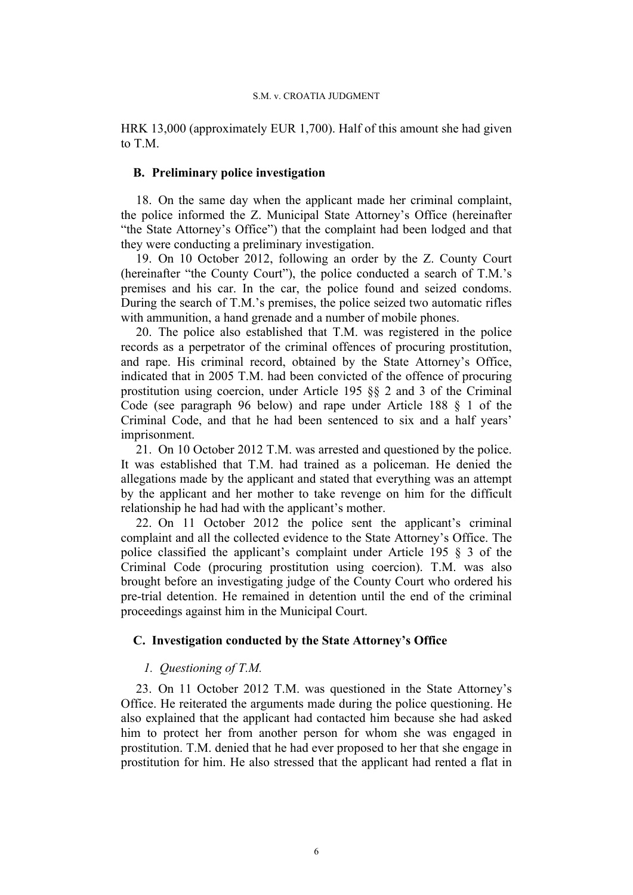HRK 13,000 (approximately EUR 1,700). Half of this amount she had given to T.M.

## **B. Preliminary police investigation**

18. On the same day when the applicant made her criminal complaint, the police informed the Z. Municipal State Attorney's Office (hereinafter "the State Attorney's Office") that the complaint had been lodged and that they were conducting a preliminary investigation.

19. On 10 October 2012, following an order by the Z. County Court (hereinafter "the County Court"), the police conducted a search of T.M.'s premises and his car. In the car, the police found and seized condoms. During the search of T.M.'s premises, the police seized two automatic rifles with ammunition, a hand grenade and a number of mobile phones.

20. The police also established that T.M. was registered in the police records as a perpetrator of the criminal offences of procuring prostitution, and rape. His criminal record, obtained by the State Attorney's Office, indicated that in 2005 T.M. had been convicted of the offence of procuring prostitution using coercion, under Article 195 §§ 2 and 3 of the Criminal Code (see paragraph 96 below) and rape under Article 188 § 1 of the Criminal Code, and that he had been sentenced to six and a half years' imprisonment.

21. On 10 October 2012 T.M. was arrested and questioned by the police. It was established that T.M. had trained as a policeman. He denied the allegations made by the applicant and stated that everything was an attempt by the applicant and her mother to take revenge on him for the difficult relationship he had had with the applicant's mother.

22. On 11 October 2012 the police sent the applicant's criminal complaint and all the collected evidence to the State Attorney's Office. The police classified the applicant's complaint under Article 195 § 3 of the Criminal Code (procuring prostitution using coercion). T.M. was also brought before an investigating judge of the County Court who ordered his pre-trial detention. He remained in detention until the end of the criminal proceedings against him in the Municipal Court.

# **C. Investigation conducted by the State Attorney's Office**

# *1. Questioning of T.M.*

23. On 11 October 2012 T.M. was questioned in the State Attorney's Office. He reiterated the arguments made during the police questioning. He also explained that the applicant had contacted him because she had asked him to protect her from another person for whom she was engaged in prostitution. T.M. denied that he had ever proposed to her that she engage in prostitution for him. He also stressed that the applicant had rented a flat in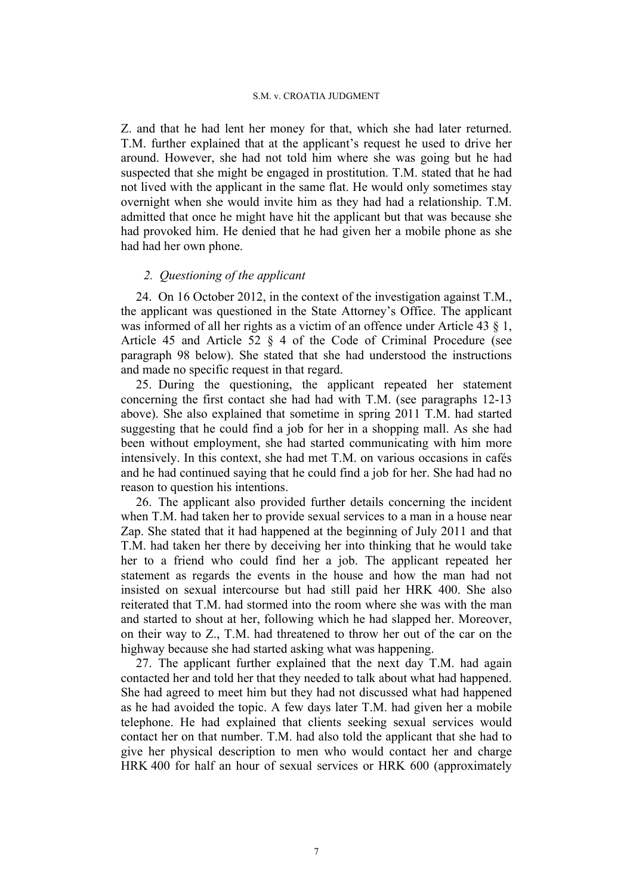Z. and that he had lent her money for that, which she had later returned. T.M. further explained that at the applicant's request he used to drive her around. However, she had not told him where she was going but he had suspected that she might be engaged in prostitution. T.M. stated that he had not lived with the applicant in the same flat. He would only sometimes stay overnight when she would invite him as they had had a relationship. T.M. admitted that once he might have hit the applicant but that was because she had provoked him. He denied that he had given her a mobile phone as she had had her own phone.

# *2. Questioning of the applicant*

24. On 16 October 2012, in the context of the investigation against T.M., the applicant was questioned in the State Attorney's Office. The applicant was informed of all her rights as a victim of an offence under Article 43 § 1, Article 45 and Article 52 § 4 of the Code of Criminal Procedure (see paragraph 98 below). She stated that she had understood the instructions and made no specific request in that regard.

25. During the questioning, the applicant repeated her statement concerning the first contact she had had with T.M. (see paragraphs 12-13 above). She also explained that sometime in spring 2011 T.M. had started suggesting that he could find a job for her in a shopping mall. As she had been without employment, she had started communicating with him more intensively. In this context, she had met T.M. on various occasions in cafés and he had continued saying that he could find a job for her. She had had no reason to question his intentions.

26. The applicant also provided further details concerning the incident when T.M. had taken her to provide sexual services to a man in a house near Zap. She stated that it had happened at the beginning of July 2011 and that T.M. had taken her there by deceiving her into thinking that he would take her to a friend who could find her a job. The applicant repeated her statement as regards the events in the house and how the man had not insisted on sexual intercourse but had still paid her HRK 400. She also reiterated that T.M. had stormed into the room where she was with the man and started to shout at her, following which he had slapped her. Moreover, on their way to Z., T.M. had threatened to throw her out of the car on the highway because she had started asking what was happening.

27. The applicant further explained that the next day T.M. had again contacted her and told her that they needed to talk about what had happened. She had agreed to meet him but they had not discussed what had happened as he had avoided the topic. A few days later T.M. had given her a mobile telephone. He had explained that clients seeking sexual services would contact her on that number. T.M. had also told the applicant that she had to give her physical description to men who would contact her and charge HRK 400 for half an hour of sexual services or HRK 600 (approximately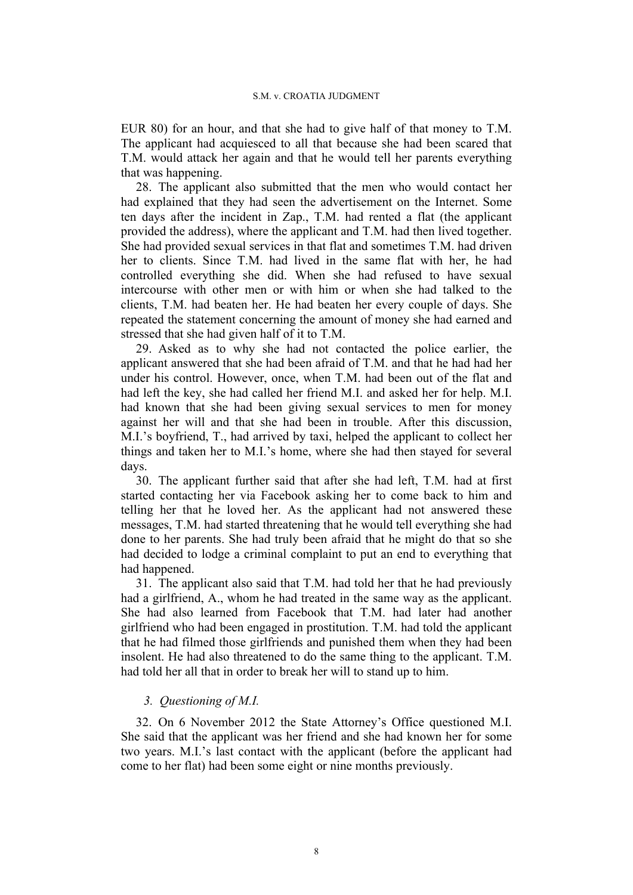EUR 80) for an hour, and that she had to give half of that money to T.M. The applicant had acquiesced to all that because she had been scared that T.M. would attack her again and that he would tell her parents everything that was happening.

28. The applicant also submitted that the men who would contact her had explained that they had seen the advertisement on the Internet. Some ten days after the incident in Zap., T.M. had rented a flat (the applicant provided the address), where the applicant and T.M. had then lived together. She had provided sexual services in that flat and sometimes T.M. had driven her to clients. Since T.M. had lived in the same flat with her, he had controlled everything she did. When she had refused to have sexual intercourse with other men or with him or when she had talked to the clients, T.M. had beaten her. He had beaten her every couple of days. She repeated the statement concerning the amount of money she had earned and stressed that she had given half of it to T.M.

29. Asked as to why she had not contacted the police earlier, the applicant answered that she had been afraid of T.M. and that he had had her under his control. However, once, when T.M. had been out of the flat and had left the key, she had called her friend M.I. and asked her for help. M.I. had known that she had been giving sexual services to men for money against her will and that she had been in trouble. After this discussion, M.I.'s boyfriend, T., had arrived by taxi, helped the applicant to collect her things and taken her to M.I.'s home, where she had then stayed for several days.

30. The applicant further said that after she had left, T.M. had at first started contacting her via Facebook asking her to come back to him and telling her that he loved her. As the applicant had not answered these messages, T.M. had started threatening that he would tell everything she had done to her parents. She had truly been afraid that he might do that so she had decided to lodge a criminal complaint to put an end to everything that had happened.

31. The applicant also said that T.M. had told her that he had previously had a girlfriend, A., whom he had treated in the same way as the applicant. She had also learned from Facebook that T.M. had later had another girlfriend who had been engaged in prostitution. T.M. had told the applicant that he had filmed those girlfriends and punished them when they had been insolent. He had also threatened to do the same thing to the applicant. T.M. had told her all that in order to break her will to stand up to him.

## *3. Questioning of M.I.*

32. On 6 November 2012 the State Attorney's Office questioned M.I. She said that the applicant was her friend and she had known her for some two years. M.I.'s last contact with the applicant (before the applicant had come to her flat) had been some eight or nine months previously.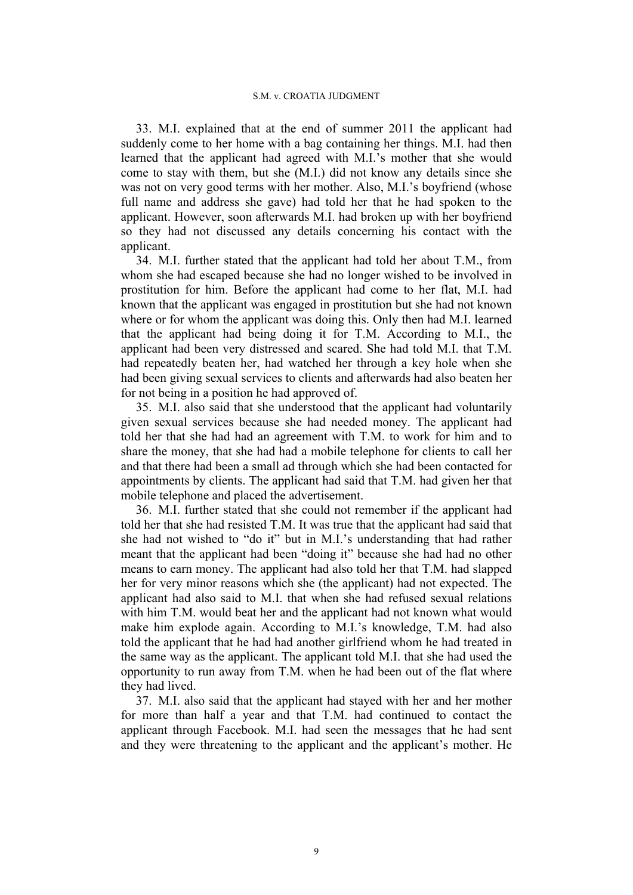33. M.I. explained that at the end of summer 2011 the applicant had suddenly come to her home with a bag containing her things. M.I. had then learned that the applicant had agreed with M.I.'s mother that she would come to stay with them, but she (M.I.) did not know any details since she was not on very good terms with her mother. Also, M.I.'s boyfriend (whose full name and address she gave) had told her that he had spoken to the applicant. However, soon afterwards M.I. had broken up with her boyfriend so they had not discussed any details concerning his contact with the applicant.

34. M.I. further stated that the applicant had told her about T.M., from whom she had escaped because she had no longer wished to be involved in prostitution for him. Before the applicant had come to her flat, M.I. had known that the applicant was engaged in prostitution but she had not known where or for whom the applicant was doing this. Only then had M.I. learned that the applicant had being doing it for T.M. According to M.I., the applicant had been very distressed and scared. She had told M.I. that T.M. had repeatedly beaten her, had watched her through a key hole when she had been giving sexual services to clients and afterwards had also beaten her for not being in a position he had approved of.

35. M.I. also said that she understood that the applicant had voluntarily given sexual services because she had needed money. The applicant had told her that she had had an agreement with T.M. to work for him and to share the money, that she had had a mobile telephone for clients to call her and that there had been a small ad through which she had been contacted for appointments by clients. The applicant had said that T.M. had given her that mobile telephone and placed the advertisement.

36. M.I. further stated that she could not remember if the applicant had told her that she had resisted T.M. It was true that the applicant had said that she had not wished to "do it" but in M.I.'s understanding that had rather meant that the applicant had been "doing it" because she had had no other means to earn money. The applicant had also told her that T.M. had slapped her for very minor reasons which she (the applicant) had not expected. The applicant had also said to M.I. that when she had refused sexual relations with him T.M. would beat her and the applicant had not known what would make him explode again. According to M.I.'s knowledge, T.M. had also told the applicant that he had had another girlfriend whom he had treated in the same way as the applicant. The applicant told M.I. that she had used the opportunity to run away from T.M. when he had been out of the flat where they had lived.

37. M.I. also said that the applicant had stayed with her and her mother for more than half a year and that T.M. had continued to contact the applicant through Facebook. M.I. had seen the messages that he had sent and they were threatening to the applicant and the applicant's mother. He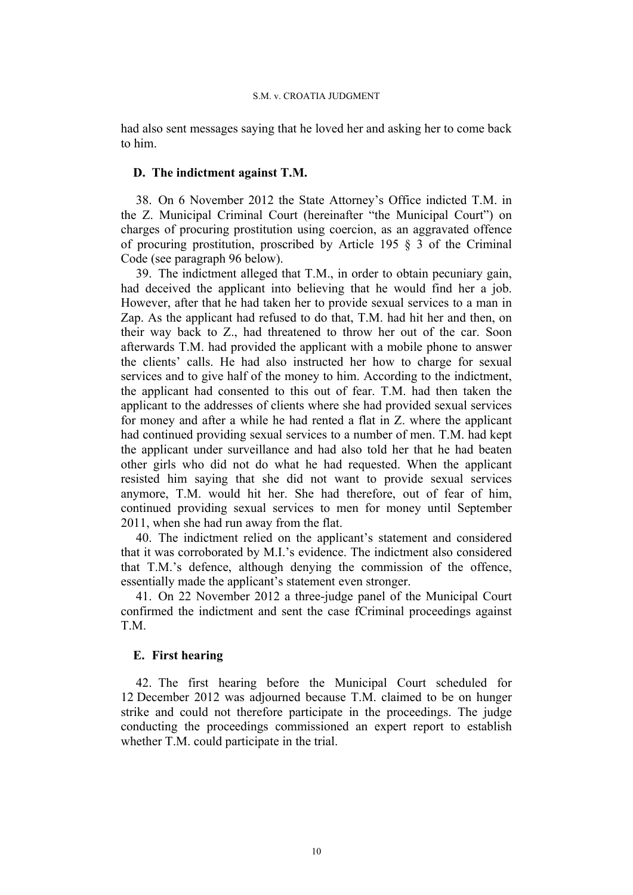had also sent messages saying that he loved her and asking her to come back to him.

# **D. The indictment against T.M.**

38. On 6 November 2012 the State Attorney's Office indicted T.M. in the Z. Municipal Criminal Court (hereinafter "the Municipal Court") on charges of procuring prostitution using coercion, as an aggravated offence of procuring prostitution, proscribed by Article 195 § 3 of the Criminal Code (see paragraph 96 below).

39. The indictment alleged that T.M., in order to obtain pecuniary gain, had deceived the applicant into believing that he would find her a job. However, after that he had taken her to provide sexual services to a man in Zap. As the applicant had refused to do that, T.M. had hit her and then, on their way back to Z., had threatened to throw her out of the car. Soon afterwards T.M. had provided the applicant with a mobile phone to answer the clients' calls. He had also instructed her how to charge for sexual services and to give half of the money to him. According to the indictment, the applicant had consented to this out of fear. T.M. had then taken the applicant to the addresses of clients where she had provided sexual services for money and after a while he had rented a flat in Z. where the applicant had continued providing sexual services to a number of men. T.M. had kept the applicant under surveillance and had also told her that he had beaten other girls who did not do what he had requested. When the applicant resisted him saying that she did not want to provide sexual services anymore, T.M. would hit her. She had therefore, out of fear of him, continued providing sexual services to men for money until September 2011, when she had run away from the flat.

40. The indictment relied on the applicant's statement and considered that it was corroborated by M.I.'s evidence. The indictment also considered that T.M.'s defence, although denying the commission of the offence, essentially made the applicant's statement even stronger.

41. On 22 November 2012 a three-judge panel of the Municipal Court confirmed the indictment and sent the case fCriminal proceedings against T<sub>M</sub>

## **E. First hearing**

42. The first hearing before the Municipal Court scheduled for 12 December 2012 was adjourned because T.M. claimed to be on hunger strike and could not therefore participate in the proceedings. The judge conducting the proceedings commissioned an expert report to establish whether T.M. could participate in the trial.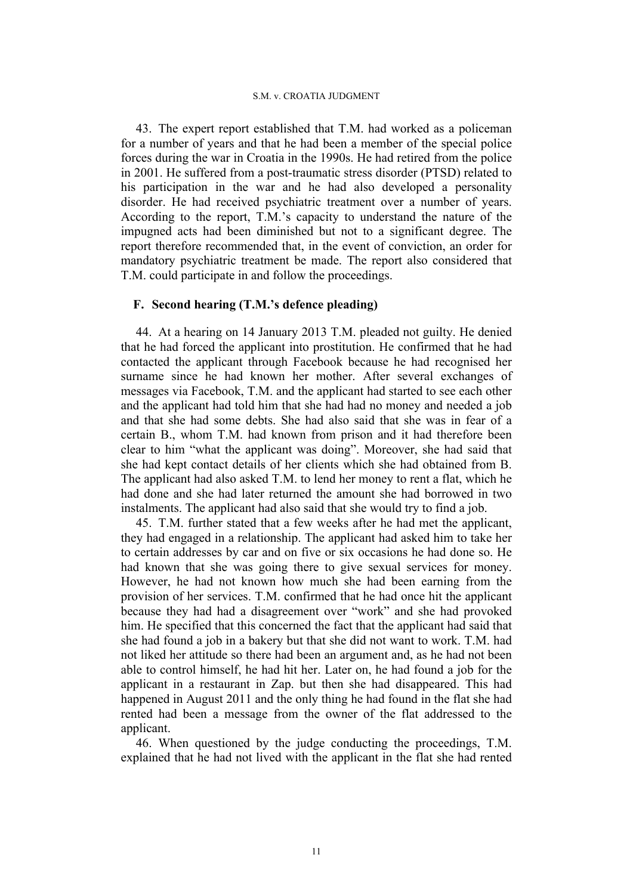43. The expert report established that T.M. had worked as a policeman for a number of years and that he had been a member of the special police forces during the war in Croatia in the 1990s. He had retired from the police in 2001. He suffered from a post-traumatic stress disorder (PTSD) related to his participation in the war and he had also developed a personality disorder. He had received psychiatric treatment over a number of years. According to the report, T.M.'s capacity to understand the nature of the impugned acts had been diminished but not to a significant degree. The report therefore recommended that, in the event of conviction, an order for mandatory psychiatric treatment be made. The report also considered that T.M. could participate in and follow the proceedings.

# **F. Second hearing (T.M.'s defence pleading)**

44. At a hearing on 14 January 2013 T.M. pleaded not guilty. He denied that he had forced the applicant into prostitution. He confirmed that he had contacted the applicant through Facebook because he had recognised her surname since he had known her mother. After several exchanges of messages via Facebook, T.M. and the applicant had started to see each other and the applicant had told him that she had had no money and needed a job and that she had some debts. She had also said that she was in fear of a certain B., whom T.M. had known from prison and it had therefore been clear to him "what the applicant was doing". Moreover, she had said that she had kept contact details of her clients which she had obtained from B. The applicant had also asked T.M. to lend her money to rent a flat, which he had done and she had later returned the amount she had borrowed in two instalments. The applicant had also said that she would try to find a job.

45. T.M. further stated that a few weeks after he had met the applicant, they had engaged in a relationship. The applicant had asked him to take her to certain addresses by car and on five or six occasions he had done so. He had known that she was going there to give sexual services for money. However, he had not known how much she had been earning from the provision of her services. T.M. confirmed that he had once hit the applicant because they had had a disagreement over "work" and she had provoked him. He specified that this concerned the fact that the applicant had said that she had found a job in a bakery but that she did not want to work. T.M. had not liked her attitude so there had been an argument and, as he had not been able to control himself, he had hit her. Later on, he had found a job for the applicant in a restaurant in Zap. but then she had disappeared. This had happened in August 2011 and the only thing he had found in the flat she had rented had been a message from the owner of the flat addressed to the applicant.

46. When questioned by the judge conducting the proceedings, T.M. explained that he had not lived with the applicant in the flat she had rented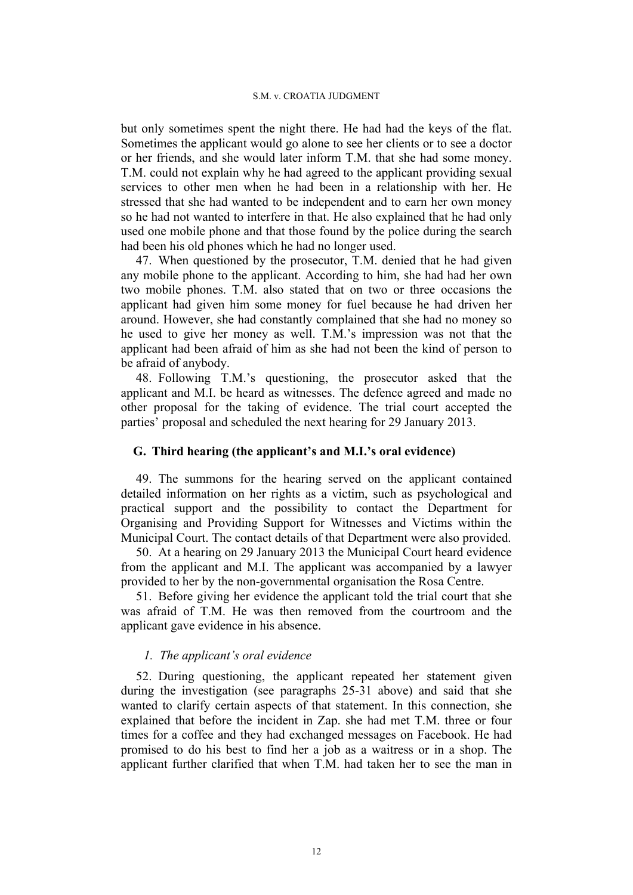but only sometimes spent the night there. He had had the keys of the flat. Sometimes the applicant would go alone to see her clients or to see a doctor or her friends, and she would later inform T.M. that she had some money. T.M. could not explain why he had agreed to the applicant providing sexual services to other men when he had been in a relationship with her. He stressed that she had wanted to be independent and to earn her own money so he had not wanted to interfere in that. He also explained that he had only used one mobile phone and that those found by the police during the search had been his old phones which he had no longer used.

47. When questioned by the prosecutor, T.M. denied that he had given any mobile phone to the applicant. According to him, she had had her own two mobile phones. T.M. also stated that on two or three occasions the applicant had given him some money for fuel because he had driven her around. However, she had constantly complained that she had no money so he used to give her money as well. T.M.'s impression was not that the applicant had been afraid of him as she had not been the kind of person to be afraid of anybody.

48. Following T.M.'s questioning, the prosecutor asked that the applicant and M.I. be heard as witnesses. The defence agreed and made no other proposal for the taking of evidence. The trial court accepted the parties' proposal and scheduled the next hearing for 29 January 2013.

### **G. Third hearing (the applicant's and M.I.'s oral evidence)**

49. The summons for the hearing served on the applicant contained detailed information on her rights as a victim, such as psychological and practical support and the possibility to contact the Department for Organising and Providing Support for Witnesses and Victims within the Municipal Court. The contact details of that Department were also provided.

50. At a hearing on 29 January 2013 the Municipal Court heard evidence from the applicant and M.I. The applicant was accompanied by a lawyer provided to her by the non-governmental organisation the Rosa Centre.

51. Before giving her evidence the applicant told the trial court that she was afraid of T.M. He was then removed from the courtroom and the applicant gave evidence in his absence.

### *1. The applicant's oral evidence*

52. During questioning, the applicant repeated her statement given during the investigation (see paragraphs 25-31 above) and said that she wanted to clarify certain aspects of that statement. In this connection, she explained that before the incident in Zap. she had met T.M. three or four times for a coffee and they had exchanged messages on Facebook. He had promised to do his best to find her a job as a waitress or in a shop. The applicant further clarified that when T.M. had taken her to see the man in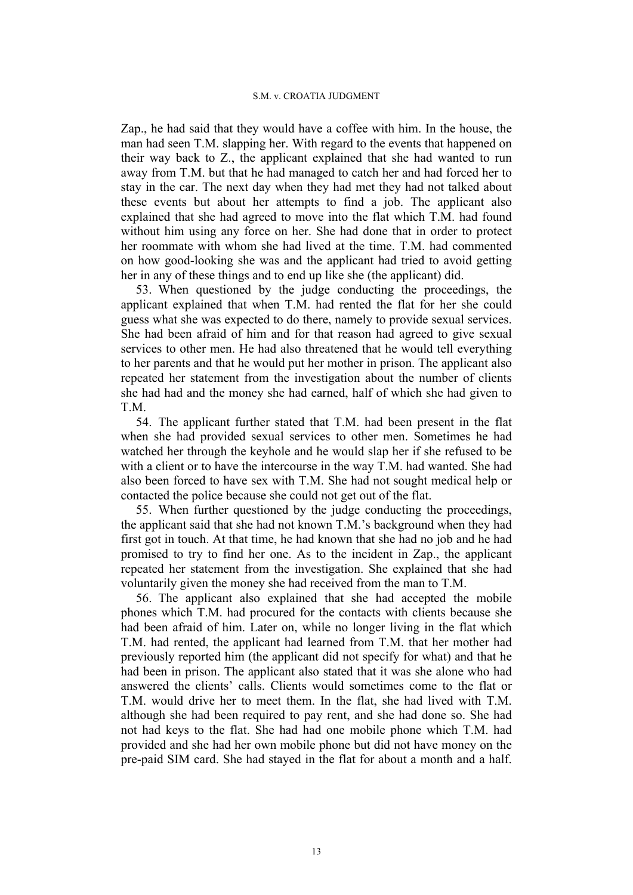Zap., he had said that they would have a coffee with him. In the house, the man had seen T.M. slapping her. With regard to the events that happened on their way back to Z., the applicant explained that she had wanted to run away from T.M. but that he had managed to catch her and had forced her to stay in the car. The next day when they had met they had not talked about these events but about her attempts to find a job. The applicant also explained that she had agreed to move into the flat which T.M. had found without him using any force on her. She had done that in order to protect her roommate with whom she had lived at the time. T.M. had commented on how good-looking she was and the applicant had tried to avoid getting her in any of these things and to end up like she (the applicant) did.

53. When questioned by the judge conducting the proceedings, the applicant explained that when T.M. had rented the flat for her she could guess what she was expected to do there, namely to provide sexual services. She had been afraid of him and for that reason had agreed to give sexual services to other men. He had also threatened that he would tell everything to her parents and that he would put her mother in prison. The applicant also repeated her statement from the investigation about the number of clients she had had and the money she had earned, half of which she had given to T<sub>M</sub>

54. The applicant further stated that T.M. had been present in the flat when she had provided sexual services to other men. Sometimes he had watched her through the keyhole and he would slap her if she refused to be with a client or to have the intercourse in the way T.M. had wanted. She had also been forced to have sex with T.M. She had not sought medical help or contacted the police because she could not get out of the flat.

55. When further questioned by the judge conducting the proceedings, the applicant said that she had not known T.M.'s background when they had first got in touch. At that time, he had known that she had no job and he had promised to try to find her one. As to the incident in Zap., the applicant repeated her statement from the investigation. She explained that she had voluntarily given the money she had received from the man to T.M.

56. The applicant also explained that she had accepted the mobile phones which T.M. had procured for the contacts with clients because she had been afraid of him. Later on, while no longer living in the flat which T.M. had rented, the applicant had learned from T.M. that her mother had previously reported him (the applicant did not specify for what) and that he had been in prison. The applicant also stated that it was she alone who had answered the clients' calls. Clients would sometimes come to the flat or T.M. would drive her to meet them. In the flat, she had lived with T.M. although she had been required to pay rent, and she had done so. She had not had keys to the flat. She had had one mobile phone which T.M. had provided and she had her own mobile phone but did not have money on the pre-paid SIM card. She had stayed in the flat for about a month and a half.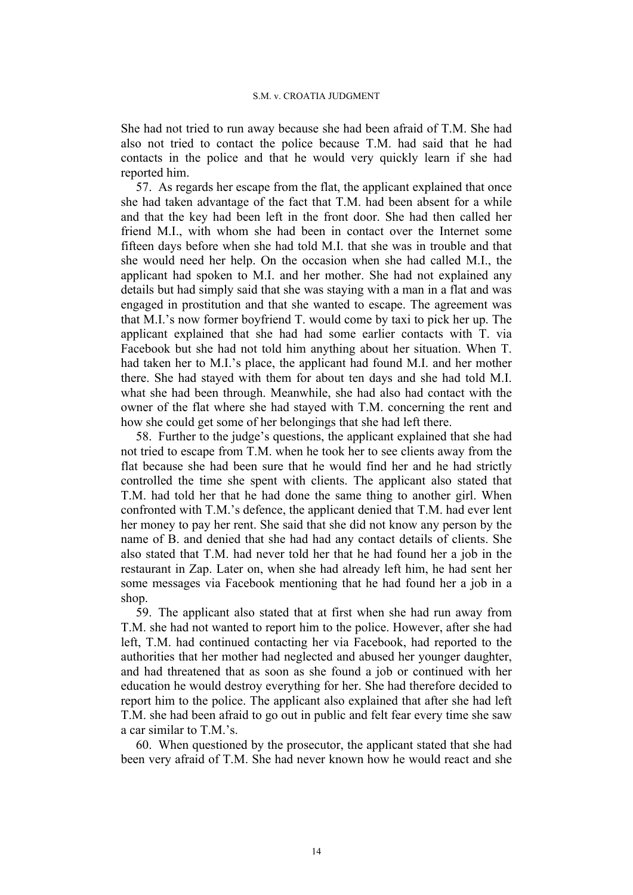She had not tried to run away because she had been afraid of T.M. She had also not tried to contact the police because T.M. had said that he had contacts in the police and that he would very quickly learn if she had reported him.

57. As regards her escape from the flat, the applicant explained that once she had taken advantage of the fact that T.M. had been absent for a while and that the key had been left in the front door. She had then called her friend M.I., with whom she had been in contact over the Internet some fifteen days before when she had told M.I. that she was in trouble and that she would need her help. On the occasion when she had called M.I., the applicant had spoken to M.I. and her mother. She had not explained any details but had simply said that she was staying with a man in a flat and was engaged in prostitution and that she wanted to escape. The agreement was that M.I.'s now former boyfriend T. would come by taxi to pick her up. The applicant explained that she had had some earlier contacts with T. via Facebook but she had not told him anything about her situation. When T. had taken her to M.I.'s place, the applicant had found M.I. and her mother there. She had stayed with them for about ten days and she had told M.I. what she had been through. Meanwhile, she had also had contact with the owner of the flat where she had stayed with T.M. concerning the rent and how she could get some of her belongings that she had left there.

58. Further to the judge's questions, the applicant explained that she had not tried to escape from T.M. when he took her to see clients away from the flat because she had been sure that he would find her and he had strictly controlled the time she spent with clients. The applicant also stated that T.M. had told her that he had done the same thing to another girl. When confronted with T.M.'s defence, the applicant denied that T.M. had ever lent her money to pay her rent. She said that she did not know any person by the name of B. and denied that she had had any contact details of clients. She also stated that T.M. had never told her that he had found her a job in the restaurant in Zap. Later on, when she had already left him, he had sent her some messages via Facebook mentioning that he had found her a job in a shop.

59. The applicant also stated that at first when she had run away from T.M. she had not wanted to report him to the police. However, after she had left, T.M. had continued contacting her via Facebook, had reported to the authorities that her mother had neglected and abused her younger daughter, and had threatened that as soon as she found a job or continued with her education he would destroy everything for her. She had therefore decided to report him to the police. The applicant also explained that after she had left T.M. she had been afraid to go out in public and felt fear every time she saw a car similar to  $T M$ 's.

60. When questioned by the prosecutor, the applicant stated that she had been very afraid of T.M. She had never known how he would react and she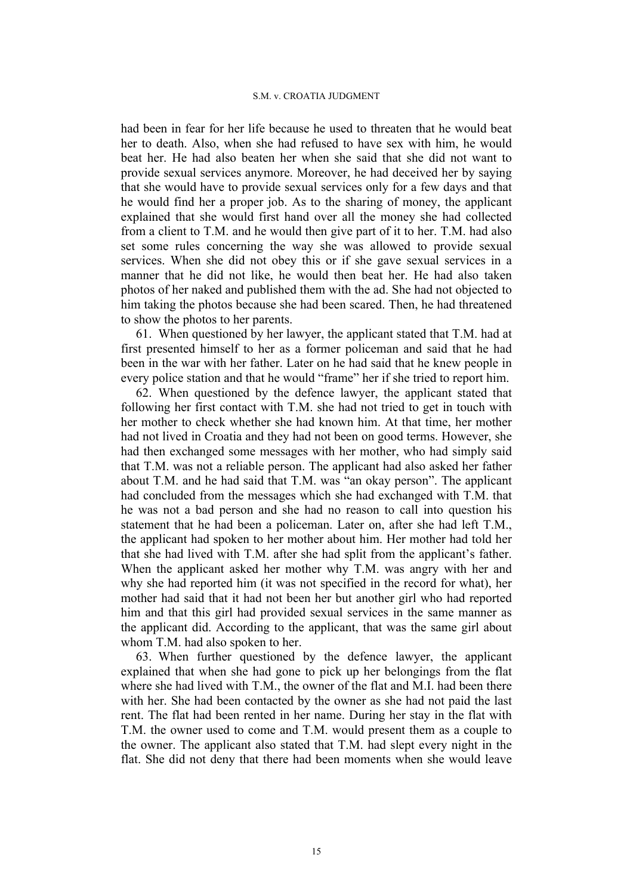had been in fear for her life because he used to threaten that he would beat her to death. Also, when she had refused to have sex with him, he would beat her. He had also beaten her when she said that she did not want to provide sexual services anymore. Moreover, he had deceived her by saying that she would have to provide sexual services only for a few days and that he would find her a proper job. As to the sharing of money, the applicant explained that she would first hand over all the money she had collected from a client to T.M. and he would then give part of it to her. T.M. had also set some rules concerning the way she was allowed to provide sexual services. When she did not obey this or if she gave sexual services in a manner that he did not like, he would then beat her. He had also taken photos of her naked and published them with the ad. She had not objected to him taking the photos because she had been scared. Then, he had threatened to show the photos to her parents.

61. When questioned by her lawyer, the applicant stated that T.M. had at first presented himself to her as a former policeman and said that he had been in the war with her father. Later on he had said that he knew people in every police station and that he would "frame" her if she tried to report him.

62. When questioned by the defence lawyer, the applicant stated that following her first contact with T.M. she had not tried to get in touch with her mother to check whether she had known him. At that time, her mother had not lived in Croatia and they had not been on good terms. However, she had then exchanged some messages with her mother, who had simply said that T.M. was not a reliable person. The applicant had also asked her father about T.M. and he had said that T.M. was "an okay person". The applicant had concluded from the messages which she had exchanged with T.M. that he was not a bad person and she had no reason to call into question his statement that he had been a policeman. Later on, after she had left T.M., the applicant had spoken to her mother about him. Her mother had told her that she had lived with T.M. after she had split from the applicant's father. When the applicant asked her mother why T.M. was angry with her and why she had reported him (it was not specified in the record for what), her mother had said that it had not been her but another girl who had reported him and that this girl had provided sexual services in the same manner as the applicant did. According to the applicant, that was the same girl about whom T.M. had also spoken to her.

63. When further questioned by the defence lawyer, the applicant explained that when she had gone to pick up her belongings from the flat where she had lived with T.M., the owner of the flat and M.I. had been there with her. She had been contacted by the owner as she had not paid the last rent. The flat had been rented in her name. During her stay in the flat with T.M. the owner used to come and T.M. would present them as a couple to the owner. The applicant also stated that T.M. had slept every night in the flat. She did not deny that there had been moments when she would leave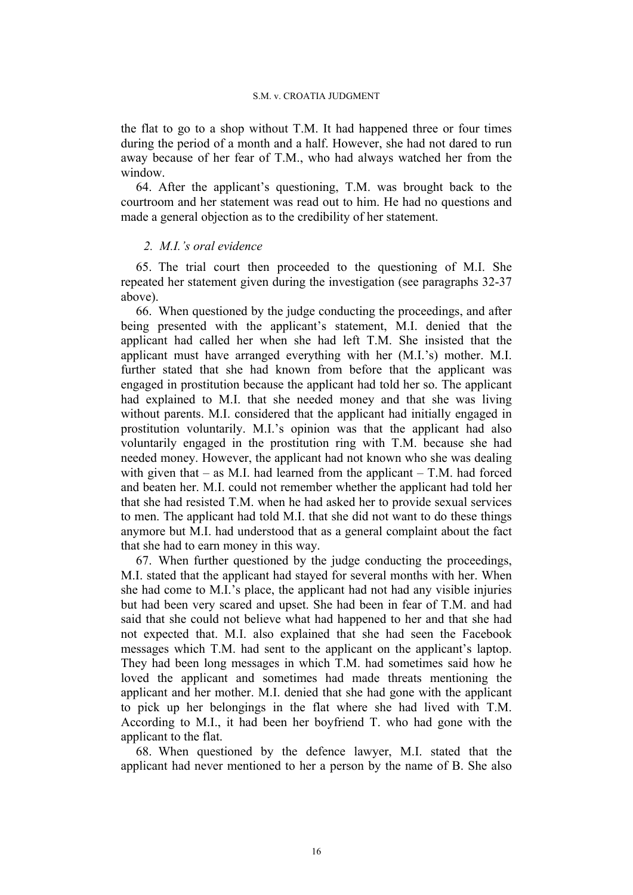the flat to go to a shop without T.M. It had happened three or four times during the period of a month and a half. However, she had not dared to run away because of her fear of T.M., who had always watched her from the window.

64. After the applicant's questioning, T.M. was brought back to the courtroom and her statement was read out to him. He had no questions and made a general objection as to the credibility of her statement.

### *2. M.I.'s oral evidence*

65. The trial court then proceeded to the questioning of M.I. She repeated her statement given during the investigation (see paragraphs 32-37 above).

66. When questioned by the judge conducting the proceedings, and after being presented with the applicant's statement, M.I. denied that the applicant had called her when she had left T.M. She insisted that the applicant must have arranged everything with her (M.I.'s) mother. M.I. further stated that she had known from before that the applicant was engaged in prostitution because the applicant had told her so. The applicant had explained to M.I. that she needed money and that she was living without parents. M.I. considered that the applicant had initially engaged in prostitution voluntarily. M.I.'s opinion was that the applicant had also voluntarily engaged in the prostitution ring with T.M. because she had needed money. However, the applicant had not known who she was dealing with given that  $-$  as M.I. had learned from the applicant  $-$  T.M. had forced and beaten her. M.I. could not remember whether the applicant had told her that she had resisted T.M. when he had asked her to provide sexual services to men. The applicant had told M.I. that she did not want to do these things anymore but M.I. had understood that as a general complaint about the fact that she had to earn money in this way.

67. When further questioned by the judge conducting the proceedings, M.I. stated that the applicant had stayed for several months with her. When she had come to M.I.'s place, the applicant had not had any visible injuries but had been very scared and upset. She had been in fear of T.M. and had said that she could not believe what had happened to her and that she had not expected that. M.I. also explained that she had seen the Facebook messages which T.M. had sent to the applicant on the applicant's laptop. They had been long messages in which T.M. had sometimes said how he loved the applicant and sometimes had made threats mentioning the applicant and her mother. M.I. denied that she had gone with the applicant to pick up her belongings in the flat where she had lived with T.M. According to M.I., it had been her boyfriend T. who had gone with the applicant to the flat.

68. When questioned by the defence lawyer, M.I. stated that the applicant had never mentioned to her a person by the name of B. She also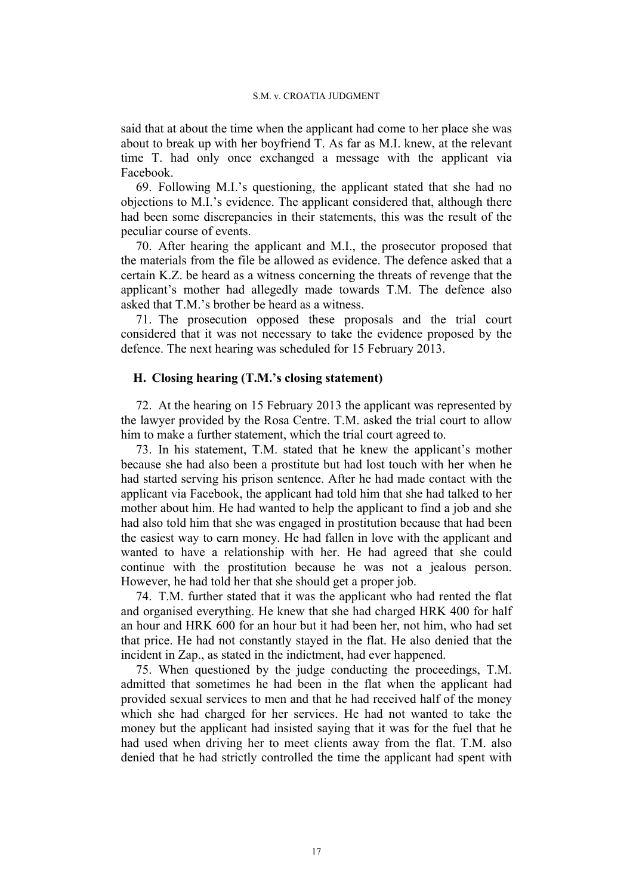said that at about the time when the applicant had come to her place she was about to break up with her boyfriend T. As far as M.I. knew, at the relevant time T. had only once exchanged a message with the applicant via Facebook.

69. Following M.I.'s questioning, the applicant stated that she had no objections to M.I.'s evidence. The applicant considered that, although there had been some discrepancies in their statements, this was the result of the peculiar course of events.

70. After hearing the applicant and M.I., the prosecutor proposed that the materials from the file be allowed as evidence. The defence asked that a certain K.Z. be heard as a witness concerning the threats of revenge that the applicant's mother had allegedly made towards T.M. The defence also asked that T.M.'s brother be heard as a witness.

71. The prosecution opposed these proposals and the trial court considered that it was not necessary to take the evidence proposed by the defence. The next hearing was scheduled for 15 February 2013.

## **H. Closing hearing (T.M.'s closing statement)**

72. At the hearing on 15 February 2013 the applicant was represented by the lawyer provided by the Rosa Centre. T.M. asked the trial court to allow him to make a further statement, which the trial court agreed to.

73. In his statement, T.M. stated that he knew the applicant's mother because she had also been a prostitute but had lost touch with her when he had started serving his prison sentence. After he had made contact with the applicant via Facebook, the applicant had told him that she had talked to her mother about him. He had wanted to help the applicant to find a job and she had also told him that she was engaged in prostitution because that had been the easiest way to earn money. He had fallen in love with the applicant and wanted to have a relationship with her. He had agreed that she could continue with the prostitution because he was not a jealous person. However, he had told her that she should get a proper job.

74. T.M. further stated that it was the applicant who had rented the flat and organised everything. He knew that she had charged HRK 400 for half an hour and HRK 600 for an hour but it had been her, not him, who had set that price. He had not constantly stayed in the flat. He also denied that the incident in Zap., as stated in the indictment, had ever happened.

75. When questioned by the judge conducting the proceedings, T.M. admitted that sometimes he had been in the flat when the applicant had provided sexual services to men and that he had received half of the money which she had charged for her services. He had not wanted to take the money but the applicant had insisted saying that it was for the fuel that he had used when driving her to meet clients away from the flat. T.M. also denied that he had strictly controlled the time the applicant had spent with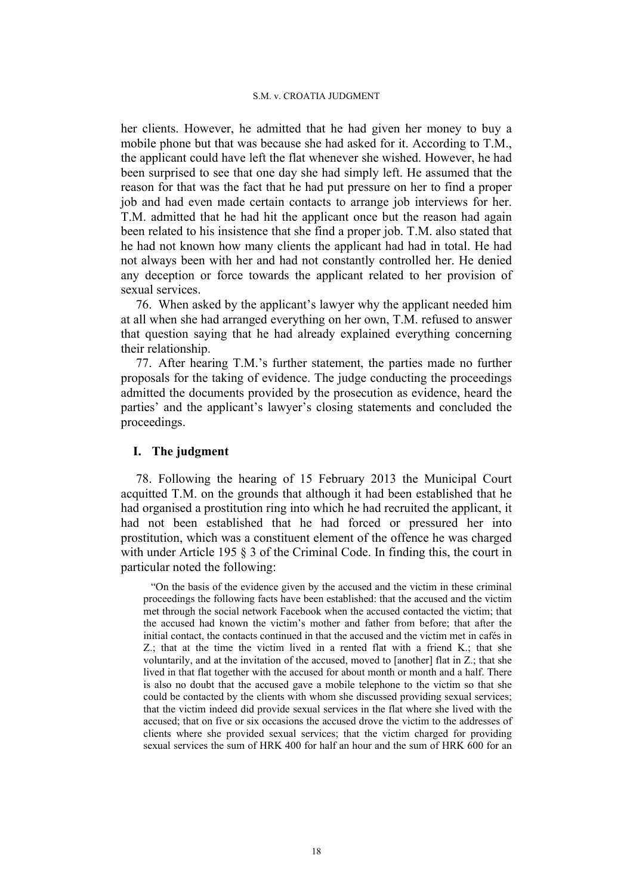her clients. However, he admitted that he had given her money to buy a mobile phone but that was because she had asked for it. According to T.M., the applicant could have left the flat whenever she wished. However, he had been surprised to see that one day she had simply left. He assumed that the reason for that was the fact that he had put pressure on her to find a proper job and had even made certain contacts to arrange job interviews for her. T.M. admitted that he had hit the applicant once but the reason had again been related to his insistence that she find a proper job. T.M. also stated that he had not known how many clients the applicant had had in total. He had not always been with her and had not constantly controlled her. He denied any deception or force towards the applicant related to her provision of sexual services.

76. When asked by the applicant's lawyer why the applicant needed him at all when she had arranged everything on her own, T.M. refused to answer that question saying that he had already explained everything concerning their relationship.

77. After hearing T.M.'s further statement, the parties made no further proposals for the taking of evidence. The judge conducting the proceedings admitted the documents provided by the prosecution as evidence, heard the parties' and the applicant's lawyer's closing statements and concluded the proceedings.

### **I. The judgment**

78. Following the hearing of 15 February 2013 the Municipal Court acquitted T.M. on the grounds that although it had been established that he had organised a prostitution ring into which he had recruited the applicant, it had not been established that he had forced or pressured her into prostitution, which was a constituent element of the offence he was charged with under Article 195  $\S$  3 of the Criminal Code. In finding this, the court in particular noted the following:

"On the basis of the evidence given by the accused and the victim in these criminal proceedings the following facts have been established: that the accused and the victim met through the social network Facebook when the accused contacted the victim; that the accused had known the victim's mother and father from before; that after the initial contact, the contacts continued in that the accused and the victim met in cafés in Z.; that at the time the victim lived in a rented flat with a friend K.; that she voluntarily, and at the invitation of the accused, moved to [another] flat in Z.; that she lived in that flat together with the accused for about month or month and a half. There is also no doubt that the accused gave a mobile telephone to the victim so that she could be contacted by the clients with whom she discussed providing sexual services; that the victim indeed did provide sexual services in the flat where she lived with the accused; that on five or six occasions the accused drove the victim to the addresses of clients where she provided sexual services; that the victim charged for providing sexual services the sum of HRK 400 for half an hour and the sum of HRK 600 for an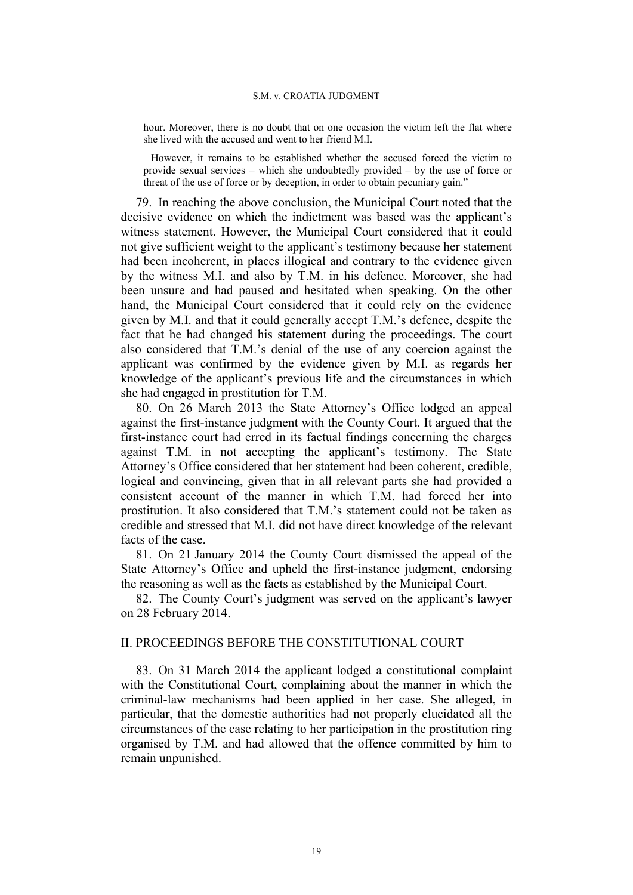hour. Moreover, there is no doubt that on one occasion the victim left the flat where she lived with the accused and went to her friend M.I.

However, it remains to be established whether the accused forced the victim to provide sexual services – which she undoubtedly provided – by the use of force or threat of the use of force or by deception, in order to obtain pecuniary gain."

79. In reaching the above conclusion, the Municipal Court noted that the decisive evidence on which the indictment was based was the applicant's witness statement. However, the Municipal Court considered that it could not give sufficient weight to the applicant's testimony because her statement had been incoherent, in places illogical and contrary to the evidence given by the witness M.I. and also by T.M. in his defence. Moreover, she had been unsure and had paused and hesitated when speaking. On the other hand, the Municipal Court considered that it could rely on the evidence given by M.I. and that it could generally accept T.M.'s defence, despite the fact that he had changed his statement during the proceedings. The court also considered that T.M.'s denial of the use of any coercion against the applicant was confirmed by the evidence given by M.I. as regards her knowledge of the applicant's previous life and the circumstances in which she had engaged in prostitution for T.M.

80. On 26 March 2013 the State Attorney's Office lodged an appeal against the first-instance judgment with the County Court. It argued that the first-instance court had erred in its factual findings concerning the charges against T.M. in not accepting the applicant's testimony. The State Attorney's Office considered that her statement had been coherent, credible, logical and convincing, given that in all relevant parts she had provided a consistent account of the manner in which T.M. had forced her into prostitution. It also considered that T.M.'s statement could not be taken as credible and stressed that M.I. did not have direct knowledge of the relevant facts of the case.

81. On 21 January 2014 the County Court dismissed the appeal of the State Attorney's Office and upheld the first-instance judgment, endorsing the reasoning as well as the facts as established by the Municipal Court.

82. The County Court's judgment was served on the applicant's lawyer on 28 February 2014.

# II. PROCEEDINGS BEFORE THE CONSTITUTIONAL COURT

83. On 31 March 2014 the applicant lodged a constitutional complaint with the Constitutional Court, complaining about the manner in which the criminal-law mechanisms had been applied in her case. She alleged, in particular, that the domestic authorities had not properly elucidated all the circumstances of the case relating to her participation in the prostitution ring organised by T.M. and had allowed that the offence committed by him to remain unpunished.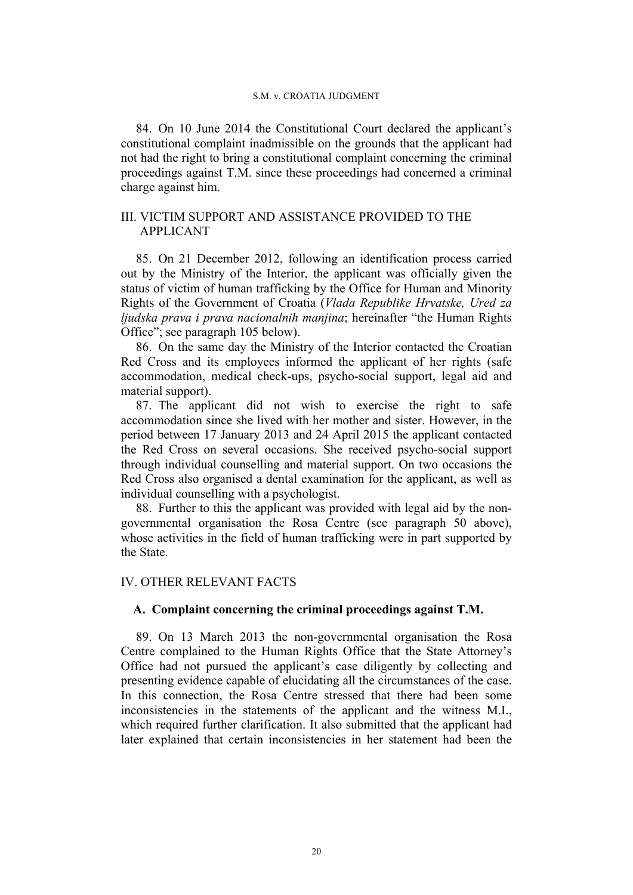84. On 10 June 2014 the Constitutional Court declared the applicant's constitutional complaint inadmissible on the grounds that the applicant had not had the right to bring a constitutional complaint concerning the criminal proceedings against T.M. since these proceedings had concerned a criminal charge against him.

# III. VICTIM SUPPORT AND ASSISTANCE PROVIDED TO THE APPLICANT

85. On 21 December 2012, following an identification process carried out by the Ministry of the Interior, the applicant was officially given the status of victim of human trafficking by the Office for Human and Minority Rights of the Government of Croatia (*Vlada Republike Hrvatske, Ured za ljudska prava i prava nacionalnih manjina*; hereinafter "the Human Rights Office"; see paragraph 105 below).

86. On the same day the Ministry of the Interior contacted the Croatian Red Cross and its employees informed the applicant of her rights (safe accommodation, medical check-ups, psycho-social support, legal aid and material support).

87. The applicant did not wish to exercise the right to safe accommodation since she lived with her mother and sister. However, in the period between 17 January 2013 and 24 April 2015 the applicant contacted the Red Cross on several occasions. She received psycho-social support through individual counselling and material support. On two occasions the Red Cross also organised a dental examination for the applicant, as well as individual counselling with a psychologist.

88. Further to this the applicant was provided with legal aid by the nongovernmental organisation the Rosa Centre (see paragraph 50 above), whose activities in the field of human trafficking were in part supported by the State.

# IV. OTHER RELEVANT FACTS

# **A. Complaint concerning the criminal proceedings against T.M.**

89. On 13 March 2013 the non-governmental organisation the Rosa Centre complained to the Human Rights Office that the State Attorney's Office had not pursued the applicant's case diligently by collecting and presenting evidence capable of elucidating all the circumstances of the case. In this connection, the Rosa Centre stressed that there had been some inconsistencies in the statements of the applicant and the witness M.I., which required further clarification. It also submitted that the applicant had later explained that certain inconsistencies in her statement had been the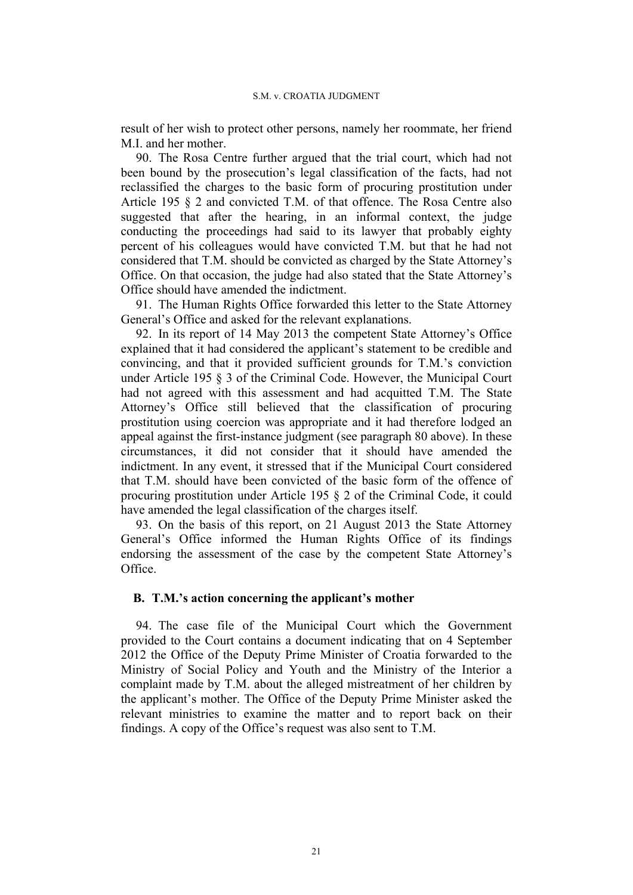result of her wish to protect other persons, namely her roommate, her friend M.I. and her mother.

90. The Rosa Centre further argued that the trial court, which had not been bound by the prosecution's legal classification of the facts, had not reclassified the charges to the basic form of procuring prostitution under Article 195 § 2 and convicted T.M. of that offence. The Rosa Centre also suggested that after the hearing, in an informal context, the judge conducting the proceedings had said to its lawyer that probably eighty percent of his colleagues would have convicted T.M. but that he had not considered that T.M. should be convicted as charged by the State Attorney's Office. On that occasion, the judge had also stated that the State Attorney's Office should have amended the indictment.

91. The Human Rights Office forwarded this letter to the State Attorney General's Office and asked for the relevant explanations.

92. In its report of 14 May 2013 the competent State Attorney's Office explained that it had considered the applicant's statement to be credible and convincing, and that it provided sufficient grounds for T.M.'s conviction under Article 195 § 3 of the Criminal Code. However, the Municipal Court had not agreed with this assessment and had acquitted T.M. The State Attorney's Office still believed that the classification of procuring prostitution using coercion was appropriate and it had therefore lodged an appeal against the first-instance judgment (see paragraph 80 above). In these circumstances, it did not consider that it should have amended the indictment. In any event, it stressed that if the Municipal Court considered that T.M. should have been convicted of the basic form of the offence of procuring prostitution under Article 195 § 2 of the Criminal Code, it could have amended the legal classification of the charges itself.

93. On the basis of this report, on 21 August 2013 the State Attorney General's Office informed the Human Rights Office of its findings endorsing the assessment of the case by the competent State Attorney's Office.

## **B. T.M.'s action concerning the applicant's mother**

94. The case file of the Municipal Court which the Government provided to the Court contains a document indicating that on 4 September 2012 the Office of the Deputy Prime Minister of Croatia forwarded to the Ministry of Social Policy and Youth and the Ministry of the Interior a complaint made by T.M. about the alleged mistreatment of her children by the applicant's mother. The Office of the Deputy Prime Minister asked the relevant ministries to examine the matter and to report back on their findings. A copy of the Office's request was also sent to T.M.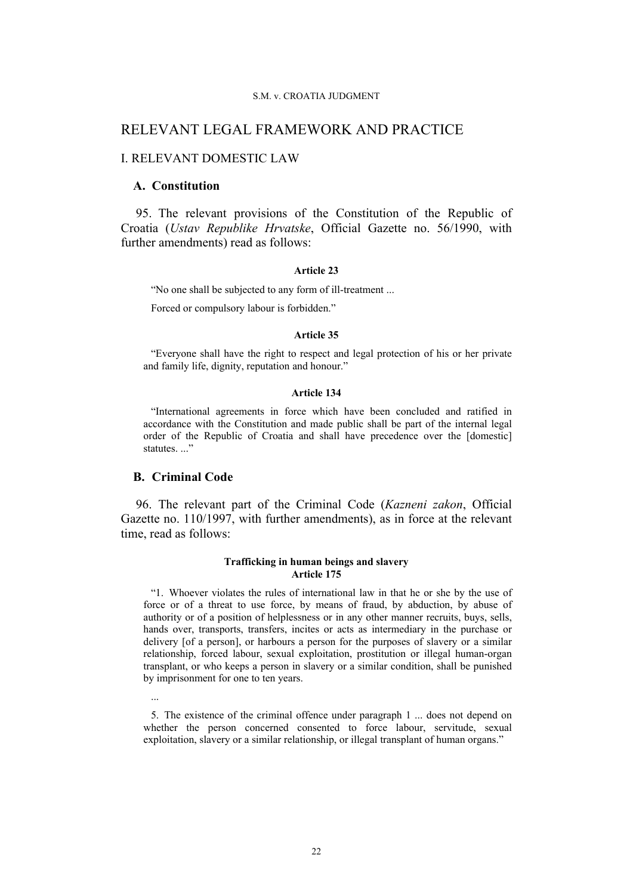# RELEVANT LEGAL FRAMEWORK AND PRACTICE

### I. RELEVANT DOMESTIC LAW

### **A. Constitution**

95. The relevant provisions of the Constitution of the Republic of Croatia (*Ustav Republike Hrvatske*, Official Gazette no. 56/1990, with further amendments) read as follows:

#### **Article 23**

"No one shall be subjected to any form of ill-treatment ...

Forced or compulsory labour is forbidden."

### **Article 35**

"Everyone shall have the right to respect and legal protection of his or her private and family life, dignity, reputation and honour."

### **Article 134**

"International agreements in force which have been concluded and ratified in accordance with the Constitution and made public shall be part of the internal legal order of the Republic of Croatia and shall have precedence over the [domestic] statutes...."

### **B. Criminal Code**

...

96. The relevant part of the Criminal Code (*Kazneni zakon*, Official Gazette no. 110/1997, with further amendments), as in force at the relevant time, read as follows:

#### **Trafficking in human beings and slavery Article 175**

"1. Whoever violates the rules of international law in that he or she by the use of force or of a threat to use force, by means of fraud, by abduction, by abuse of authority or of a position of helplessness or in any other manner recruits, buys, sells, hands over, transports, transfers, incites or acts as intermediary in the purchase or delivery [of a person], or harbours a person for the purposes of slavery or a similar relationship, forced labour, sexual exploitation, prostitution or illegal human-organ transplant, or who keeps a person in slavery or a similar condition, shall be punished by imprisonment for one to ten years.

5. The existence of the criminal offence under paragraph 1 ... does not depend on whether the person concerned consented to force labour, servitude, sexual exploitation, slavery or a similar relationship, or illegal transplant of human organs."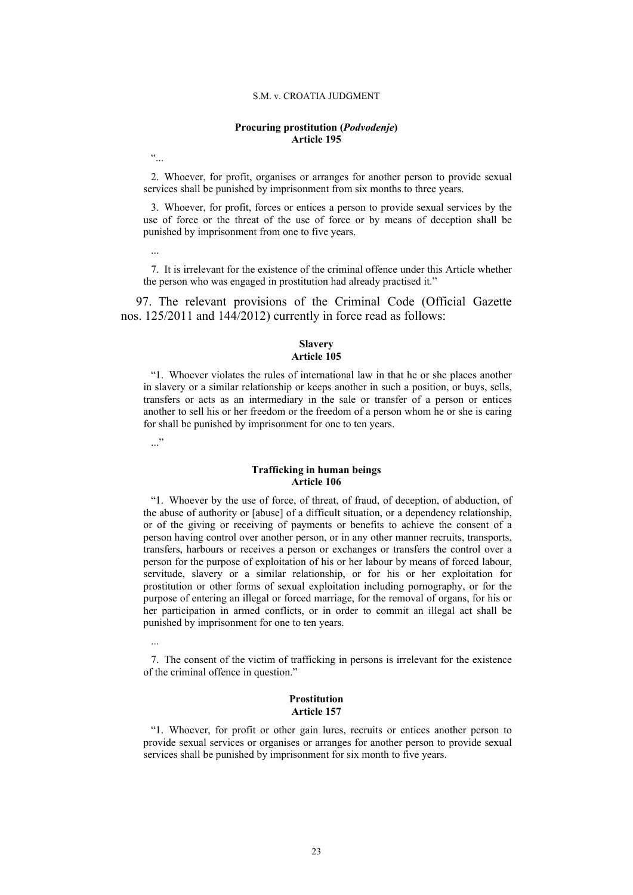### **Procuring prostitution (***Podvođenje***) Article 195**

 $\ddot{\cdot}$ 

2. Whoever, for profit, organises or arranges for another person to provide sexual services shall be punished by imprisonment from six months to three years.

3. Whoever, for profit, forces or entices a person to provide sexual services by the use of force or the threat of the use of force or by means of deception shall be punished by imprisonment from one to five years.

...

7. It is irrelevant for the existence of the criminal offence under this Article whether the person who was engaged in prostitution had already practised it."

97. The relevant provisions of the Criminal Code (Official Gazette nos. 125/2011 and 144/2012) currently in force read as follows:

### **Slavery Article 105**

"1. Whoever violates the rules of international law in that he or she places another in slavery or a similar relationship or keeps another in such a position, or buys, sells, transfers or acts as an intermediary in the sale or transfer of a person or entices another to sell his or her freedom or the freedom of a person whom he or she is caring for shall be punished by imprisonment for one to ten years.

 $\ddots$ "

#### **Trafficking in human beings Article 106**

"1. Whoever by the use of force, of threat, of fraud, of deception, of abduction, of the abuse of authority or [abuse] of a difficult situation, or a dependency relationship, or of the giving or receiving of payments or benefits to achieve the consent of a person having control over another person, or in any other manner recruits, transports, transfers, harbours or receives a person or exchanges or transfers the control over a person for the purpose of exploitation of his or her labour by means of forced labour, servitude, slavery or a similar relationship, or for his or her exploitation for prostitution or other forms of sexual exploitation including pornography, or for the purpose of entering an illegal or forced marriage, for the removal of organs, for his or her participation in armed conflicts, or in order to commit an illegal act shall be punished by imprisonment for one to ten years.

...

7. The consent of the victim of trafficking in persons is irrelevant for the existence of the criminal offence in question."

### **Prostitution Article 157**

"1. Whoever, for profit or other gain lures, recruits or entices another person to provide sexual services or organises or arranges for another person to provide sexual services shall be punished by imprisonment for six month to five years.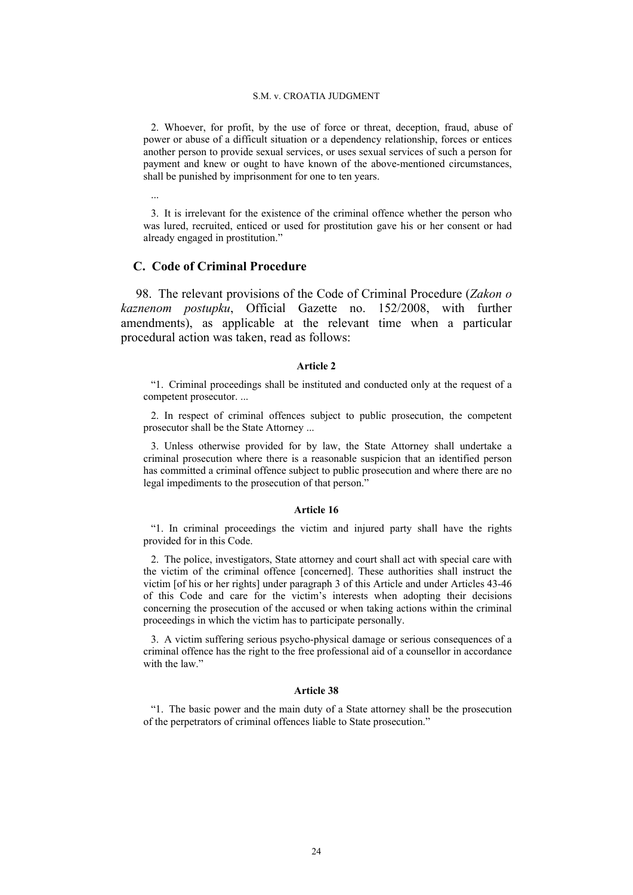2. Whoever, for profit, by the use of force or threat, deception, fraud, abuse of power or abuse of a difficult situation or a dependency relationship, forces or entices another person to provide sexual services, or uses sexual services of such a person for payment and knew or ought to have known of the above-mentioned circumstances, shall be punished by imprisonment for one to ten years.

...

3. It is irrelevant for the existence of the criminal offence whether the person who was lured, recruited, enticed or used for prostitution gave his or her consent or had already engaged in prostitution."

### **C. Code of Criminal Procedure**

98. The relevant provisions of the Code of Criminal Procedure (*Zakon o kaznenom postupku*, Official Gazette no. 152/2008, with further amendments), as applicable at the relevant time when a particular procedural action was taken, read as follows:

### **Article 2**

"1. Criminal proceedings shall be instituted and conducted only at the request of a competent prosecutor. ...

2. In respect of criminal offences subject to public prosecution, the competent prosecutor shall be the State Attorney ...

3. Unless otherwise provided for by law, the State Attorney shall undertake a criminal prosecution where there is a reasonable suspicion that an identified person has committed a criminal offence subject to public prosecution and where there are no legal impediments to the prosecution of that person."

### **Article 16**

"1. In criminal proceedings the victim and injured party shall have the rights provided for in this Code.

2. The police, investigators, State attorney and court shall act with special care with the victim of the criminal offence [concerned]. These authorities shall instruct the victim [of his or her rights] under paragraph 3 of this Article and under Articles 43-46 of this Code and care for the victim's interests when adopting their decisions concerning the prosecution of the accused or when taking actions within the criminal proceedings in which the victim has to participate personally.

3. A victim suffering serious psycho-physical damage or serious consequences of a criminal offence has the right to the free professional aid of a counsellor in accordance with the law"

### **Article 38**

"1. The basic power and the main duty of a State attorney shall be the prosecution of the perpetrators of criminal offences liable to State prosecution."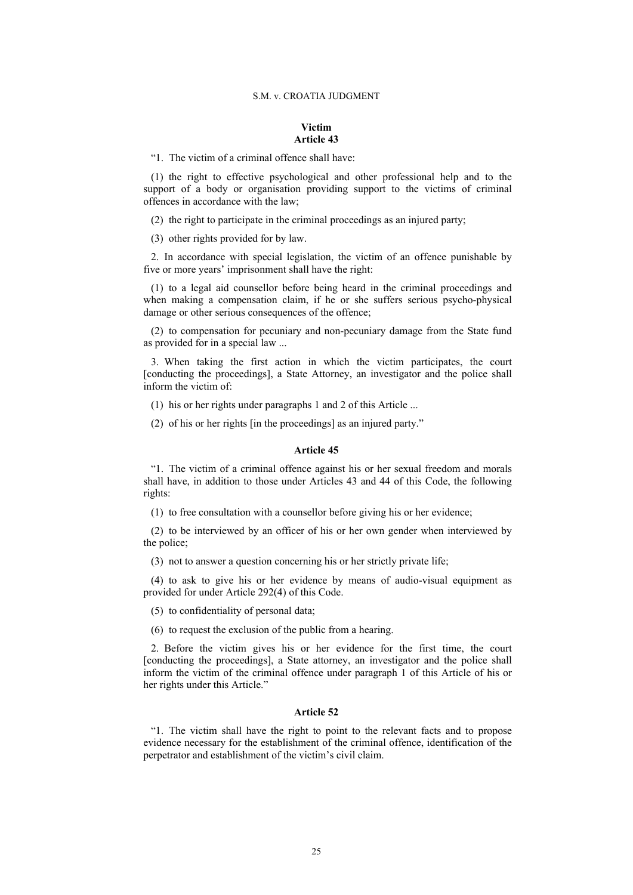### **Victim Article 43**

"1. The victim of a criminal offence shall have:

(1) the right to effective psychological and other professional help and to the support of a body or organisation providing support to the victims of criminal offences in accordance with the law;

(2) the right to participate in the criminal proceedings as an injured party;

(3) other rights provided for by law.

2. In accordance with special legislation, the victim of an offence punishable by five or more years' imprisonment shall have the right:

(1) to a legal aid counsellor before being heard in the criminal proceedings and when making a compensation claim, if he or she suffers serious psycho-physical damage or other serious consequences of the offence;

(2) to compensation for pecuniary and non-pecuniary damage from the State fund as provided for in a special law ...

3. When taking the first action in which the victim participates, the court [conducting the proceedings], a State Attorney, an investigator and the police shall inform the victim of:

(1) his or her rights under paragraphs 1 and 2 of this Article ...

(2) of his or her rights [in the proceedings] as an injured party."

#### **Article 45**

"1. The victim of a criminal offence against his or her sexual freedom and morals shall have, in addition to those under Articles 43 and 44 of this Code, the following rights:

(1) to free consultation with a counsellor before giving his or her evidence;

(2) to be interviewed by an officer of his or her own gender when interviewed by the police;

(3) not to answer a question concerning his or her strictly private life;

(4) to ask to give his or her evidence by means of audio-visual equipment as provided for under Article 292(4) of this Code.

(5) to confidentiality of personal data;

(6) to request the exclusion of the public from a hearing.

2. Before the victim gives his or her evidence for the first time, the court [conducting the proceedings], a State attorney, an investigator and the police shall inform the victim of the criminal offence under paragraph 1 of this Article of his or her rights under this Article."

#### **Article 52**

"1. The victim shall have the right to point to the relevant facts and to propose evidence necessary for the establishment of the criminal offence, identification of the perpetrator and establishment of the victim's civil claim.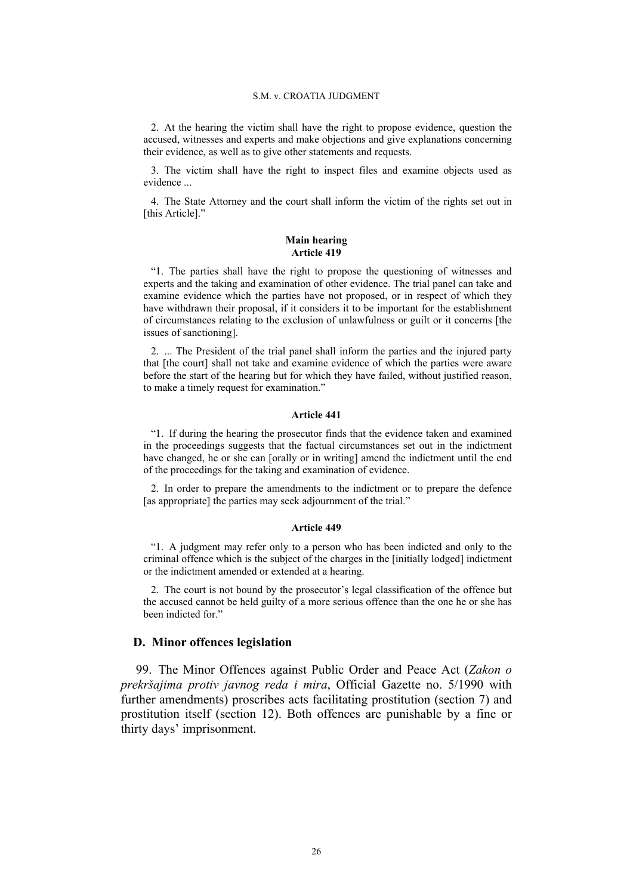2. At the hearing the victim shall have the right to propose evidence, question the accused, witnesses and experts and make objections and give explanations concerning their evidence, as well as to give other statements and requests.

3. The victim shall have the right to inspect files and examine objects used as evidence ...

4. The State Attorney and the court shall inform the victim of the rights set out in [this Article]."

#### **Main hearing Article 419**

"1. The parties shall have the right to propose the questioning of witnesses and experts and the taking and examination of other evidence. The trial panel can take and examine evidence which the parties have not proposed, or in respect of which they have withdrawn their proposal, if it considers it to be important for the establishment of circumstances relating to the exclusion of unlawfulness or guilt or it concerns [the issues of sanctioning].

2. ... The President of the trial panel shall inform the parties and the injured party that [the court] shall not take and examine evidence of which the parties were aware before the start of the hearing but for which they have failed, without justified reason, to make a timely request for examination."

### **Article 441**

"1. If during the hearing the prosecutor finds that the evidence taken and examined in the proceedings suggests that the factual circumstances set out in the indictment have changed, he or she can [orally or in writing] amend the indictment until the end of the proceedings for the taking and examination of evidence.

2. In order to prepare the amendments to the indictment or to prepare the defence [as appropriate] the parties may seek adjournment of the trial."

#### **Article 449**

"1. A judgment may refer only to a person who has been indicted and only to the criminal offence which is the subject of the charges in the [initially lodged] indictment or the indictment amended or extended at a hearing.

2. The court is not bound by the prosecutor's legal classification of the offence but the accused cannot be held guilty of a more serious offence than the one he or she has been indicted for."

### **D. Minor offences legislation**

99. The Minor Offences against Public Order and Peace Act (*Zakon o prekršajima protiv javnog reda i mira*, Official Gazette no. 5/1990 with further amendments) proscribes acts facilitating prostitution (section 7) and prostitution itself (section 12). Both offences are punishable by a fine or thirty days' imprisonment.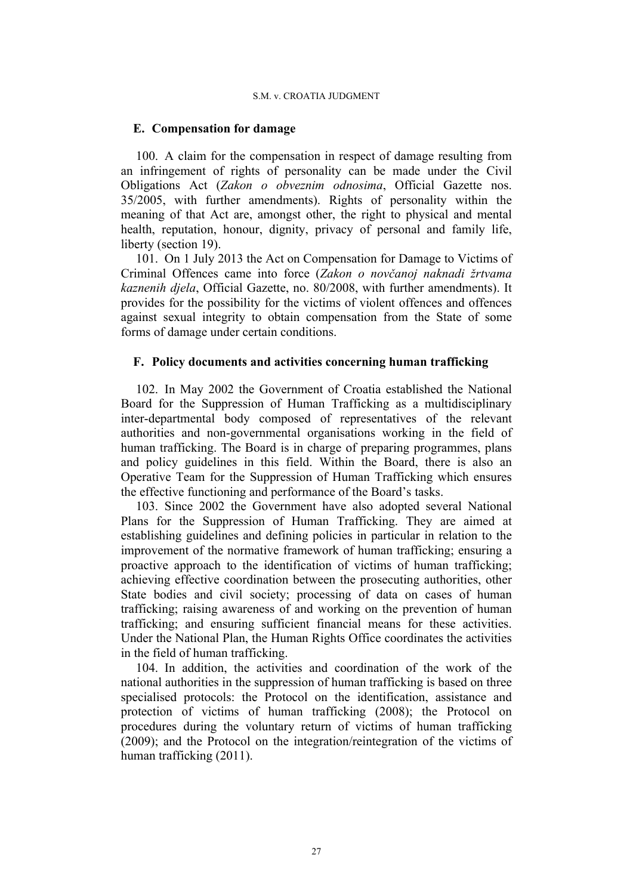# **E. Compensation for damage**

100. A claim for the compensation in respect of damage resulting from an infringement of rights of personality can be made under the Civil Obligations Act (*Zakon o obveznim odnosima*, Official Gazette nos. 35/2005, with further amendments). Rights of personality within the meaning of that Act are, amongst other, the right to physical and mental health, reputation, honour, dignity, privacy of personal and family life, liberty (section 19).

101. On 1 July 2013 the Act on Compensation for Damage to Victims of Criminal Offences came into force (*Zakon o novčanoj naknadi žrtvama kaznenih djela*, Official Gazette, no. 80/2008, with further amendments). It provides for the possibility for the victims of violent offences and offences against sexual integrity to obtain compensation from the State of some forms of damage under certain conditions.

# **F. Policy documents and activities concerning human trafficking**

102. In May 2002 the Government of Croatia established the National Board for the Suppression of Human Trafficking as a multidisciplinary inter-departmental body composed of representatives of the relevant authorities and non-governmental organisations working in the field of human trafficking. The Board is in charge of preparing programmes, plans and policy guidelines in this field. Within the Board, there is also an Operative Team for the Suppression of Human Trafficking which ensures the effective functioning and performance of the Board's tasks.

103. Since 2002 the Government have also adopted several National Plans for the Suppression of Human Trafficking. They are aimed at establishing guidelines and defining policies in particular in relation to the improvement of the normative framework of human trafficking; ensuring a proactive approach to the identification of victims of human trafficking; achieving effective coordination between the prosecuting authorities, other State bodies and civil society; processing of data on cases of human trafficking; raising awareness of and working on the prevention of human trafficking; and ensuring sufficient financial means for these activities. Under the National Plan, the Human Rights Office coordinates the activities in the field of human trafficking.

104. In addition, the activities and coordination of the work of the national authorities in the suppression of human trafficking is based on three specialised protocols: the Protocol on the identification, assistance and protection of victims of human trafficking (2008); the Protocol on procedures during the voluntary return of victims of human trafficking (2009); and the Protocol on the integration/reintegration of the victims of human trafficking (2011).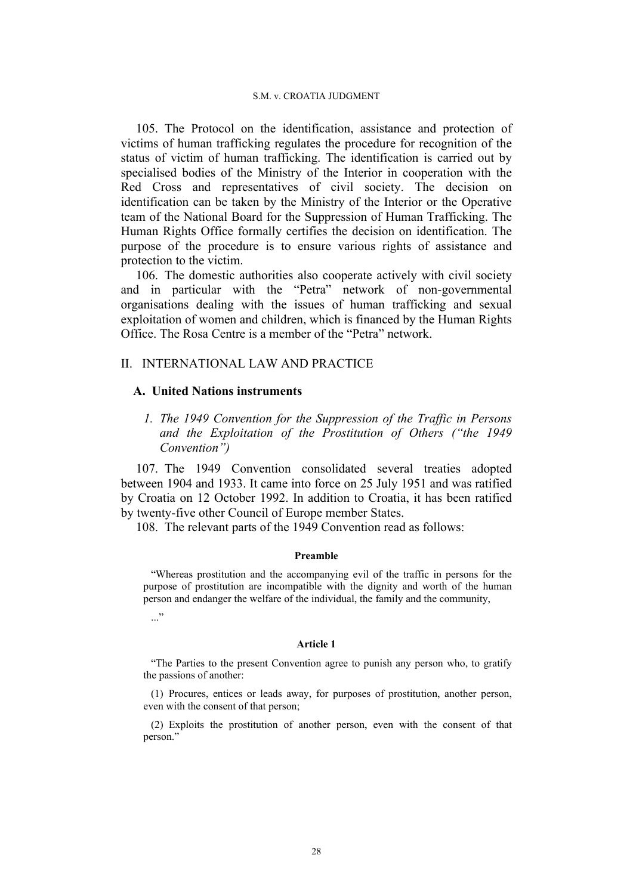105. The Protocol on the identification, assistance and protection of victims of human trafficking regulates the procedure for recognition of the status of victim of human trafficking. The identification is carried out by specialised bodies of the Ministry of the Interior in cooperation with the Red Cross and representatives of civil society. The decision on identification can be taken by the Ministry of the Interior or the Operative team of the National Board for the Suppression of Human Trafficking. The Human Rights Office formally certifies the decision on identification. The purpose of the procedure is to ensure various rights of assistance and protection to the victim.

106. The domestic authorities also cooperate actively with civil society and in particular with the "Petra" network of non-governmental organisations dealing with the issues of human trafficking and sexual exploitation of women and children, which is financed by the Human Rights Office. The Rosa Centre is a member of the "Petra" network.

### II. INTERNATIONAL LAW AND PRACTICE

### **A. United Nations instruments**

*1. The 1949 Convention for the Suppression of the Traffic in Persons and the Exploitation of the Prostitution of Others ("the 1949 Convention")*

107. The 1949 Convention consolidated several treaties adopted between 1904 and 1933. It came into force on 25 July 1951 and was ratified by Croatia on 12 October 1992. In addition to Croatia, it has been ratified by twenty-five other Council of Europe member States.

108. The relevant parts of the 1949 Convention read as follows:

### **Preamble**

"Whereas prostitution and the accompanying evil of the traffic in persons for the purpose of prostitution are incompatible with the dignity and worth of the human person and endanger the welfare of the individual, the family and the community,

 $\ddots$ "

#### **Article 1**

"The Parties to the present Convention agree to punish any person who, to gratify the passions of another:

(1) Procures, entices or leads away, for purposes of prostitution, another person, even with the consent of that person;

(2) Exploits the prostitution of another person, even with the consent of that person."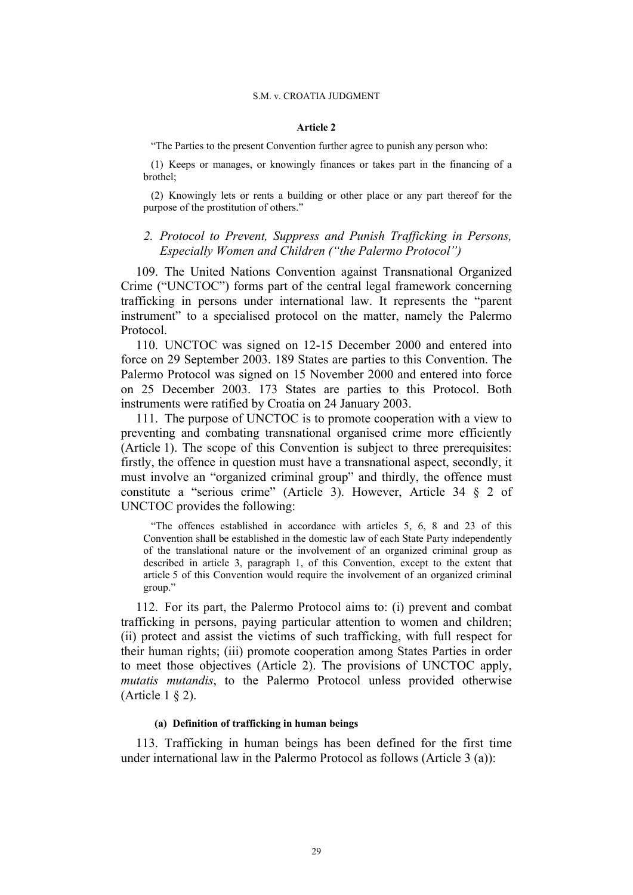### **Article 2**

"The Parties to the present Convention further agree to punish any person who:

(1) Keeps or manages, or knowingly finances or takes part in the financing of a brothel;

(2) Knowingly lets or rents a building or other place or any part thereof for the purpose of the prostitution of others."

# *2. Protocol to Prevent, Suppress and Punish Trafficking in Persons, Especially Women and Children ("the Palermo Protocol")*

109. The United Nations Convention against Transnational Organized Crime ("UNCTOC") forms part of the central legal framework concerning trafficking in persons under international law. It represents the "parent instrument" to a specialised protocol on the matter, namely the Palermo Protocol.

110. UNCTOC was signed on 12-15 December 2000 and entered into force on 29 September 2003. 189 States are parties to this Convention. The Palermo Protocol was signed on 15 November 2000 and entered into force on 25 December 2003. 173 States are parties to this Protocol. Both instruments were ratified by Croatia on 24 January 2003.

111. The purpose of UNCTOC is to promote cooperation with a view to preventing and combating transnational organised crime more efficiently (Article 1). The scope of this Convention is subject to three prerequisites: firstly, the offence in question must have a transnational aspect, secondly, it must involve an "organized criminal group" and thirdly, the offence must constitute a "serious crime" (Article 3). However, Article 34 § 2 of UNCTOC provides the following:

"The offences established in accordance with articles 5, 6, 8 and 23 of this Convention shall be established in the domestic law of each State Party independently of the translational nature or the involvement of an organized criminal group as described in article 3, paragraph 1, of this Convention, except to the extent that article 5 of this Convention would require the involvement of an organized criminal group."

112. For its part, the Palermo Protocol aims to: (i) prevent and combat trafficking in persons, paying particular attention to women and children; (ii) protect and assist the victims of such trafficking, with full respect for their human rights; (iii) promote cooperation among States Parties in order to meet those objectives (Article 2). The provisions of UNCTOC apply, *mutatis mutandis*, to the Palermo Protocol unless provided otherwise (Article 1 § 2).

### **(a) Definition of trafficking in human beings**

113. Trafficking in human beings has been defined for the first time under international law in the Palermo Protocol as follows (Article 3 (a)):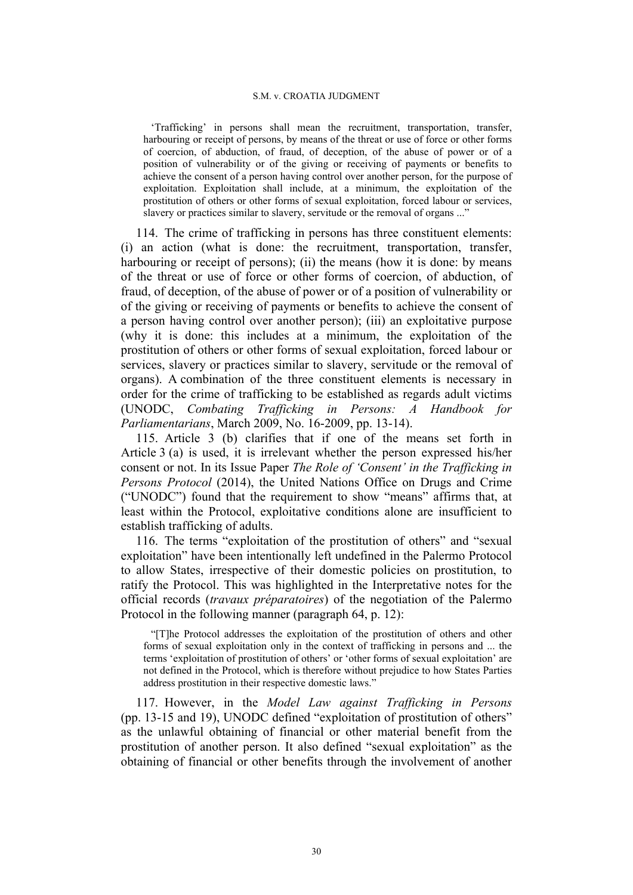'Trafficking' in persons shall mean the recruitment, transportation, transfer, harbouring or receipt of persons, by means of the threat or use of force or other forms of coercion, of abduction, of fraud, of deception, of the abuse of power or of a position of vulnerability or of the giving or receiving of payments or benefits to achieve the consent of a person having control over another person, for the purpose of exploitation. Exploitation shall include, at a minimum, the exploitation of the prostitution of others or other forms of sexual exploitation, forced labour or services, slavery or practices similar to slavery, servitude or the removal of organs ..."

114. The crime of trafficking in persons has three constituent elements: (i) an action (what is done: the recruitment, transportation, transfer, harbouring or receipt of persons); (ii) the means (how it is done: by means of the threat or use of force or other forms of coercion, of abduction, of fraud, of deception, of the abuse of power or of a position of vulnerability or of the giving or receiving of payments or benefits to achieve the consent of a person having control over another person); (iii) an exploitative purpose (why it is done: this includes at a minimum, the exploitation of the prostitution of others or other forms of sexual exploitation, forced labour or services, slavery or practices similar to slavery, servitude or the removal of organs). A combination of the three constituent elements is necessary in order for the crime of trafficking to be established as regards adult victims (UNODC, *Combating Trafficking in Persons: A Handbook for Parliamentarians*, March 2009, No. 16-2009, pp. 13-14).

115. Article 3 (b) clarifies that if one of the means set forth in Article 3 (a) is used, it is irrelevant whether the person expressed his/her consent or not. In its Issue Paper *The Role of 'Consent' in the Trafficking in Persons Protocol* (2014), the United Nations Office on Drugs and Crime ("UNODC") found that the requirement to show "means" affirms that, at least within the Protocol, exploitative conditions alone are insufficient to establish trafficking of adults.

116. The terms "exploitation of the prostitution of others" and "sexual exploitation" have been intentionally left undefined in the Palermo Protocol to allow States, irrespective of their domestic policies on prostitution, to ratify the Protocol. This was highlighted in the Interpretative notes for the official records (*travaux préparatoires*) of the negotiation of the Palermo Protocol in the following manner (paragraph 64, p. 12):

"[T]he Protocol addresses the exploitation of the prostitution of others and other forms of sexual exploitation only in the context of trafficking in persons and ... the terms 'exploitation of prostitution of others' or 'other forms of sexual exploitation' are not defined in the Protocol, which is therefore without prejudice to how States Parties address prostitution in their respective domestic laws."

117. However, in the *Model Law against Trafficking in Persons* (pp. 13-15 and 19), UNODC defined "exploitation of prostitution of others" as the unlawful obtaining of financial or other material benefit from the prostitution of another person. It also defined "sexual exploitation" as the obtaining of financial or other benefits through the involvement of another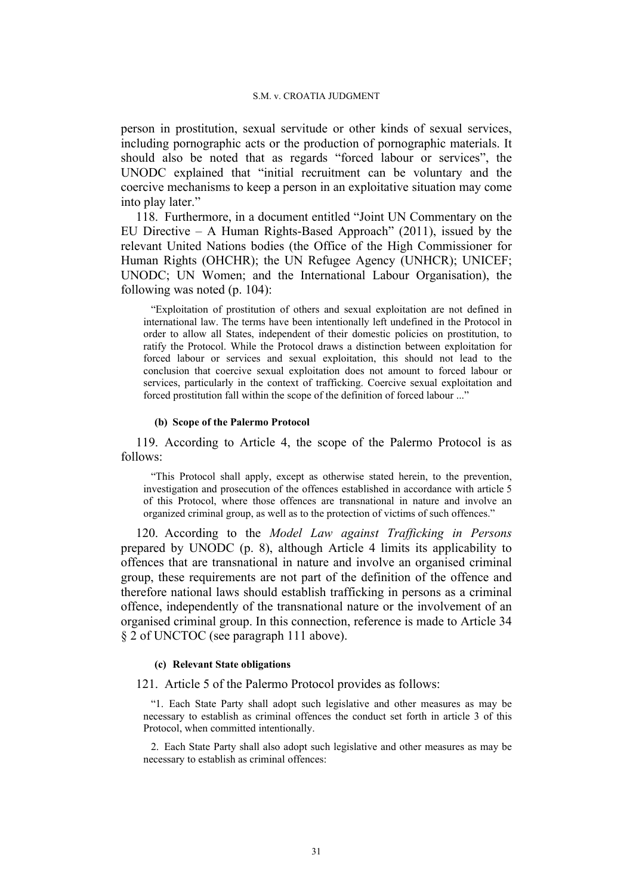person in prostitution, sexual servitude or other kinds of sexual services, including pornographic acts or the production of pornographic materials. It should also be noted that as regards "forced labour or services", the UNODC explained that "initial recruitment can be voluntary and the coercive mechanisms to keep a person in an exploitative situation may come into play later."

118. Furthermore, in a document entitled "Joint UN Commentary on the EU Directive – A Human Rights-Based Approach"  $(2011)$ , issued by the relevant United Nations bodies (the Office of the High Commissioner for Human Rights (OHCHR); the UN Refugee Agency (UNHCR); UNICEF; UNODC; UN Women; and the International Labour Organisation), the following was noted (p. 104):

"Exploitation of prostitution of others and sexual exploitation are not defined in international law. The terms have been intentionally left undefined in the Protocol in order to allow all States, independent of their domestic policies on prostitution, to ratify the Protocol. While the Protocol draws a distinction between exploitation for forced labour or services and sexual exploitation, this should not lead to the conclusion that coercive sexual exploitation does not amount to forced labour or services, particularly in the context of trafficking. Coercive sexual exploitation and forced prostitution fall within the scope of the definition of forced labour ..."

#### **(b) Scope of the Palermo Protocol**

119. According to Article 4, the scope of the Palermo Protocol is as follows:

"This Protocol shall apply, except as otherwise stated herein, to the prevention, investigation and prosecution of the offences established in accordance with article 5 of this Protocol, where those offences are transnational in nature and involve an organized criminal group, as well as to the protection of victims of such offences."

120. According to the *Model Law against Trafficking in Persons* prepared by UNODC (p. 8), although Article 4 limits its applicability to offences that are transnational in nature and involve an organised criminal group, these requirements are not part of the definition of the offence and therefore national laws should establish trafficking in persons as a criminal offence, independently of the transnational nature or the involvement of an organised criminal group. In this connection, reference is made to Article 34 § 2 of UNCTOC (see paragraph 111 above).

#### **(c) Relevant State obligations**

### 121. Article 5 of the Palermo Protocol provides as follows:

"1. Each State Party shall adopt such legislative and other measures as may be necessary to establish as criminal offences the conduct set forth in article 3 of this Protocol, when committed intentionally.

2. Each State Party shall also adopt such legislative and other measures as may be necessary to establish as criminal offences: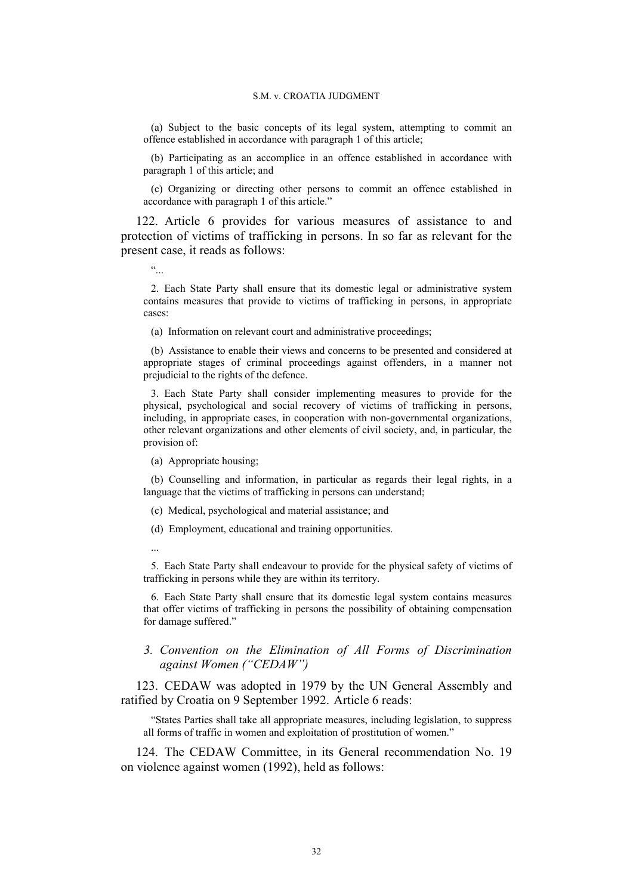(a) Subject to the basic concepts of its legal system, attempting to commit an offence established in accordance with paragraph 1 of this article;

(b) Participating as an accomplice in an offence established in accordance with paragraph 1 of this article; and

(c) Organizing or directing other persons to commit an offence established in accordance with paragraph 1 of this article."

122. Article 6 provides for various measures of assistance to and protection of victims of trafficking in persons. In so far as relevant for the present case, it reads as follows:

 $\epsilon\epsilon$ 

2. Each State Party shall ensure that its domestic legal or administrative system contains measures that provide to victims of trafficking in persons, in appropriate cases:

(a) Information on relevant court and administrative proceedings;

(b) Assistance to enable their views and concerns to be presented and considered at appropriate stages of criminal proceedings against offenders, in a manner not prejudicial to the rights of the defence.

3. Each State Party shall consider implementing measures to provide for the physical, psychological and social recovery of victims of trafficking in persons, including, in appropriate cases, in cooperation with non-governmental organizations, other relevant organizations and other elements of civil society, and, in particular, the provision of:

(a) Appropriate housing;

(b) Counselling and information, in particular as regards their legal rights, in a language that the victims of trafficking in persons can understand;

(c) Medical, psychological and material assistance; and

(d) Employment, educational and training opportunities.

...

5. Each State Party shall endeavour to provide for the physical safety of victims of trafficking in persons while they are within its territory.

6. Each State Party shall ensure that its domestic legal system contains measures that offer victims of trafficking in persons the possibility of obtaining compensation for damage suffered."

## *3. Convention on the Elimination of All Forms of Discrimination against Women ("CEDAW")*

123. CEDAW was adopted in 1979 by the UN General Assembly and ratified by Croatia on 9 September 1992. Article 6 reads:

"States Parties shall take all appropriate measures, including legislation, to suppress all forms of traffic in women and exploitation of prostitution of women."

124. The CEDAW Committee, in its General recommendation No. 19 on violence against women (1992), held as follows: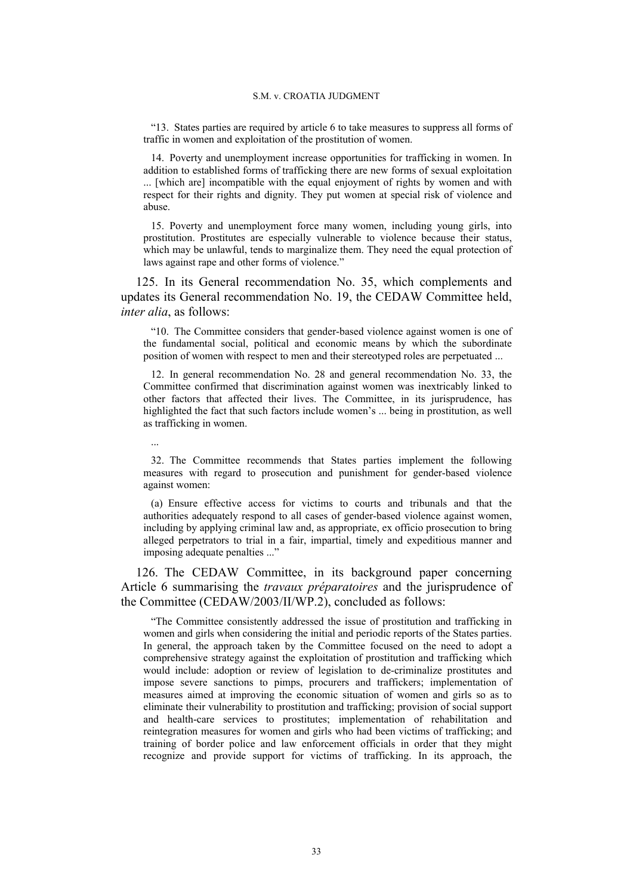"13. States parties are required by article 6 to take measures to suppress all forms of traffic in women and exploitation of the prostitution of women.

14. Poverty and unemployment increase opportunities for trafficking in women. In addition to established forms of trafficking there are new forms of sexual exploitation ... [which are] incompatible with the equal enjoyment of rights by women and with respect for their rights and dignity. They put women at special risk of violence and abuse.

15. Poverty and unemployment force many women, including young girls, into prostitution. Prostitutes are especially vulnerable to violence because their status, which may be unlawful, tends to marginalize them. They need the equal protection of laws against rape and other forms of violence."

125. In its General recommendation No. 35, which complements and updates its General recommendation No. 19, the CEDAW Committee held, *inter alia*, as follows:

"10. The Committee considers that gender-based violence against women is one of the fundamental social, political and economic means by which the subordinate position of women with respect to men and their stereotyped roles are perpetuated ...

12. In general recommendation No. 28 and general recommendation No. 33, the Committee confirmed that discrimination against women was inextricably linked to other factors that affected their lives. The Committee, in its jurisprudence, has highlighted the fact that such factors include women's ... being in prostitution, as well as trafficking in women.

32. The Committee recommends that States parties implement the following measures with regard to prosecution and punishment for gender-based violence against women:

...

(a) Ensure effective access for victims to courts and tribunals and that the authorities adequately respond to all cases of gender-based violence against women, including by applying criminal law and, as appropriate, ex officio prosecution to bring alleged perpetrators to trial in a fair, impartial, timely and expeditious manner and imposing adequate penalties ..."

126. The CEDAW Committee, in its background paper concerning Article 6 summarising the *travaux préparatoires* and the jurisprudence of the Committee (CEDAW/2003/II/WP.2), concluded as follows:

"The Committee consistently addressed the issue of prostitution and trafficking in women and girls when considering the initial and periodic reports of the States parties. In general, the approach taken by the Committee focused on the need to adopt a comprehensive strategy against the exploitation of prostitution and trafficking which would include: adoption or review of legislation to de-criminalize prostitutes and impose severe sanctions to pimps, procurers and traffickers; implementation of measures aimed at improving the economic situation of women and girls so as to eliminate their vulnerability to prostitution and trafficking; provision of social support and health-care services to prostitutes; implementation of rehabilitation and reintegration measures for women and girls who had been victims of trafficking; and training of border police and law enforcement officials in order that they might recognize and provide support for victims of trafficking. In its approach, the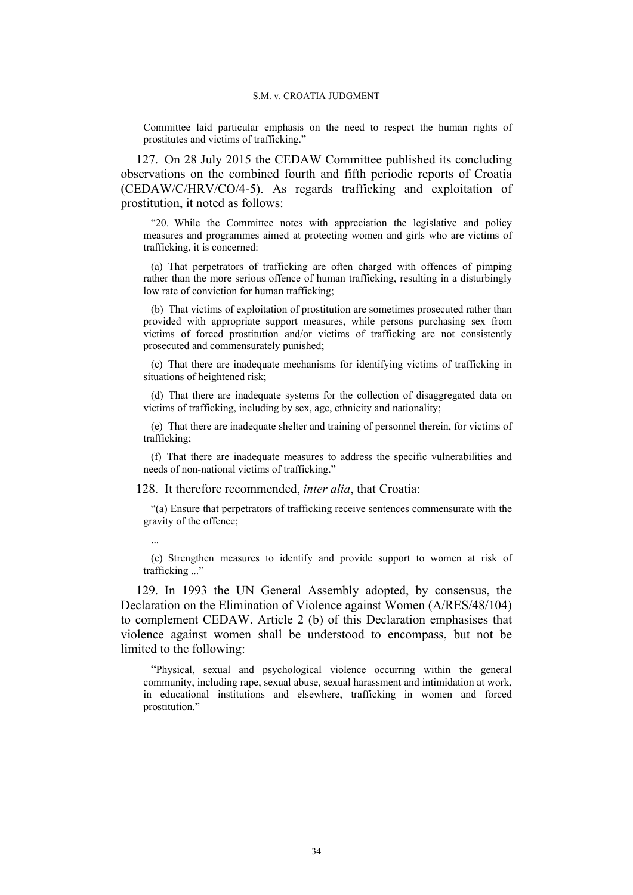Committee laid particular emphasis on the need to respect the human rights of prostitutes and victims of trafficking."

127. On 28 July 2015 the CEDAW Committee published its concluding observations on the combined fourth and fifth periodic reports of Croatia (CEDAW/C/HRV/CO/4-5). As regards trafficking and exploitation of prostitution, it noted as follows:

"20. While the Committee notes with appreciation the legislative and policy measures and programmes aimed at protecting women and girls who are victims of trafficking, it is concerned:

(a) That perpetrators of trafficking are often charged with offences of pimping rather than the more serious offence of human trafficking, resulting in a disturbingly low rate of conviction for human trafficking;

(b) That victims of exploitation of prostitution are sometimes prosecuted rather than provided with appropriate support measures, while persons purchasing sex from victims of forced prostitution and/or victims of trafficking are not consistently prosecuted and commensurately punished;

(c) That there are inadequate mechanisms for identifying victims of trafficking in situations of heightened risk;

(d) That there are inadequate systems for the collection of disaggregated data on victims of trafficking, including by sex, age, ethnicity and nationality;

(e) That there are inadequate shelter and training of personnel therein, for victims of trafficking;

(f) That there are inadequate measures to address the specific vulnerabilities and needs of non-national victims of trafficking."

128. It therefore recommended, *inter alia*, that Croatia:

"(a) Ensure that perpetrators of trafficking receive sentences commensurate with the gravity of the offence;

...

(c) Strengthen measures to identify and provide support to women at risk of trafficking ..."

129. In 1993 the UN General Assembly adopted, by consensus, the Declaration on the Elimination of Violence against Women (A/RES/48/104) to complement CEDAW. Article 2 (b) of this Declaration emphasises that violence against women shall be understood to encompass, but not be limited to the following:

"Physical, sexual and psychological violence occurring within the general community, including rape, sexual abuse, sexual harassment and intimidation at work, in educational institutions and elsewhere, trafficking in women and forced prostitution."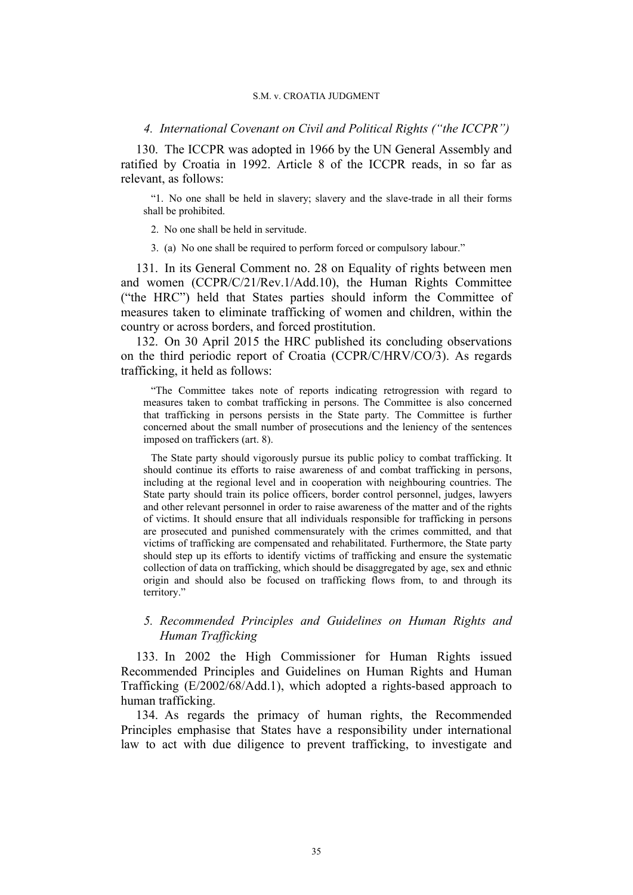### *4. International Covenant on Civil and Political Rights ("the ICCPR")*

130. The ICCPR was adopted in 1966 by the UN General Assembly and ratified by Croatia in 1992. Article 8 of the ICCPR reads, in so far as relevant, as follows:

"1. No one shall be held in slavery; slavery and the slave-trade in all their forms shall be prohibited.

2. No one shall be held in servitude.

3. (a) No one shall be required to perform forced or compulsory labour."

131. In its General Comment no. 28 on Equality of rights between men and women (CCPR/C/21/Rev.1/Add.10), the Human Rights Committee ("the HRC") held that States parties should inform the Committee of measures taken to eliminate trafficking of women and children, within the country or across borders, and forced prostitution.

132. On 30 April 2015 the HRC published its concluding observations on the third periodic report of Croatia (CCPR/C/HRV/CO/3). As regards trafficking, it held as follows:

"The Committee takes note of reports indicating retrogression with regard to measures taken to combat trafficking in persons. The Committee is also concerned that trafficking in persons persists in the State party. The Committee is further concerned about the small number of prosecutions and the leniency of the sentences imposed on traffickers (art. 8).

The State party should vigorously pursue its public policy to combat trafficking. It should continue its efforts to raise awareness of and combat trafficking in persons, including at the regional level and in cooperation with neighbouring countries. The State party should train its police officers, border control personnel, judges, lawyers and other relevant personnel in order to raise awareness of the matter and of the rights of victims. It should ensure that all individuals responsible for trafficking in persons are prosecuted and punished commensurately with the crimes committed, and that victims of trafficking are compensated and rehabilitated. Furthermore, the State party should step up its efforts to identify victims of trafficking and ensure the systematic collection of data on trafficking, which should be disaggregated by age, sex and ethnic origin and should also be focused on trafficking flows from, to and through its territory."

# *5. Recommended Principles and Guidelines on Human Rights and Human Trafficking*

133. In 2002 the High Commissioner for Human Rights issued Recommended Principles and Guidelines on Human Rights and Human Trafficking (E/2002/68/Add.1), which adopted a rights-based approach to human trafficking.

134. As regards the primacy of human rights, the Recommended Principles emphasise that States have a responsibility under international law to act with due diligence to prevent trafficking, to investigate and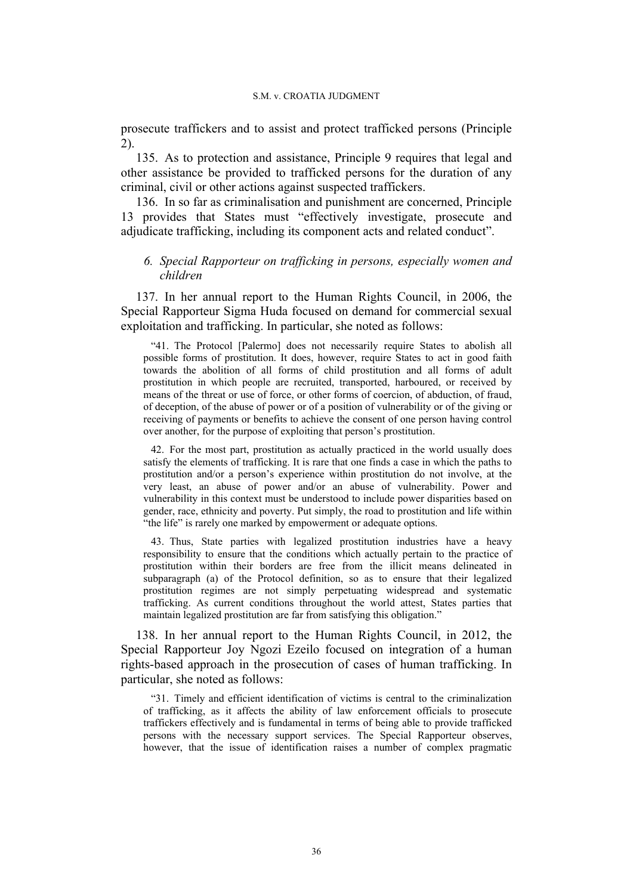prosecute traffickers and to assist and protect trafficked persons (Principle 2).

135. As to protection and assistance, Principle 9 requires that legal and other assistance be provided to trafficked persons for the duration of any criminal, civil or other actions against suspected traffickers.

136. In so far as criminalisation and punishment are concerned, Principle 13 provides that States must "effectively investigate, prosecute and adjudicate trafficking, including its component acts and related conduct".

# *6. Special Rapporteur on trafficking in persons, especially women and children*

137. In her annual report to the Human Rights Council, in 2006, the Special Rapporteur Sigma Huda focused on demand for commercial sexual exploitation and trafficking. In particular, she noted as follows:

"41. The Protocol [Palermo] does not necessarily require States to abolish all possible forms of prostitution. It does, however, require States to act in good faith towards the abolition of all forms of child prostitution and all forms of adult prostitution in which people are recruited, transported, harboured, or received by means of the threat or use of force, or other forms of coercion, of abduction, of fraud, of deception, of the abuse of power or of a position of vulnerability or of the giving or receiving of payments or benefits to achieve the consent of one person having control over another, for the purpose of exploiting that person's prostitution.

42. For the most part, prostitution as actually practiced in the world usually does satisfy the elements of trafficking. It is rare that one finds a case in which the paths to prostitution and/or a person's experience within prostitution do not involve, at the very least, an abuse of power and/or an abuse of vulnerability. Power and vulnerability in this context must be understood to include power disparities based on gender, race, ethnicity and poverty. Put simply, the road to prostitution and life within "the life" is rarely one marked by empowerment or adequate options.

43. Thus, State parties with legalized prostitution industries have a heavy responsibility to ensure that the conditions which actually pertain to the practice of prostitution within their borders are free from the illicit means delineated in subparagraph (a) of the Protocol definition, so as to ensure that their legalized prostitution regimes are not simply perpetuating widespread and systematic trafficking. As current conditions throughout the world attest, States parties that maintain legalized prostitution are far from satisfying this obligation."

138. In her annual report to the Human Rights Council, in 2012, the Special Rapporteur Joy Ngozi Ezeilo focused on integration of a human rights-based approach in the prosecution of cases of human trafficking. In particular, she noted as follows:

"31. Timely and efficient identification of victims is central to the criminalization of trafficking, as it affects the ability of law enforcement officials to prosecute traffickers effectively and is fundamental in terms of being able to provide trafficked persons with the necessary support services. The Special Rapporteur observes, however, that the issue of identification raises a number of complex pragmatic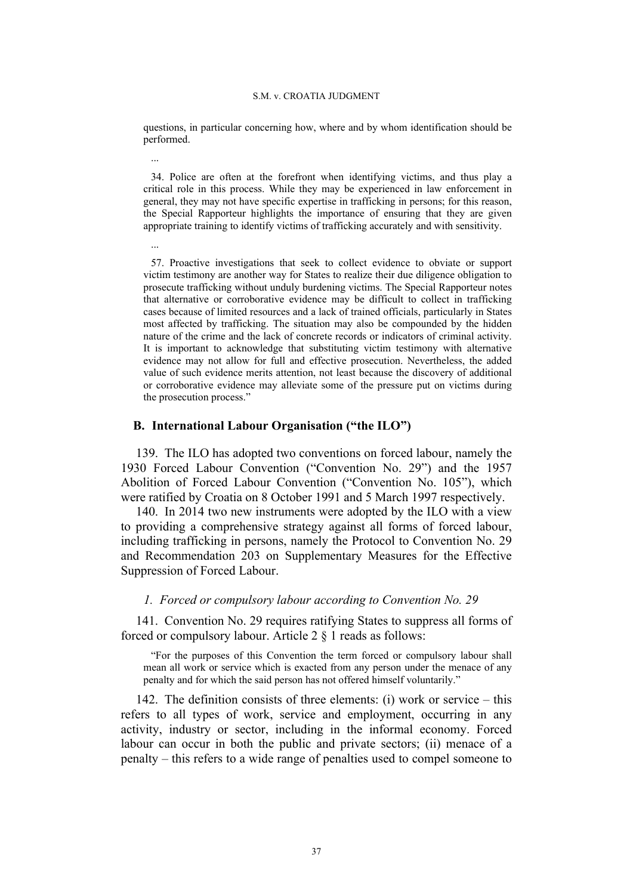questions, in particular concerning how, where and by whom identification should be performed.

34. Police are often at the forefront when identifying victims, and thus play a critical role in this process. While they may be experienced in law enforcement in general, they may not have specific expertise in trafficking in persons; for this reason, the Special Rapporteur highlights the importance of ensuring that they are given appropriate training to identify victims of trafficking accurately and with sensitivity.

57. Proactive investigations that seek to collect evidence to obviate or support victim testimony are another way for States to realize their due diligence obligation to prosecute trafficking without unduly burdening victims. The Special Rapporteur notes that alternative or corroborative evidence may be difficult to collect in trafficking cases because of limited resources and a lack of trained officials, particularly in States most affected by trafficking. The situation may also be compounded by the hidden nature of the crime and the lack of concrete records or indicators of criminal activity. It is important to acknowledge that substituting victim testimony with alternative evidence may not allow for full and effective prosecution. Nevertheless, the added value of such evidence merits attention, not least because the discovery of additional or corroborative evidence may alleviate some of the pressure put on victims during the prosecution process."

# **B. International Labour Organisation ("the ILO")**

...

...

139. The ILO has adopted two conventions on forced labour, namely the 1930 Forced Labour Convention ("Convention No. 29") and the 1957 Abolition of Forced Labour Convention ("Convention No. 105"), which were ratified by Croatia on 8 October 1991 and 5 March 1997 respectively.

140. In 2014 two new instruments were adopted by the ILO with a view to providing a comprehensive strategy against all forms of forced labour, including trafficking in persons, namely the Protocol to Convention No. 29 and Recommendation 203 on Supplementary Measures for the Effective Suppression of Forced Labour.

## *1. Forced or compulsory labour according to Convention No. 29*

141. Convention No. 29 requires ratifying States to suppress all forms of forced or compulsory labour. Article 2 § 1 reads as follows:

"For the purposes of this Convention the term forced or compulsory labour shall mean all work or service which is exacted from any person under the menace of any penalty and for which the said person has not offered himself voluntarily."

142. The definition consists of three elements: (i) work or service – this refers to all types of work, service and employment, occurring in any activity, industry or sector, including in the informal economy. Forced labour can occur in both the public and private sectors; (ii) menace of a penalty – this refers to a wide range of penalties used to compel someone to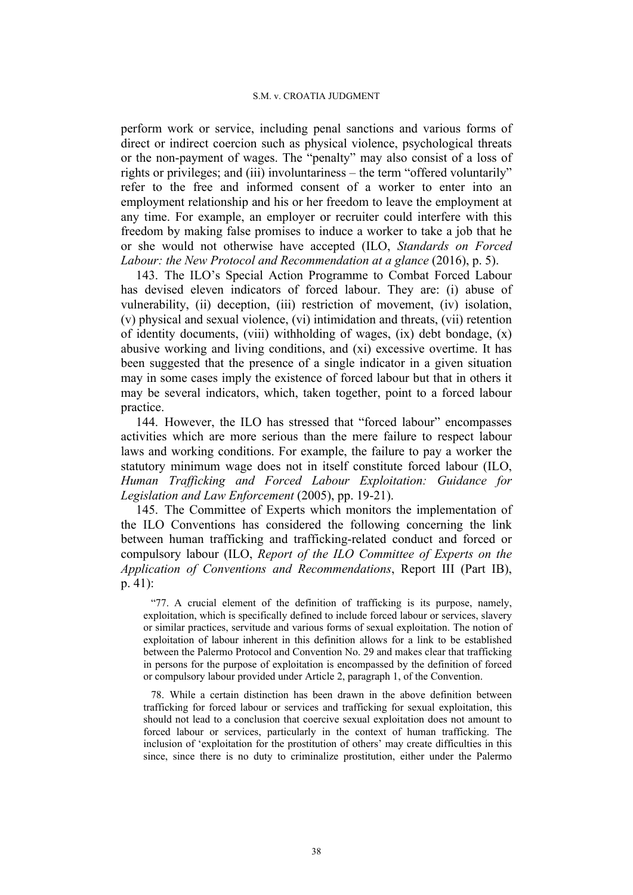perform work or service, including penal sanctions and various forms of direct or indirect coercion such as physical violence, psychological threats or the non-payment of wages. The "penalty" may also consist of a loss of rights or privileges; and (iii) involuntariness – the term "offered voluntarily" refer to the free and informed consent of a worker to enter into an employment relationship and his or her freedom to leave the employment at any time. For example, an employer or recruiter could interfere with this freedom by making false promises to induce a worker to take a job that he or she would not otherwise have accepted (ILO, *Standards on Forced Labour: the New Protocol and Recommendation at a glance* (2016), p. 5).

143. The ILO's Special Action Programme to Combat Forced Labour has devised eleven indicators of forced labour. They are: (i) abuse of vulnerability, (ii) deception, (iii) restriction of movement, (iv) isolation, (v) physical and sexual violence, (vi) intimidation and threats, (vii) retention of identity documents, (viii) withholding of wages, (ix) debt bondage, (x) abusive working and living conditions, and (xi) excessive overtime. It has been suggested that the presence of a single indicator in a given situation may in some cases imply the existence of forced labour but that in others it may be several indicators, which, taken together, point to a forced labour practice.

144. However, the ILO has stressed that "forced labour" encompasses activities which are more serious than the mere failure to respect labour laws and working conditions. For example, the failure to pay a worker the statutory minimum wage does not in itself constitute forced labour (ILO, *Human Trafficking and Forced Labour Exploitation: Guidance for Legislation and Law Enforcement* (2005), pp. 19-21).

145. The Committee of Experts which monitors the implementation of the ILO Conventions has considered the following concerning the link between human trafficking and trafficking-related conduct and forced or compulsory labour (ILO, *Report of the ILO Committee of Experts on the Application of Conventions and Recommendations*, Report III (Part IB), p. 41):

"77. A crucial element of the definition of trafficking is its purpose, namely, exploitation, which is specifically defined to include forced labour or services, slavery or similar practices, servitude and various forms of sexual exploitation. The notion of exploitation of labour inherent in this definition allows for a link to be established between the Palermo Protocol and Convention No. 29 and makes clear that trafficking in persons for the purpose of exploitation is encompassed by the definition of forced or compulsory labour provided under Article 2, paragraph 1, of the Convention.

78. While a certain distinction has been drawn in the above definition between trafficking for forced labour or services and trafficking for sexual exploitation, this should not lead to a conclusion that coercive sexual exploitation does not amount to forced labour or services, particularly in the context of human trafficking. The inclusion of 'exploitation for the prostitution of others' may create difficulties in this since, since there is no duty to criminalize prostitution, either under the Palermo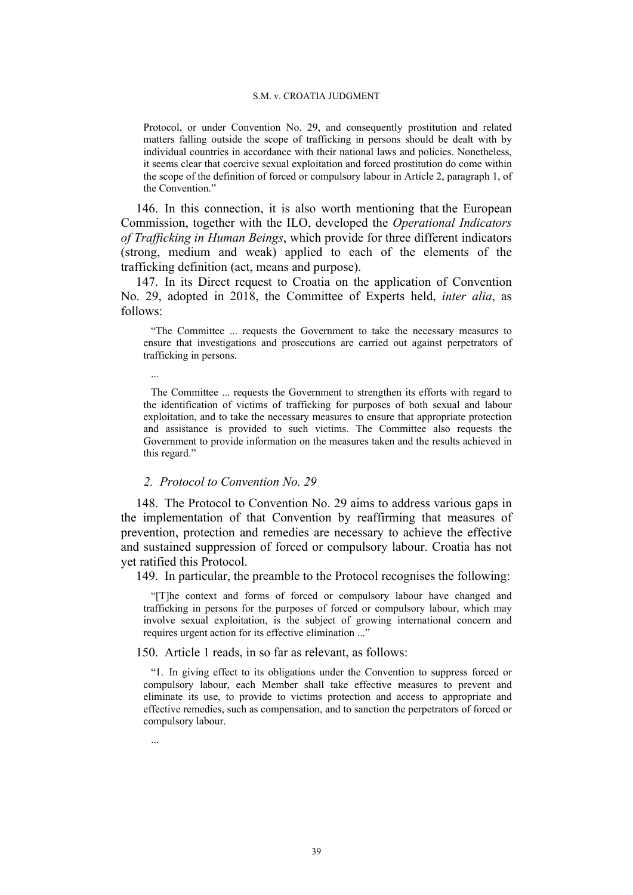Protocol, or under Convention No. 29, and consequently prostitution and related matters falling outside the scope of trafficking in persons should be dealt with by individual countries in accordance with their national laws and policies. Nonetheless, it seems clear that coercive sexual exploitation and forced prostitution do come within the scope of the definition of forced or compulsory labour in Article 2, paragraph 1, of the Convention."

146. In this connection, it is also worth mentioning that the European Commission, together with the ILO, developed the *Operational Indicators of Trafficking in Human Beings*, which provide for three different indicators (strong, medium and weak) applied to each of the elements of the trafficking definition (act, means and purpose).

147. In its Direct request to Croatia on the application of Convention No. 29, adopted in 2018, the Committee of Experts held, *inter alia*, as follows:

"The Committee ... requests the Government to take the necessary measures to ensure that investigations and prosecutions are carried out against perpetrators of trafficking in persons.

The Committee ... requests the Government to strengthen its efforts with regard to the identification of victims of trafficking for purposes of both sexual and labour exploitation, and to take the necessary measures to ensure that appropriate protection and assistance is provided to such victims. The Committee also requests the Government to provide information on the measures taken and the results achieved in this regard."

# *2. Protocol to Convention No. 29*

148. The Protocol to Convention No. 29 aims to address various gaps in the implementation of that Convention by reaffirming that measures of prevention, protection and remedies are necessary to achieve the effective and sustained suppression of forced or compulsory labour. Croatia has not yet ratified this Protocol.

149. In particular, the preamble to the Protocol recognises the following:

"[T]he context and forms of forced or compulsory labour have changed and trafficking in persons for the purposes of forced or compulsory labour, which may involve sexual exploitation, is the subject of growing international concern and requires urgent action for its effective elimination ..."

150. Article 1 reads, in so far as relevant, as follows:

"1. In giving effect to its obligations under the Convention to suppress forced or compulsory labour, each Member shall take effective measures to prevent and eliminate its use, to provide to victims protection and access to appropriate and effective remedies, such as compensation, and to sanction the perpetrators of forced or compulsory labour.

...

...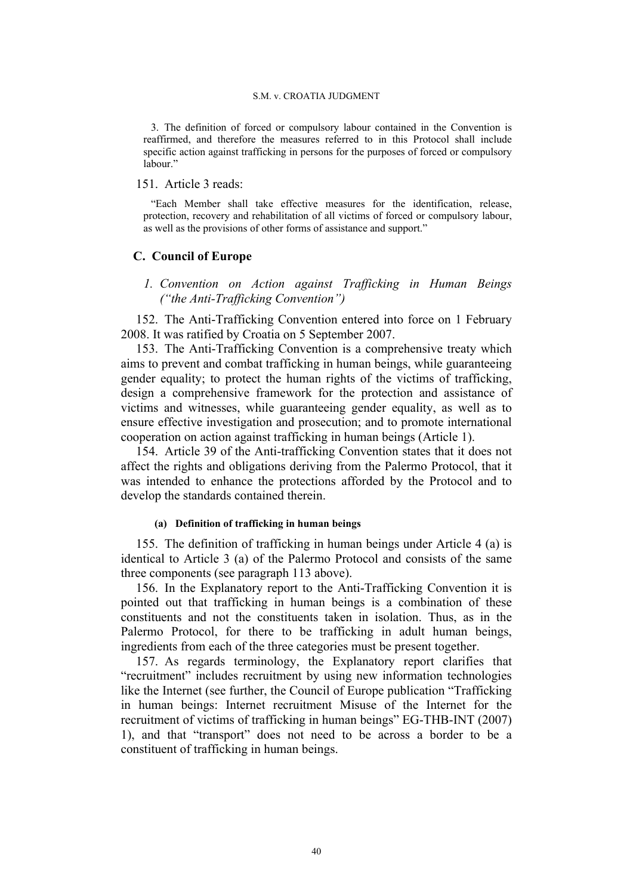3. The definition of forced or compulsory labour contained in the Convention is reaffirmed, and therefore the measures referred to in this Protocol shall include specific action against trafficking in persons for the purposes of forced or compulsory labour."

## 151. Article 3 reads:

"Each Member shall take effective measures for the identification, release, protection, recovery and rehabilitation of all victims of forced or compulsory labour, as well as the provisions of other forms of assistance and support."

# **C. Council of Europe**

*1. Convention on Action against Trafficking in Human Beings ("the Anti-Trafficking Convention")*

152. The Anti-Trafficking Convention entered into force on 1 February 2008. It was ratified by Croatia on 5 September 2007.

153. The Anti-Trafficking Convention is a comprehensive treaty which aims to prevent and combat trafficking in human beings, while guaranteeing gender equality; to protect the human rights of the victims of trafficking, design a comprehensive framework for the protection and assistance of victims and witnesses, while guaranteeing gender equality, as well as to ensure effective investigation and prosecution; and to promote international cooperation on action against trafficking in human beings (Article 1).

154. Article 39 of the Anti-trafficking Convention states that it does not affect the rights and obligations deriving from the Palermo Protocol, that it was intended to enhance the protections afforded by the Protocol and to develop the standards contained therein.

### **(a) Definition of trafficking in human beings**

155. The definition of trafficking in human beings under Article 4 (a) is identical to Article 3 (a) of the Palermo Protocol and consists of the same three components (see paragraph 113 above).

156. In the Explanatory report to the Anti-Trafficking Convention it is pointed out that trafficking in human beings is a combination of these constituents and not the constituents taken in isolation. Thus, as in the Palermo Protocol, for there to be trafficking in adult human beings, ingredients from each of the three categories must be present together.

157. As regards terminology, the Explanatory report clarifies that "recruitment" includes recruitment by using new information technologies like the Internet (see further, the Council of Europe publication "Trafficking in human beings: Internet recruitment Misuse of the Internet for the recruitment of victims of trafficking in human beings" EG-THB-INT (2007) 1), and that "transport" does not need to be across a border to be a constituent of trafficking in human beings.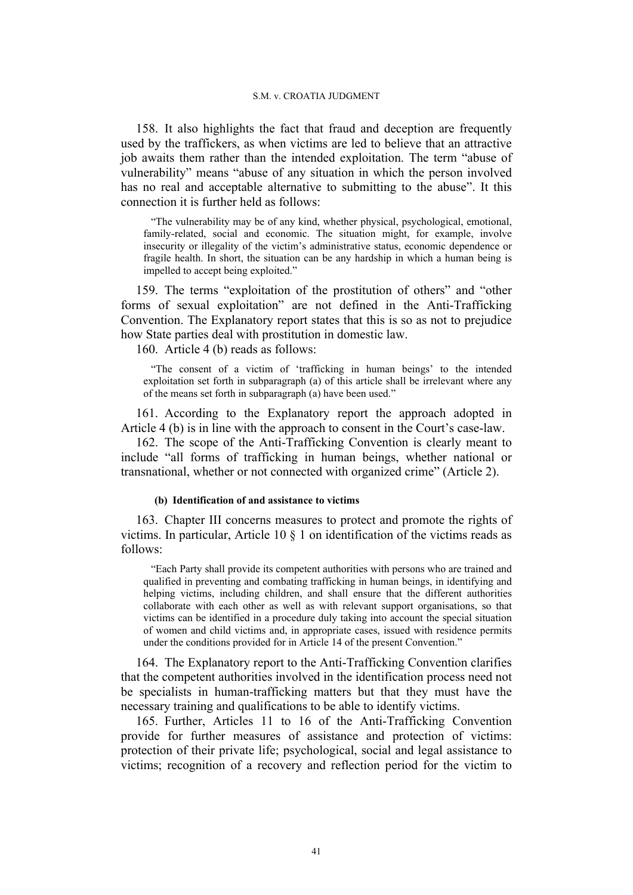158. It also highlights the fact that fraud and deception are frequently used by the traffickers, as when victims are led to believe that an attractive job awaits them rather than the intended exploitation. The term "abuse of vulnerability" means "abuse of any situation in which the person involved has no real and acceptable alternative to submitting to the abuse". It this connection it is further held as follows:

"The vulnerability may be of any kind, whether physical, psychological, emotional, family-related, social and economic. The situation might, for example, involve insecurity or illegality of the victim's administrative status, economic dependence or fragile health. In short, the situation can be any hardship in which a human being is impelled to accept being exploited."

159. The terms "exploitation of the prostitution of others" and "other forms of sexual exploitation" are not defined in the Anti-Trafficking Convention. The Explanatory report states that this is so as not to prejudice how State parties deal with prostitution in domestic law.

160. Article 4 (b) reads as follows:

"The consent of a victim of 'trafficking in human beings' to the intended exploitation set forth in subparagraph (a) of this article shall be irrelevant where any of the means set forth in subparagraph (a) have been used."

161. According to the Explanatory report the approach adopted in Article 4 (b) is in line with the approach to consent in the Court's case-law.

162. The scope of the Anti-Trafficking Convention is clearly meant to include "all forms of trafficking in human beings, whether national or transnational, whether or not connected with organized crime" (Article 2).

#### **(b) Identification of and assistance to victims**

163. Chapter III concerns measures to protect and promote the rights of victims. In particular, Article 10 § 1 on identification of the victims reads as follows:

"Each Party shall provide its competent authorities with persons who are trained and qualified in preventing and combating trafficking in human beings, in identifying and helping victims, including children, and shall ensure that the different authorities collaborate with each other as well as with relevant support organisations, so that victims can be identified in a procedure duly taking into account the special situation of women and child victims and, in appropriate cases, issued with residence permits under the conditions provided for in Article 14 of the present Convention."

164. The Explanatory report to the Anti-Trafficking Convention clarifies that the competent authorities involved in the identification process need not be specialists in human-trafficking matters but that they must have the necessary training and qualifications to be able to identify victims.

165. Further, Articles 11 to 16 of the Anti-Trafficking Convention provide for further measures of assistance and protection of victims: protection of their private life; psychological, social and legal assistance to victims; recognition of a recovery and reflection period for the victim to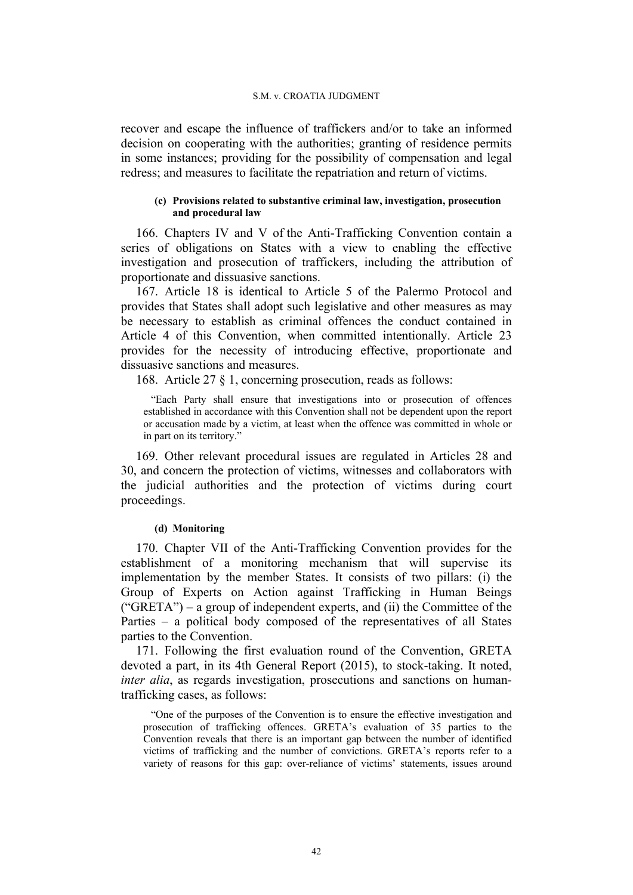recover and escape the influence of traffickers and/or to take an informed decision on cooperating with the authorities; granting of residence permits in some instances; providing for the possibility of compensation and legal redress; and measures to facilitate the repatriation and return of victims.

## **(c) Provisions related to substantive criminal law, investigation, prosecution and procedural law**

166. Chapters IV and V of the Anti-Trafficking Convention contain a series of obligations on States with a view to enabling the effective investigation and prosecution of traffickers, including the attribution of proportionate and dissuasive sanctions.

167. Article 18 is identical to Article 5 of the Palermo Protocol and provides that States shall adopt such legislative and other measures as may be necessary to establish as criminal offences the conduct contained in Article 4 of this Convention, when committed intentionally. Article 23 provides for the necessity of introducing effective, proportionate and dissuasive sanctions and measures.

168. Article 27 § 1, concerning prosecution, reads as follows:

"Each Party shall ensure that investigations into or prosecution of offences established in accordance with this Convention shall not be dependent upon the report or accusation made by a victim, at least when the offence was committed in whole or in part on its territory."

169. Other relevant procedural issues are regulated in Articles 28 and 30, and concern the protection of victims, witnesses and collaborators with the judicial authorities and the protection of victims during court proceedings.

### **(d) Monitoring**

170. Chapter VII of the Anti-Trafficking Convention provides for the establishment of a monitoring mechanism that will supervise its implementation by the member States. It consists of two pillars: (i) the Group of Experts on Action against Trafficking in Human Beings  $("GRETA") - a group of independent experts, and (ii) the Committee of the$ Parties – a political body composed of the representatives of all States parties to the Convention.

171. Following the first evaluation round of the Convention, GRETA devoted a part, in its 4th General Report (2015), to stock-taking. It noted, *inter alia*, as regards investigation, prosecutions and sanctions on humantrafficking cases, as follows:

"One of the purposes of the Convention is to ensure the effective investigation and prosecution of trafficking offences. GRETA's evaluation of 35 parties to the Convention reveals that there is an important gap between the number of identified victims of trafficking and the number of convictions. GRETA's reports refer to a variety of reasons for this gap: over-reliance of victims' statements, issues around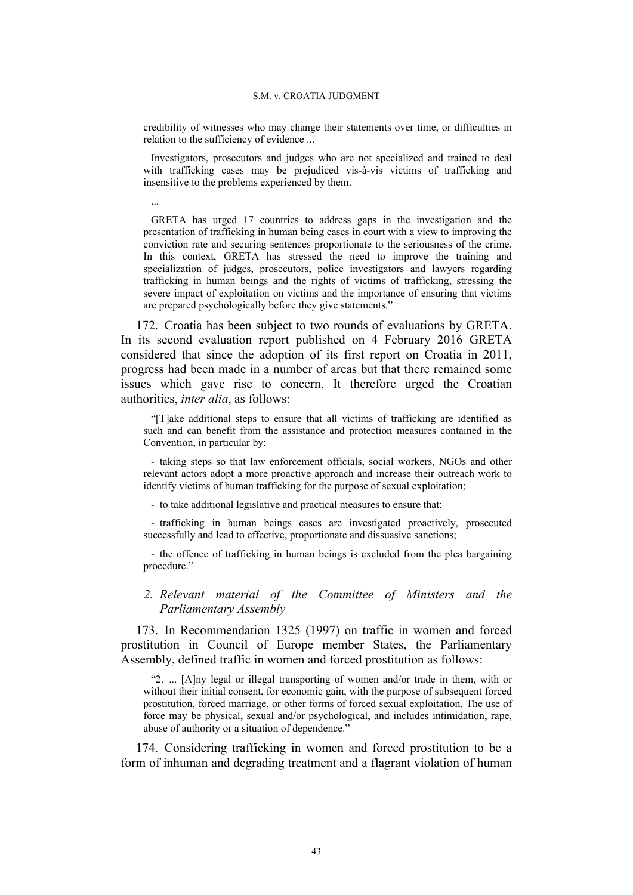credibility of witnesses who may change their statements over time, or difficulties in relation to the sufficiency of evidence ...

Investigators, prosecutors and judges who are not specialized and trained to deal with trafficking cases may be prejudiced vis-à-vis victims of trafficking and insensitive to the problems experienced by them.

...

GRETA has urged 17 countries to address gaps in the investigation and the presentation of trafficking in human being cases in court with a view to improving the conviction rate and securing sentences proportionate to the seriousness of the crime. In this context, GRETA has stressed the need to improve the training and specialization of judges, prosecutors, police investigators and lawyers regarding trafficking in human beings and the rights of victims of trafficking, stressing the severe impact of exploitation on victims and the importance of ensuring that victims are prepared psychologically before they give statements."

172. Croatia has been subject to two rounds of evaluations by GRETA. In its second evaluation report published on 4 February 2016 GRETA considered that since the adoption of its first report on Croatia in 2011, progress had been made in a number of areas but that there remained some issues which gave rise to concern. It therefore urged the Croatian authorities, *inter alia*, as follows:

"[T]ake additional steps to ensure that all victims of trafficking are identified as such and can benefit from the assistance and protection measures contained in the Convention, in particular by:

- taking steps so that law enforcement officials, social workers, NGOs and other relevant actors adopt a more proactive approach and increase their outreach work to identify victims of human trafficking for the purpose of sexual exploitation;

- to take additional legislative and practical measures to ensure that:

- trafficking in human beings cases are investigated proactively, prosecuted successfully and lead to effective, proportionate and dissuasive sanctions;

- the offence of trafficking in human beings is excluded from the plea bargaining procedure."

# *2. Relevant material of the Committee of Ministers and the Parliamentary Assembly*

173. In Recommendation 1325 (1997) on traffic in women and forced prostitution in Council of Europe member States, the Parliamentary Assembly, defined traffic in women and forced prostitution as follows:

"2. ... [A]ny legal or illegal transporting of women and/or trade in them, with or without their initial consent, for economic gain, with the purpose of subsequent forced prostitution, forced marriage, or other forms of forced sexual exploitation. The use of force may be physical, sexual and/or psychological, and includes intimidation, rape, abuse of authority or a situation of dependence."

174. Considering trafficking in women and forced prostitution to be a form of inhuman and degrading treatment and a flagrant violation of human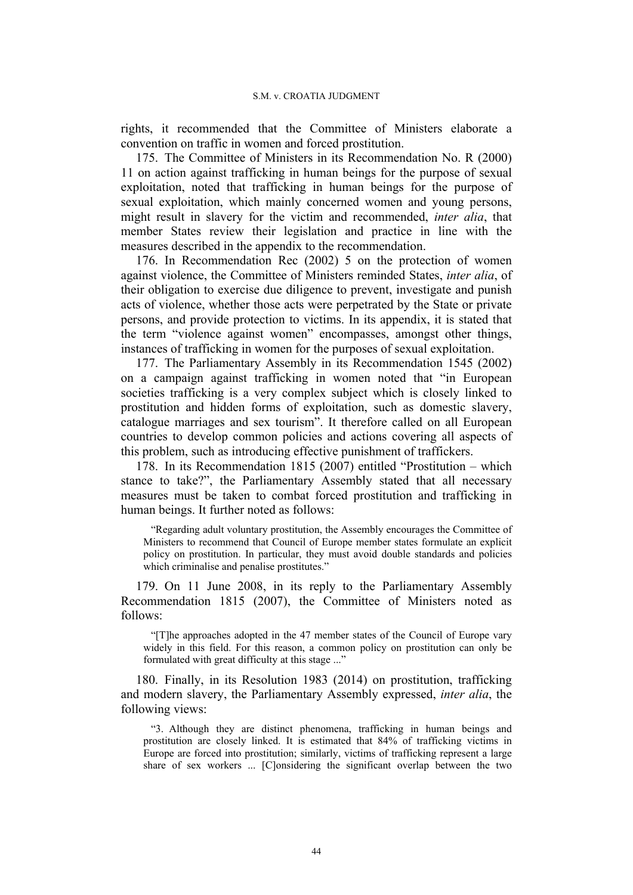rights, it recommended that the Committee of Ministers elaborate a convention on traffic in women and forced prostitution.

175. The Committee of Ministers in its Recommendation No. R (2000) 11 on action against trafficking in human beings for the purpose of sexual exploitation, noted that trafficking in human beings for the purpose of sexual exploitation, which mainly concerned women and young persons, might result in slavery for the victim and recommended, *inter alia*, that member States review their legislation and practice in line with the measures described in the appendix to the recommendation.

176. In Recommendation Rec (2002) 5 on the protection of women against violence, the Committee of Ministers reminded States, *inter alia*, of their obligation to exercise due diligence to prevent, investigate and punish acts of violence, whether those acts were perpetrated by the State or private persons, and provide protection to victims. In its appendix, it is stated that the term "violence against women" encompasses, amongst other things, instances of trafficking in women for the purposes of sexual exploitation.

177. The Parliamentary Assembly in its Recommendation 1545 (2002) on a campaign against trafficking in women noted that "in European societies trafficking is a very complex subject which is closely linked to prostitution and hidden forms of exploitation, such as domestic slavery, catalogue marriages and sex tourism". It therefore called on all European countries to develop common policies and actions covering all aspects of this problem, such as introducing effective punishment of traffickers.

178. In its Recommendation 1815 (2007) entitled "Prostitution – which stance to take?", the Parliamentary Assembly stated that all necessary measures must be taken to combat forced prostitution and trafficking in human beings. It further noted as follows:

"Regarding adult voluntary prostitution, the Assembly encourages the Committee of Ministers to recommend that Council of Europe member states formulate an explicit policy on prostitution. In particular, they must avoid double standards and policies which criminalise and penalise prostitutes."

179. On 11 June 2008, in its reply to the Parliamentary Assembly Recommendation 1815 (2007), the Committee of Ministers noted as follows:

"[T]he approaches adopted in the 47 member states of the Council of Europe vary widely in this field. For this reason, a common policy on prostitution can only be formulated with great difficulty at this stage ..."

180. Finally, in its Resolution 1983 (2014) on prostitution, trafficking and modern slavery, the Parliamentary Assembly expressed, *inter alia*, the following views:

"3. Although they are distinct phenomena, trafficking in human beings and prostitution are closely linked. It is estimated that 84% of trafficking victims in Europe are forced into prostitution; similarly, victims of trafficking represent a large share of sex workers ... [C]onsidering the significant overlap between the two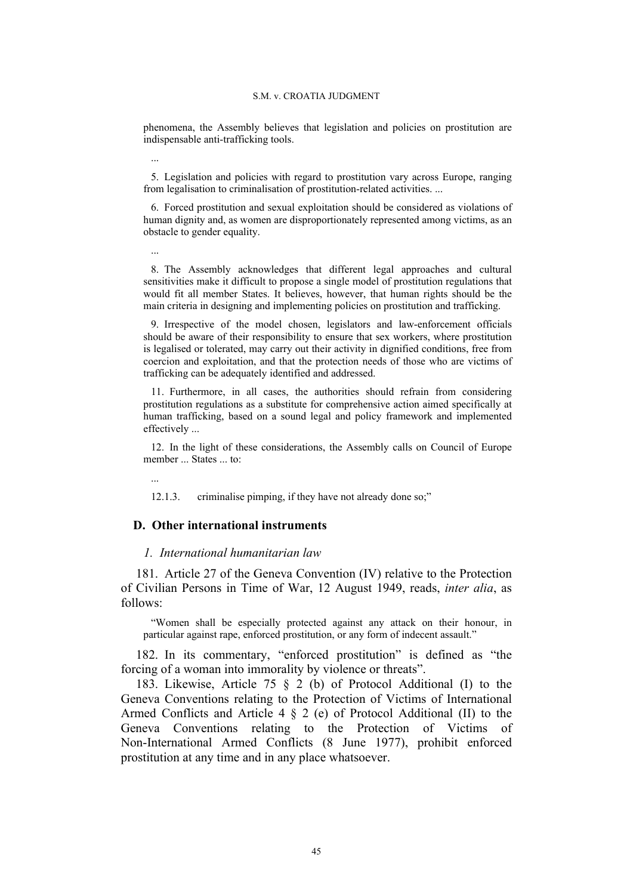phenomena, the Assembly believes that legislation and policies on prostitution are indispensable anti-trafficking tools.

5. Legislation and policies with regard to prostitution vary across Europe, ranging from legalisation to criminalisation of prostitution-related activities. ...

6. Forced prostitution and sexual exploitation should be considered as violations of human dignity and, as women are disproportionately represented among victims, as an obstacle to gender equality.

...

...

8. The Assembly acknowledges that different legal approaches and cultural sensitivities make it difficult to propose a single model of prostitution regulations that would fit all member States. It believes, however, that human rights should be the main criteria in designing and implementing policies on prostitution and trafficking.

9. Irrespective of the model chosen, legislators and law-enforcement officials should be aware of their responsibility to ensure that sex workers, where prostitution is legalised or tolerated, may carry out their activity in dignified conditions, free from coercion and exploitation, and that the protection needs of those who are victims of trafficking can be adequately identified and addressed.

11. Furthermore, in all cases, the authorities should refrain from considering prostitution regulations as a substitute for comprehensive action aimed specifically at human trafficking, based on a sound legal and policy framework and implemented effectively ...

12. In the light of these considerations, the Assembly calls on Council of Europe member ... States ... to:

...

12.1.3. criminalise pimping, if they have not already done so;"

#### **D. Other international instruments**

### *1. International humanitarian law*

181. Article 27 of the Geneva Convention (IV) relative to the Protection of Civilian Persons in Time of War, 12 August 1949, reads, *inter alia*, as follows:

"Women shall be especially protected against any attack on their honour, in particular against rape, enforced prostitution, or any form of indecent assault."

182. In its commentary, "enforced prostitution" is defined as "the forcing of a woman into immorality by violence or threats".

183. Likewise, Article 75 § 2 (b) of Protocol Additional (I) to the Geneva Conventions relating to the Protection of Victims of International Armed Conflicts and Article 4 § 2 (e) of Protocol Additional (II) to the Geneva Conventions relating to the Protection of Victims of Non-International Armed Conflicts (8 June 1977), prohibit enforced prostitution at any time and in any place whatsoever.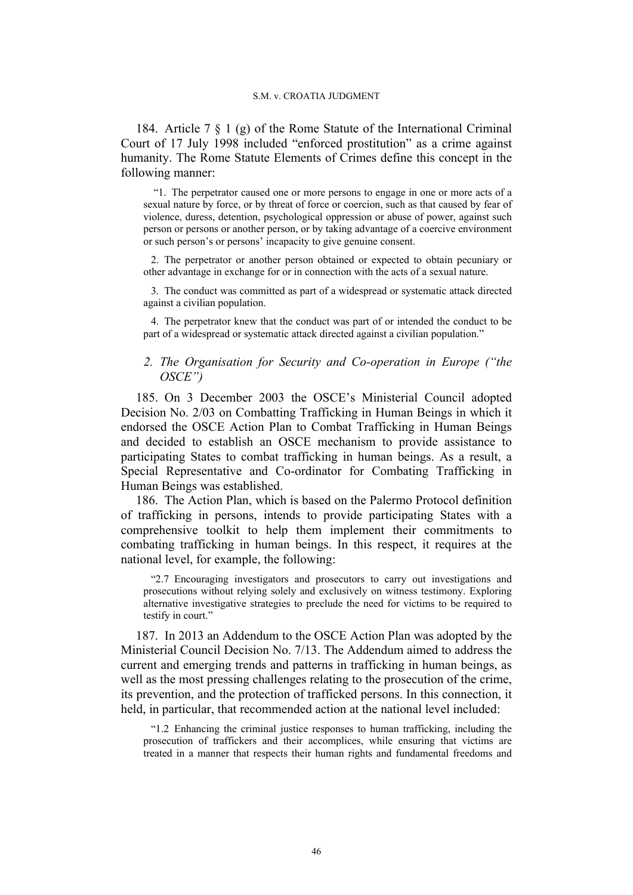184. Article 7 § 1 (g) of the Rome Statute of the International Criminal Court of 17 July 1998 included "enforced prostitution" as a crime against humanity. The Rome Statute Elements of Crimes define this concept in the following manner:

"1. The perpetrator caused one or more persons to engage in one or more acts of a sexual nature by force, or by threat of force or coercion, such as that caused by fear of violence, duress, detention, psychological oppression or abuse of power, against such person or persons or another person, or by taking advantage of a coercive environment or such person's or persons' incapacity to give genuine consent.

2. The perpetrator or another person obtained or expected to obtain pecuniary or other advantage in exchange for or in connection with the acts of a sexual nature.

3. The conduct was committed as part of a widespread or systematic attack directed against a civilian population.

4. The perpetrator knew that the conduct was part of or intended the conduct to be part of a widespread or systematic attack directed against a civilian population."

# *2. The Organisation for Security and Co-operation in Europe ("the OSCE")*

185. On 3 December 2003 the OSCE's Ministerial Council adopted Decision No. 2/03 on Combatting Trafficking in Human Beings in which it endorsed the OSCE Action Plan to Combat Trafficking in Human Beings and decided to establish an OSCE mechanism to provide assistance to participating States to combat trafficking in human beings. As a result, a Special Representative and Co-ordinator for Combating Trafficking in Human Beings was established.

186. The Action Plan, which is based on the Palermo Protocol definition of trafficking in persons, intends to provide participating States with a comprehensive toolkit to help them implement their commitments to combating trafficking in human beings. In this respect, it requires at the national level, for example, the following:

"2.7 Encouraging investigators and prosecutors to carry out investigations and prosecutions without relying solely and exclusively on witness testimony. Exploring alternative investigative strategies to preclude the need for victims to be required to testify in court."

187. In 2013 an Addendum to the OSCE Action Plan was adopted by the Ministerial Council Decision No. 7/13. The Addendum aimed to address the current and emerging trends and patterns in trafficking in human beings, as well as the most pressing challenges relating to the prosecution of the crime, its prevention, and the protection of trafficked persons. In this connection, it held, in particular, that recommended action at the national level included:

"1.2 Enhancing the criminal justice responses to human trafficking, including the prosecution of traffickers and their accomplices, while ensuring that victims are treated in a manner that respects their human rights and fundamental freedoms and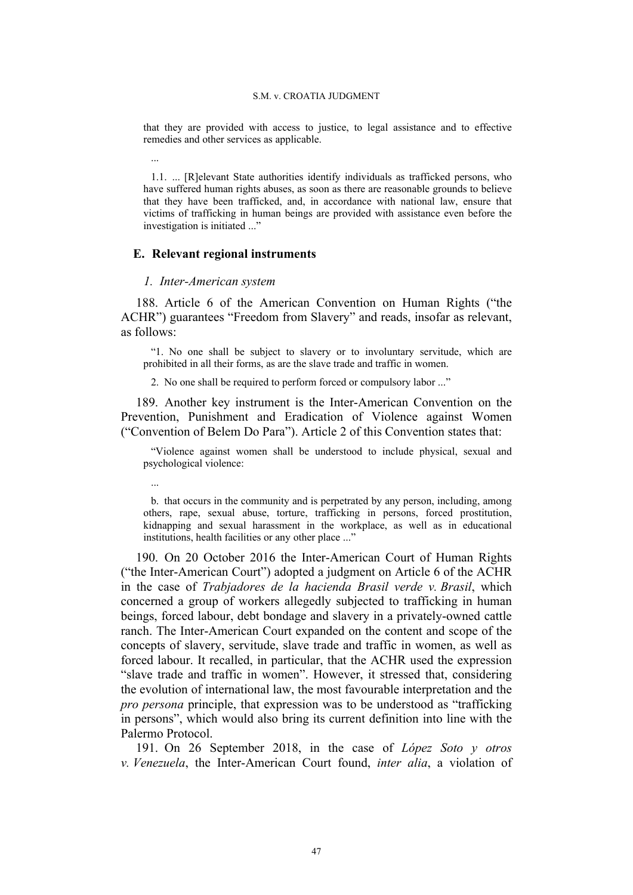that they are provided with access to justice, to legal assistance and to effective remedies and other services as applicable.

1.1. ... [R]elevant State authorities identify individuals as trafficked persons, who have suffered human rights abuses, as soon as there are reasonable grounds to believe that they have been trafficked, and, in accordance with national law, ensure that victims of trafficking in human beings are provided with assistance even before the investigation is initiated ..."

# **E. Relevant regional instruments**

### *1. Inter-American system*

...

...

188. Article 6 of the American Convention on Human Rights ("the ACHR") guarantees "Freedom from Slavery" and reads, insofar as relevant, as follows:

"1. No one shall be subject to slavery or to involuntary servitude, which are prohibited in all their forms, as are the slave trade and traffic in women.

2. No one shall be required to perform forced or compulsory labor ..."

189. Another key instrument is the Inter-American Convention on the Prevention, Punishment and Eradication of Violence against Women ("Convention of Belem Do Para"). Article 2 of this Convention states that:

"Violence against women shall be understood to include physical, sexual and psychological violence:

b. that occurs in the community and is perpetrated by any person, including, among others, rape, sexual abuse, torture, trafficking in persons, forced prostitution, kidnapping and sexual harassment in the workplace, as well as in educational institutions, health facilities or any other place ..."

190. On 20 October 2016 the Inter-American Court of Human Rights ("the Inter-American Court") adopted a judgment on Article 6 of the ACHR in the case of *Trabjadores de la hacienda Brasil verde v. Brasil*, which concerned a group of workers allegedly subjected to trafficking in human beings, forced labour, debt bondage and slavery in a privately-owned cattle ranch. The Inter-American Court expanded on the content and scope of the concepts of slavery, servitude, slave trade and traffic in women, as well as forced labour. It recalled, in particular, that the ACHR used the expression "slave trade and traffic in women". However, it stressed that, considering the evolution of international law, the most favourable interpretation and the *pro persona* principle, that expression was to be understood as "trafficking in persons", which would also bring its current definition into line with the Palermo Protocol.

191. On 26 September 2018, in the case of *López Soto y otros v. Venezuela*, the Inter-American Court found, *inter alia*, a violation of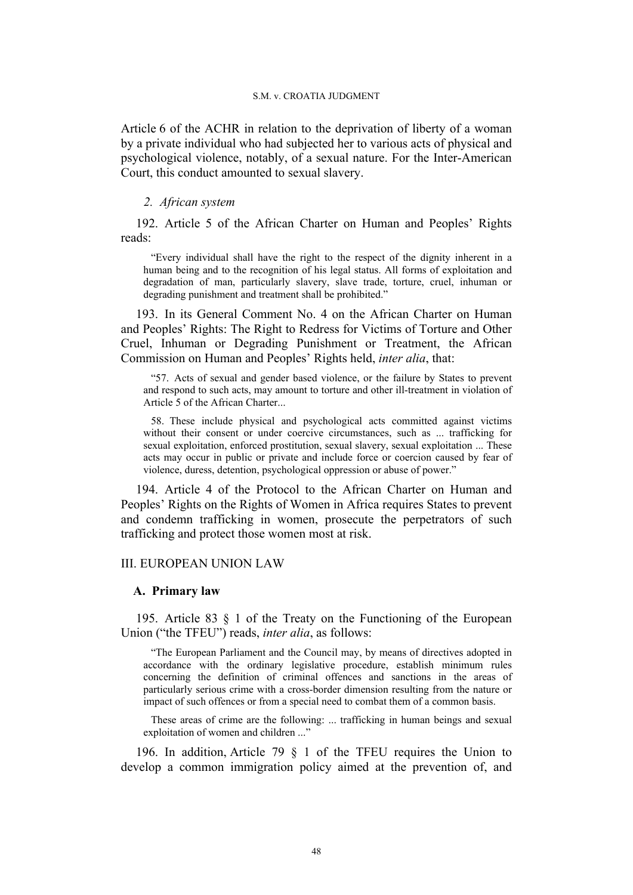Article 6 of the ACHR in relation to the deprivation of liberty of a woman by a private individual who had subjected her to various acts of physical and psychological violence, notably, of a sexual nature. For the Inter-American Court, this conduct amounted to sexual slavery.

### *2. African system*

192. Article 5 of the African Charter on Human and Peoples' Rights reads:

"Every individual shall have the right to the respect of the dignity inherent in a human being and to the recognition of his legal status. All forms of exploitation and degradation of man, particularly slavery, slave trade, torture, cruel, inhuman or degrading punishment and treatment shall be prohibited."

193. In its General Comment No. 4 on the African Charter on Human and Peoples' Rights: The Right to Redress for Victims of Torture and Other Cruel, Inhuman or Degrading Punishment or Treatment, the African Commission on Human and Peoples' Rights held, *inter alia*, that:

"57. Acts of sexual and gender based violence, or the failure by States to prevent and respond to such acts, may amount to torture and other ill-treatment in violation of Article 5 of the African Charter...

58. These include physical and psychological acts committed against victims without their consent or under coercive circumstances, such as ... trafficking for sexual exploitation, enforced prostitution, sexual slavery, sexual exploitation ... These acts may occur in public or private and include force or coercion caused by fear of violence, duress, detention, psychological oppression or abuse of power."

194. Article 4 of the Protocol to the African Charter on Human and Peoples' Rights on the Rights of Women in Africa requires States to prevent and condemn trafficking in women, prosecute the perpetrators of such trafficking and protect those women most at risk.

# III. EUROPEAN UNION LAW

### **A. Primary law**

195. Article 83 § 1 of the Treaty on the Functioning of the European Union ("the TFEU") reads, *inter alia*, as follows:

"The European Parliament and the Council may, by means of directives adopted in accordance with the ordinary legislative procedure, establish minimum rules concerning the definition of criminal offences and sanctions in the areas of particularly serious crime with a cross-border dimension resulting from the nature or impact of such offences or from a special need to combat them of a common basis.

These areas of crime are the following: ... trafficking in human beings and sexual exploitation of women and children ..."

196. In addition, Article 79 § 1 of the TFEU requires the Union to develop a common immigration policy aimed at the prevention of, and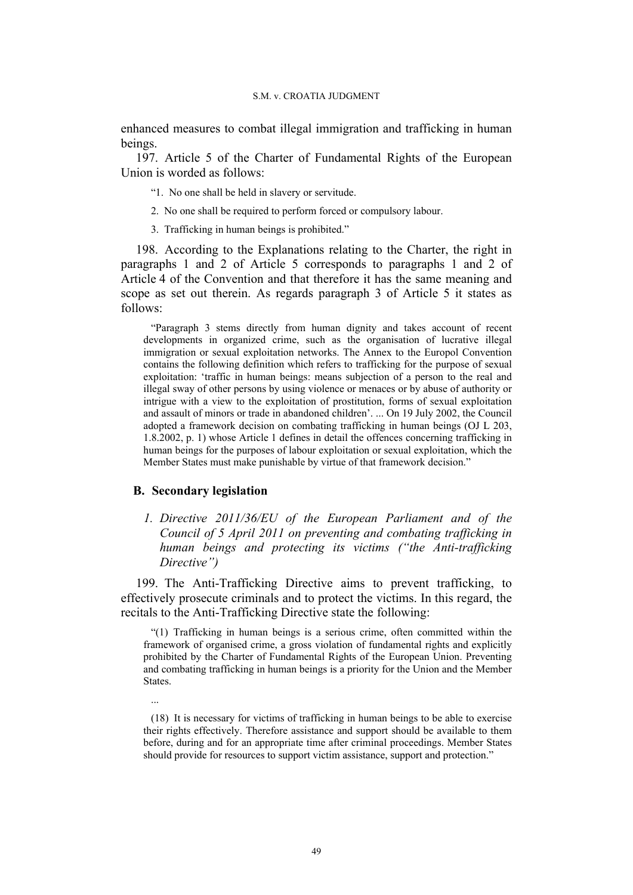enhanced measures to combat illegal immigration and trafficking in human beings.

197. Article 5 of the Charter of Fundamental Rights of the European Union is worded as follows:

- "1. No one shall be held in slavery or servitude.
- 2. No one shall be required to perform forced or compulsory labour.
- 3. Trafficking in human beings is prohibited."

198. According to the Explanations relating to the Charter, the right in paragraphs 1 and 2 of Article 5 corresponds to paragraphs 1 and 2 of Article 4 of the Convention and that therefore it has the same meaning and scope as set out therein. As regards paragraph 3 of Article 5 it states as follows:

"Paragraph 3 stems directly from human dignity and takes account of recent developments in organized crime, such as the organisation of lucrative illegal immigration or sexual exploitation networks. The Annex to the Europol Convention contains the following definition which refers to trafficking for the purpose of sexual exploitation: 'traffic in human beings: means subjection of a person to the real and illegal sway of other persons by using violence or menaces or by abuse of authority or intrigue with a view to the exploitation of prostitution, forms of sexual exploitation and assault of minors or trade in abandoned children'. ... On 19 July 2002, the Council adopted a framework decision on combating trafficking in human beings (OJ L 203, 1.8.2002, p. 1) whose Article 1 defines in detail the offences concerning trafficking in human beings for the purposes of labour exploitation or sexual exploitation, which the Member States must make punishable by virtue of that framework decision."

### **B. Secondary legislation**

...

*1. Directive 2011/36/EU of the European Parliament and of the Council of 5 April 2011 on preventing and combating trafficking in human beings and protecting its victims ("the Anti-trafficking Directive")*

199. The Anti-Trafficking Directive aims to prevent trafficking, to effectively prosecute criminals and to protect the victims. In this regard, the recitals to the Anti-Trafficking Directive state the following:

"(1) Trafficking in human beings is a serious crime, often committed within the framework of organised crime, a gross violation of fundamental rights and explicitly prohibited by the Charter of Fundamental Rights of the European Union. Preventing and combating trafficking in human beings is a priority for the Union and the Member States.

(18) It is necessary for victims of trafficking in human beings to be able to exercise their rights effectively. Therefore assistance and support should be available to them before, during and for an appropriate time after criminal proceedings. Member States should provide for resources to support victim assistance, support and protection."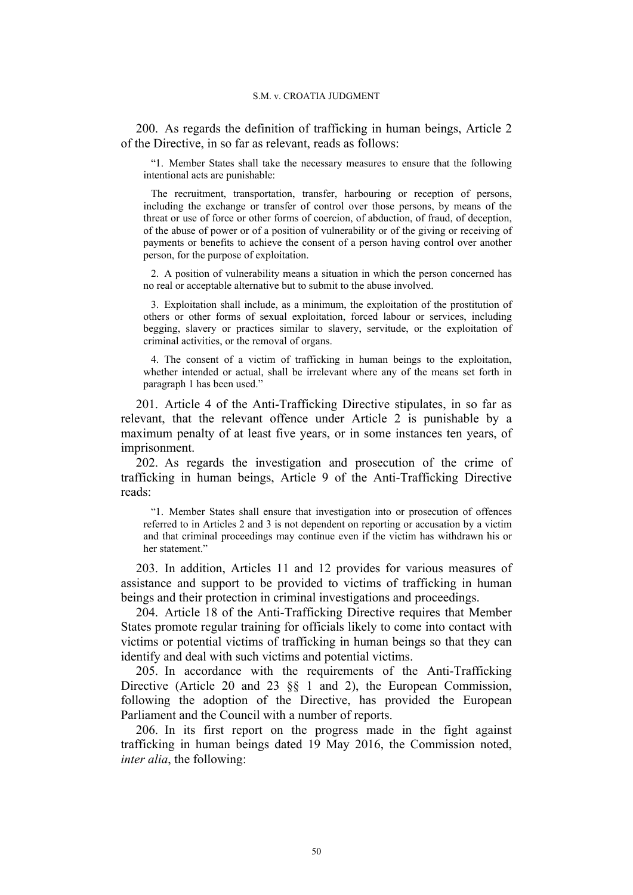200. As regards the definition of trafficking in human beings, Article 2 of the Directive, in so far as relevant, reads as follows:

"1. Member States shall take the necessary measures to ensure that the following intentional acts are punishable:

The recruitment, transportation, transfer, harbouring or reception of persons, including the exchange or transfer of control over those persons, by means of the threat or use of force or other forms of coercion, of abduction, of fraud, of deception, of the abuse of power or of a position of vulnerability or of the giving or receiving of payments or benefits to achieve the consent of a person having control over another person, for the purpose of exploitation.

2. A position of vulnerability means a situation in which the person concerned has no real or acceptable alternative but to submit to the abuse involved.

3. Exploitation shall include, as a minimum, the exploitation of the prostitution of others or other forms of sexual exploitation, forced labour or services, including begging, slavery or practices similar to slavery, servitude, or the exploitation of criminal activities, or the removal of organs.

4. The consent of a victim of trafficking in human beings to the exploitation, whether intended or actual, shall be irrelevant where any of the means set forth in paragraph 1 has been used."

201. Article 4 of the Anti-Trafficking Directive stipulates, in so far as relevant, that the relevant offence under Article 2 is punishable by a maximum penalty of at least five years, or in some instances ten years, of imprisonment.

202. As regards the investigation and prosecution of the crime of trafficking in human beings, Article 9 of the Anti-Trafficking Directive reads:

"1. Member States shall ensure that investigation into or prosecution of offences referred to in Articles 2 and 3 is not dependent on reporting or accusation by a victim and that criminal proceedings may continue even if the victim has withdrawn his or her statement."

203. In addition, Articles 11 and 12 provides for various measures of assistance and support to be provided to victims of trafficking in human beings and their protection in criminal investigations and proceedings.

204. Article 18 of the Anti-Trafficking Directive requires that Member States promote regular training for officials likely to come into contact with victims or potential victims of trafficking in human beings so that they can identify and deal with such victims and potential victims.

205. In accordance with the requirements of the Anti-Trafficking Directive (Article 20 and 23 §§ 1 and 2), the European Commission, following the adoption of the Directive, has provided the European Parliament and the Council with a number of reports.

206. In its first report on the progress made in the fight against trafficking in human beings dated 19 May 2016, the Commission noted, *inter alia*, the following: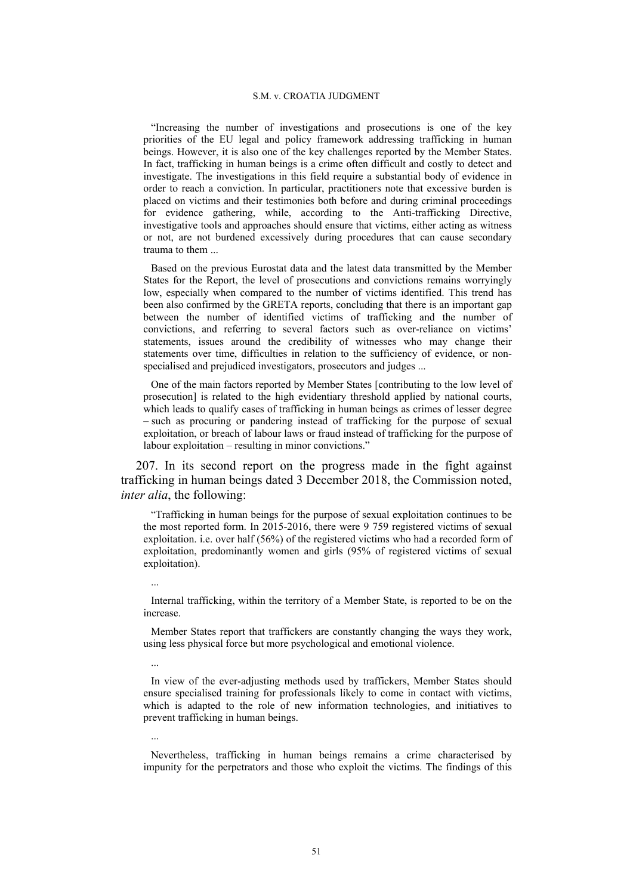"Increasing the number of investigations and prosecutions is one of the key priorities of the EU legal and policy framework addressing trafficking in human beings. However, it is also one of the key challenges reported by the Member States. In fact, trafficking in human beings is a crime often difficult and costly to detect and investigate. The investigations in this field require a substantial body of evidence in order to reach a conviction. In particular, practitioners note that excessive burden is placed on victims and their testimonies both before and during criminal proceedings for evidence gathering, while, according to the Anti-trafficking Directive, investigative tools and approaches should ensure that victims, either acting as witness or not, are not burdened excessively during procedures that can cause secondary trauma to them

Based on the previous Eurostat data and the latest data transmitted by the Member States for the Report, the level of prosecutions and convictions remains worryingly low, especially when compared to the number of victims identified. This trend has been also confirmed by the GRETA reports, concluding that there is an important gap between the number of identified victims of trafficking and the number of convictions, and referring to several factors such as over-reliance on victims' statements, issues around the credibility of witnesses who may change their statements over time, difficulties in relation to the sufficiency of evidence, or nonspecialised and prejudiced investigators, prosecutors and judges ...

One of the main factors reported by Member States [contributing to the low level of prosecution] is related to the high evidentiary threshold applied by national courts, which leads to qualify cases of trafficking in human beings as crimes of lesser degree – such as procuring or pandering instead of trafficking for the purpose of sexual exploitation, or breach of labour laws or fraud instead of trafficking for the purpose of labour exploitation – resulting in minor convictions."

207. In its second report on the progress made in the fight against trafficking in human beings dated 3 December 2018, the Commission noted, *inter alia*, the following:

"Trafficking in human beings for the purpose of sexual exploitation continues to be the most reported form. In 2015-2016, there were 9 759 registered victims of sexual exploitation. i.e. over half (56%) of the registered victims who had a recorded form of exploitation, predominantly women and girls (95% of registered victims of sexual exploitation).

Internal trafficking, within the territory of a Member State, is reported to be on the increase.

...

...

...

Member States report that traffickers are constantly changing the ways they work, using less physical force but more psychological and emotional violence.

In view of the ever-adjusting methods used by traffickers, Member States should ensure specialised training for professionals likely to come in contact with victims, which is adapted to the role of new information technologies, and initiatives to prevent trafficking in human beings.

Nevertheless, trafficking in human beings remains a crime characterised by impunity for the perpetrators and those who exploit the victims. The findings of this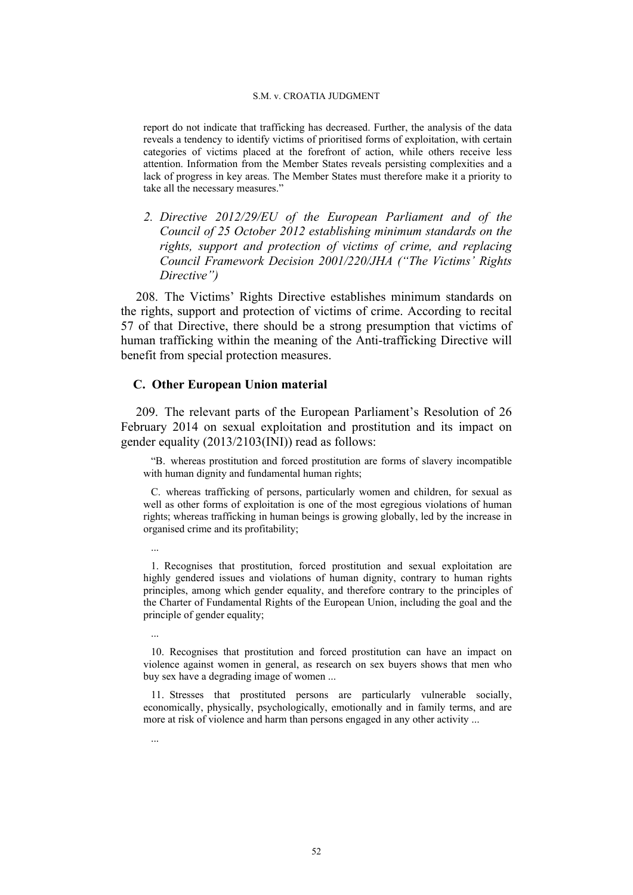report do not indicate that trafficking has decreased. Further, the analysis of the data reveals a tendency to identify victims of prioritised forms of exploitation, with certain categories of victims placed at the forefront of action, while others receive less attention. Information from the Member States reveals persisting complexities and a lack of progress in key areas. The Member States must therefore make it a priority to take all the necessary measures."

*2. Directive 2012/29/EU of the European Parliament and of the Council of 25 October 2012 establishing minimum standards on the rights, support and protection of victims of crime, and replacing Council Framework Decision 2001/220/JHA ("The Victims' Rights Directive")*

208. The Victims' Rights Directive establishes minimum standards on the rights, support and protection of victims of crime. According to recital 57 of that Directive, there should be a strong presumption that victims of human trafficking within the meaning of the Anti-trafficking Directive will benefit from special protection measures.

### **C. Other European Union material**

209. The relevant parts of the European Parliament's Resolution of 26 February 2014 on sexual exploitation and prostitution and its impact on gender equality (2013/2103(INI)) read as follows:

"B. whereas prostitution and forced prostitution are forms of slavery incompatible with human dignity and fundamental human rights;

C. whereas trafficking of persons, particularly women and children, for sexual as well as other forms of exploitation is one of the most egregious violations of human rights; whereas trafficking in human beings is growing globally, led by the increase in organised crime and its profitability;

- 1. Recognises that prostitution, forced prostitution and sexual exploitation are highly gendered issues and violations of human dignity, contrary to human rights principles, among which gender equality, and therefore contrary to the principles of the Charter of Fundamental Rights of the European Union, including the goal and the principle of gender equality;
	- ...

...

...

<sup>10.</sup> Recognises that prostitution and forced prostitution can have an impact on violence against women in general, as research on sex buyers shows that men who buy sex have a degrading image of women ...

<sup>11.</sup> Stresses that prostituted persons are particularly vulnerable socially, economically, physically, psychologically, emotionally and in family terms, and are more at risk of violence and harm than persons engaged in any other activity ...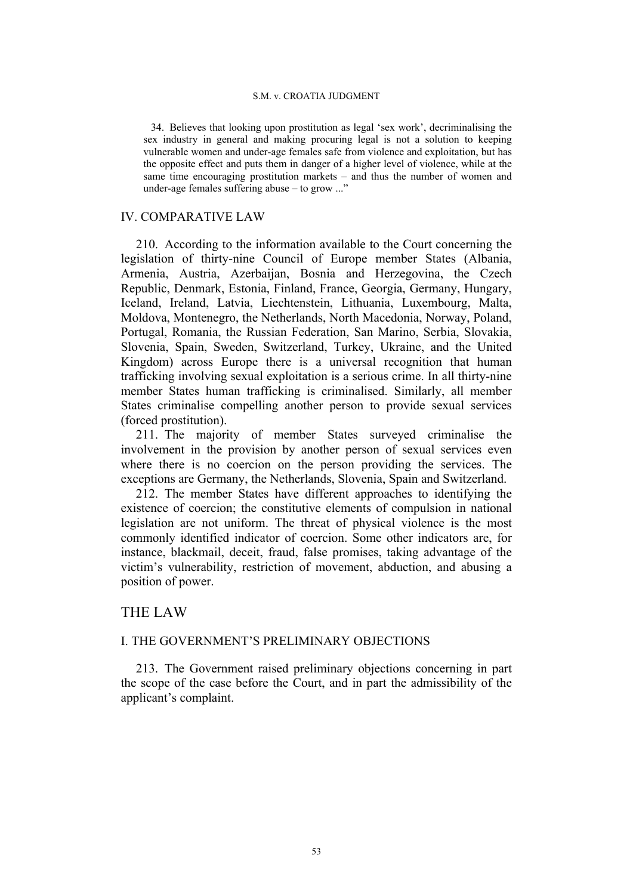34. Believes that looking upon prostitution as legal 'sex work', decriminalising the sex industry in general and making procuring legal is not a solution to keeping vulnerable women and under-age females safe from violence and exploitation, but has the opposite effect and puts them in danger of a higher level of violence, while at the same time encouraging prostitution markets – and thus the number of women and under-age females suffering abuse – to grow ..."

# IV. COMPARATIVE LAW

210. According to the information available to the Court concerning the legislation of thirty-nine Council of Europe member States (Albania, Armenia, Austria, Azerbaijan, Bosnia and Herzegovina, the Czech Republic, Denmark, Estonia, Finland, France, Georgia, Germany, Hungary, Iceland, Ireland, Latvia, Liechtenstein, Lithuania, Luxembourg, Malta, Moldova, Montenegro, the Netherlands, North Macedonia, Norway, Poland, Portugal, Romania, the Russian Federation, San Marino, Serbia, Slovakia, Slovenia, Spain, Sweden, Switzerland, Turkey, Ukraine, and the United Kingdom) across Europe there is a universal recognition that human trafficking involving sexual exploitation is a serious crime. In all thirty-nine member States human trafficking is criminalised. Similarly, all member States criminalise compelling another person to provide sexual services (forced prostitution).

211. The majority of member States surveyed criminalise the involvement in the provision by another person of sexual services even where there is no coercion on the person providing the services. The exceptions are Germany, the Netherlands, Slovenia, Spain and Switzerland.

212. The member States have different approaches to identifying the existence of coercion; the constitutive elements of compulsion in national legislation are not uniform. The threat of physical violence is the most commonly identified indicator of coercion. Some other indicators are, for instance, blackmail, deceit, fraud, false promises, taking advantage of the victim's vulnerability, restriction of movement, abduction, and abusing a position of power.

# THE LAW

# I. THE GOVERNMENT'S PRELIMINARY OBJECTIONS

213. The Government raised preliminary objections concerning in part the scope of the case before the Court, and in part the admissibility of the applicant's complaint.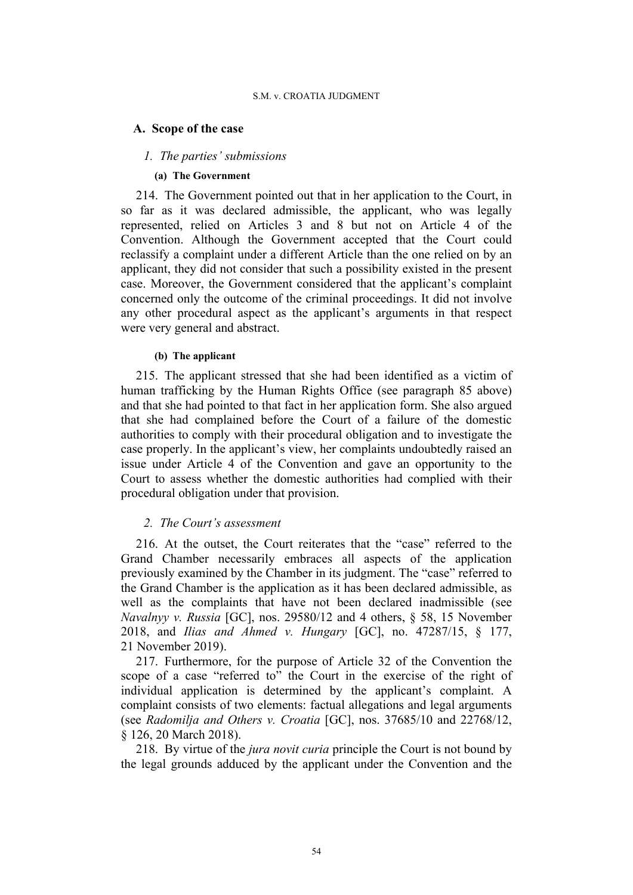### **A. Scope of the case**

## *1. The parties' submissions*

## **(a) The Government**

214. The Government pointed out that in her application to the Court, in so far as it was declared admissible, the applicant, who was legally represented, relied on Articles 3 and 8 but not on Article 4 of the Convention. Although the Government accepted that the Court could reclassify a complaint under a different Article than the one relied on by an applicant, they did not consider that such a possibility existed in the present case. Moreover, the Government considered that the applicant's complaint concerned only the outcome of the criminal proceedings. It did not involve any other procedural aspect as the applicant's arguments in that respect were very general and abstract.

### **(b) The applicant**

215. The applicant stressed that she had been identified as a victim of human trafficking by the Human Rights Office (see paragraph 85 above) and that she had pointed to that fact in her application form. She also argued that she had complained before the Court of a failure of the domestic authorities to comply with their procedural obligation and to investigate the case properly. In the applicant's view, her complaints undoubtedly raised an issue under Article 4 of the Convention and gave an opportunity to the Court to assess whether the domestic authorities had complied with their procedural obligation under that provision.

# *2. The Court's assessment*

216. At the outset, the Court reiterates that the "case" referred to the Grand Chamber necessarily embraces all aspects of the application previously examined by the Chamber in its judgment. The "case" referred to the Grand Chamber is the application as it has been declared admissible, as well as the complaints that have not been declared inadmissible (see *Navalnyy v. Russia* [GC], nos. 29580/12 and 4 others, § 58, 15 November 2018, and *Ilias and Ahmed v. Hungary* [GC], no. 47287/15, § 177, 21 November 2019).

217. Furthermore, for the purpose of Article 32 of the Convention the scope of a case "referred to" the Court in the exercise of the right of individual application is determined by the applicant's complaint. A complaint consists of two elements: factual allegations and legal arguments (see *Radomilja and Others v. Croatia* [GC], nos. 37685/10 and 22768/12, § 126, 20 March 2018).

218. By virtue of the *jura novit curia* principle the Court is not bound by the legal grounds adduced by the applicant under the Convention and the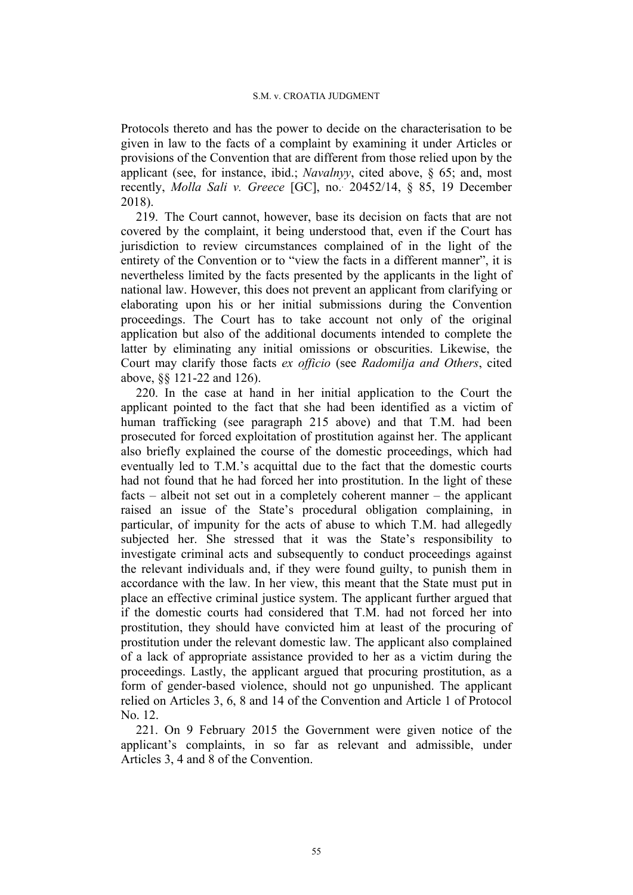Protocols thereto and has the power to decide on the characterisation to be given in law to the facts of a complaint by examining it under Articles or provisions of the Convention that are different from those relied upon by the applicant (see, for instance, ibid.; *Navalnyy*, cited above, § 65; and, most recently, *Molla Sali v. Greece* [GC], no.. 20452/14, § 85, 19 December 2018).

219. The Court cannot, however, base its decision on facts that are not covered by the complaint, it being understood that, even if the Court has jurisdiction to review circumstances complained of in the light of the entirety of the Convention or to "view the facts in a different manner", it is nevertheless limited by the facts presented by the applicants in the light of national law. However, this does not prevent an applicant from clarifying or elaborating upon his or her initial submissions during the Convention proceedings. The Court has to take account not only of the original application but also of the additional documents intended to complete the latter by eliminating any initial omissions or obscurities. Likewise, the Court may clarify those facts *ex officio* (see *Radomilja and Others*, cited above, §§ 121-22 and 126).

220. In the case at hand in her initial application to the Court the applicant pointed to the fact that she had been identified as a victim of human trafficking (see paragraph 215 above) and that T.M. had been prosecuted for forced exploitation of prostitution against her. The applicant also briefly explained the course of the domestic proceedings, which had eventually led to T.M.'s acquittal due to the fact that the domestic courts had not found that he had forced her into prostitution. In the light of these facts – albeit not set out in a completely coherent manner – the applicant raised an issue of the State's procedural obligation complaining, in particular, of impunity for the acts of abuse to which T.M. had allegedly subjected her. She stressed that it was the State's responsibility to investigate criminal acts and subsequently to conduct proceedings against the relevant individuals and, if they were found guilty, to punish them in accordance with the law. In her view, this meant that the State must put in place an effective criminal justice system. The applicant further argued that if the domestic courts had considered that T.M. had not forced her into prostitution, they should have convicted him at least of the procuring of prostitution under the relevant domestic law. The applicant also complained of a lack of appropriate assistance provided to her as a victim during the proceedings. Lastly, the applicant argued that procuring prostitution, as a form of gender-based violence, should not go unpunished. The applicant relied on Articles 3, 6, 8 and 14 of the Convention and Article 1 of Protocol No. 12.

221. On 9 February 2015 the Government were given notice of the applicant's complaints, in so far as relevant and admissible, under Articles 3, 4 and 8 of the Convention.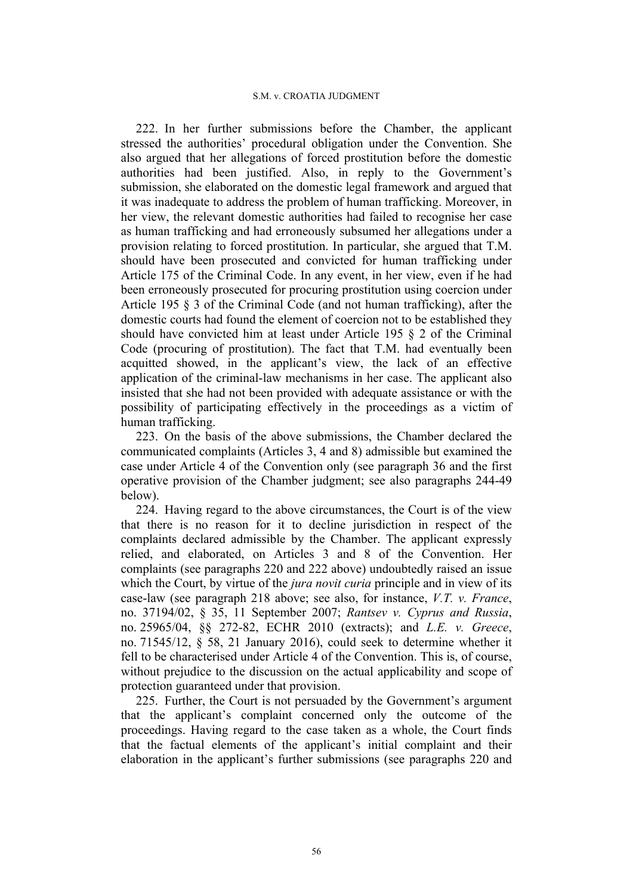222. In her further submissions before the Chamber, the applicant stressed the authorities' procedural obligation under the Convention. She also argued that her allegations of forced prostitution before the domestic authorities had been justified. Also, in reply to the Government's submission, she elaborated on the domestic legal framework and argued that it was inadequate to address the problem of human trafficking. Moreover, in her view, the relevant domestic authorities had failed to recognise her case as human trafficking and had erroneously subsumed her allegations under a provision relating to forced prostitution. In particular, she argued that T.M. should have been prosecuted and convicted for human trafficking under Article 175 of the Criminal Code. In any event, in her view, even if he had been erroneously prosecuted for procuring prostitution using coercion under Article 195 § 3 of the Criminal Code (and not human trafficking), after the domestic courts had found the element of coercion not to be established they should have convicted him at least under Article 195 § 2 of the Criminal Code (procuring of prostitution). The fact that T.M. had eventually been acquitted showed, in the applicant's view, the lack of an effective application of the criminal-law mechanisms in her case. The applicant also insisted that she had not been provided with adequate assistance or with the possibility of participating effectively in the proceedings as a victim of human trafficking.

223. On the basis of the above submissions, the Chamber declared the communicated complaints (Articles 3, 4 and 8) admissible but examined the case under Article 4 of the Convention only (see paragraph 36 and the first operative provision of the Chamber judgment; see also paragraphs 244-49 below).

224. Having regard to the above circumstances, the Court is of the view that there is no reason for it to decline jurisdiction in respect of the complaints declared admissible by the Chamber. The applicant expressly relied, and elaborated, on Articles 3 and 8 of the Convention. Her complaints (see paragraphs 220 and 222 above) undoubtedly raised an issue which the Court, by virtue of the *jura novit curia* principle and in view of its case-law (see paragraph 218 above; see also, for instance, *V.T. v. France*, no. 37194/02, § 35, 11 September 2007; *Rantsev v. Cyprus and Russia*, no. 25965/04, §§ 272-82, ECHR 2010 (extracts); and *L.E. v. Greece*, no. 71545/12, § 58, 21 January 2016), could seek to determine whether it fell to be characterised under Article 4 of the Convention. This is, of course, without prejudice to the discussion on the actual applicability and scope of protection guaranteed under that provision.

225. Further, the Court is not persuaded by the Government's argument that the applicant's complaint concerned only the outcome of the proceedings. Having regard to the case taken as a whole, the Court finds that the factual elements of the applicant's initial complaint and their elaboration in the applicant's further submissions (see paragraphs 220 and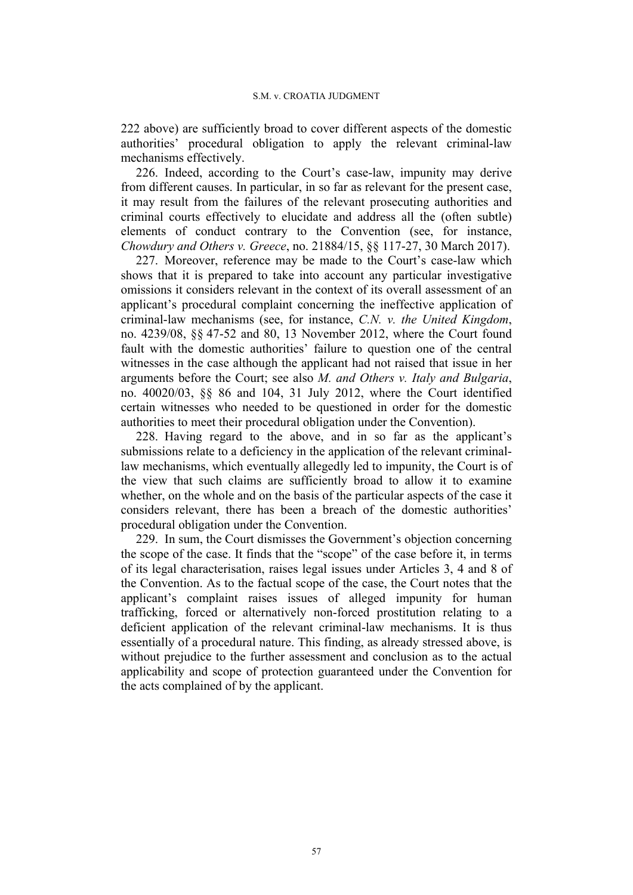222 above) are sufficiently broad to cover different aspects of the domestic authorities' procedural obligation to apply the relevant criminal-law mechanisms effectively.

226. Indeed, according to the Court's case-law, impunity may derive from different causes. In particular, in so far as relevant for the present case, it may result from the failures of the relevant prosecuting authorities and criminal courts effectively to elucidate and address all the (often subtle) elements of conduct contrary to the Convention (see, for instance, *Chowdury and Others v. Greece*, no. 21884/15, §§ 117-27, 30 March 2017).

227. Moreover, reference may be made to the Court's case-law which shows that it is prepared to take into account any particular investigative omissions it considers relevant in the context of its overall assessment of an applicant's procedural complaint concerning the ineffective application of criminal-law mechanisms (see, for instance, *C.N. v. the United Kingdom*, no. 4239/08, §§ 47-52 and 80, 13 November 2012, where the Court found fault with the domestic authorities' failure to question one of the central witnesses in the case although the applicant had not raised that issue in her arguments before the Court; see also *M. and Others v. Italy and Bulgaria*, no. 40020/03, §§ 86 and 104, 31 July 2012, where the Court identified certain witnesses who needed to be questioned in order for the domestic authorities to meet their procedural obligation under the Convention).

228. Having regard to the above, and in so far as the applicant's submissions relate to a deficiency in the application of the relevant criminallaw mechanisms, which eventually allegedly led to impunity, the Court is of the view that such claims are sufficiently broad to allow it to examine whether, on the whole and on the basis of the particular aspects of the case it considers relevant, there has been a breach of the domestic authorities' procedural obligation under the Convention.

229. In sum, the Court dismisses the Government's objection concerning the scope of the case. It finds that the "scope" of the case before it, in terms of its legal characterisation, raises legal issues under Articles 3, 4 and 8 of the Convention. As to the factual scope of the case, the Court notes that the applicant's complaint raises issues of alleged impunity for human trafficking, forced or alternatively non-forced prostitution relating to a deficient application of the relevant criminal-law mechanisms. It is thus essentially of a procedural nature. This finding, as already stressed above, is without prejudice to the further assessment and conclusion as to the actual applicability and scope of protection guaranteed under the Convention for the acts complained of by the applicant.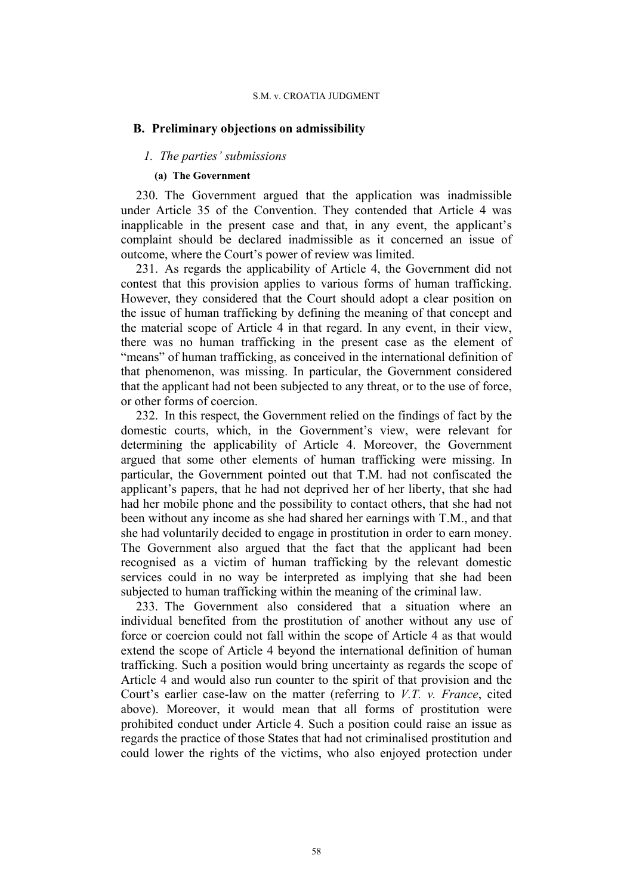## **B. Preliminary objections on admissibility**

## *1. The parties' submissions*

### **(a) The Government**

230. The Government argued that the application was inadmissible under Article 35 of the Convention. They contended that Article 4 was inapplicable in the present case and that, in any event, the applicant's complaint should be declared inadmissible as it concerned an issue of outcome, where the Court's power of review was limited.

231. As regards the applicability of Article 4, the Government did not contest that this provision applies to various forms of human trafficking. However, they considered that the Court should adopt a clear position on the issue of human trafficking by defining the meaning of that concept and the material scope of Article 4 in that regard. In any event, in their view, there was no human trafficking in the present case as the element of "means" of human trafficking, as conceived in the international definition of that phenomenon, was missing. In particular, the Government considered that the applicant had not been subjected to any threat, or to the use of force, or other forms of coercion.

232. In this respect, the Government relied on the findings of fact by the domestic courts, which, in the Government's view, were relevant for determining the applicability of Article 4. Moreover, the Government argued that some other elements of human trafficking were missing. In particular, the Government pointed out that T.M. had not confiscated the applicant's papers, that he had not deprived her of her liberty, that she had had her mobile phone and the possibility to contact others, that she had not been without any income as she had shared her earnings with T.M., and that she had voluntarily decided to engage in prostitution in order to earn money. The Government also argued that the fact that the applicant had been recognised as a victim of human trafficking by the relevant domestic services could in no way be interpreted as implying that she had been subjected to human trafficking within the meaning of the criminal law.

233. The Government also considered that a situation where an individual benefited from the prostitution of another without any use of force or coercion could not fall within the scope of Article 4 as that would extend the scope of Article 4 beyond the international definition of human trafficking. Such a position would bring uncertainty as regards the scope of Article 4 and would also run counter to the spirit of that provision and the Court's earlier case-law on the matter (referring to *V.T. v. France*, cited above). Moreover, it would mean that all forms of prostitution were prohibited conduct under Article 4. Such a position could raise an issue as regards the practice of those States that had not criminalised prostitution and could lower the rights of the victims, who also enjoyed protection under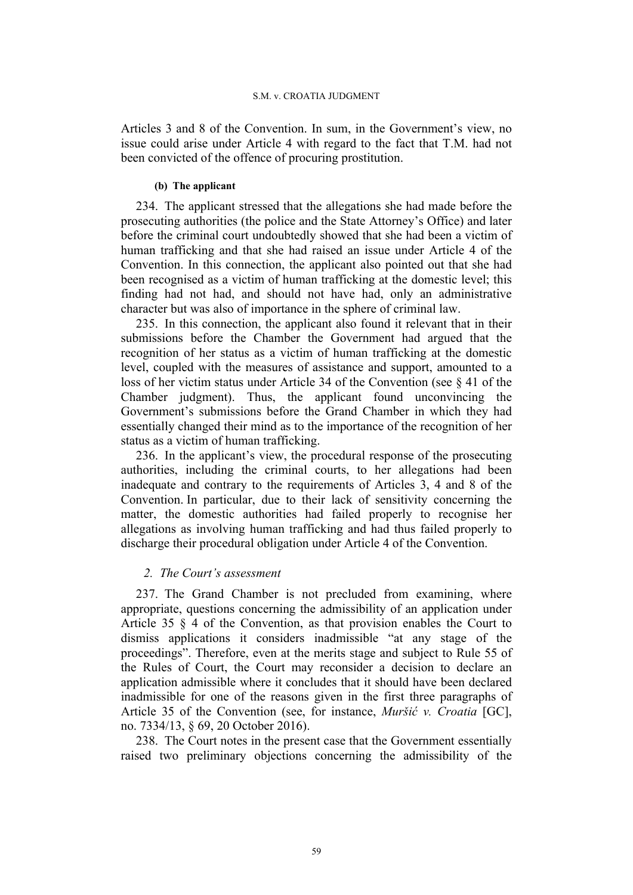Articles 3 and 8 of the Convention. In sum, in the Government's view, no issue could arise under Article 4 with regard to the fact that T.M. had not been convicted of the offence of procuring prostitution.

# **(b) The applicant**

234. The applicant stressed that the allegations she had made before the prosecuting authorities (the police and the State Attorney's Office) and later before the criminal court undoubtedly showed that she had been a victim of human trafficking and that she had raised an issue under Article 4 of the Convention. In this connection, the applicant also pointed out that she had been recognised as a victim of human trafficking at the domestic level; this finding had not had, and should not have had, only an administrative character but was also of importance in the sphere of criminal law.

235. In this connection, the applicant also found it relevant that in their submissions before the Chamber the Government had argued that the recognition of her status as a victim of human trafficking at the domestic level, coupled with the measures of assistance and support, amounted to a loss of her victim status under Article 34 of the Convention (see § 41 of the Chamber judgment). Thus, the applicant found unconvincing the Government's submissions before the Grand Chamber in which they had essentially changed their mind as to the importance of the recognition of her status as a victim of human trafficking.

236. In the applicant's view, the procedural response of the prosecuting authorities, including the criminal courts, to her allegations had been inadequate and contrary to the requirements of Articles 3, 4 and 8 of the Convention. In particular, due to their lack of sensitivity concerning the matter, the domestic authorities had failed properly to recognise her allegations as involving human trafficking and had thus failed properly to discharge their procedural obligation under Article 4 of the Convention.

# *2. The Court's assessment*

237. The Grand Chamber is not precluded from examining, where appropriate, questions concerning the admissibility of an application under Article 35 § 4 of the Convention, as that provision enables the Court to dismiss applications it considers inadmissible "at any stage of the proceedings". Therefore, even at the merits stage and subject to Rule 55 of the Rules of Court, the Court may reconsider a decision to declare an application admissible where it concludes that it should have been declared inadmissible for one of the reasons given in the first three paragraphs of Article 35 of the Convention (see, for instance, *Muršić v. Croatia* [GC], no. 7334/13, § 69, 20 October 2016).

238. The Court notes in the present case that the Government essentially raised two preliminary objections concerning the admissibility of the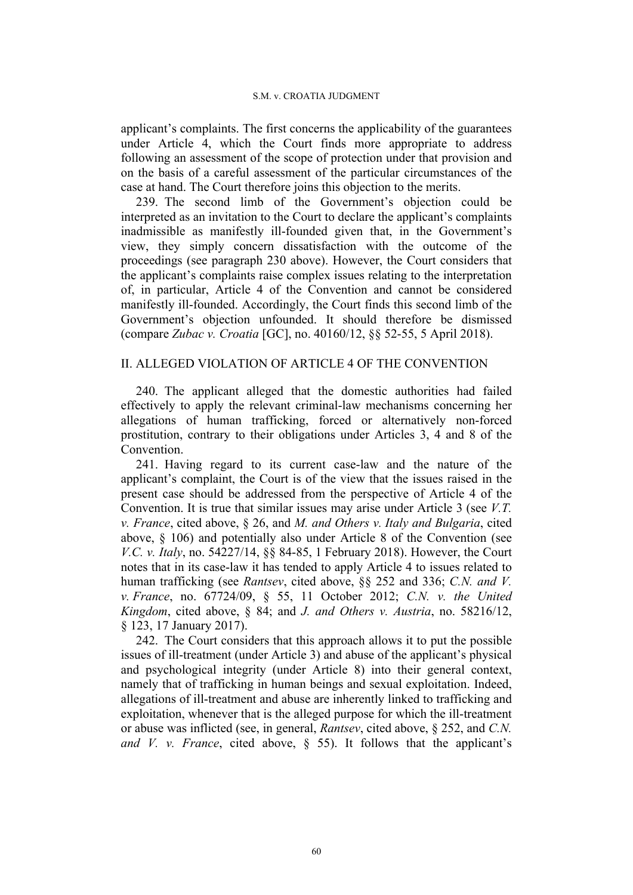applicant's complaints. The first concerns the applicability of the guarantees under Article 4, which the Court finds more appropriate to address following an assessment of the scope of protection under that provision and on the basis of a careful assessment of the particular circumstances of the case at hand. The Court therefore joins this objection to the merits.

239. The second limb of the Government's objection could be interpreted as an invitation to the Court to declare the applicant's complaints inadmissible as manifestly ill-founded given that, in the Government's view, they simply concern dissatisfaction with the outcome of the proceedings (see paragraph 230 above). However, the Court considers that the applicant's complaints raise complex issues relating to the interpretation of, in particular, Article 4 of the Convention and cannot be considered manifestly ill-founded. Accordingly, the Court finds this second limb of the Government's objection unfounded. It should therefore be dismissed (compare *Zubac v. Croatia* [GC], no. 40160/12, §§ 52-55, 5 April 2018).

# II. ALLEGED VIOLATION OF ARTICLE 4 OF THE CONVENTION

240. The applicant alleged that the domestic authorities had failed effectively to apply the relevant criminal-law mechanisms concerning her allegations of human trafficking, forced or alternatively non-forced prostitution, contrary to their obligations under Articles 3, 4 and 8 of the **Convention** 

241. Having regard to its current case-law and the nature of the applicant's complaint, the Court is of the view that the issues raised in the present case should be addressed from the perspective of Article 4 of the Convention. It is true that similar issues may arise under Article 3 (see *V.T. v. France*, cited above, § 26, and *M. and Others v. Italy and Bulgaria*, cited above, § 106) and potentially also under Article 8 of the Convention (see *V.C. v. Italy*, no. 54227/14, §§ 84-85, 1 February 2018). However, the Court notes that in its case-law it has tended to apply Article 4 to issues related to human trafficking (see *Rantsev*, cited above, §§ 252 and 336; *C.N. and V. v. France*, no. 67724/09, § 55, 11 October 2012; *C.N. v. the United Kingdom*, cited above, § 84; and *J. and Others v. Austria*, no. 58216/12, § 123, 17 January 2017).

242. The Court considers that this approach allows it to put the possible issues of ill-treatment (under Article 3) and abuse of the applicant's physical and psychological integrity (under Article 8) into their general context, namely that of trafficking in human beings and sexual exploitation. Indeed, allegations of ill-treatment and abuse are inherently linked to trafficking and exploitation, whenever that is the alleged purpose for which the ill-treatment or abuse was inflicted (see, in general, *Rantsev*, cited above, § 252, and *C.N. and V. v. France*, cited above, § 55). It follows that the applicant's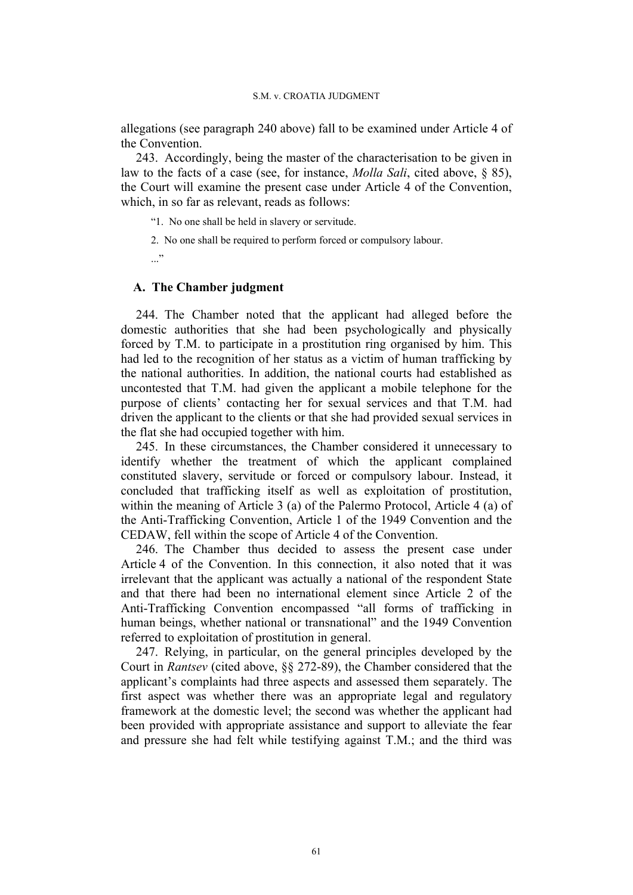allegations (see paragraph 240 above) fall to be examined under Article 4 of the Convention.

243. Accordingly, being the master of the characterisation to be given in law to the facts of a case (see, for instance, *Molla Sali*, cited above, § 85), the Court will examine the present case under Article 4 of the Convention, which, in so far as relevant, reads as follows:

"1. No one shall be held in slavery or servitude.

2. No one shall be required to perform forced or compulsory labour.

 $\cdot$ ..."

# **A. The Chamber judgment**

244. The Chamber noted that the applicant had alleged before the domestic authorities that she had been psychologically and physically forced by T.M. to participate in a prostitution ring organised by him. This had led to the recognition of her status as a victim of human trafficking by the national authorities. In addition, the national courts had established as uncontested that T.M. had given the applicant a mobile telephone for the purpose of clients' contacting her for sexual services and that T.M. had driven the applicant to the clients or that she had provided sexual services in the flat she had occupied together with him.

245. In these circumstances, the Chamber considered it unnecessary to identify whether the treatment of which the applicant complained constituted slavery, servitude or forced or compulsory labour. Instead, it concluded that trafficking itself as well as exploitation of prostitution, within the meaning of Article 3 (a) of the Palermo Protocol, Article 4 (a) of the Anti-Trafficking Convention, Article 1 of the 1949 Convention and the CEDAW, fell within the scope of Article 4 of the Convention.

246. The Chamber thus decided to assess the present case under Article 4 of the Convention. In this connection, it also noted that it was irrelevant that the applicant was actually a national of the respondent State and that there had been no international element since Article 2 of the Anti-Trafficking Convention encompassed "all forms of trafficking in human beings, whether national or transnational" and the 1949 Convention referred to exploitation of prostitution in general.

247. Relying, in particular, on the general principles developed by the Court in *Rantsev* (cited above, §§ 272-89), the Chamber considered that the applicant's complaints had three aspects and assessed them separately. The first aspect was whether there was an appropriate legal and regulatory framework at the domestic level; the second was whether the applicant had been provided with appropriate assistance and support to alleviate the fear and pressure she had felt while testifying against T.M.; and the third was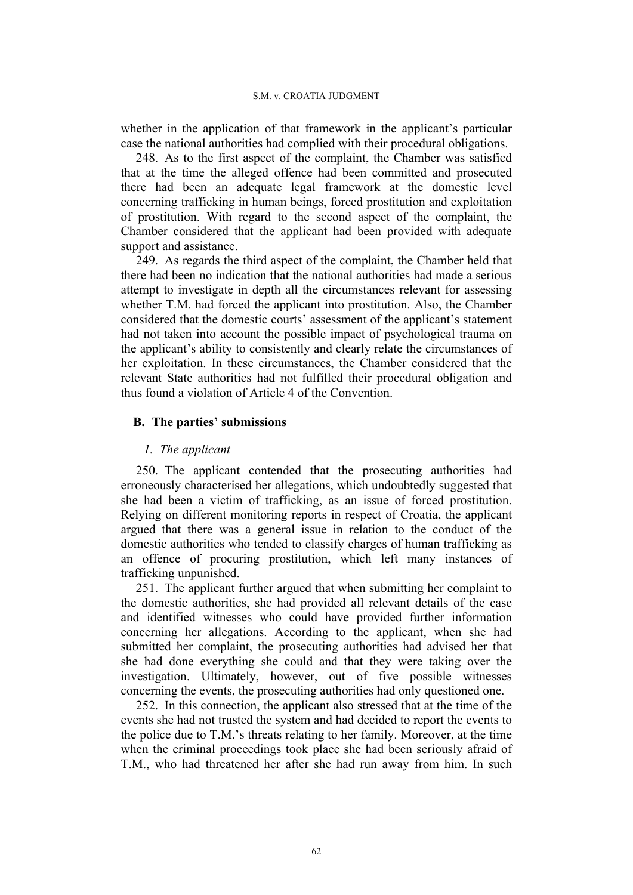whether in the application of that framework in the applicant's particular case the national authorities had complied with their procedural obligations.

248. As to the first aspect of the complaint, the Chamber was satisfied that at the time the alleged offence had been committed and prosecuted there had been an adequate legal framework at the domestic level concerning trafficking in human beings, forced prostitution and exploitation of prostitution. With regard to the second aspect of the complaint, the Chamber considered that the applicant had been provided with adequate support and assistance.

249. As regards the third aspect of the complaint, the Chamber held that there had been no indication that the national authorities had made a serious attempt to investigate in depth all the circumstances relevant for assessing whether T.M. had forced the applicant into prostitution. Also, the Chamber considered that the domestic courts' assessment of the applicant's statement had not taken into account the possible impact of psychological trauma on the applicant's ability to consistently and clearly relate the circumstances of her exploitation. In these circumstances, the Chamber considered that the relevant State authorities had not fulfilled their procedural obligation and thus found a violation of Article 4 of the Convention.

# **B. The parties' submissions**

# *1. The applicant*

250. The applicant contended that the prosecuting authorities had erroneously characterised her allegations, which undoubtedly suggested that she had been a victim of trafficking, as an issue of forced prostitution. Relying on different monitoring reports in respect of Croatia, the applicant argued that there was a general issue in relation to the conduct of the domestic authorities who tended to classify charges of human trafficking as an offence of procuring prostitution, which left many instances of trafficking unpunished.

251. The applicant further argued that when submitting her complaint to the domestic authorities, she had provided all relevant details of the case and identified witnesses who could have provided further information concerning her allegations. According to the applicant, when she had submitted her complaint, the prosecuting authorities had advised her that she had done everything she could and that they were taking over the investigation. Ultimately, however, out of five possible witnesses concerning the events, the prosecuting authorities had only questioned one.

252. In this connection, the applicant also stressed that at the time of the events she had not trusted the system and had decided to report the events to the police due to T.M.'s threats relating to her family. Moreover, at the time when the criminal proceedings took place she had been seriously afraid of T.M., who had threatened her after she had run away from him. In such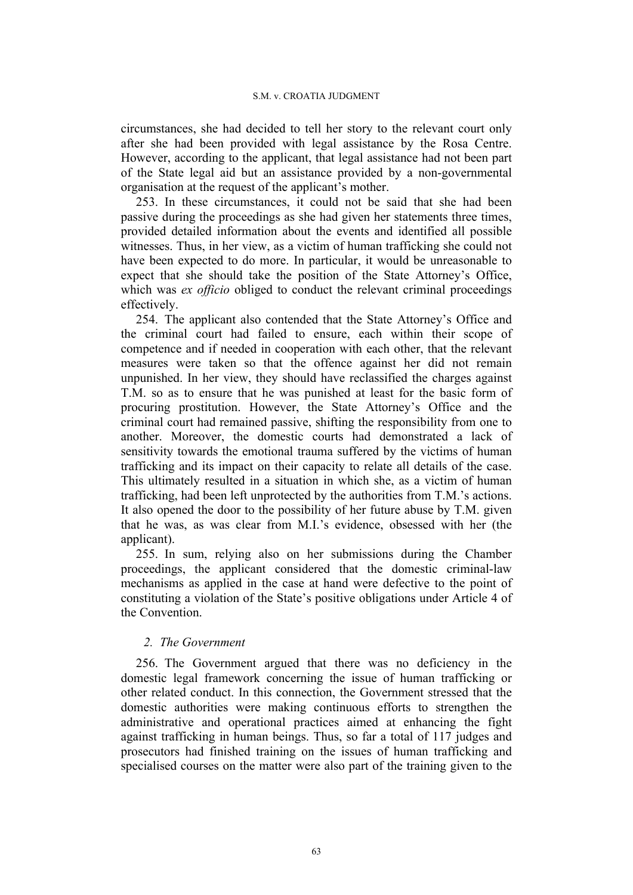circumstances, she had decided to tell her story to the relevant court only after she had been provided with legal assistance by the Rosa Centre. However, according to the applicant, that legal assistance had not been part of the State legal aid but an assistance provided by a non-governmental organisation at the request of the applicant's mother.

253. In these circumstances, it could not be said that she had been passive during the proceedings as she had given her statements three times, provided detailed information about the events and identified all possible witnesses. Thus, in her view, as a victim of human trafficking she could not have been expected to do more. In particular, it would be unreasonable to expect that she should take the position of the State Attorney's Office, which was *ex officio* obliged to conduct the relevant criminal proceedings effectively.

254. The applicant also contended that the State Attorney's Office and the criminal court had failed to ensure, each within their scope of competence and if needed in cooperation with each other, that the relevant measures were taken so that the offence against her did not remain unpunished. In her view, they should have reclassified the charges against T.M. so as to ensure that he was punished at least for the basic form of procuring prostitution. However, the State Attorney's Office and the criminal court had remained passive, shifting the responsibility from one to another. Moreover, the domestic courts had demonstrated a lack of sensitivity towards the emotional trauma suffered by the victims of human trafficking and its impact on their capacity to relate all details of the case. This ultimately resulted in a situation in which she, as a victim of human trafficking, had been left unprotected by the authorities from T.M.'s actions. It also opened the door to the possibility of her future abuse by T.M. given that he was, as was clear from M.I.'s evidence, obsessed with her (the applicant).

255. In sum, relying also on her submissions during the Chamber proceedings, the applicant considered that the domestic criminal-law mechanisms as applied in the case at hand were defective to the point of constituting a violation of the State's positive obligations under Article 4 of the Convention.

# *2. The Government*

256. The Government argued that there was no deficiency in the domestic legal framework concerning the issue of human trafficking or other related conduct. In this connection, the Government stressed that the domestic authorities were making continuous efforts to strengthen the administrative and operational practices aimed at enhancing the fight against trafficking in human beings. Thus, so far a total of 117 judges and prosecutors had finished training on the issues of human trafficking and specialised courses on the matter were also part of the training given to the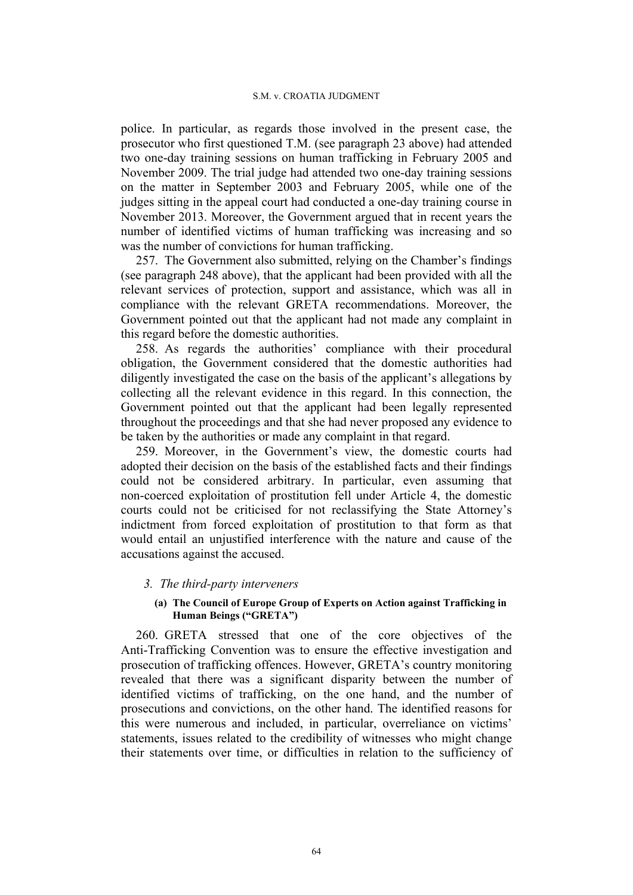police. In particular, as regards those involved in the present case, the prosecutor who first questioned T.M. (see paragraph 23 above) had attended two one-day training sessions on human trafficking in February 2005 and November 2009. The trial judge had attended two one-day training sessions on the matter in September 2003 and February 2005, while one of the judges sitting in the appeal court had conducted a one-day training course in November 2013. Moreover, the Government argued that in recent years the number of identified victims of human trafficking was increasing and so was the number of convictions for human trafficking.

257. The Government also submitted, relying on the Chamber's findings (see paragraph 248 above), that the applicant had been provided with all the relevant services of protection, support and assistance, which was all in compliance with the relevant GRETA recommendations. Moreover, the Government pointed out that the applicant had not made any complaint in this regard before the domestic authorities.

258. As regards the authorities' compliance with their procedural obligation, the Government considered that the domestic authorities had diligently investigated the case on the basis of the applicant's allegations by collecting all the relevant evidence in this regard. In this connection, the Government pointed out that the applicant had been legally represented throughout the proceedings and that she had never proposed any evidence to be taken by the authorities or made any complaint in that regard.

259. Moreover, in the Government's view, the domestic courts had adopted their decision on the basis of the established facts and their findings could not be considered arbitrary. In particular, even assuming that non-coerced exploitation of prostitution fell under Article 4, the domestic courts could not be criticised for not reclassifying the State Attorney's indictment from forced exploitation of prostitution to that form as that would entail an unjustified interference with the nature and cause of the accusations against the accused.

## *3. The third-party interveners*

## **(a) The Council of Europe Group of Experts on Action against Trafficking in Human Beings ("GRETA")**

260. GRETA stressed that one of the core objectives of the Anti-Trafficking Convention was to ensure the effective investigation and prosecution of trafficking offences. However, GRETA's country monitoring revealed that there was a significant disparity between the number of identified victims of trafficking, on the one hand, and the number of prosecutions and convictions, on the other hand. The identified reasons for this were numerous and included, in particular, overreliance on victims' statements, issues related to the credibility of witnesses who might change their statements over time, or difficulties in relation to the sufficiency of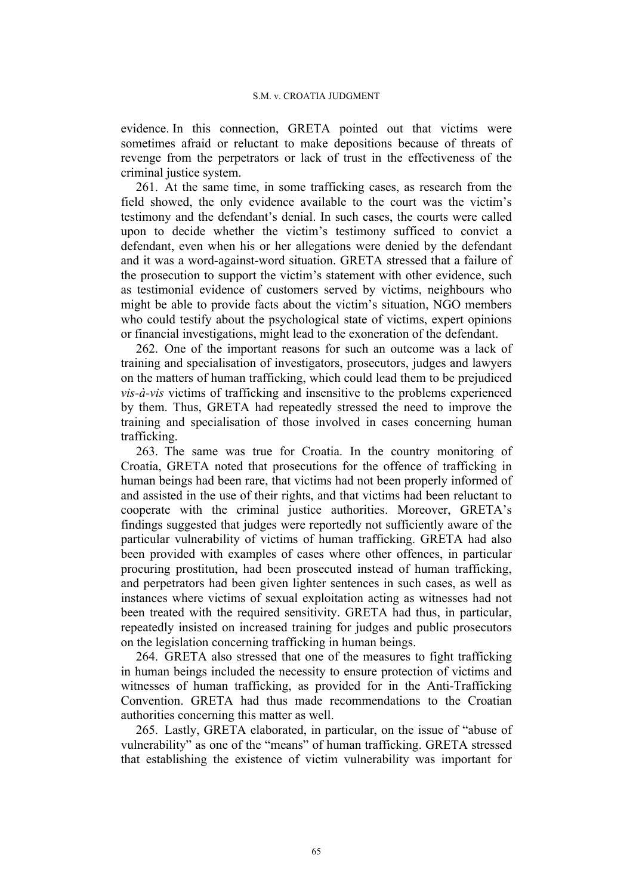evidence. In this connection, GRETA pointed out that victims were sometimes afraid or reluctant to make depositions because of threats of revenge from the perpetrators or lack of trust in the effectiveness of the criminal justice system.

261. At the same time, in some trafficking cases, as research from the field showed, the only evidence available to the court was the victim's testimony and the defendant's denial. In such cases, the courts were called upon to decide whether the victim's testimony sufficed to convict a defendant, even when his or her allegations were denied by the defendant and it was a word-against-word situation. GRETA stressed that a failure of the prosecution to support the victim's statement with other evidence, such as testimonial evidence of customers served by victims, neighbours who might be able to provide facts about the victim's situation, NGO members who could testify about the psychological state of victims, expert opinions or financial investigations, might lead to the exoneration of the defendant.

262. One of the important reasons for such an outcome was a lack of training and specialisation of investigators, prosecutors, judges and lawyers on the matters of human trafficking, which could lead them to be prejudiced *vis-à-vis* victims of trafficking and insensitive to the problems experienced by them. Thus, GRETA had repeatedly stressed the need to improve the training and specialisation of those involved in cases concerning human trafficking.

263. The same was true for Croatia. In the country monitoring of Croatia, GRETA noted that prosecutions for the offence of trafficking in human beings had been rare, that victims had not been properly informed of and assisted in the use of their rights, and that victims had been reluctant to cooperate with the criminal justice authorities. Moreover, GRETA's findings suggested that judges were reportedly not sufficiently aware of the particular vulnerability of victims of human trafficking. GRETA had also been provided with examples of cases where other offences, in particular procuring prostitution, had been prosecuted instead of human trafficking, and perpetrators had been given lighter sentences in such cases, as well as instances where victims of sexual exploitation acting as witnesses had not been treated with the required sensitivity. GRETA had thus, in particular, repeatedly insisted on increased training for judges and public prosecutors on the legislation concerning trafficking in human beings.

264. GRETA also stressed that one of the measures to fight trafficking in human beings included the necessity to ensure protection of victims and witnesses of human trafficking, as provided for in the Anti-Trafficking Convention. GRETA had thus made recommendations to the Croatian authorities concerning this matter as well.

265. Lastly, GRETA elaborated, in particular, on the issue of "abuse of vulnerability" as one of the "means" of human trafficking. GRETA stressed that establishing the existence of victim vulnerability was important for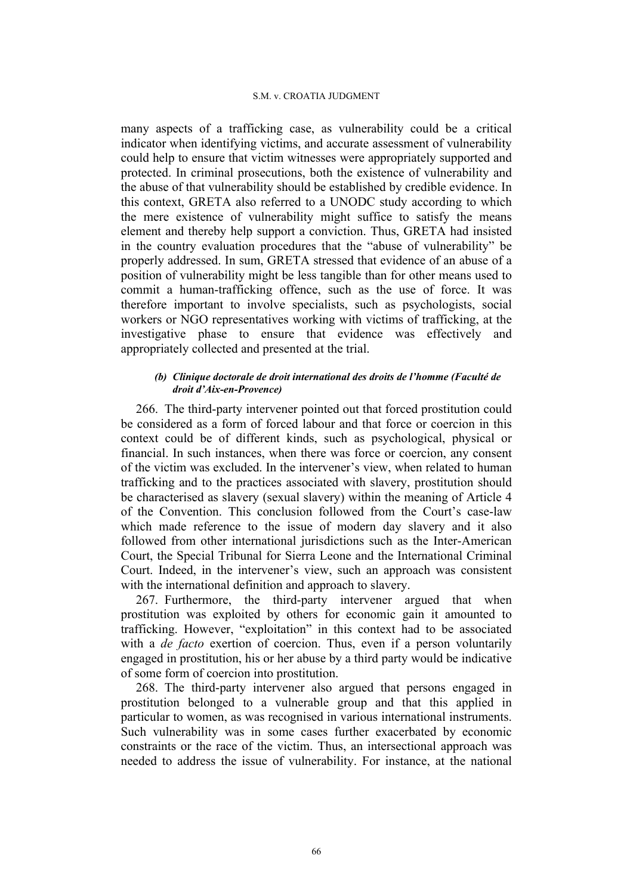many aspects of a trafficking case, as vulnerability could be a critical indicator when identifying victims, and accurate assessment of vulnerability could help to ensure that victim witnesses were appropriately supported and protected. In criminal prosecutions, both the existence of vulnerability and the abuse of that vulnerability should be established by credible evidence. In this context, GRETA also referred to a UNODC study according to which the mere existence of vulnerability might suffice to satisfy the means element and thereby help support a conviction. Thus, GRETA had insisted in the country evaluation procedures that the "abuse of vulnerability" be properly addressed. In sum, GRETA stressed that evidence of an abuse of a position of vulnerability might be less tangible than for other means used to commit a human-trafficking offence, such as the use of force. It was therefore important to involve specialists, such as psychologists, social workers or NGO representatives working with victims of trafficking, at the investigative phase to ensure that evidence was effectively and appropriately collected and presented at the trial.

## *(b) Clinique doctorale de droit international des droits de l'homme (Faculté de droit d'Aix-en-Provence)*

266. The third-party intervener pointed out that forced prostitution could be considered as a form of forced labour and that force or coercion in this context could be of different kinds, such as psychological, physical or financial. In such instances, when there was force or coercion, any consent of the victim was excluded. In the intervener's view, when related to human trafficking and to the practices associated with slavery, prostitution should be characterised as slavery (sexual slavery) within the meaning of Article 4 of the Convention. This conclusion followed from the Court's case-law which made reference to the issue of modern day slavery and it also followed from other international jurisdictions such as the Inter-American Court, the Special Tribunal for Sierra Leone and the International Criminal Court. Indeed, in the intervener's view, such an approach was consistent with the international definition and approach to slavery.

267. Furthermore, the third-party intervener argued that when prostitution was exploited by others for economic gain it amounted to trafficking. However, "exploitation" in this context had to be associated with a *de facto* exertion of coercion. Thus, even if a person voluntarily engaged in prostitution, his or her abuse by a third party would be indicative of some form of coercion into prostitution.

268. The third-party intervener also argued that persons engaged in prostitution belonged to a vulnerable group and that this applied in particular to women, as was recognised in various international instruments. Such vulnerability was in some cases further exacerbated by economic constraints or the race of the victim. Thus, an intersectional approach was needed to address the issue of vulnerability. For instance, at the national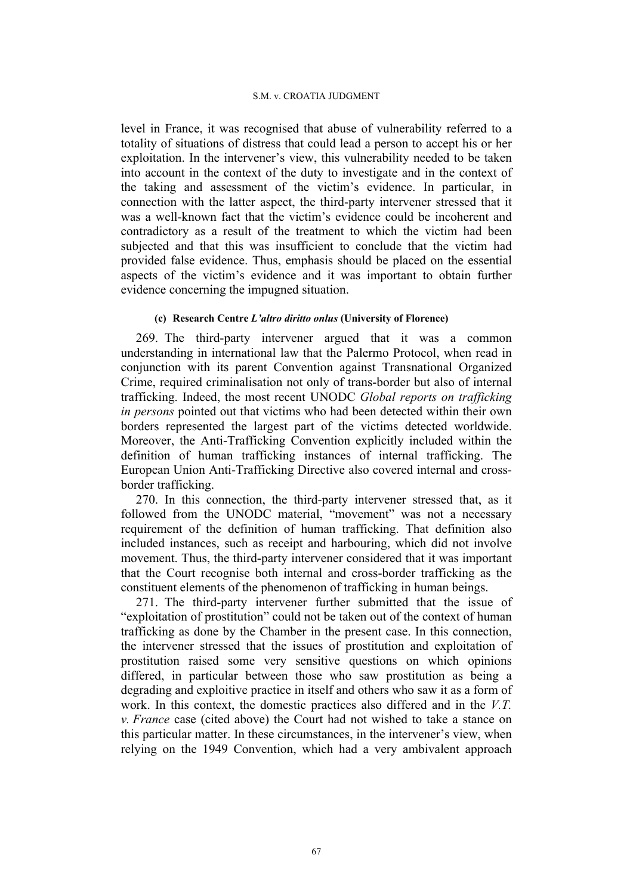level in France, it was recognised that abuse of vulnerability referred to a totality of situations of distress that could lead a person to accept his or her exploitation. In the intervener's view, this vulnerability needed to be taken into account in the context of the duty to investigate and in the context of the taking and assessment of the victim's evidence. In particular, in connection with the latter aspect, the third-party intervener stressed that it was a well-known fact that the victim's evidence could be incoherent and contradictory as a result of the treatment to which the victim had been subjected and that this was insufficient to conclude that the victim had provided false evidence. Thus, emphasis should be placed on the essential aspects of the victim's evidence and it was important to obtain further evidence concerning the impugned situation.

# **(c) Research Centre** *L'altro diritto onlus* **(University of Florence)**

269. The third-party intervener argued that it was a common understanding in international law that the Palermo Protocol, when read in conjunction with its parent Convention against Transnational Organized Crime, required criminalisation not only of trans-border but also of internal trafficking. Indeed, the most recent UNODC *Global reports on trafficking in persons* pointed out that victims who had been detected within their own borders represented the largest part of the victims detected worldwide. Moreover, the Anti-Trafficking Convention explicitly included within the definition of human trafficking instances of internal trafficking. The European Union Anti-Trafficking Directive also covered internal and crossborder trafficking.

270. In this connection, the third-party intervener stressed that, as it followed from the UNODC material, "movement" was not a necessary requirement of the definition of human trafficking. That definition also included instances, such as receipt and harbouring, which did not involve movement. Thus, the third-party intervener considered that it was important that the Court recognise both internal and cross-border trafficking as the constituent elements of the phenomenon of trafficking in human beings.

271. The third-party intervener further submitted that the issue of "exploitation of prostitution" could not be taken out of the context of human trafficking as done by the Chamber in the present case. In this connection, the intervener stressed that the issues of prostitution and exploitation of prostitution raised some very sensitive questions on which opinions differed, in particular between those who saw prostitution as being a degrading and exploitive practice in itself and others who saw it as a form of work. In this context, the domestic practices also differed and in the *V.T. v. France* case (cited above) the Court had not wished to take a stance on this particular matter. In these circumstances, in the intervener's view, when relying on the 1949 Convention, which had a very ambivalent approach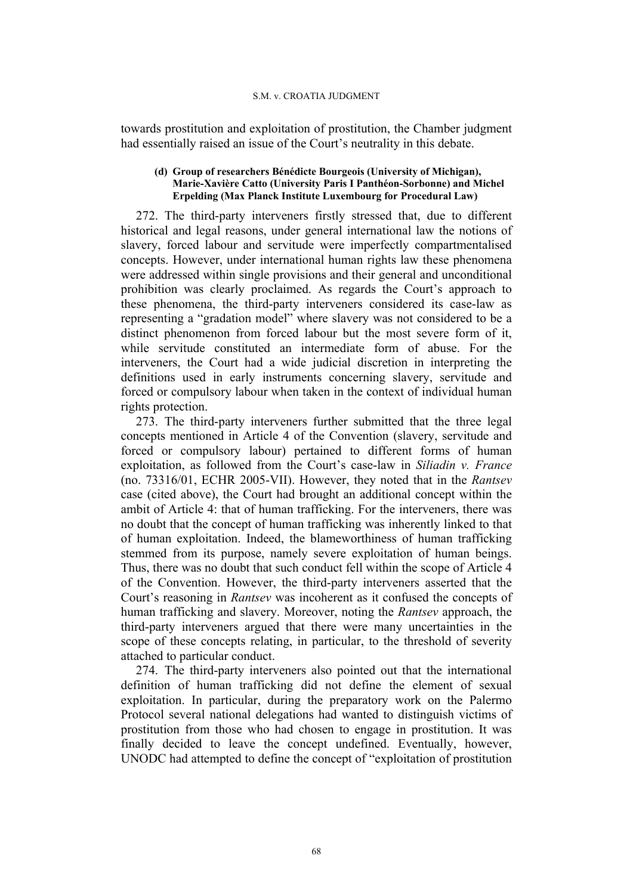towards prostitution and exploitation of prostitution, the Chamber judgment had essentially raised an issue of the Court's neutrality in this debate.

### **(d) Group of researchers Bénédicte Bourgeois (University of Michigan), Marie-Xavière Catto (University Paris I Panthéon-Sorbonne) and Michel Erpelding (Max Planck Institute Luxembourg for Procedural Law)**

272. The third-party interveners firstly stressed that, due to different historical and legal reasons, under general international law the notions of slavery, forced labour and servitude were imperfectly compartmentalised concepts. However, under international human rights law these phenomena were addressed within single provisions and their general and unconditional prohibition was clearly proclaimed. As regards the Court's approach to these phenomena, the third-party interveners considered its case-law as representing a "gradation model" where slavery was not considered to be a distinct phenomenon from forced labour but the most severe form of it, while servitude constituted an intermediate form of abuse. For the interveners, the Court had a wide judicial discretion in interpreting the definitions used in early instruments concerning slavery, servitude and forced or compulsory labour when taken in the context of individual human rights protection.

273. The third-party interveners further submitted that the three legal concepts mentioned in Article 4 of the Convention (slavery, servitude and forced or compulsory labour) pertained to different forms of human exploitation, as followed from the Court's case-law in *Siliadin v. France* (no. 73316/01, ECHR 2005-VII). However, they noted that in the *Rantsev* case (cited above), the Court had brought an additional concept within the ambit of Article 4: that of human trafficking. For the interveners, there was no doubt that the concept of human trafficking was inherently linked to that of human exploitation. Indeed, the blameworthiness of human trafficking stemmed from its purpose, namely severe exploitation of human beings. Thus, there was no doubt that such conduct fell within the scope of Article 4 of the Convention. However, the third-party interveners asserted that the Court's reasoning in *Rantsev* was incoherent as it confused the concepts of human trafficking and slavery. Moreover, noting the *Rantsev* approach, the third-party interveners argued that there were many uncertainties in the scope of these concepts relating, in particular, to the threshold of severity attached to particular conduct.

274. The third-party interveners also pointed out that the international definition of human trafficking did not define the element of sexual exploitation. In particular, during the preparatory work on the Palermo Protocol several national delegations had wanted to distinguish victims of prostitution from those who had chosen to engage in prostitution. It was finally decided to leave the concept undefined. Eventually, however, UNODC had attempted to define the concept of "exploitation of prostitution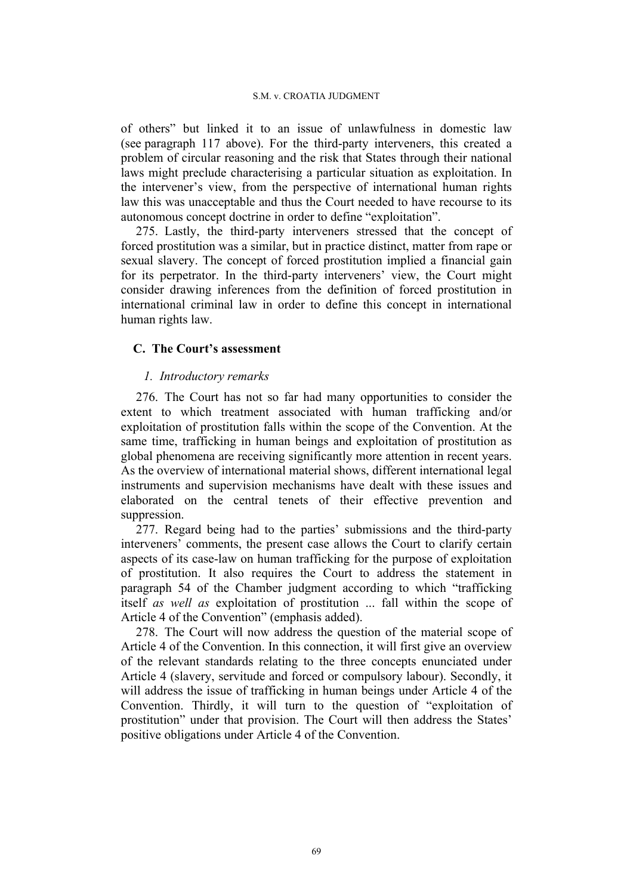of others" but linked it to an issue of unlawfulness in domestic law (see paragraph 117 above). For the third-party interveners, this created a problem of circular reasoning and the risk that States through their national laws might preclude characterising a particular situation as exploitation. In the intervener's view, from the perspective of international human rights law this was unacceptable and thus the Court needed to have recourse to its autonomous concept doctrine in order to define "exploitation".

275. Lastly, the third-party interveners stressed that the concept of forced prostitution was a similar, but in practice distinct, matter from rape or sexual slavery. The concept of forced prostitution implied a financial gain for its perpetrator. In the third-party interveners' view, the Court might consider drawing inferences from the definition of forced prostitution in international criminal law in order to define this concept in international human rights law.

# **C. The Court's assessment**

# *1. Introductory remarks*

276. The Court has not so far had many opportunities to consider the extent to which treatment associated with human trafficking and/or exploitation of prostitution falls within the scope of the Convention. At the same time, trafficking in human beings and exploitation of prostitution as global phenomena are receiving significantly more attention in recent years. As the overview of international material shows, different international legal instruments and supervision mechanisms have dealt with these issues and elaborated on the central tenets of their effective prevention and suppression.

277. Regard being had to the parties' submissions and the third-party interveners' comments, the present case allows the Court to clarify certain aspects of its case-law on human trafficking for the purpose of exploitation of prostitution. It also requires the Court to address the statement in paragraph 54 of the Chamber judgment according to which "trafficking itself *as well as* exploitation of prostitution ... fall within the scope of Article 4 of the Convention" (emphasis added).

278. The Court will now address the question of the material scope of Article 4 of the Convention. In this connection, it will first give an overview of the relevant standards relating to the three concepts enunciated under Article 4 (slavery, servitude and forced or compulsory labour). Secondly, it will address the issue of trafficking in human beings under Article 4 of the Convention. Thirdly, it will turn to the question of "exploitation of prostitution" under that provision. The Court will then address the States' positive obligations under Article 4 of the Convention.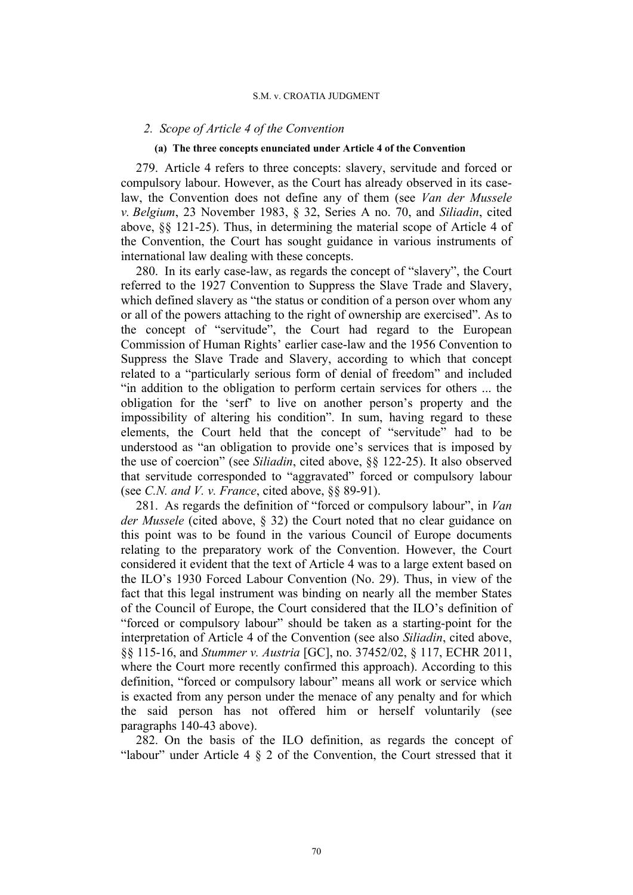### *2. Scope of Article 4 of the Convention*

### **(a) The three concepts enunciated under Article 4 of the Convention**

279. Article 4 refers to three concepts: slavery, servitude and forced or compulsory labour. However, as the Court has already observed in its caselaw, the Convention does not define any of them (see *Van der Mussele v. Belgium*, 23 November 1983, § 32, Series A no. 70, and *Siliadin*, cited above, §§ 121-25). Thus, in determining the material scope of Article 4 of the Convention, the Court has sought guidance in various instruments of international law dealing with these concepts.

280. In its early case-law, as regards the concept of "slavery", the Court referred to the 1927 Convention to Suppress the Slave Trade and Slavery, which defined slavery as "the status or condition of a person over whom any or all of the powers attaching to the right of ownership are exercised". As to the concept of "servitude", the Court had regard to the European Commission of Human Rights' earlier case-law and the 1956 Convention to Suppress the Slave Trade and Slavery, according to which that concept related to a "particularly serious form of denial of freedom" and included "in addition to the obligation to perform certain services for others ... the obligation for the 'serf' to live on another person's property and the impossibility of altering his condition". In sum, having regard to these elements, the Court held that the concept of "servitude" had to be understood as "an obligation to provide one's services that is imposed by the use of coercion" (see *Siliadin*, cited above, §§ 122-25). It also observed that servitude corresponded to "aggravated" forced or compulsory labour (see *C.N. and V. v. France*, cited above, §§ 89-91).

281. As regards the definition of "forced or compulsory labour", in *Van der Mussele* (cited above, § 32) the Court noted that no clear guidance on this point was to be found in the various Council of Europe documents relating to the preparatory work of the Convention. However, the Court considered it evident that the text of Article 4 was to a large extent based on the ILO's 1930 Forced Labour Convention (No. 29). Thus, in view of the fact that this legal instrument was binding on nearly all the member States of the Council of Europe, the Court considered that the ILO's definition of "forced or compulsory labour" should be taken as a starting-point for the interpretation of Article 4 of the Convention (see also *Siliadin*, cited above, §§ 115-16, and *Stummer v. Austria* [GC], no. 37452/02, § 117, ECHR 2011, where the Court more recently confirmed this approach). According to this definition, "forced or compulsory labour" means all work or service which is exacted from any person under the menace of any penalty and for which the said person has not offered him or herself voluntarily (see paragraphs 140-43 above).

282. On the basis of the ILO definition, as regards the concept of "labour" under Article  $4 \S 2$  of the Convention, the Court stressed that it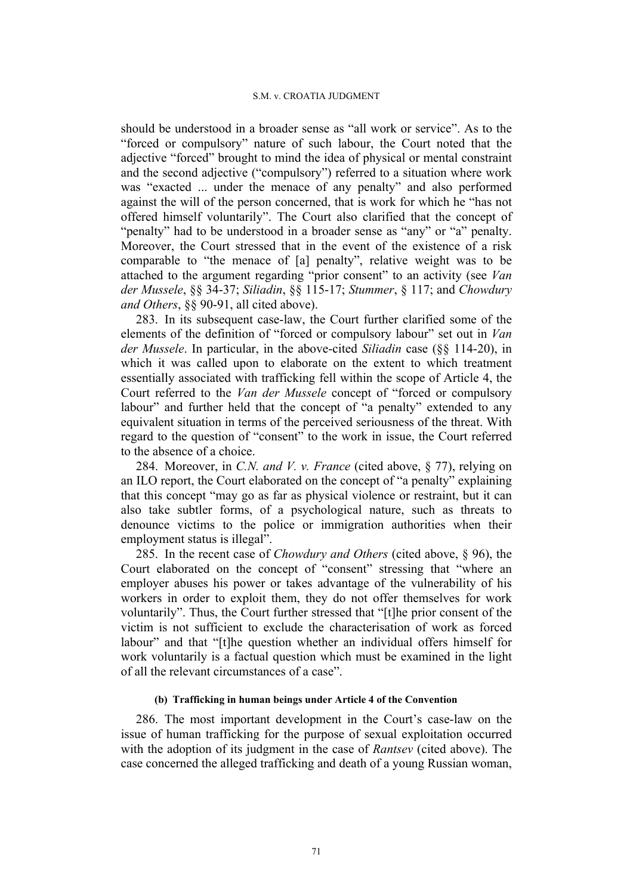should be understood in a broader sense as "all work or service". As to the "forced or compulsory" nature of such labour, the Court noted that the adjective "forced" brought to mind the idea of physical or mental constraint and the second adjective ("compulsory") referred to a situation where work was "exacted ... under the menace of any penalty" and also performed against the will of the person concerned, that is work for which he "has not offered himself voluntarily". The Court also clarified that the concept of "penalty" had to be understood in a broader sense as "any" or "a" penalty. Moreover, the Court stressed that in the event of the existence of a risk comparable to "the menace of [a] penalty", relative weight was to be attached to the argument regarding "prior consent" to an activity (see *Van der Mussele*, §§ 34-37; *Siliadin*, §§ 115-17; *Stummer*, § 117; and *Chowdury and Others*, §§ 90-91, all cited above).

283. In its subsequent case-law, the Court further clarified some of the elements of the definition of "forced or compulsory labour" set out in *Van der Mussele*. In particular, in the above-cited *Siliadin* case (§§ 114-20), in which it was called upon to elaborate on the extent to which treatment essentially associated with trafficking fell within the scope of Article 4, the Court referred to the *Van der Mussele* concept of "forced or compulsory labour" and further held that the concept of "a penalty" extended to any equivalent situation in terms of the perceived seriousness of the threat. With regard to the question of "consent" to the work in issue, the Court referred to the absence of a choice.

284. Moreover, in *C.N. and V. v. France* (cited above, § 77), relying on an ILO report, the Court elaborated on the concept of "a penalty" explaining that this concept "may go as far as physical violence or restraint, but it can also take subtler forms, of a psychological nature, such as threats to denounce victims to the police or immigration authorities when their employment status is illegal".

285. In the recent case of *Chowdury and Others* (cited above, § 96), the Court elaborated on the concept of "consent" stressing that "where an employer abuses his power or takes advantage of the vulnerability of his workers in order to exploit them, they do not offer themselves for work voluntarily". Thus, the Court further stressed that "[t]he prior consent of the victim is not sufficient to exclude the characterisation of work as forced labour" and that "[t]he question whether an individual offers himself for work voluntarily is a factual question which must be examined in the light of all the relevant circumstances of a case".

### **(b) Trafficking in human beings under Article 4 of the Convention**

286. The most important development in the Court's case-law on the issue of human trafficking for the purpose of sexual exploitation occurred with the adoption of its judgment in the case of *Rantsev* (cited above). The case concerned the alleged trafficking and death of a young Russian woman,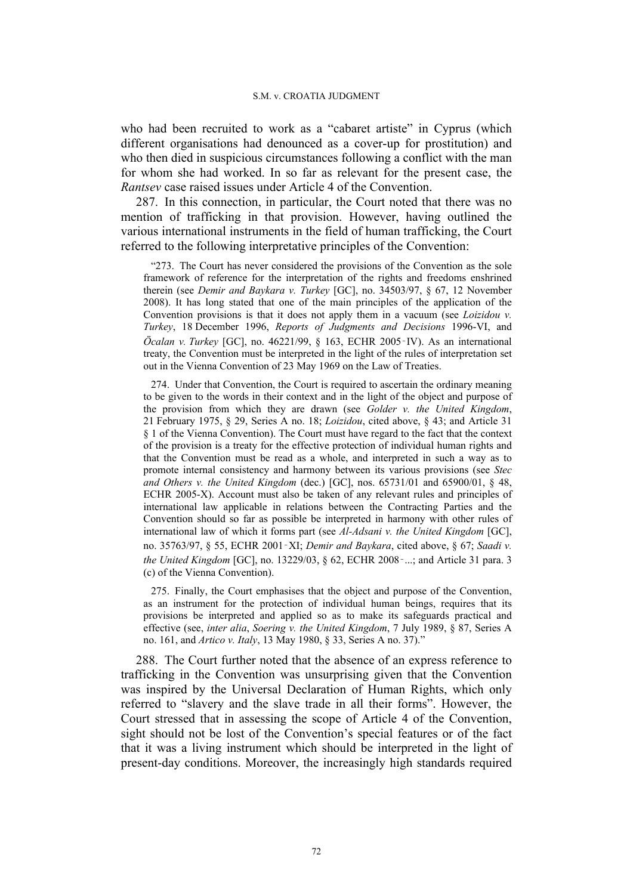who had been recruited to work as a "cabaret artiste" in Cyprus (which different organisations had denounced as a cover-up for prostitution) and who then died in suspicious circumstances following a conflict with the man for whom she had worked. In so far as relevant for the present case, the *Rantsev* case raised issues under Article 4 of the Convention.

287. In this connection, in particular, the Court noted that there was no mention of trafficking in that provision. However, having outlined the various international instruments in the field of human trafficking, the Court referred to the following interpretative principles of the Convention:

"273. The Court has never considered the provisions of the Convention as the sole framework of reference for the interpretation of the rights and freedoms enshrined therein (see *Demir and Baykara v. Turkey* [GC], no. 34503/97, § 67, 12 November 2008). It has long stated that one of the main principles of the application of the Convention provisions is that it does not apply them in a vacuum (see *Loizidou v. Turkey*, 18 December 1996, *Reports of Judgments and Decisions* 1996-VI, and *Öcalan v. Turkey* [GC], no. 46221/99, § 163, ECHR 2005‑IV). As an international treaty, the Convention must be interpreted in the light of the rules of interpretation set out in the Vienna Convention of 23 May 1969 on the Law of Treaties.

274. Under that Convention, the Court is required to ascertain the ordinary meaning to be given to the words in their context and in the light of the object and purpose of the provision from which they are drawn (see *Golder v. the United Kingdom*, 21 February 1975, § 29, Series A no. 18; *Loizidou*, cited above, § 43; and Article 31 § 1 of the Vienna Convention). The Court must have regard to the fact that the context of the provision is a treaty for the effective protection of individual human rights and that the Convention must be read as a whole, and interpreted in such a way as to promote internal consistency and harmony between its various provisions (see *Stec and Others v. the United Kingdom* (dec.) [GC], nos. 65731/01 and 65900/01, § 48, ECHR 2005-X). Account must also be taken of any relevant rules and principles of international law applicable in relations between the Contracting Parties and the Convention should so far as possible be interpreted in harmony with other rules of international law of which it forms part (see *Al-Adsani v. the United Kingdom* [GC], no. 35763/97, § 55, ECHR 2001‑XI; *Demir and Baykara*, cited above, § 67; *Saadi v. the United Kingdom* [GC], no. 13229/03, § 62, ECHR 2008‑...; and Article 31 para. 3 (c) of the Vienna Convention).

275. Finally, the Court emphasises that the object and purpose of the Convention, as an instrument for the protection of individual human beings, requires that its provisions be interpreted and applied so as to make its safeguards practical and effective (see, *inter alia*, *Soering v. the United Kingdom*, 7 July 1989, § 87, Series A no. 161, and *Artico v. Italy*, 13 May 1980, § 33, Series A no. 37)."

288. The Court further noted that the absence of an express reference to trafficking in the Convention was unsurprising given that the Convention was inspired by the Universal Declaration of Human Rights, which only referred to "slavery and the slave trade in all their forms". However, the Court stressed that in assessing the scope of Article 4 of the Convention, sight should not be lost of the Convention's special features or of the fact that it was a living instrument which should be interpreted in the light of present-day conditions. Moreover, the increasingly high standards required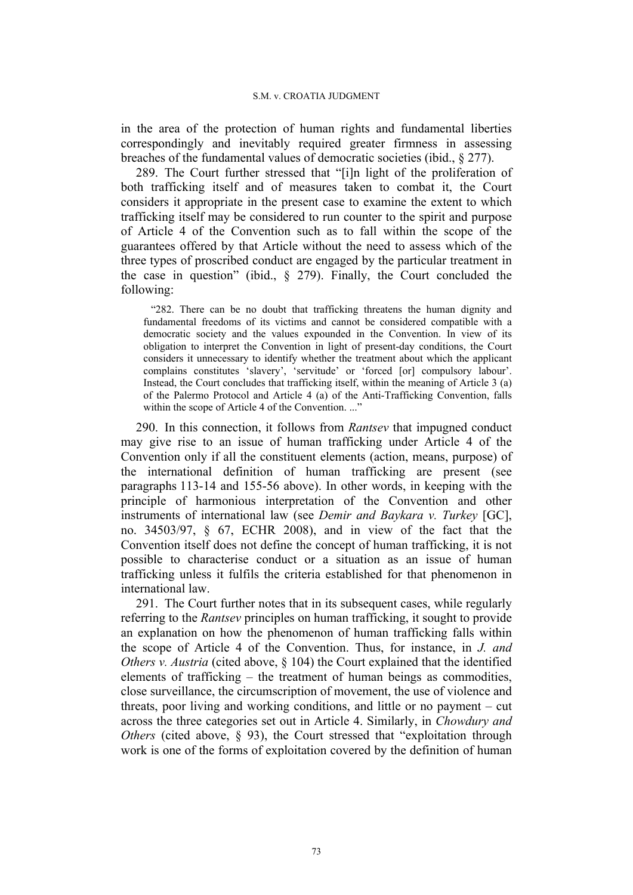in the area of the protection of human rights and fundamental liberties correspondingly and inevitably required greater firmness in assessing breaches of the fundamental values of democratic societies (ibid., § 277).

289. The Court further stressed that "[i]n light of the proliferation of both trafficking itself and of measures taken to combat it, the Court considers it appropriate in the present case to examine the extent to which trafficking itself may be considered to run counter to the spirit and purpose of Article 4 of the Convention such as to fall within the scope of the guarantees offered by that Article without the need to assess which of the three types of proscribed conduct are engaged by the particular treatment in the case in question" (ibid.,  $\S$  279). Finally, the Court concluded the following:

"282. There can be no doubt that trafficking threatens the human dignity and fundamental freedoms of its victims and cannot be considered compatible with a democratic society and the values expounded in the Convention. In view of its obligation to interpret the Convention in light of present-day conditions, the Court considers it unnecessary to identify whether the treatment about which the applicant complains constitutes 'slavery', 'servitude' or 'forced [or] compulsory labour'. Instead, the Court concludes that trafficking itself, within the meaning of Article 3 (a) of the Palermo Protocol and Article 4 (a) of the Anti-Trafficking Convention, falls within the scope of Article 4 of the Convention..."

290. In this connection, it follows from *Rantsev* that impugned conduct may give rise to an issue of human trafficking under Article 4 of the Convention only if all the constituent elements (action, means, purpose) of the international definition of human trafficking are present (see paragraphs 113-14 and 155-56 above). In other words, in keeping with the principle of harmonious interpretation of the Convention and other instruments of international law (see *Demir and Baykara v. Turkey* [GC], no. 34503/97, § 67, ECHR 2008), and in view of the fact that the Convention itself does not define the concept of human trafficking, it is not possible to characterise conduct or a situation as an issue of human trafficking unless it fulfils the criteria established for that phenomenon in international law.

291. The Court further notes that in its subsequent cases, while regularly referring to the *Rantsev* principles on human trafficking, it sought to provide an explanation on how the phenomenon of human trafficking falls within the scope of Article 4 of the Convention. Thus, for instance, in *J. and Others v. Austria* (cited above, § 104) the Court explained that the identified elements of trafficking – the treatment of human beings as commodities, close surveillance, the circumscription of movement, the use of violence and threats, poor living and working conditions, and little or no payment – cut across the three categories set out in Article 4. Similarly, in *Chowdury and Others* (cited above, § 93), the Court stressed that "exploitation through work is one of the forms of exploitation covered by the definition of human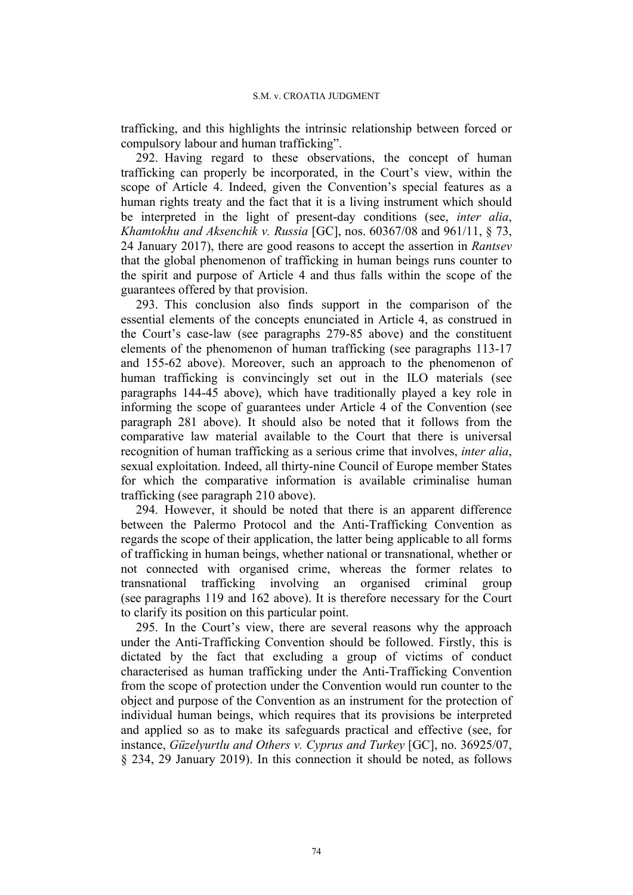trafficking, and this highlights the intrinsic relationship between forced or compulsory labour and human trafficking".

292. Having regard to these observations, the concept of human trafficking can properly be incorporated, in the Court's view, within the scope of Article 4. Indeed, given the Convention's special features as a human rights treaty and the fact that it is a living instrument which should be interpreted in the light of present-day conditions (see, *inter alia*, *Khamtokhu and Aksenchik v. Russia* [GC], nos. 60367/08 and 961/11, § 73, 24 January 2017), there are good reasons to accept the assertion in *Rantsev* that the global phenomenon of trafficking in human beings runs counter to the spirit and purpose of Article 4 and thus falls within the scope of the guarantees offered by that provision.

293. This conclusion also finds support in the comparison of the essential elements of the concepts enunciated in Article 4, as construed in the Court's case-law (see paragraphs 279-85 above) and the constituent elements of the phenomenon of human trafficking (see paragraphs 113-17 and 155-62 above). Moreover, such an approach to the phenomenon of human trafficking is convincingly set out in the ILO materials (see paragraphs 144-45 above), which have traditionally played a key role in informing the scope of guarantees under Article 4 of the Convention (see paragraph 281 above). It should also be noted that it follows from the comparative law material available to the Court that there is universal recognition of human trafficking as a serious crime that involves, *inter alia*, sexual exploitation. Indeed, all thirty-nine Council of Europe member States for which the comparative information is available criminalise human trafficking (see paragraph 210 above).

294. However, it should be noted that there is an apparent difference between the Palermo Protocol and the Anti-Trafficking Convention as regards the scope of their application, the latter being applicable to all forms of trafficking in human beings, whether national or transnational, whether or not connected with organised crime, whereas the former relates to transnational trafficking involving an organised criminal group (see paragraphs 119 and 162 above). It is therefore necessary for the Court to clarify its position on this particular point.

295. In the Court's view, there are several reasons why the approach under the Anti-Trafficking Convention should be followed. Firstly, this is dictated by the fact that excluding a group of victims of conduct characterised as human trafficking under the Anti-Trafficking Convention from the scope of protection under the Convention would run counter to the object and purpose of the Convention as an instrument for the protection of individual human beings, which requires that its provisions be interpreted and applied so as to make its safeguards practical and effective (see, for instance, *Güzelyurtlu and Others v. Cyprus and Turkey* [GC], no. 36925/07, § 234, 29 January 2019). In this connection it should be noted, as follows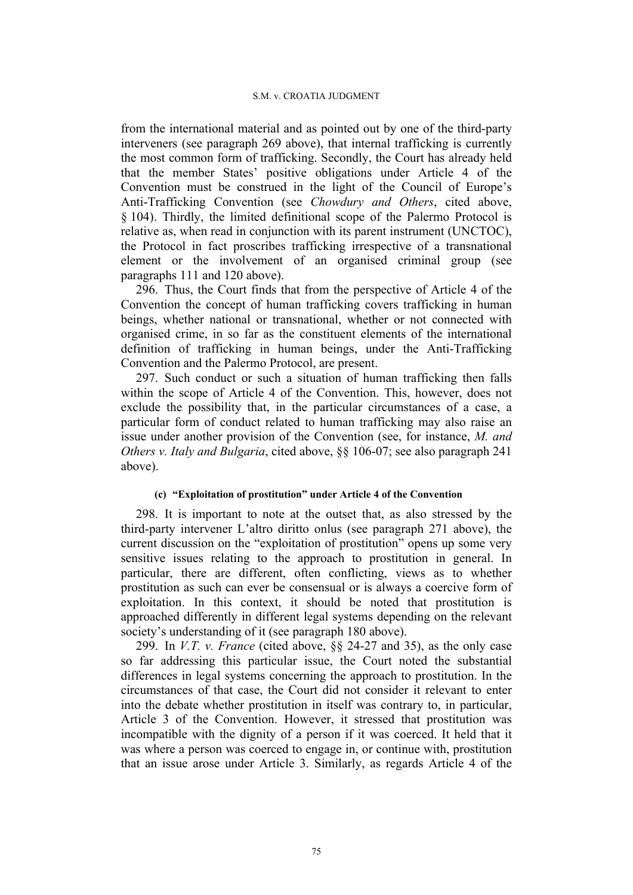#### S.M. v. CROATIA JUDGMENT

from the international material and as pointed out by one of the third-party interveners (see paragraph 269 above), that internal trafficking is currently the most common form of trafficking. Secondly, the Court has already held that the member States' positive obligations under Article 4 of the Convention must be construed in the light of the Council of Europe's Anti-Trafficking Convention (see *Chowdury and Others*, cited above, § 104). Thirdly, the limited definitional scope of the Palermo Protocol is relative as, when read in conjunction with its parent instrument (UNCTOC), the Protocol in fact proscribes trafficking irrespective of a transnational element or the involvement of an organised criminal group (see paragraphs 111 and 120 above).

296. Thus, the Court finds that from the perspective of Article 4 of the Convention the concept of human trafficking covers trafficking in human beings, whether national or transnational, whether or not connected with organised crime, in so far as the constituent elements of the international definition of trafficking in human beings, under the Anti-Trafficking Convention and the Palermo Protocol, are present.

297. Such conduct or such a situation of human trafficking then falls within the scope of Article 4 of the Convention. This, however, does not exclude the possibility that, in the particular circumstances of a case, a particular form of conduct related to human trafficking may also raise an issue under another provision of the Convention (see, for instance, *M. and Others v. Italy and Bulgaria*, cited above, §§ 106-07; see also paragraph 241 above).

### **(c) "Exploitation of prostitution" under Article 4 of the Convention**

298. It is important to note at the outset that, as also stressed by the third-party intervener L'altro diritto onlus (see paragraph 271 above), the current discussion on the "exploitation of prostitution" opens up some very sensitive issues relating to the approach to prostitution in general. In particular, there are different, often conflicting, views as to whether prostitution as such can ever be consensual or is always a coercive form of exploitation. In this context, it should be noted that prostitution is approached differently in different legal systems depending on the relevant society's understanding of it (see paragraph 180 above).

299. In *V.T. v. France* (cited above, §§ 24-27 and 35), as the only case so far addressing this particular issue, the Court noted the substantial differences in legal systems concerning the approach to prostitution. In the circumstances of that case, the Court did not consider it relevant to enter into the debate whether prostitution in itself was contrary to, in particular, Article 3 of the Convention. However, it stressed that prostitution was incompatible with the dignity of a person if it was coerced. It held that it was where a person was coerced to engage in, or continue with, prostitution that an issue arose under Article 3. Similarly, as regards Article 4 of the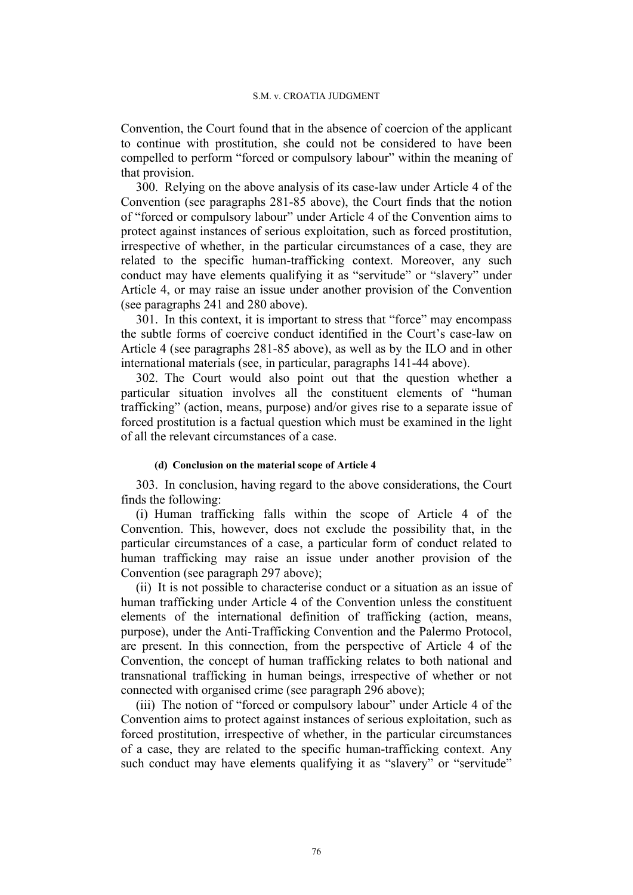Convention, the Court found that in the absence of coercion of the applicant to continue with prostitution, she could not be considered to have been compelled to perform "forced or compulsory labour" within the meaning of that provision.

300. Relying on the above analysis of its case-law under Article 4 of the Convention (see paragraphs 281-85 above), the Court finds that the notion of "forced or compulsory labour" under Article 4 of the Convention aims to protect against instances of serious exploitation, such as forced prostitution, irrespective of whether, in the particular circumstances of a case, they are related to the specific human-trafficking context. Moreover, any such conduct may have elements qualifying it as "servitude" or "slavery" under Article 4, or may raise an issue under another provision of the Convention (see paragraphs 241 and 280 above).

301. In this context, it is important to stress that "force" may encompass the subtle forms of coercive conduct identified in the Court's case-law on Article 4 (see paragraphs 281-85 above), as well as by the ILO and in other international materials (see, in particular, paragraphs 141-44 above).

302. The Court would also point out that the question whether a particular situation involves all the constituent elements of "human trafficking" (action, means, purpose) and/or gives rise to a separate issue of forced prostitution is a factual question which must be examined in the light of all the relevant circumstances of a case.

#### **(d) Conclusion on the material scope of Article 4**

303. In conclusion, having regard to the above considerations, the Court finds the following:

(i) Human trafficking falls within the scope of Article 4 of the Convention. This, however, does not exclude the possibility that, in the particular circumstances of a case, a particular form of conduct related to human trafficking may raise an issue under another provision of the Convention (see paragraph 297 above);

(ii) It is not possible to characterise conduct or a situation as an issue of human trafficking under Article 4 of the Convention unless the constituent elements of the international definition of trafficking (action, means, purpose), under the Anti-Trafficking Convention and the Palermo Protocol, are present. In this connection, from the perspective of Article 4 of the Convention, the concept of human trafficking relates to both national and transnational trafficking in human beings, irrespective of whether or not connected with organised crime (see paragraph 296 above);

(iii) The notion of "forced or compulsory labour" under Article 4 of the Convention aims to protect against instances of serious exploitation, such as forced prostitution, irrespective of whether, in the particular circumstances of a case, they are related to the specific human-trafficking context. Any such conduct may have elements qualifying it as "slavery" or "servitude"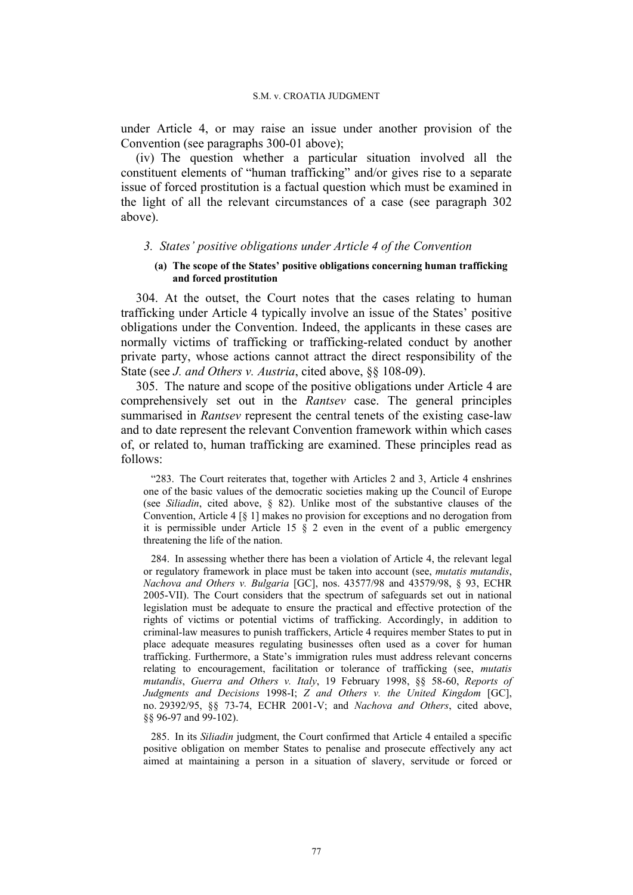under Article 4, or may raise an issue under another provision of the Convention (see paragraphs 300-01 above);

(iv) The question whether a particular situation involved all the constituent elements of "human trafficking" and/or gives rise to a separate issue of forced prostitution is a factual question which must be examined in the light of all the relevant circumstances of a case (see paragraph 302 above).

### *3. States' positive obligations under Article 4 of the Convention*

### **(a) The scope of the States' positive obligations concerning human trafficking and forced prostitution**

304. At the outset, the Court notes that the cases relating to human trafficking under Article 4 typically involve an issue of the States' positive obligations under the Convention. Indeed, the applicants in these cases are normally victims of trafficking or trafficking-related conduct by another private party, whose actions cannot attract the direct responsibility of the State (see *J. and Others v. Austria*, cited above, §§ 108-09).

305. The nature and scope of the positive obligations under Article 4 are comprehensively set out in the *Rantsev* case. The general principles summarised in *Rantsev* represent the central tenets of the existing case-law and to date represent the relevant Convention framework within which cases of, or related to, human trafficking are examined. These principles read as follows:

"283. The Court reiterates that, together with Articles 2 and 3, Article 4 enshrines one of the basic values of the democratic societies making up the Council of Europe (see *Siliadin*, cited above, § 82). Unlike most of the substantive clauses of the Convention, Article 4 [§ 1] makes no provision for exceptions and no derogation from it is permissible under Article 15  $\S$  2 even in the event of a public emergency threatening the life of the nation.

284. In assessing whether there has been a violation of Article 4, the relevant legal or regulatory framework in place must be taken into account (see, *mutatis mutandis*, *Nachova and Others v. Bulgaria* [GC], nos. 43577/98 and 43579/98, § 93, ECHR 2005-VII). The Court considers that the spectrum of safeguards set out in national legislation must be adequate to ensure the practical and effective protection of the rights of victims or potential victims of trafficking. Accordingly, in addition to criminal-law measures to punish traffickers, Article 4 requires member States to put in place adequate measures regulating businesses often used as a cover for human trafficking. Furthermore, a State's immigration rules must address relevant concerns relating to encouragement, facilitation or tolerance of trafficking (see, *mutatis mutandis*, *Guerra and Others v. Italy*, 19 February 1998, §§ 58-60, *Reports of Judgments and Decisions* 1998-I; *Z and Others v. the United Kingdom* [GC], no. 29392/95, §§ 73-74, ECHR 2001-V; and *Nachova and Others*, cited above, §§ 96-97 and 99-102).

285. In its *Siliadin* judgment, the Court confirmed that Article 4 entailed a specific positive obligation on member States to penalise and prosecute effectively any act aimed at maintaining a person in a situation of slavery, servitude or forced or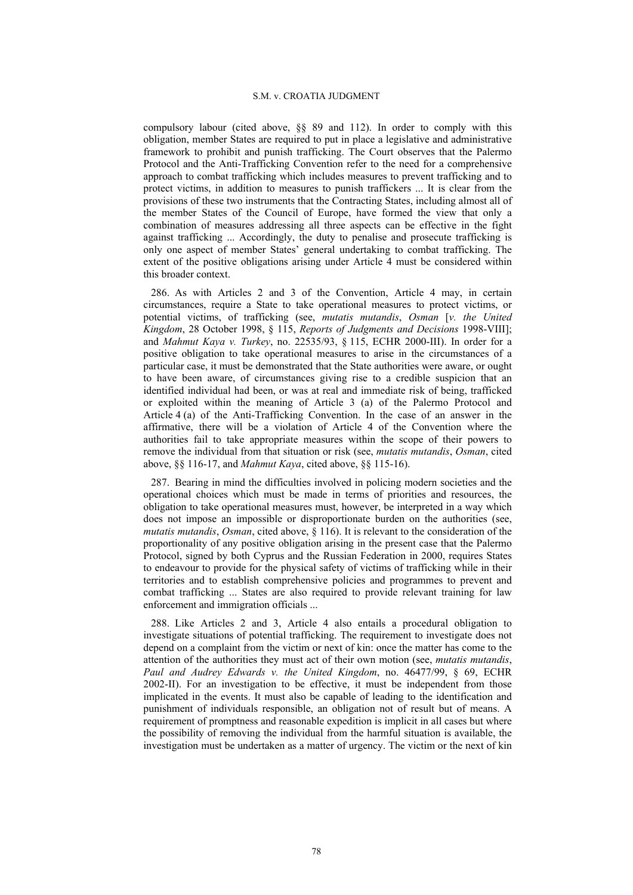#### S.M. v. CROATIA JUDGMENT

compulsory labour (cited above, §§ 89 and 112). In order to comply with this obligation, member States are required to put in place a legislative and administrative framework to prohibit and punish trafficking. The Court observes that the Palermo Protocol and the Anti-Trafficking Convention refer to the need for a comprehensive approach to combat trafficking which includes measures to prevent trafficking and to protect victims, in addition to measures to punish traffickers ... It is clear from the provisions of these two instruments that the Contracting States, including almost all of the member States of the Council of Europe, have formed the view that only a combination of measures addressing all three aspects can be effective in the fight against trafficking ... Accordingly, the duty to penalise and prosecute trafficking is only one aspect of member States' general undertaking to combat trafficking. The extent of the positive obligations arising under Article 4 must be considered within this broader context.

286. As with Articles 2 and 3 of the Convention, Article 4 may, in certain circumstances, require a State to take operational measures to protect victims, or potential victims, of trafficking (see, *mutatis mutandis*, *Osman* [*v. the United Kingdom*, 28 October 1998, § 115, *Reports of Judgments and Decisions* 1998-VIII]; and *Mahmut Kaya v. Turkey*, no. 22535/93, § 115, ECHR 2000-III). In order for a positive obligation to take operational measures to arise in the circumstances of a particular case, it must be demonstrated that the State authorities were aware, or ought to have been aware, of circumstances giving rise to a credible suspicion that an identified individual had been, or was at real and immediate risk of being, trafficked or exploited within the meaning of Article 3 (a) of the Palermo Protocol and Article 4 (a) of the Anti-Trafficking Convention. In the case of an answer in the affirmative, there will be a violation of Article 4 of the Convention where the authorities fail to take appropriate measures within the scope of their powers to remove the individual from that situation or risk (see, *mutatis mutandis*, *Osman*, cited above, §§ 116-17, and *Mahmut Kaya*, cited above, §§ 115-16).

287. Bearing in mind the difficulties involved in policing modern societies and the operational choices which must be made in terms of priorities and resources, the obligation to take operational measures must, however, be interpreted in a way which does not impose an impossible or disproportionate burden on the authorities (see, *mutatis mutandis*, *Osman*, cited above, § 116). It is relevant to the consideration of the proportionality of any positive obligation arising in the present case that the Palermo Protocol, signed by both Cyprus and the Russian Federation in 2000, requires States to endeavour to provide for the physical safety of victims of trafficking while in their territories and to establish comprehensive policies and programmes to prevent and combat trafficking ... States are also required to provide relevant training for law enforcement and immigration officials ...

288. Like Articles 2 and 3, Article 4 also entails a procedural obligation to investigate situations of potential trafficking. The requirement to investigate does not depend on a complaint from the victim or next of kin: once the matter has come to the attention of the authorities they must act of their own motion (see, *mutatis mutandis*, *Paul and Audrey Edwards v. the United Kingdom*, no. 46477/99, § 69, ECHR 2002-II). For an investigation to be effective, it must be independent from those implicated in the events. It must also be capable of leading to the identification and punishment of individuals responsible, an obligation not of result but of means. A requirement of promptness and reasonable expedition is implicit in all cases but where the possibility of removing the individual from the harmful situation is available, the investigation must be undertaken as a matter of urgency. The victim or the next of kin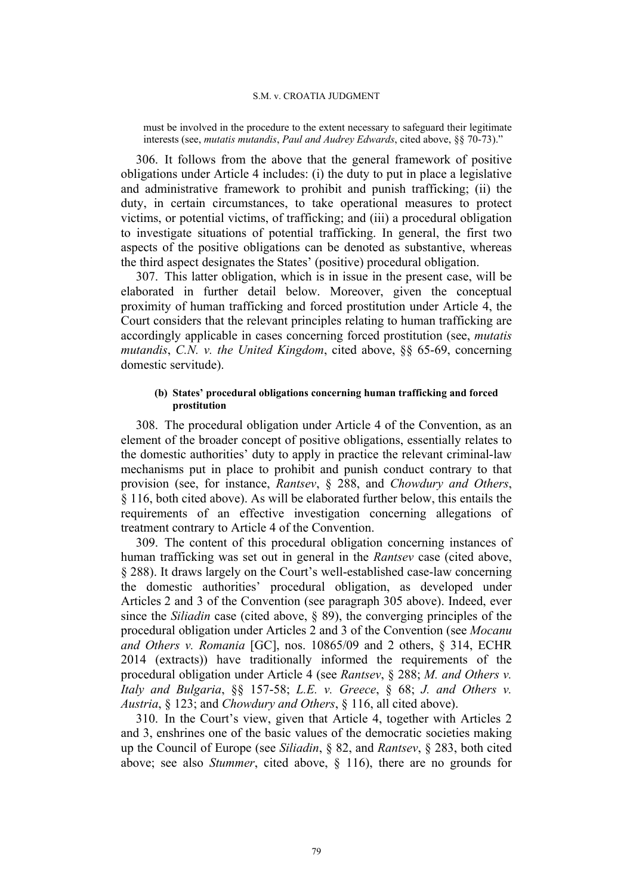#### S.M. v. CROATIA JUDGMENT

must be involved in the procedure to the extent necessary to safeguard their legitimate interests (see, *mutatis mutandis*, *Paul and Audrey Edwards*, cited above, §§ 70-73)."

306. It follows from the above that the general framework of positive obligations under Article 4 includes: (i) the duty to put in place a legislative and administrative framework to prohibit and punish trafficking; (ii) the duty, in certain circumstances, to take operational measures to protect victims, or potential victims, of trafficking; and (iii) a procedural obligation to investigate situations of potential trafficking. In general, the first two aspects of the positive obligations can be denoted as substantive, whereas the third aspect designates the States' (positive) procedural obligation.

307. This latter obligation, which is in issue in the present case, will be elaborated in further detail below. Moreover, given the conceptual proximity of human trafficking and forced prostitution under Article 4, the Court considers that the relevant principles relating to human trafficking are accordingly applicable in cases concerning forced prostitution (see, *mutatis mutandis*, *C.N. v. the United Kingdom*, cited above, §§ 65-69, concerning domestic servitude).

## **(b) States' procedural obligations concerning human trafficking and forced prostitution**

308. The procedural obligation under Article 4 of the Convention, as an element of the broader concept of positive obligations, essentially relates to the domestic authorities' duty to apply in practice the relevant criminal-law mechanisms put in place to prohibit and punish conduct contrary to that provision (see, for instance, *Rantsev*, § 288, and *Chowdury and Others*, § 116, both cited above). As will be elaborated further below, this entails the requirements of an effective investigation concerning allegations of treatment contrary to Article 4 of the Convention.

309. The content of this procedural obligation concerning instances of human trafficking was set out in general in the *Rantsev* case (cited above, § 288). It draws largely on the Court's well-established case-law concerning the domestic authorities' procedural obligation, as developed under Articles 2 and 3 of the Convention (see paragraph 305 above). Indeed, ever since the *Siliadin* case (cited above, § 89), the converging principles of the procedural obligation under Articles 2 and 3 of the Convention (see *Mocanu and Others v. Romania* [GC], nos. 10865/09 and 2 others, § 314, ECHR 2014 (extracts)) have traditionally informed the requirements of the procedural obligation under Article 4 (see *Rantsev*, § 288; *M. and Others v. Italy and Bulgaria*, §§ 157-58; *L.E. v. Greece*, § 68; *J. and Others v. Austria*, § 123; and *Chowdury and Others*, § 116, all cited above).

310. In the Court's view, given that Article 4, together with Articles 2 and 3, enshrines one of the basic values of the democratic societies making up the Council of Europe (see *Siliadin*, § 82, and *Rantsev*, § 283, both cited above; see also *Stummer*, cited above, § 116), there are no grounds for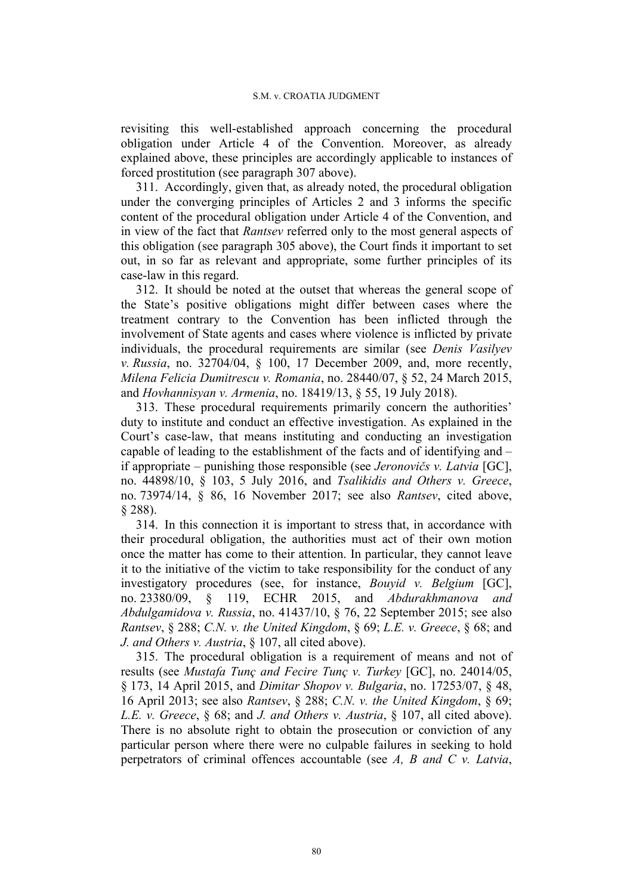revisiting this well-established approach concerning the procedural obligation under Article 4 of the Convention. Moreover, as already explained above, these principles are accordingly applicable to instances of forced prostitution (see paragraph 307 above).

311. Accordingly, given that, as already noted, the procedural obligation under the converging principles of Articles 2 and 3 informs the specific content of the procedural obligation under Article 4 of the Convention, and in view of the fact that *Rantsev* referred only to the most general aspects of this obligation (see paragraph 305 above), the Court finds it important to set out, in so far as relevant and appropriate, some further principles of its case-law in this regard.

312. It should be noted at the outset that whereas the general scope of the State's positive obligations might differ between cases where the treatment contrary to the Convention has been inflicted through the involvement of State agents and cases where violence is inflicted by private individuals, the procedural requirements are similar (see *Denis Vasilyev v. Russia*, no. 32704/04, § 100, 17 December 2009, and, more recently, *Milena Felicia Dumitrescu v. Romania*, no. 28440/07, § 52, 24 March 2015, and *Hovhannisyan v. Armenia*, no. 18419/13, § 55, 19 July 2018).

313. These procedural requirements primarily concern the authorities' duty to institute and conduct an effective investigation. As explained in the Court's case-law, that means instituting and conducting an investigation capable of leading to the establishment of the facts and of identifying and – if appropriate – punishing those responsible (see *Jeronovičs v. Latvia* [GC], no. 44898/10, § 103, 5 July 2016, and *Tsalikidis and Others v. Greece*, no. 73974/14, § 86, 16 November 2017; see also *Rantsev*, cited above, § 288).

314. In this connection it is important to stress that, in accordance with their procedural obligation, the authorities must act of their own motion once the matter has come to their attention. In particular, they cannot leave it to the initiative of the victim to take responsibility for the conduct of any investigatory procedures (see, for instance, *Bouyid v. Belgium* [GC], no. 23380/09, § 119, ECHR 2015, and *Abdurakhmanova and Abdulgamidova v. Russia*, no. 41437/10, § 76, 22 September 2015; see also *Rantsev*, § 288; *C.N. v. the United Kingdom*, § 69; *L.E. v. Greece*, § 68; and *J. and Others v. Austria*, § 107, all cited above).

315. The procedural obligation is a requirement of means and not of results (see *Mustafa Tunç and Fecire Tunç v. Turkey* [GC], no. 24014/05, § 173, 14 April 2015, and *Dimitar Shopov v. Bulgaria*, no. 17253/07, § 48, 16 April 2013; see also *Rantsev*, § 288; *C.N. v. the United Kingdom*, § 69; *L.E. v. Greece*, § 68; and *J. and Others v. Austria*, § 107, all cited above). There is no absolute right to obtain the prosecution or conviction of any particular person where there were no culpable failures in seeking to hold perpetrators of criminal offences accountable (see *A, B and C v. Latvia*,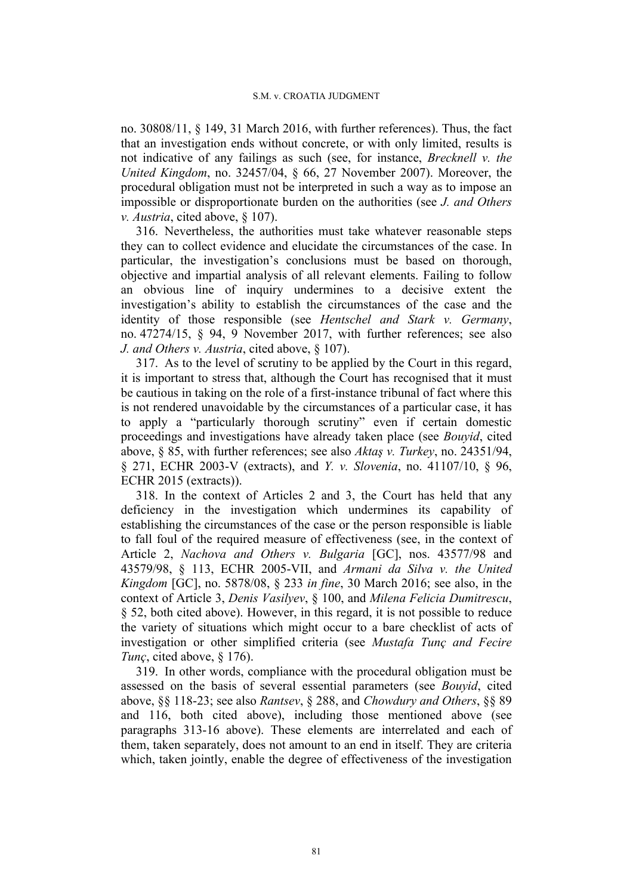no. 30808/11, § 149, 31 March 2016, with further references). Thus, the fact that an investigation ends without concrete, or with only limited, results is not indicative of any failings as such (see, for instance, *Brecknell v. the United Kingdom*, no. 32457/04, § 66, 27 November 2007). Moreover, the procedural obligation must not be interpreted in such a way as to impose an impossible or disproportionate burden on the authorities (see *J. and Others v. Austria*, cited above, § 107).

316. Nevertheless, the authorities must take whatever reasonable steps they can to collect evidence and elucidate the circumstances of the case. In particular, the investigation's conclusions must be based on thorough, objective and impartial analysis of all relevant elements. Failing to follow an obvious line of inquiry undermines to a decisive extent the investigation's ability to establish the circumstances of the case and the identity of those responsible (see *Hentschel and Stark v. Germany*, no. 47274/15, § 94, 9 November 2017, with further references; see also *J. and Others v. Austria*, cited above, § 107).

317. As to the level of scrutiny to be applied by the Court in this regard, it is important to stress that, although the Court has recognised that it must be cautious in taking on the role of a first-instance tribunal of fact where this is not rendered unavoidable by the circumstances of a particular case, it has to apply a "particularly thorough scrutiny" even if certain domestic proceedings and investigations have already taken place (see *Bouyid*, cited above, § 85, with further references; see also *Aktaş v. Turkey*, no. 24351/94, § 271, ECHR 2003-V (extracts), and *Y. v. Slovenia*, no. 41107/10, § 96, ECHR 2015 (extracts)).

318. In the context of Articles 2 and 3, the Court has held that any deficiency in the investigation which undermines its capability of establishing the circumstances of the case or the person responsible is liable to fall foul of the required measure of effectiveness (see, in the context of Article 2, *Nachova and Others v. Bulgaria* [GC], nos. 43577/98 and 43579/98, § 113, ECHR 2005-VII, and *Armani da Silva v. the United Kingdom* [GC], no. 5878/08, § 233 *in fine*, 30 March 2016; see also, in the context of Article 3, *Denis Vasilyev*, § 100, and *Milena Felicia Dumitrescu*, § 52, both cited above). However, in this regard, it is not possible to reduce the variety of situations which might occur to a bare checklist of acts of investigation or other simplified criteria (see *Mustafa Tunç and Fecire Tunç*, cited above, § 176).

319. In other words, compliance with the procedural obligation must be assessed on the basis of several essential parameters (see *Bouyid*, cited above, §§ 118-23; see also *Rantsev*, § 288, and *Chowdury and Others*, §§ 89 and 116, both cited above), including those mentioned above (see paragraphs 313-16 above). These elements are interrelated and each of them, taken separately, does not amount to an end in itself. They are criteria which, taken jointly, enable the degree of effectiveness of the investigation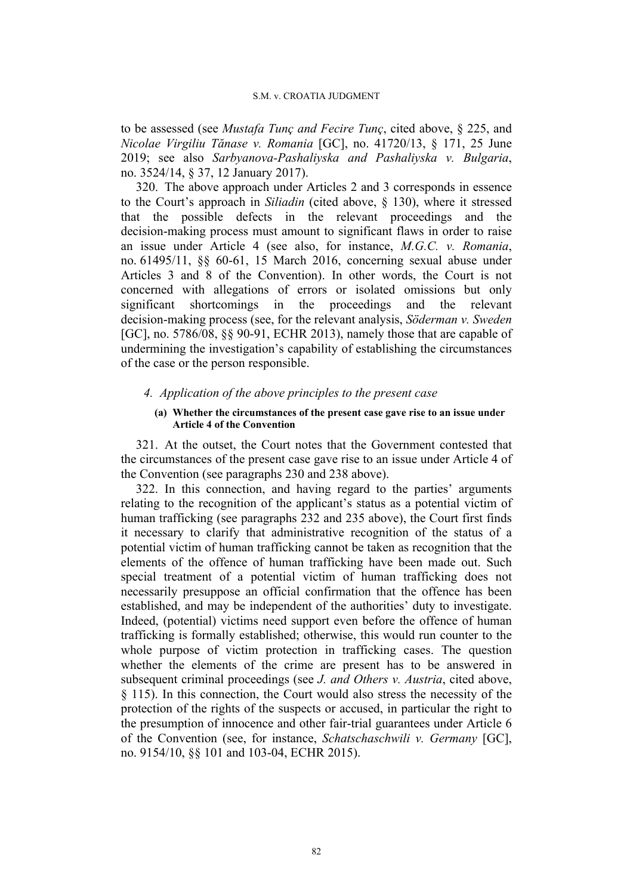#### S.M. v. CROATIA JUDGMENT

to be assessed (see *Mustafa Tunç and Fecire Tunç*, cited above, § 225, and *Nicolae Virgiliu Tănase v. Romania* [GC], no. 41720/13, § 171, 25 June 2019; see also *Sarbyanova-Pashaliyska and Pashaliyska v. Bulgaria*, no. 3524/14, § 37, 12 January 2017).

320. The above approach under Articles 2 and 3 corresponds in essence to the Court's approach in *Siliadin* (cited above, § 130), where it stressed that the possible defects in the relevant proceedings and the decision-making process must amount to significant flaws in order to raise an issue under Article 4 (see also, for instance, *M.G.C. v. Romania*, no. 61495/11, §§ 60-61, 15 March 2016, concerning sexual abuse under Articles 3 and 8 of the Convention). In other words, the Court is not concerned with allegations of errors or isolated omissions but only significant shortcomings in the proceedings and the relevant decision-making process (see, for the relevant analysis, *Söderman v. Sweden* [GC], no. 5786/08, §§ 90-91, ECHR 2013), namely those that are capable of undermining the investigation's capability of establishing the circumstances of the case or the person responsible.

## *4. Application of the above principles to the present case*

## **(a) Whether the circumstances of the present case gave rise to an issue under Article 4 of the Convention**

321. At the outset, the Court notes that the Government contested that the circumstances of the present case gave rise to an issue under Article 4 of the Convention (see paragraphs 230 and 238 above).

322. In this connection, and having regard to the parties' arguments relating to the recognition of the applicant's status as a potential victim of human trafficking (see paragraphs 232 and 235 above), the Court first finds it necessary to clarify that administrative recognition of the status of a potential victim of human trafficking cannot be taken as recognition that the elements of the offence of human trafficking have been made out. Such special treatment of a potential victim of human trafficking does not necessarily presuppose an official confirmation that the offence has been established, and may be independent of the authorities' duty to investigate. Indeed, (potential) victims need support even before the offence of human trafficking is formally established; otherwise, this would run counter to the whole purpose of victim protection in trafficking cases. The question whether the elements of the crime are present has to be answered in subsequent criminal proceedings (see *J. and Others v. Austria*, cited above, § 115). In this connection, the Court would also stress the necessity of the protection of the rights of the suspects or accused, in particular the right to the presumption of innocence and other fair-trial guarantees under Article 6 of the Convention (see, for instance, *Schatschaschwili v. Germany* [GC], no. 9154/10, §§ 101 and 103-04, ECHR 2015).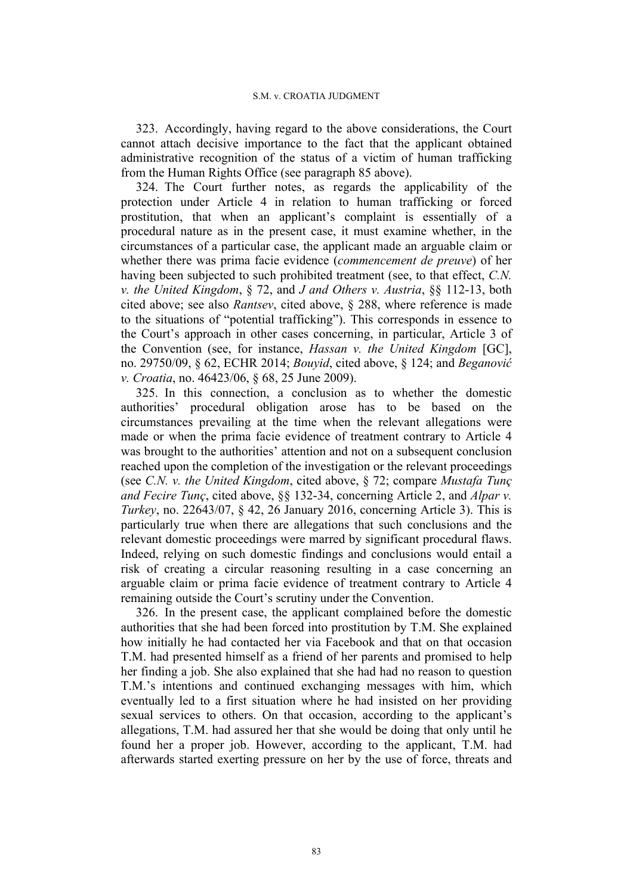323. Accordingly, having regard to the above considerations, the Court cannot attach decisive importance to the fact that the applicant obtained administrative recognition of the status of a victim of human trafficking from the Human Rights Office (see paragraph 85 above).

324. The Court further notes, as regards the applicability of the protection under Article 4 in relation to human trafficking or forced prostitution, that when an applicant's complaint is essentially of a procedural nature as in the present case, it must examine whether, in the circumstances of a particular case, the applicant made an arguable claim or whether there was prima facie evidence (*commencement de preuve*) of her having been subjected to such prohibited treatment (see, to that effect, *C.N. v. the United Kingdom*, § 72, and *J and Others v. Austria*, §§ 112-13, both cited above; see also *Rantsev*, cited above, § 288, where reference is made to the situations of "potential trafficking"). This corresponds in essence to the Court's approach in other cases concerning, in particular, Article 3 of the Convention (see, for instance, *Hassan v. the United Kingdom* [GC], no. 29750/09, § 62, ECHR 2014; *Bouyid*, cited above, § 124; and *Beganović v. Croatia*, no. 46423/06, § 68, 25 June 2009).

325. In this connection, a conclusion as to whether the domestic authorities' procedural obligation arose has to be based on the circumstances prevailing at the time when the relevant allegations were made or when the prima facie evidence of treatment contrary to Article 4 was brought to the authorities' attention and not on a subsequent conclusion reached upon the completion of the investigation or the relevant proceedings (see *C.N. v. the United Kingdom*, cited above, § 72; compare *Mustafa Tunç and Fecire Tunç*, cited above, §§ 132-34, concerning Article 2, and *Alpar v. Turkey*, no. 22643/07, § 42, 26 January 2016, concerning Article 3). This is particularly true when there are allegations that such conclusions and the relevant domestic proceedings were marred by significant procedural flaws. Indeed, relying on such domestic findings and conclusions would entail a risk of creating a circular reasoning resulting in a case concerning an arguable claim or prima facie evidence of treatment contrary to Article 4 remaining outside the Court's scrutiny under the Convention.

326. In the present case, the applicant complained before the domestic authorities that she had been forced into prostitution by T.M. She explained how initially he had contacted her via Facebook and that on that occasion T.M. had presented himself as a friend of her parents and promised to help her finding a job. She also explained that she had had no reason to question T.M.'s intentions and continued exchanging messages with him, which eventually led to a first situation where he had insisted on her providing sexual services to others. On that occasion, according to the applicant's allegations, T.M. had assured her that she would be doing that only until he found her a proper job. However, according to the applicant, T.M. had afterwards started exerting pressure on her by the use of force, threats and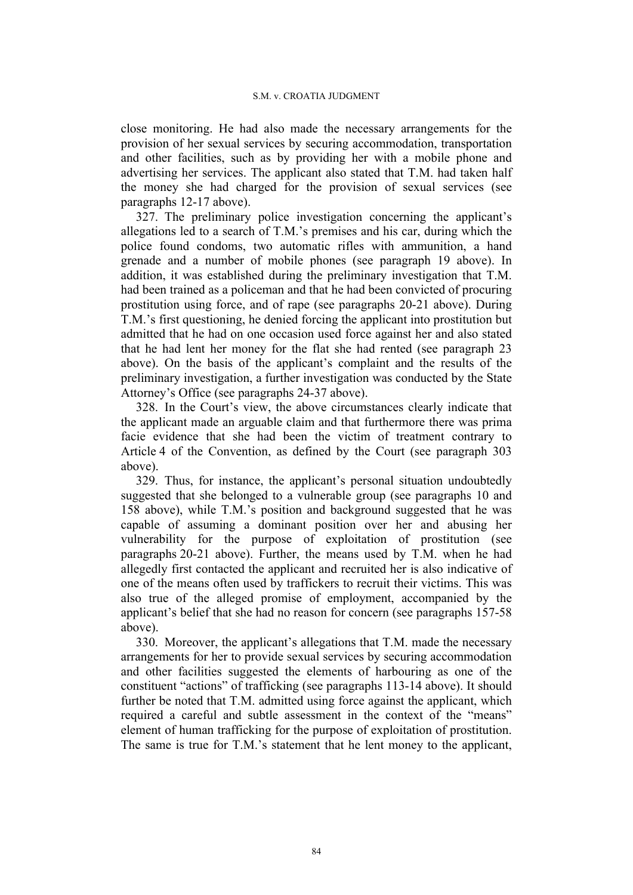close monitoring. He had also made the necessary arrangements for the provision of her sexual services by securing accommodation, transportation and other facilities, such as by providing her with a mobile phone and advertising her services. The applicant also stated that T.M. had taken half the money she had charged for the provision of sexual services (see paragraphs 12-17 above).

327. The preliminary police investigation concerning the applicant's allegations led to a search of T.M.'s premises and his car, during which the police found condoms, two automatic rifles with ammunition, a hand grenade and a number of mobile phones (see paragraph 19 above). In addition, it was established during the preliminary investigation that T.M. had been trained as a policeman and that he had been convicted of procuring prostitution using force, and of rape (see paragraphs 20-21 above). During T.M.'s first questioning, he denied forcing the applicant into prostitution but admitted that he had on one occasion used force against her and also stated that he had lent her money for the flat she had rented (see paragraph 23 above). On the basis of the applicant's complaint and the results of the preliminary investigation, a further investigation was conducted by the State Attorney's Office (see paragraphs 24-37 above).

328. In the Court's view, the above circumstances clearly indicate that the applicant made an arguable claim and that furthermore there was prima facie evidence that she had been the victim of treatment contrary to Article 4 of the Convention, as defined by the Court (see paragraph 303 above).

329. Thus, for instance, the applicant's personal situation undoubtedly suggested that she belonged to a vulnerable group (see paragraphs 10 and 158 above), while T.M.'s position and background suggested that he was capable of assuming a dominant position over her and abusing her vulnerability for the purpose of exploitation of prostitution (see paragraphs 20-21 above). Further, the means used by T.M. when he had allegedly first contacted the applicant and recruited her is also indicative of one of the means often used by traffickers to recruit their victims. This was also true of the alleged promise of employment, accompanied by the applicant's belief that she had no reason for concern (see paragraphs 157-58 above).

330. Moreover, the applicant's allegations that T.M. made the necessary arrangements for her to provide sexual services by securing accommodation and other facilities suggested the elements of harbouring as one of the constituent "actions" of trafficking (see paragraphs 113-14 above). It should further be noted that T.M. admitted using force against the applicant, which required a careful and subtle assessment in the context of the "means" element of human trafficking for the purpose of exploitation of prostitution. The same is true for T.M.'s statement that he lent money to the applicant,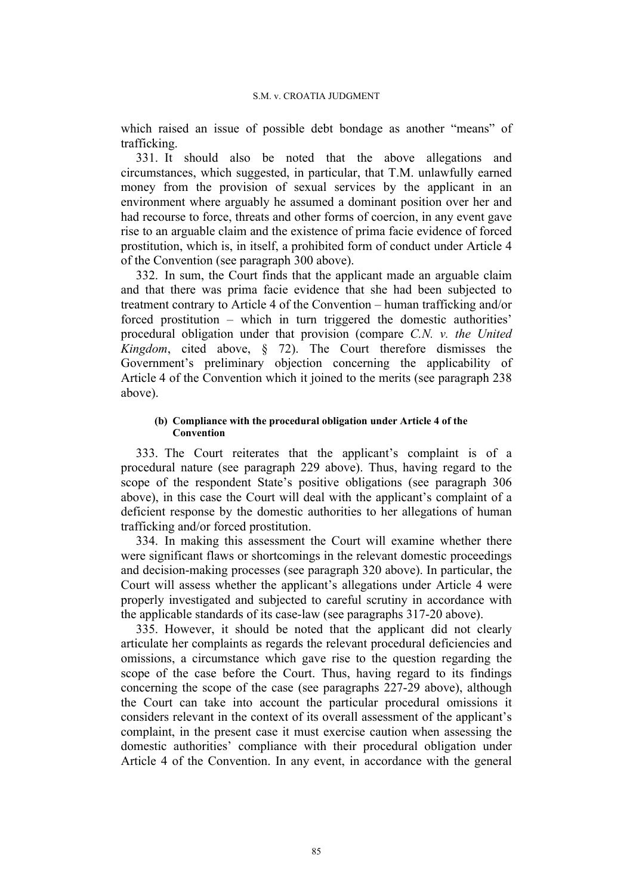which raised an issue of possible debt bondage as another "means" of trafficking.

331. It should also be noted that the above allegations and circumstances, which suggested, in particular, that T.M. unlawfully earned money from the provision of sexual services by the applicant in an environment where arguably he assumed a dominant position over her and had recourse to force, threats and other forms of coercion, in any event gave rise to an arguable claim and the existence of prima facie evidence of forced prostitution, which is, in itself, a prohibited form of conduct under Article 4 of the Convention (see paragraph 300 above).

332. In sum, the Court finds that the applicant made an arguable claim and that there was prima facie evidence that she had been subjected to treatment contrary to Article 4 of the Convention – human trafficking and/or forced prostitution – which in turn triggered the domestic authorities' procedural obligation under that provision (compare *C.N. v. the United Kingdom*, cited above, § 72). The Court therefore dismisses the Government's preliminary objection concerning the applicability of Article 4 of the Convention which it joined to the merits (see paragraph 238 above).

### **(b) Compliance with the procedural obligation under Article 4 of the Convention**

333. The Court reiterates that the applicant's complaint is of a procedural nature (see paragraph 229 above). Thus, having regard to the scope of the respondent State's positive obligations (see paragraph 306 above), in this case the Court will deal with the applicant's complaint of a deficient response by the domestic authorities to her allegations of human trafficking and/or forced prostitution.

334. In making this assessment the Court will examine whether there were significant flaws or shortcomings in the relevant domestic proceedings and decision-making processes (see paragraph 320 above). In particular, the Court will assess whether the applicant's allegations under Article 4 were properly investigated and subjected to careful scrutiny in accordance with the applicable standards of its case-law (see paragraphs 317-20 above).

335. However, it should be noted that the applicant did not clearly articulate her complaints as regards the relevant procedural deficiencies and omissions, a circumstance which gave rise to the question regarding the scope of the case before the Court. Thus, having regard to its findings concerning the scope of the case (see paragraphs 227-29 above), although the Court can take into account the particular procedural omissions it considers relevant in the context of its overall assessment of the applicant's complaint, in the present case it must exercise caution when assessing the domestic authorities' compliance with their procedural obligation under Article 4 of the Convention. In any event, in accordance with the general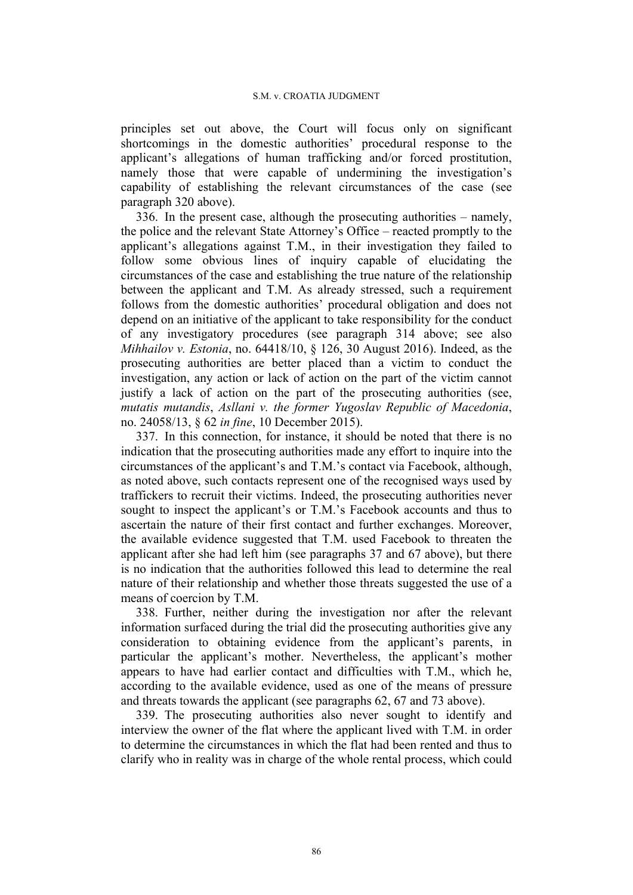principles set out above, the Court will focus only on significant shortcomings in the domestic authorities' procedural response to the applicant's allegations of human trafficking and/or forced prostitution, namely those that were capable of undermining the investigation's capability of establishing the relevant circumstances of the case (see paragraph 320 above).

336. In the present case, although the prosecuting authorities – namely, the police and the relevant State Attorney's Office – reacted promptly to the applicant's allegations against T.M., in their investigation they failed to follow some obvious lines of inquiry capable of elucidating the circumstances of the case and establishing the true nature of the relationship between the applicant and T.M. As already stressed, such a requirement follows from the domestic authorities' procedural obligation and does not depend on an initiative of the applicant to take responsibility for the conduct of any investigatory procedures (see paragraph 314 above; see also *Mihhailov v. Estonia*, no. 64418/10, § 126, 30 August 2016). Indeed, as the prosecuting authorities are better placed than a victim to conduct the investigation, any action or lack of action on the part of the victim cannot justify a lack of action on the part of the prosecuting authorities (see, *mutatis mutandis*, *Asllani v. the former Yugoslav Republic of Macedonia*, no. 24058/13, § 62 *in fine*, 10 December 2015).

337. In this connection, for instance, it should be noted that there is no indication that the prosecuting authorities made any effort to inquire into the circumstances of the applicant's and T.M.'s contact via Facebook, although, as noted above, such contacts represent one of the recognised ways used by traffickers to recruit their victims. Indeed, the prosecuting authorities never sought to inspect the applicant's or T.M.'s Facebook accounts and thus to ascertain the nature of their first contact and further exchanges. Moreover, the available evidence suggested that T.M. used Facebook to threaten the applicant after she had left him (see paragraphs 37 and 67 above), but there is no indication that the authorities followed this lead to determine the real nature of their relationship and whether those threats suggested the use of a means of coercion by T.M.

338. Further, neither during the investigation nor after the relevant information surfaced during the trial did the prosecuting authorities give any consideration to obtaining evidence from the applicant's parents, in particular the applicant's mother. Nevertheless, the applicant's mother appears to have had earlier contact and difficulties with T.M., which he, according to the available evidence, used as one of the means of pressure and threats towards the applicant (see paragraphs 62, 67 and 73 above).

339. The prosecuting authorities also never sought to identify and interview the owner of the flat where the applicant lived with T.M. in order to determine the circumstances in which the flat had been rented and thus to clarify who in reality was in charge of the whole rental process, which could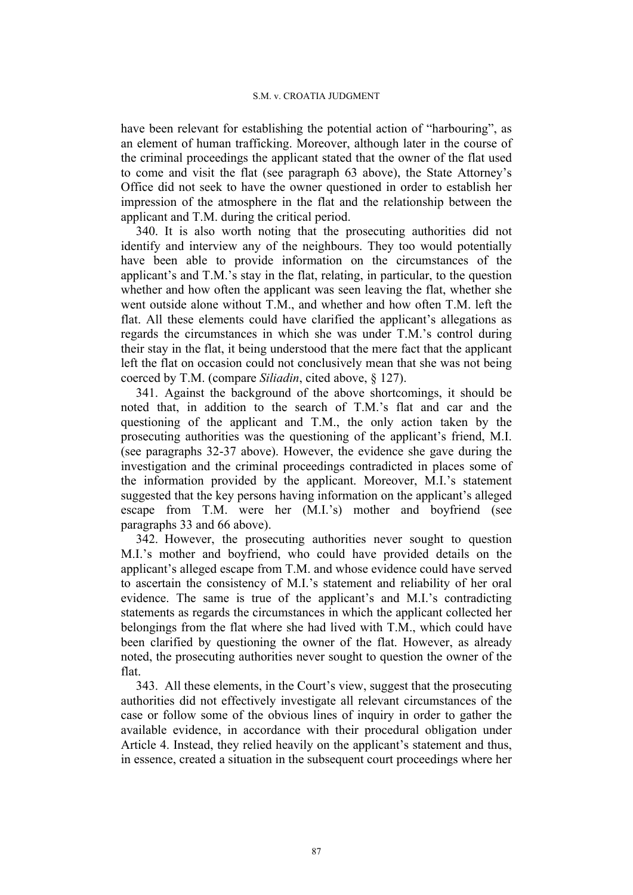have been relevant for establishing the potential action of "harbouring", as an element of human trafficking. Moreover, although later in the course of the criminal proceedings the applicant stated that the owner of the flat used to come and visit the flat (see paragraph 63 above), the State Attorney's Office did not seek to have the owner questioned in order to establish her impression of the atmosphere in the flat and the relationship between the applicant and T.M. during the critical period.

340. It is also worth noting that the prosecuting authorities did not identify and interview any of the neighbours. They too would potentially have been able to provide information on the circumstances of the applicant's and T.M.'s stay in the flat, relating, in particular, to the question whether and how often the applicant was seen leaving the flat, whether she went outside alone without T.M., and whether and how often T.M. left the flat. All these elements could have clarified the applicant's allegations as regards the circumstances in which she was under T.M.'s control during their stay in the flat, it being understood that the mere fact that the applicant left the flat on occasion could not conclusively mean that she was not being coerced by T.M. (compare *Siliadin*, cited above, § 127).

341. Against the background of the above shortcomings, it should be noted that, in addition to the search of T.M.'s flat and car and the questioning of the applicant and T.M., the only action taken by the prosecuting authorities was the questioning of the applicant's friend, M.I. (see paragraphs 32-37 above). However, the evidence she gave during the investigation and the criminal proceedings contradicted in places some of the information provided by the applicant. Moreover, M.I.'s statement suggested that the key persons having information on the applicant's alleged escape from T.M. were her (M.I.'s) mother and boyfriend (see paragraphs 33 and 66 above).

342. However, the prosecuting authorities never sought to question M.I.'s mother and boyfriend, who could have provided details on the applicant's alleged escape from T.M. and whose evidence could have served to ascertain the consistency of M.I.'s statement and reliability of her oral evidence. The same is true of the applicant's and M.I.'s contradicting statements as regards the circumstances in which the applicant collected her belongings from the flat where she had lived with T.M., which could have been clarified by questioning the owner of the flat. However, as already noted, the prosecuting authorities never sought to question the owner of the flat.

343. All these elements, in the Court's view, suggest that the prosecuting authorities did not effectively investigate all relevant circumstances of the case or follow some of the obvious lines of inquiry in order to gather the available evidence, in accordance with their procedural obligation under Article 4. Instead, they relied heavily on the applicant's statement and thus, in essence, created a situation in the subsequent court proceedings where her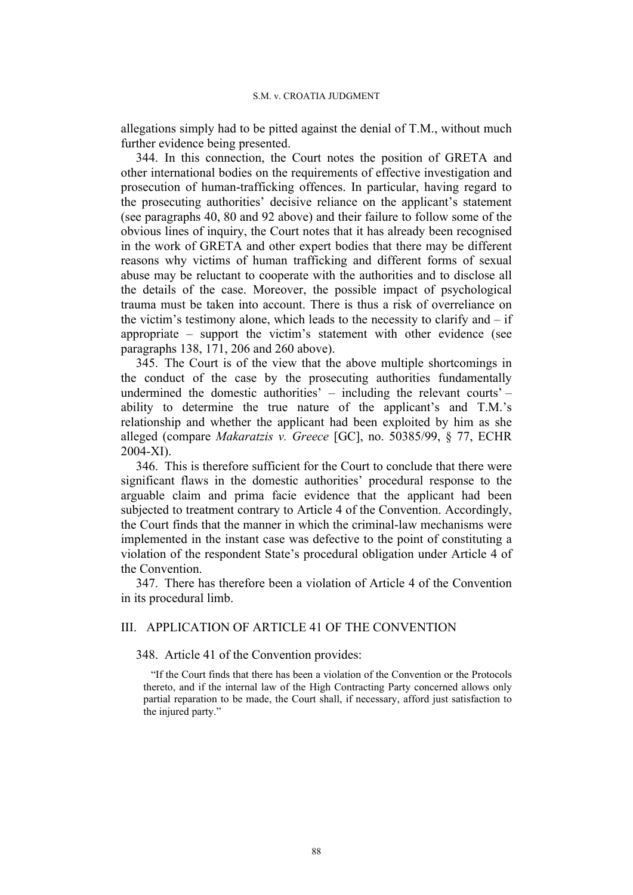allegations simply had to be pitted against the denial of T.M., without much further evidence being presented.

344. In this connection, the Court notes the position of GRETA and other international bodies on the requirements of effective investigation and prosecution of human-trafficking offences. In particular, having regard to the prosecuting authorities' decisive reliance on the applicant's statement (see paragraphs 40, 80 and 92 above) and their failure to follow some of the obvious lines of inquiry, the Court notes that it has already been recognised in the work of GRETA and other expert bodies that there may be different reasons why victims of human trafficking and different forms of sexual abuse may be reluctant to cooperate with the authorities and to disclose all the details of the case. Moreover, the possible impact of psychological trauma must be taken into account. There is thus a risk of overreliance on the victim's testimony alone, which leads to the necessity to clarify and – if appropriate – support the victim's statement with other evidence (see paragraphs 138, 171, 206 and 260 above).

345. The Court is of the view that the above multiple shortcomings in the conduct of the case by the prosecuting authorities fundamentally undermined the domestic authorities' – including the relevant courts' – ability to determine the true nature of the applicant's and T.M.'s relationship and whether the applicant had been exploited by him as she alleged (compare *Makaratzis v. Greece* [GC], no. 50385/99, § 77, ECHR 2004-XI).

346. This is therefore sufficient for the Court to conclude that there were significant flaws in the domestic authorities' procedural response to the arguable claim and prima facie evidence that the applicant had been subjected to treatment contrary to Article 4 of the Convention. Accordingly, the Court finds that the manner in which the criminal-law mechanisms were implemented in the instant case was defective to the point of constituting a violation of the respondent State's procedural obligation under Article 4 of the Convention.

347. There has therefore been a violation of Article 4 of the Convention in its procedural limb.

# III. APPLICATION OF ARTICLE 41 OF THE CONVENTION

348. Article 41 of the Convention provides:

"If the Court finds that there has been a violation of the Convention or the Protocols thereto, and if the internal law of the High Contracting Party concerned allows only partial reparation to be made, the Court shall, if necessary, afford just satisfaction to the injured party."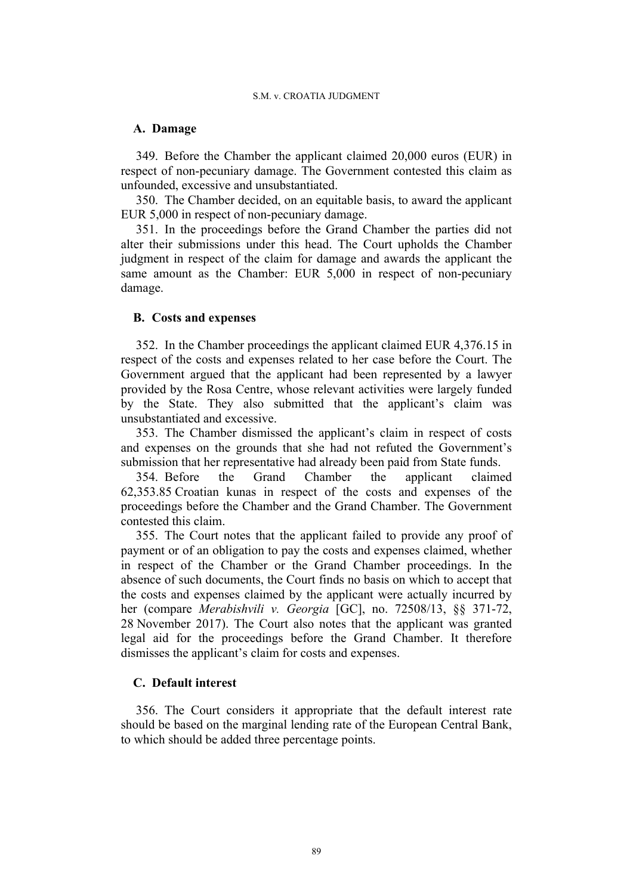### **A. Damage**

349. Before the Chamber the applicant claimed 20,000 euros (EUR) in respect of non-pecuniary damage. The Government contested this claim as unfounded, excessive and unsubstantiated.

350. The Chamber decided, on an equitable basis, to award the applicant EUR 5,000 in respect of non-pecuniary damage.

351. In the proceedings before the Grand Chamber the parties did not alter their submissions under this head. The Court upholds the Chamber judgment in respect of the claim for damage and awards the applicant the same amount as the Chamber: EUR 5,000 in respect of non-pecuniary damage.

# **B. Costs and expenses**

352. In the Chamber proceedings the applicant claimed EUR 4,376.15 in respect of the costs and expenses related to her case before the Court. The Government argued that the applicant had been represented by a lawyer provided by the Rosa Centre, whose relevant activities were largely funded by the State. They also submitted that the applicant's claim was unsubstantiated and excessive.

353. The Chamber dismissed the applicant's claim in respect of costs and expenses on the grounds that she had not refuted the Government's submission that her representative had already been paid from State funds.

354. Before the Grand Chamber the applicant claimed 62,353.85 Croatian kunas in respect of the costs and expenses of the proceedings before the Chamber and the Grand Chamber. The Government contested this claim.

355. The Court notes that the applicant failed to provide any proof of payment or of an obligation to pay the costs and expenses claimed, whether in respect of the Chamber or the Grand Chamber proceedings. In the absence of such documents, the Court finds no basis on which to accept that the costs and expenses claimed by the applicant were actually incurred by her (compare *Merabishvili v. Georgia* [GC], no. 72508/13, §§ 371-72, 28 November 2017). The Court also notes that the applicant was granted legal aid for the proceedings before the Grand Chamber. It therefore dismisses the applicant's claim for costs and expenses.

# **C. Default interest**

356. The Court considers it appropriate that the default interest rate should be based on the marginal lending rate of the European Central Bank, to which should be added three percentage points.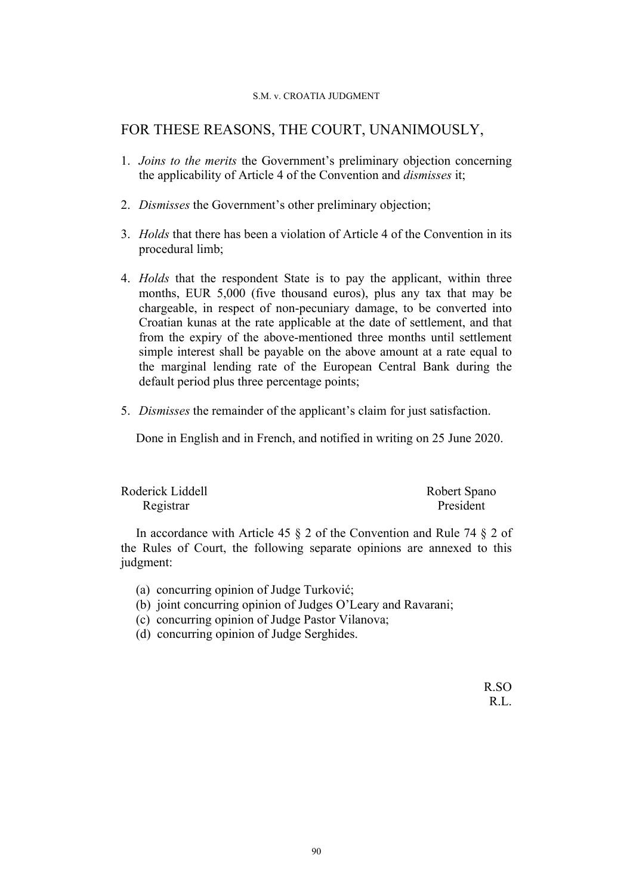### S.M. v. CROATIA JUDGMENT

# FOR THESE REASONS, THE COURT, UNANIMOUSLY,

- 1. *Joins to the merits* the Government's preliminary objection concerning the applicability of Article 4 of the Convention and *dismisses* it;
- 2. *Dismisses* the Government's other preliminary objection;
- 3. *Holds* that there has been a violation of Article 4 of the Convention in its procedural limb;
- 4. *Holds* that the respondent State is to pay the applicant, within three months, EUR 5,000 (five thousand euros), plus any tax that may be chargeable, in respect of non-pecuniary damage, to be converted into Croatian kunas at the rate applicable at the date of settlement, and that from the expiry of the above-mentioned three months until settlement simple interest shall be payable on the above amount at a rate equal to the marginal lending rate of the European Central Bank during the default period plus three percentage points;
- 5. *Dismisses* the remainder of the applicant's claim for just satisfaction.

Done in English and in French, and notified in writing on 25 June 2020.

| Roderick Liddell | Robert Spano |
|------------------|--------------|
| Registrar        | President    |

In accordance with Article 45 § 2 of the Convention and Rule 74 § 2 of the Rules of Court, the following separate opinions are annexed to this judgment:

- (a) concurring opinion of Judge Turković;
- (b) joint concurring opinion of Judges O'Leary and Ravarani;
- (c) concurring opinion of Judge Pastor Vilanova;
- (d) concurring opinion of Judge Serghides.

R.SO R.L.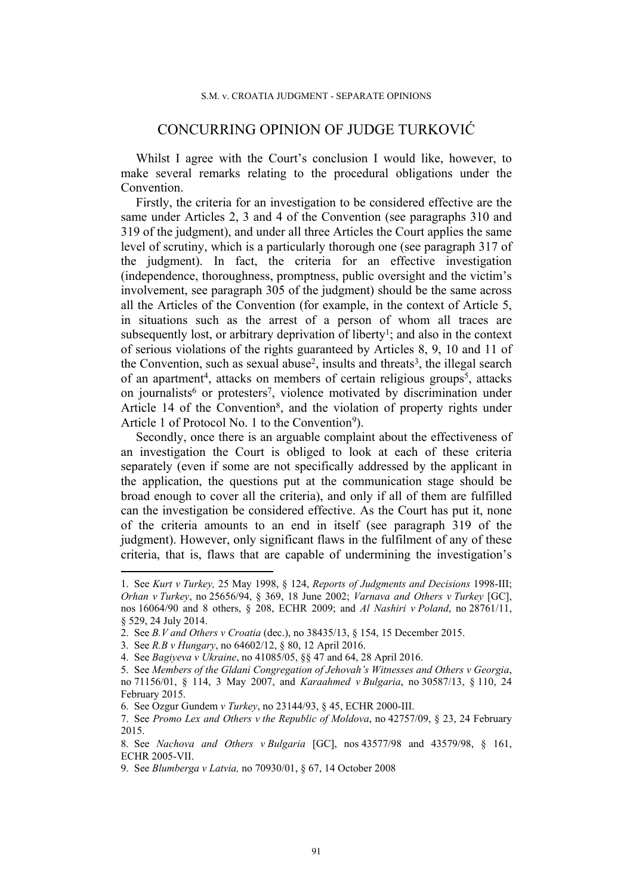# CONCURRING OPINION OF JUDGE TURKOVIĆ

Whilst I agree with the Court's conclusion I would like, however, to make several remarks relating to the procedural obligations under the Convention.

Firstly, the criteria for an investigation to be considered effective are the same under Articles 2, 3 and 4 of the Convention (see paragraphs 310 and 319 of the judgment), and under all three Articles the Court applies the same level of scrutiny, which is a particularly thorough one (see paragraph 317 of the judgment). In fact, the criteria for an effective investigation (independence, thoroughness, promptness, public oversight and the victim's involvement, see paragraph 305 of the judgment) should be the same across all the Articles of the Convention (for example, in the context of Article 5, in situations such as the arrest of a person of whom all traces are subsequently lost, or arbitrary deprivation of liberty<sup>1</sup>; and also in the context of serious violations of the rights guaranteed by Articles 8, 9, 10 and 11 of the Convention, such as sexual abuse<sup>2</sup>, insults and threats<sup>3</sup>, the illegal search of an apartment<sup>4</sup>, attacks on members of certain religious groups<sup>5</sup>, attacks on journalists<sup>6</sup> or protesters<sup>7</sup>, violence motivated by discrimination under Article 14 of the Convention<sup>8</sup>, and the violation of property rights under Article 1 of Protocol No. 1 to the Convention<sup>9</sup>).

Secondly, once there is an arguable complaint about the effectiveness of an investigation the Court is obliged to look at each of these criteria separately (even if some are not specifically addressed by the applicant in the application, the questions put at the communication stage should be broad enough to cover all the criteria), and only if all of them are fulfilled can the investigation be considered effective. As the Court has put it, none of the criteria amounts to an end in itself (see paragraph 319 of the judgment). However, only significant flaws in the fulfilment of any of these criteria, that is, flaws that are capable of undermining the investigation's

<sup>1.</sup> See *Kurt v Turkey,* 25 May 1998, § 124, *Reports of Judgments and Decisions* 1998-III; *Orhan v Turkey*, no 25656/94, § 369, 18 June 2002; *Varnava and Others v Turkey* [GC], nos 16064/90 and 8 others, § 208, ECHR 2009; and *Al Nashiri v Poland*, no 28761/11, § 529, 24 July 2014.

<sup>2.</sup> See *B.V and Others v Croatia* (dec.), no 38435/13, § 154, 15 December 2015.

<sup>3.</sup> See *R.B v Hungary*, no 64602/12, § 80, 12 April 2016.

<sup>4.</sup> See *Bagiyeva v Ukraine*, no 41085/05, §§ 47 and 64, 28 April 2016.

<sup>5.</sup> See *Members of the Gldani Congregation of Jehovah's Witnesses and Others v Georgia*, no 71156/01, § 114, 3 May 2007, and *Karaahmed v Bulgaria*, no 30587/13, § 110, 24 February 2015.

<sup>6.</sup> See Ozgur Gundem *v Turkey*, no 23144/93, § 45, ECHR 2000-III.

<sup>7.</sup> See *Promo Lex and Others v the Republic of Moldova*, no 42757/09, § 23, 24 February 2015.

<sup>8.</sup> See *Nachova and Others v Bulgaria* GC, nos 43577/98 and 43579/98, § 161, ECHR 2005-VII.

<sup>9.</sup> See *Blumberga v Latvia,* no 70930/01, § 67, 14 October 2008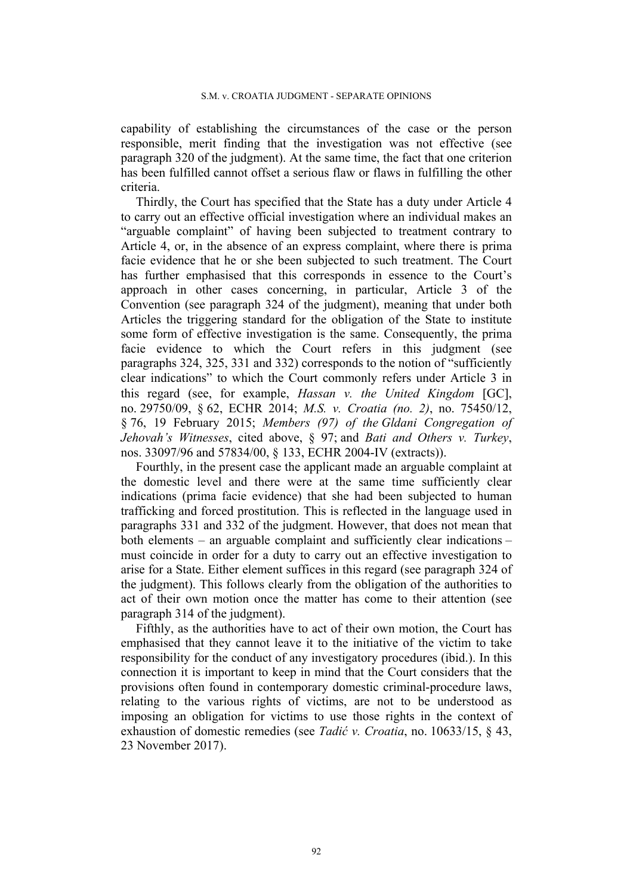capability of establishing the circumstances of the case or the person responsible, merit finding that the investigation was not effective (see paragraph 320 of the judgment). At the same time, the fact that one criterion has been fulfilled cannot offset a serious flaw or flaws in fulfilling the other criteria.

Thirdly, the Court has specified that the State has a duty under Article 4 to carry out an effective official investigation where an individual makes an "arguable complaint" of having been subjected to treatment contrary to Article 4, or, in the absence of an express complaint, where there is prima facie evidence that he or she been subjected to such treatment. The Court has further emphasised that this corresponds in essence to the Court's approach in other cases concerning, in particular, Article 3 of the Convention (see paragraph 324 of the judgment), meaning that under both Articles the triggering standard for the obligation of the State to institute some form of effective investigation is the same. Consequently, the prima facie evidence to which the Court refers in this judgment (see paragraphs 324, 325, 331 and 332) corresponds to the notion of "sufficiently clear indications" to which the Court commonly refers under Article 3 in this regard (see, for example, *Hassan v. the United Kingdom* GC, no. 29750/09, § 62, ECHR 2014; *M.S. v. Croatia (no. 2)*, no. 75450/12, § 76, 19 February 2015; *Members (97) of the Gldani Congregation of Jehovah's Witnesses*, cited above, § 97; and *Bati and Others v. Turkey*, nos. 33097/96 and 57834/00, § 133, ECHR 2004-IV (extracts)).

Fourthly, in the present case the applicant made an arguable complaint at the domestic level and there were at the same time sufficiently clear indications (prima facie evidence) that she had been subjected to human trafficking and forced prostitution. This is reflected in the language used in paragraphs 331 and 332 of the judgment. However, that does not mean that both elements – an arguable complaint and sufficiently clear indications – must coincide in order for a duty to carry out an effective investigation to arise for a State. Either element suffices in this regard (see paragraph 324 of the judgment). This follows clearly from the obligation of the authorities to act of their own motion once the matter has come to their attention (see paragraph 314 of the judgment).

Fifthly, as the authorities have to act of their own motion, the Court has emphasised that they cannot leave it to the initiative of the victim to take responsibility for the conduct of any investigatory procedures (ibid.). In this connection it is important to keep in mind that the Court considers that the provisions often found in contemporary domestic criminal-procedure laws, relating to the various rights of victims, are not to be understood as imposing an obligation for victims to use those rights in the context of exhaustion of domestic remedies (see *Tadić v. Croatia*, no. 10633/15, § 43, 23 November 2017).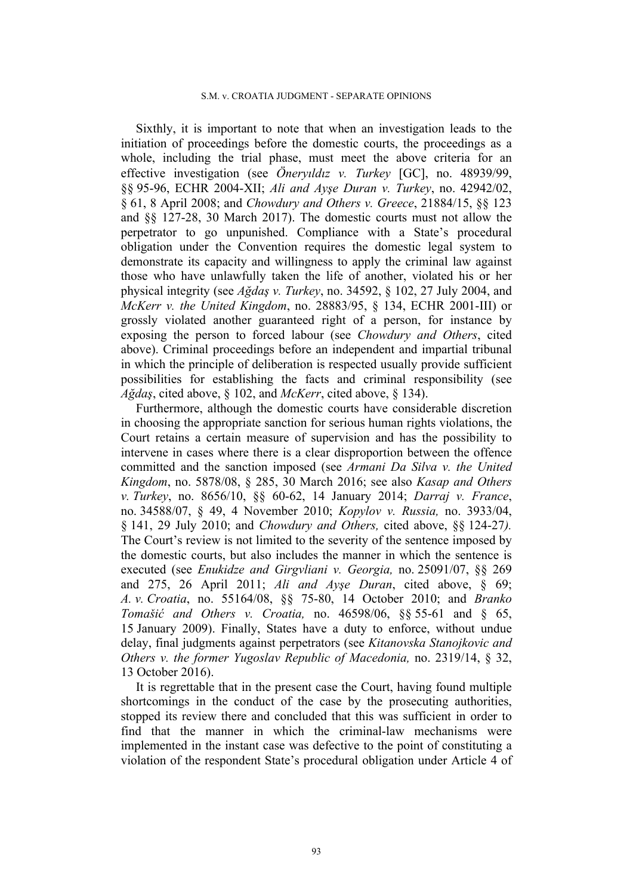Sixthly, it is important to note that when an investigation leads to the initiation of proceedings before the domestic courts, the proceedings as a whole, including the trial phase, must meet the above criteria for an effective investigation (see *Öneryıldız v. Turkey* GC, no. 48939/99, §§ 95-96, ECHR 2004-XII; *Ali and Ayşe Duran v. Turkey*, no. 42942/02, § 61, 8 April 2008; and *Chowdury and Others v. Greece*, 21884/15, §§ 123 and §§ 127-28, 30 March 2017). The domestic courts must not allow the perpetrator to go unpunished. Compliance with a State's procedural obligation under the Convention requires the domestic legal system to demonstrate its capacity and willingness to apply the criminal law against those who have unlawfully taken the life of another, violated his or her physical integrity (see *Ağdaş v. Turkey*, no. 34592, § 102, 27 July 2004, and *McKerr v. the United Kingdom*, no. 28883/95, § 134, ECHR 2001-III) or grossly violated another guaranteed right of a person, for instance by exposing the person to forced labour (see *Chowdury and Others*, cited above). Criminal proceedings before an independent and impartial tribunal in which the principle of deliberation is respected usually provide sufficient possibilities for establishing the facts and criminal responsibility (see *Ağdaş*, cited above, § 102, and *McKerr*, cited above, § 134).

Furthermore, although the domestic courts have considerable discretion in choosing the appropriate sanction for serious human rights violations, the Court retains a certain measure of supervision and has the possibility to intervene in cases where there is a clear disproportion between the offence committed and the sanction imposed (see *Armani Da Silva v. the United Kingdom*, no. 5878/08, § 285, 30 March 2016; see also *Kasap and Others v. Turkey*, no. 8656/10, §§ 60-62, 14 January 2014; *Darraj v. France*, no. 34588/07, § 49, 4 November 2010; *Kopylov v. Russia,* no. 3933/04, § 141, 29 July 2010; and *Chowdury and Others,* cited above, §§ 124-27*).* The Court's review is not limited to the severity of the sentence imposed by the domestic courts, but also includes the manner in which the sentence is executed (see *Enukidze and Girgvliani v. Georgia,* no. 25091/07, §§ 269 and 275, 26 April 2011; *Ali and Ayşe Duran*, cited above, § 69; *A. v. Croatia*, no. 55164/08, §§ 75-80, 14 October 2010; and *Branko Tomašić and Others v. Croatia,* no. 46598/06, §§ 55-61 and § 65, 15 January 2009). Finally, States have a duty to enforce, without undue delay, final judgments against perpetrators (see *Kitanovska Stanojkovic and Others v. the former Yugoslav Republic of Macedonia,* no. 2319/14, § 32, 13 October 2016).

It is regrettable that in the present case the Court, having found multiple shortcomings in the conduct of the case by the prosecuting authorities, stopped its review there and concluded that this was sufficient in order to find that the manner in which the criminal-law mechanisms were implemented in the instant case was defective to the point of constituting a violation of the respondent State's procedural obligation under Article 4 of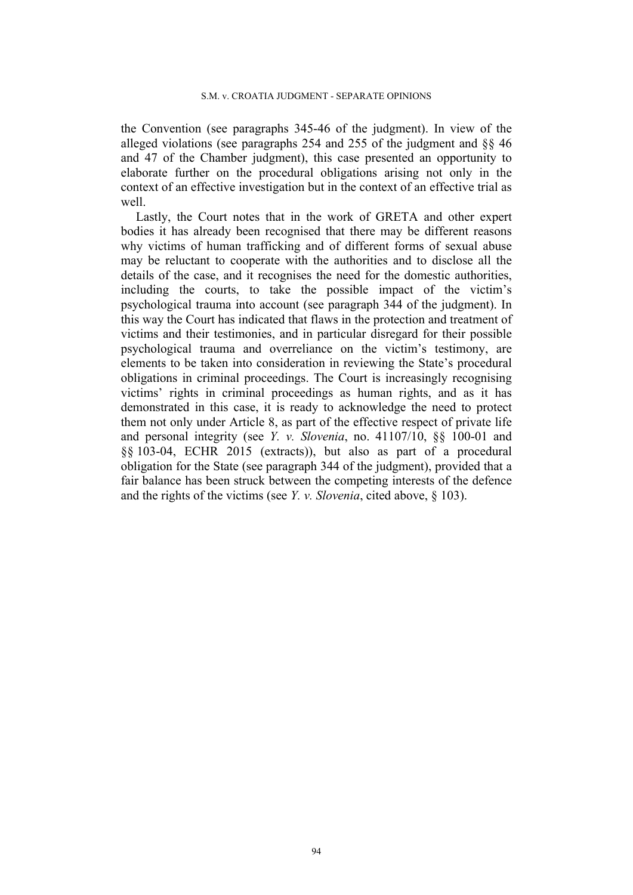the Convention (see paragraphs 345-46 of the judgment). In view of the alleged violations (see paragraphs 254 and 255 of the judgment and §§ 46 and 47 of the Chamber judgment), this case presented an opportunity to elaborate further on the procedural obligations arising not only in the context of an effective investigation but in the context of an effective trial as well.

Lastly, the Court notes that in the work of GRETA and other expert bodies it has already been recognised that there may be different reasons why victims of human trafficking and of different forms of sexual abuse may be reluctant to cooperate with the authorities and to disclose all the details of the case, and it recognises the need for the domestic authorities, including the courts, to take the possible impact of the victim's psychological trauma into account (see paragraph 344 of the judgment). In this way the Court has indicated that flaws in the protection and treatment of victims and their testimonies, and in particular disregard for their possible psychological trauma and overreliance on the victim's testimony, are elements to be taken into consideration in reviewing the State's procedural obligations in criminal proceedings. The Court is increasingly recognising victims' rights in criminal proceedings as human rights, and as it has demonstrated in this case, it is ready to acknowledge the need to protect them not only under Article 8, as part of the effective respect of private life and personal integrity (see *Y. v. Slovenia*, no. 41107/10, §§ 100-01 and §§ 103-04, ECHR 2015 (extracts)), but also as part of a procedural obligation for the State (see paragraph 344 of the judgment), provided that a fair balance has been struck between the competing interests of the defence and the rights of the victims (see *Y. v. Slovenia*, cited above, § 103).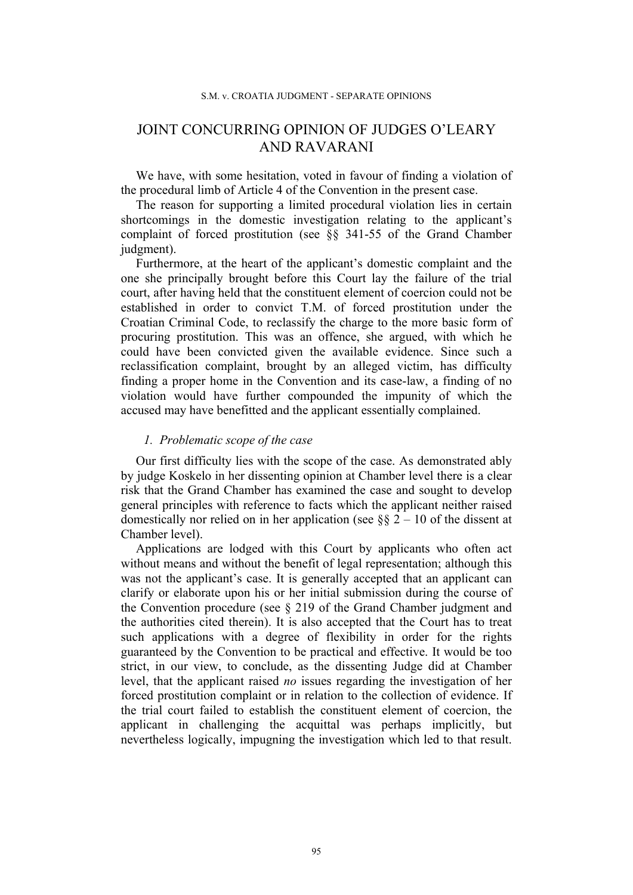# JOINT CONCURRING OPINION OF JUDGES O'LEARY AND RAVARANI

We have, with some hesitation, voted in favour of finding a violation of the procedural limb of Article 4 of the Convention in the present case.

The reason for supporting a limited procedural violation lies in certain shortcomings in the domestic investigation relating to the applicant's complaint of forced prostitution (see §§ 341-55 of the Grand Chamber judgment).

Furthermore, at the heart of the applicant's domestic complaint and the one she principally brought before this Court lay the failure of the trial court, after having held that the constituent element of coercion could not be established in order to convict T.M. of forced prostitution under the Croatian Criminal Code, to reclassify the charge to the more basic form of procuring prostitution. This was an offence, she argued, with which he could have been convicted given the available evidence. Since such a reclassification complaint, brought by an alleged victim, has difficulty finding a proper home in the Convention and its case-law, a finding of no violation would have further compounded the impunity of which the accused may have benefitted and the applicant essentially complained.

# *1. Problematic scope of the case*

Our first difficulty lies with the scope of the case. As demonstrated ably by judge Koskelo in her dissenting opinion at Chamber level there is a clear risk that the Grand Chamber has examined the case and sought to develop general principles with reference to facts which the applicant neither raised domestically nor relied on in her application (see  $\S$ § 2 – 10 of the dissent at Chamber level).

Applications are lodged with this Court by applicants who often act without means and without the benefit of legal representation; although this was not the applicant's case. It is generally accepted that an applicant can clarify or elaborate upon his or her initial submission during the course of the Convention procedure (see § 219 of the Grand Chamber judgment and the authorities cited therein). It is also accepted that the Court has to treat such applications with a degree of flexibility in order for the rights guaranteed by the Convention to be practical and effective. It would be too strict, in our view, to conclude, as the dissenting Judge did at Chamber level, that the applicant raised *no* issues regarding the investigation of her forced prostitution complaint or in relation to the collection of evidence. If the trial court failed to establish the constituent element of coercion, the applicant in challenging the acquittal was perhaps implicitly, but nevertheless logically, impugning the investigation which led to that result.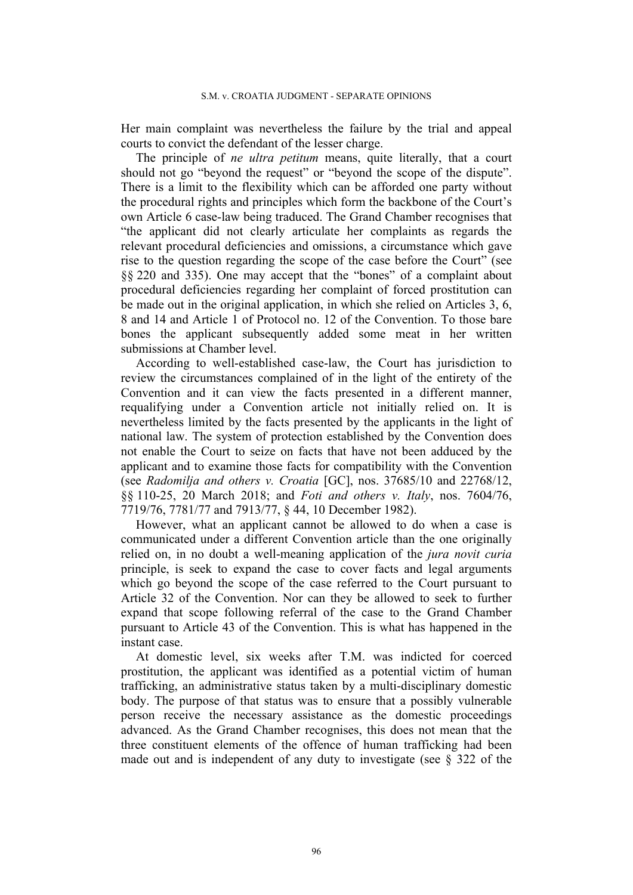Her main complaint was nevertheless the failure by the trial and appeal courts to convict the defendant of the lesser charge.

The principle of *ne ultra petitum* means, quite literally, that a court should not go "beyond the request" or "beyond the scope of the dispute". There is a limit to the flexibility which can be afforded one party without the procedural rights and principles which form the backbone of the Court's own Article 6 case-law being traduced. The Grand Chamber recognises that "the applicant did not clearly articulate her complaints as regards the relevant procedural deficiencies and omissions, a circumstance which gave rise to the question regarding the scope of the case before the Court" (see §§ 220 and 335). One may accept that the "bones" of a complaint about procedural deficiencies regarding her complaint of forced prostitution can be made out in the original application, in which she relied on Articles 3, 6, 8 and 14 and Article 1 of Protocol no. 12 of the Convention. To those bare bones the applicant subsequently added some meat in her written submissions at Chamber level.

According to well-established case-law, the Court has jurisdiction to review the circumstances complained of in the light of the entirety of the Convention and it can view the facts presented in a different manner, requalifying under a Convention article not initially relied on. It is nevertheless limited by the facts presented by the applicants in the light of national law. The system of protection established by the Convention does not enable the Court to seize on facts that have not been adduced by the applicant and to examine those facts for compatibility with the Convention (see *Radomilja and others v. Croatia* [GC], nos. 37685/10 and 22768/12, §§ 110-25, 20 March 2018; and *Foti and others v. Italy*, nos. 7604/76, 7719/76, 7781/77 and 7913/77, § 44, 10 December 1982).

However, what an applicant cannot be allowed to do when a case is communicated under a different Convention article than the one originally relied on, in no doubt a well-meaning application of the *jura novit curia* principle, is seek to expand the case to cover facts and legal arguments which go beyond the scope of the case referred to the Court pursuant to Article 32 of the Convention. Nor can they be allowed to seek to further expand that scope following referral of the case to the Grand Chamber pursuant to Article 43 of the Convention. This is what has happened in the instant case.

At domestic level, six weeks after T.M. was indicted for coerced prostitution, the applicant was identified as a potential victim of human trafficking, an administrative status taken by a multi-disciplinary domestic body. The purpose of that status was to ensure that a possibly vulnerable person receive the necessary assistance as the domestic proceedings advanced. As the Grand Chamber recognises, this does not mean that the three constituent elements of the offence of human trafficking had been made out and is independent of any duty to investigate (see § 322 of the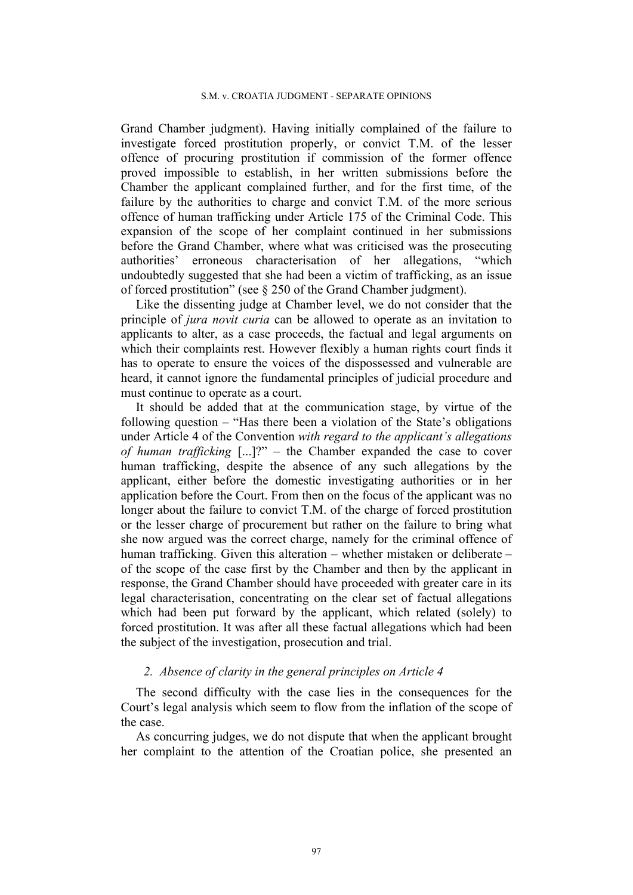#### S.M. v. CROATIA JUDGMENT - SEPARATE OPINIONS

Grand Chamber judgment). Having initially complained of the failure to investigate forced prostitution properly, or convict T.M. of the lesser offence of procuring prostitution if commission of the former offence proved impossible to establish, in her written submissions before the Chamber the applicant complained further, and for the first time, of the failure by the authorities to charge and convict T.M. of the more serious offence of human trafficking under Article 175 of the Criminal Code. This expansion of the scope of her complaint continued in her submissions before the Grand Chamber, where what was criticised was the prosecuting authorities' erroneous characterisation of her allegations, "which undoubtedly suggested that she had been a victim of trafficking, as an issue of forced prostitution" (see § 250 of the Grand Chamber judgment).

Like the dissenting judge at Chamber level, we do not consider that the principle of *jura novit curia* can be allowed to operate as an invitation to applicants to alter, as a case proceeds, the factual and legal arguments on which their complaints rest. However flexibly a human rights court finds it has to operate to ensure the voices of the dispossessed and vulnerable are heard, it cannot ignore the fundamental principles of judicial procedure and must continue to operate as a court.

It should be added that at the communication stage, by virtue of the following question – "Has there been a violation of the State's obligations under Article 4 of the Convention *with regard to the applicant's allegations of human trafficking* [...]?" – the Chamber expanded the case to cover human trafficking, despite the absence of any such allegations by the applicant, either before the domestic investigating authorities or in her application before the Court. From then on the focus of the applicant was no longer about the failure to convict T.M. of the charge of forced prostitution or the lesser charge of procurement but rather on the failure to bring what she now argued was the correct charge, namely for the criminal offence of human trafficking. Given this alteration – whether mistaken or deliberate – of the scope of the case first by the Chamber and then by the applicant in response, the Grand Chamber should have proceeded with greater care in its legal characterisation, concentrating on the clear set of factual allegations which had been put forward by the applicant, which related (solely) to forced prostitution. It was after all these factual allegations which had been the subject of the investigation, prosecution and trial.

# *2. Absence of clarity in the general principles on Article 4*

The second difficulty with the case lies in the consequences for the Court's legal analysis which seem to flow from the inflation of the scope of the case.

As concurring judges, we do not dispute that when the applicant brought her complaint to the attention of the Croatian police, she presented an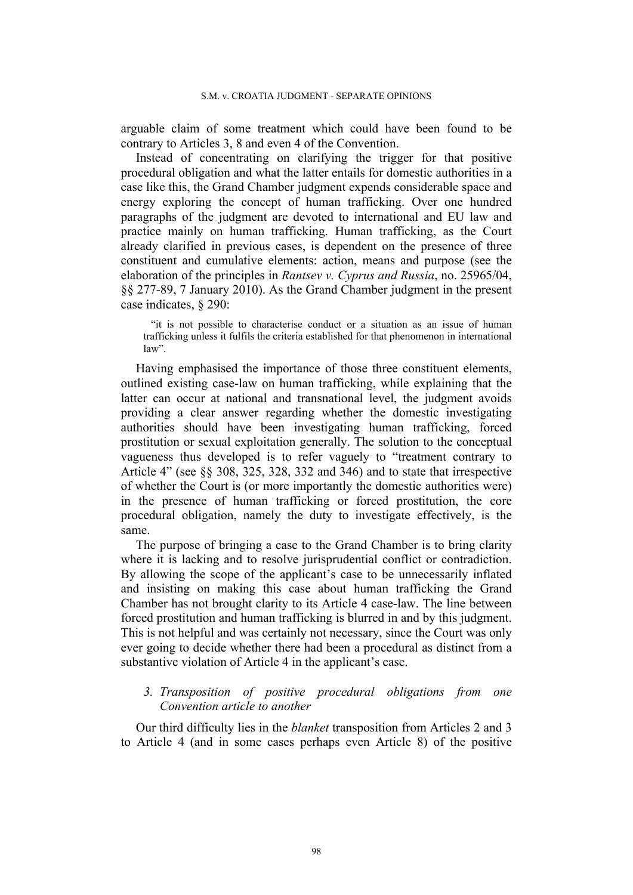arguable claim of some treatment which could have been found to be contrary to Articles 3, 8 and even 4 of the Convention.

Instead of concentrating on clarifying the trigger for that positive procedural obligation and what the latter entails for domestic authorities in a case like this, the Grand Chamber judgment expends considerable space and energy exploring the concept of human trafficking. Over one hundred paragraphs of the judgment are devoted to international and EU law and practice mainly on human trafficking. Human trafficking, as the Court already clarified in previous cases, is dependent on the presence of three constituent and cumulative elements: action, means and purpose (see the elaboration of the principles in *Rantsev v. Cyprus and Russia*, no. 25965/04, §§ 277-89, 7 January 2010). As the Grand Chamber judgment in the present case indicates, § 290:

"it is not possible to characterise conduct or a situation as an issue of human trafficking unless it fulfils the criteria established for that phenomenon in international law".

Having emphasised the importance of those three constituent elements, outlined existing case-law on human trafficking, while explaining that the latter can occur at national and transnational level, the judgment avoids providing a clear answer regarding whether the domestic investigating authorities should have been investigating human trafficking, forced prostitution or sexual exploitation generally. The solution to the conceptual vagueness thus developed is to refer vaguely to "treatment contrary to Article 4" (see §§ 308, 325, 328, 332 and 346) and to state that irrespective of whether the Court is (or more importantly the domestic authorities were) in the presence of human trafficking or forced prostitution, the core procedural obligation, namely the duty to investigate effectively, is the same.

The purpose of bringing a case to the Grand Chamber is to bring clarity where it is lacking and to resolve jurisprudential conflict or contradiction. By allowing the scope of the applicant's case to be unnecessarily inflated and insisting on making this case about human trafficking the Grand Chamber has not brought clarity to its Article 4 case-law. The line between forced prostitution and human trafficking is blurred in and by this judgment. This is not helpful and was certainly not necessary, since the Court was only ever going to decide whether there had been a procedural as distinct from a substantive violation of Article 4 in the applicant's case.

# *3. Transposition of positive procedural obligations from one Convention article to another*

Our third difficulty lies in the *blanket* transposition from Articles 2 and 3 to Article 4 (and in some cases perhaps even Article 8) of the positive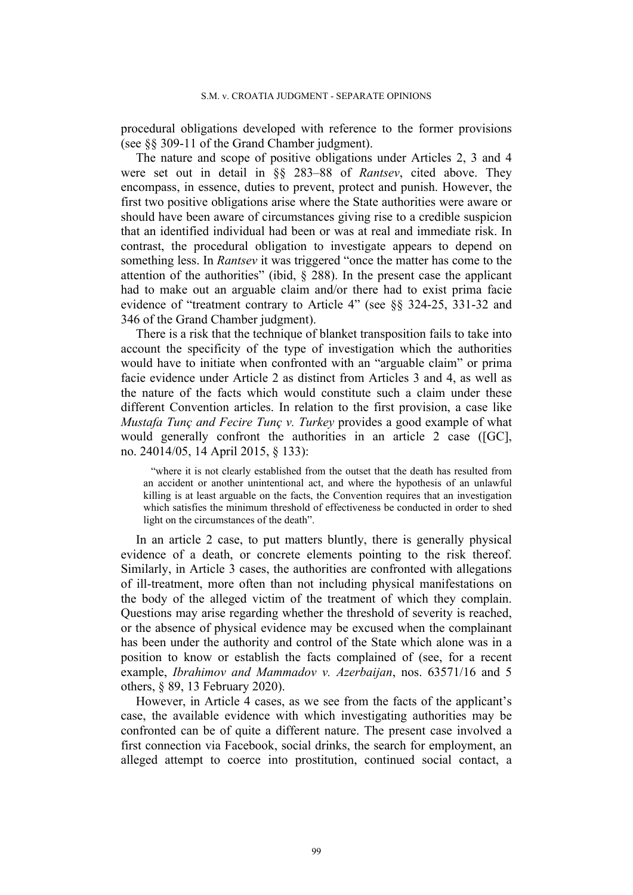procedural obligations developed with reference to the former provisions (see §§ 309-11 of the Grand Chamber judgment).

The nature and scope of positive obligations under Articles 2, 3 and 4 were set out in detail in §§ 283–88 of *Rantsev*, cited above. They encompass, in essence, duties to prevent, protect and punish. However, the first two positive obligations arise where the State authorities were aware or should have been aware of circumstances giving rise to a credible suspicion that an identified individual had been or was at real and immediate risk. In contrast, the procedural obligation to investigate appears to depend on something less. In *Rantsev* it was triggered "once the matter has come to the attention of the authorities" (ibid,  $\S$  288). In the present case the applicant had to make out an arguable claim and/or there had to exist prima facie evidence of "treatment contrary to Article 4" (see §§ 324-25, 331-32 and 346 of the Grand Chamber judgment).

There is a risk that the technique of blanket transposition fails to take into account the specificity of the type of investigation which the authorities would have to initiate when confronted with an "arguable claim" or prima facie evidence under Article 2 as distinct from Articles 3 and 4, as well as the nature of the facts which would constitute such a claim under these different Convention articles. In relation to the first provision, a case like *Mustafa Tunç and Fecire Tunç v. Turkey* provides a good example of what would generally confront the authorities in an article 2 case ([GC], no. 24014/05, 14 April 2015, § 133):

"where it is not clearly established from the outset that the death has resulted from an accident or another unintentional act, and where the hypothesis of an unlawful killing is at least arguable on the facts, the Convention requires that an investigation which satisfies the minimum threshold of effectiveness be conducted in order to shed light on the circumstances of the death".

In an article 2 case, to put matters bluntly, there is generally physical evidence of a death, or concrete elements pointing to the risk thereof. Similarly, in Article 3 cases, the authorities are confronted with allegations of ill-treatment, more often than not including physical manifestations on the body of the alleged victim of the treatment of which they complain. Questions may arise regarding whether the threshold of severity is reached, or the absence of physical evidence may be excused when the complainant has been under the authority and control of the State which alone was in a position to know or establish the facts complained of (see, for a recent example, *Ibrahimov and Mammadov v. Azerbaijan*, nos. 63571/16 and 5 others, § 89, 13 February 2020).

However, in Article 4 cases, as we see from the facts of the applicant's case, the available evidence with which investigating authorities may be confronted can be of quite a different nature. The present case involved a first connection via Facebook, social drinks, the search for employment, an alleged attempt to coerce into prostitution, continued social contact, a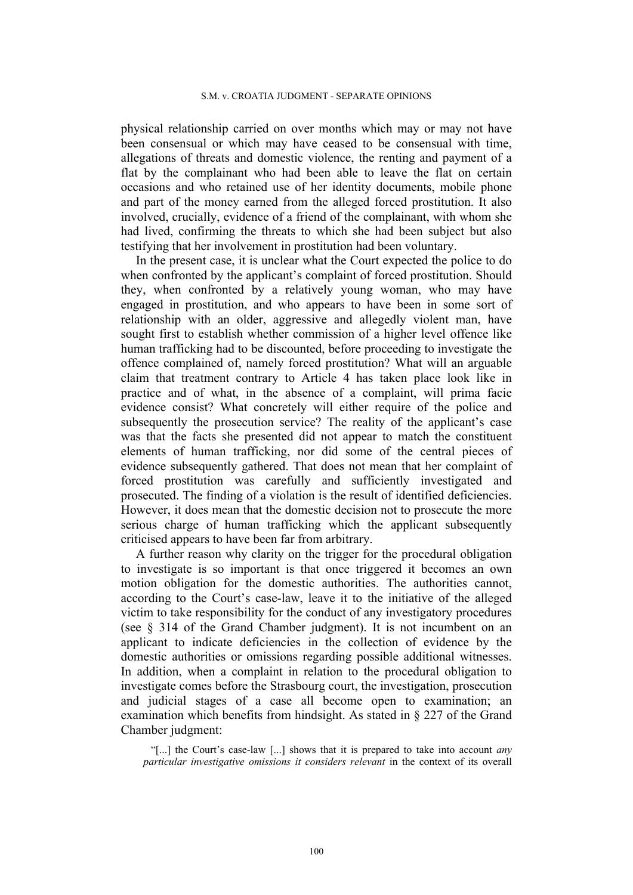physical relationship carried on over months which may or may not have been consensual or which may have ceased to be consensual with time, allegations of threats and domestic violence, the renting and payment of a flat by the complainant who had been able to leave the flat on certain occasions and who retained use of her identity documents, mobile phone and part of the money earned from the alleged forced prostitution. It also involved, crucially, evidence of a friend of the complainant, with whom she had lived, confirming the threats to which she had been subject but also testifying that her involvement in prostitution had been voluntary.

In the present case, it is unclear what the Court expected the police to do when confronted by the applicant's complaint of forced prostitution. Should they, when confronted by a relatively young woman, who may have engaged in prostitution, and who appears to have been in some sort of relationship with an older, aggressive and allegedly violent man, have sought first to establish whether commission of a higher level offence like human trafficking had to be discounted, before proceeding to investigate the offence complained of, namely forced prostitution? What will an arguable claim that treatment contrary to Article 4 has taken place look like in practice and of what, in the absence of a complaint, will prima facie evidence consist? What concretely will either require of the police and subsequently the prosecution service? The reality of the applicant's case was that the facts she presented did not appear to match the constituent elements of human trafficking, nor did some of the central pieces of evidence subsequently gathered. That does not mean that her complaint of forced prostitution was carefully and sufficiently investigated and prosecuted. The finding of a violation is the result of identified deficiencies. However, it does mean that the domestic decision not to prosecute the more serious charge of human trafficking which the applicant subsequently criticised appears to have been far from arbitrary.

A further reason why clarity on the trigger for the procedural obligation to investigate is so important is that once triggered it becomes an own motion obligation for the domestic authorities. The authorities cannot, according to the Court's case-law, leave it to the initiative of the alleged victim to take responsibility for the conduct of any investigatory procedures (see § 314 of the Grand Chamber judgment). It is not incumbent on an applicant to indicate deficiencies in the collection of evidence by the domestic authorities or omissions regarding possible additional witnesses. In addition, when a complaint in relation to the procedural obligation to investigate comes before the Strasbourg court, the investigation, prosecution and judicial stages of a case all become open to examination; an examination which benefits from hindsight. As stated in § 227 of the Grand Chamber judgment:

"[...] the Court's case-law [...] shows that it is prepared to take into account *any particular investigative omissions it considers relevant* in the context of its overall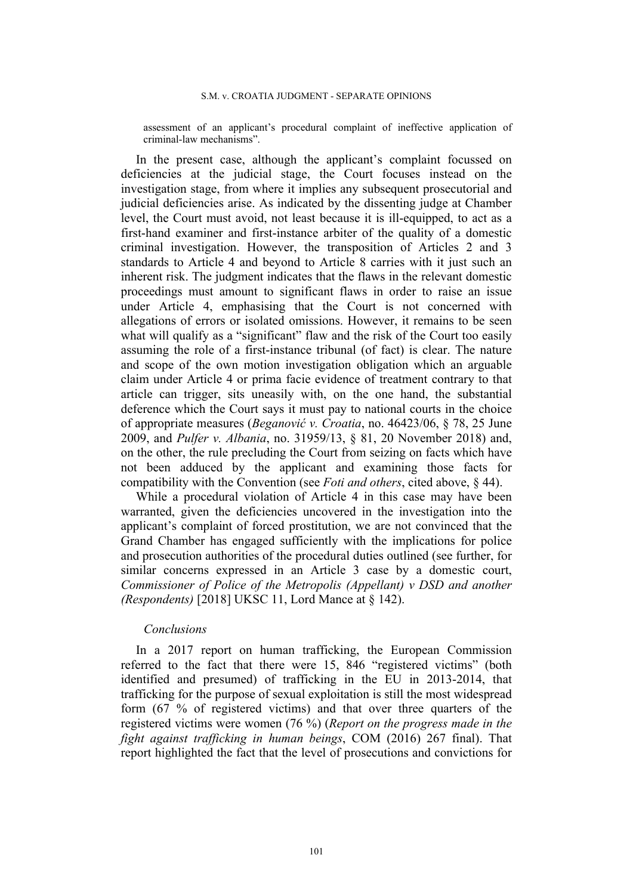assessment of an applicant's procedural complaint of ineffective application of criminal-law mechanisms".

In the present case, although the applicant's complaint focussed on deficiencies at the judicial stage, the Court focuses instead on the investigation stage, from where it implies any subsequent prosecutorial and judicial deficiencies arise. As indicated by the dissenting judge at Chamber level, the Court must avoid, not least because it is ill-equipped, to act as a first-hand examiner and first-instance arbiter of the quality of a domestic criminal investigation. However, the transposition of Articles 2 and 3 standards to Article 4 and beyond to Article 8 carries with it just such an inherent risk. The judgment indicates that the flaws in the relevant domestic proceedings must amount to significant flaws in order to raise an issue under Article 4, emphasising that the Court is not concerned with allegations of errors or isolated omissions. However, it remains to be seen what will qualify as a "significant" flaw and the risk of the Court too easily assuming the role of a first-instance tribunal (of fact) is clear. The nature and scope of the own motion investigation obligation which an arguable claim under Article 4 or prima facie evidence of treatment contrary to that article can trigger, sits uneasily with, on the one hand, the substantial deference which the Court says it must pay to national courts in the choice of appropriate measures (*Beganović v. Croatia*, no. 46423/06, § 78, 25 June 2009, and *Pulfer v. Albania*, no. 31959/13, § 81, 20 November 2018) and, on the other, the rule precluding the Court from seizing on facts which have not been adduced by the applicant and examining those facts for compatibility with the Convention (see *Foti and others*, cited above, § 44).

While a procedural violation of Article 4 in this case may have been warranted, given the deficiencies uncovered in the investigation into the applicant's complaint of forced prostitution, we are not convinced that the Grand Chamber has engaged sufficiently with the implications for police and prosecution authorities of the procedural duties outlined (see further, for similar concerns expressed in an Article 3 case by a domestic court, *Commissioner of Police of the Metropolis (Appellant) v DSD and another (Respondents)* [2018] UKSC 11, Lord Mance at § 142).

### *Conclusions*

In a 2017 report on human trafficking, the European Commission referred to the fact that there were 15, 846 "registered victims" (both identified and presumed) of trafficking in the EU in 2013-2014, that trafficking for the purpose of sexual exploitation is still the most widespread form (67 % of registered victims) and that over three quarters of the registered victims were women (76 %) (*Report on the progress made in the fight against trafficking in human beings*, COM (2016) 267 final). That report highlighted the fact that the level of prosecutions and convictions for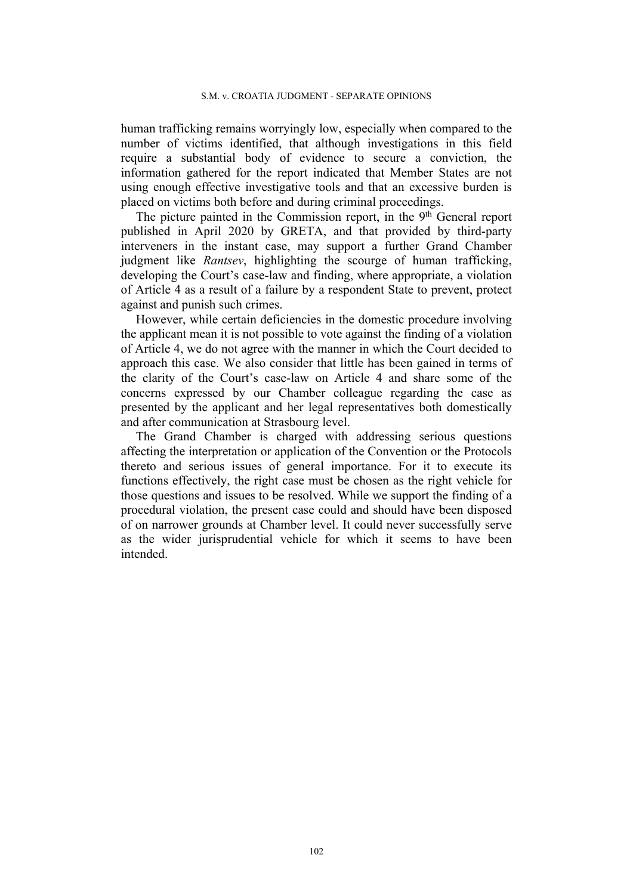human trafficking remains worryingly low, especially when compared to the number of victims identified, that although investigations in this field require a substantial body of evidence to secure a conviction, the information gathered for the report indicated that Member States are not using enough effective investigative tools and that an excessive burden is placed on victims both before and during criminal proceedings.

The picture painted in the Commission report, in the 9<sup>th</sup> General report published in April 2020 by GRETA, and that provided by third-party interveners in the instant case, may support a further Grand Chamber judgment like *Rantsev*, highlighting the scourge of human trafficking, developing the Court's case-law and finding, where appropriate, a violation of Article 4 as a result of a failure by a respondent State to prevent, protect against and punish such crimes.

However, while certain deficiencies in the domestic procedure involving the applicant mean it is not possible to vote against the finding of a violation of Article 4, we do not agree with the manner in which the Court decided to approach this case. We also consider that little has been gained in terms of the clarity of the Court's case-law on Article 4 and share some of the concerns expressed by our Chamber colleague regarding the case as presented by the applicant and her legal representatives both domestically and after communication at Strasbourg level.

The Grand Chamber is charged with addressing serious questions affecting the interpretation or application of the Convention or the Protocols thereto and serious issues of general importance. For it to execute its functions effectively, the right case must be chosen as the right vehicle for those questions and issues to be resolved. While we support the finding of a procedural violation, the present case could and should have been disposed of on narrower grounds at Chamber level. It could never successfully serve as the wider jurisprudential vehicle for which it seems to have been intended.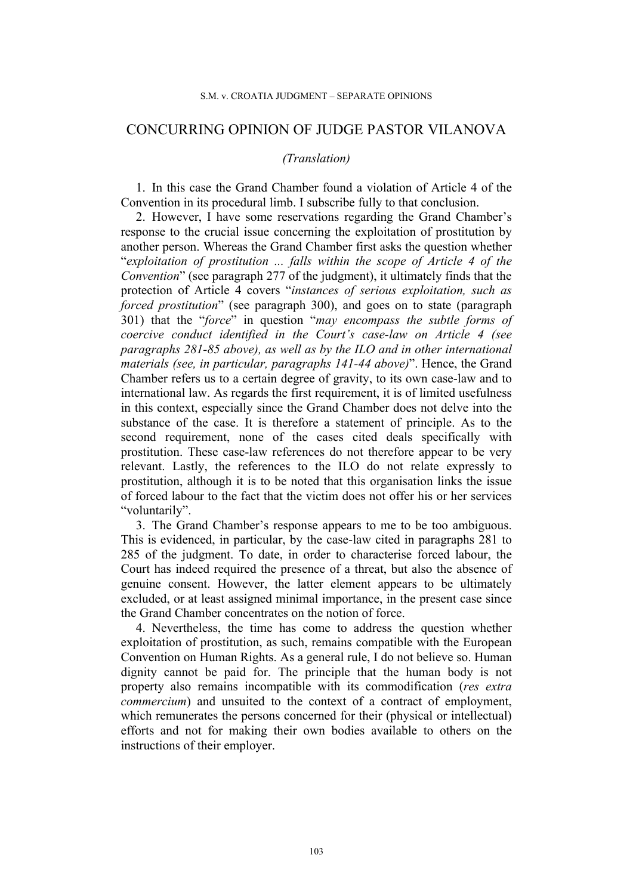# CONCURRING OPINION OF JUDGE PASTOR VILANOVA

## *(Translation)*

1. In this case the Grand Chamber found a violation of Article 4 of the Convention in its procedural limb. I subscribe fully to that conclusion.

2. However, I have some reservations regarding the Grand Chamber's response to the crucial issue concerning the exploitation of prostitution by another person. Whereas the Grand Chamber first asks the question whether "*exploitation of prostitution ... falls within the scope of Article 4 of the Convention*" (see paragraph 277 of the judgment), it ultimately finds that the protection of Article 4 covers "*instances of serious exploitation, such as forced prostitution*" (see paragraph 300), and goes on to state (paragraph 301) that the "*force*" in question "*may encompass the subtle forms of coercive conduct identified in the Court's case-law on Article 4 (see paragraphs 281-85 above), as well as by the ILO and in other international materials (see, in particular, paragraphs 141-44 above)*". Hence, the Grand Chamber refers us to a certain degree of gravity, to its own case-law and to international law. As regards the first requirement, it is of limited usefulness in this context, especially since the Grand Chamber does not delve into the substance of the case. It is therefore a statement of principle. As to the second requirement, none of the cases cited deals specifically with prostitution. These case-law references do not therefore appear to be very relevant. Lastly, the references to the ILO do not relate expressly to prostitution, although it is to be noted that this organisation links the issue of forced labour to the fact that the victim does not offer his or her services "voluntarily".

3. The Grand Chamber's response appears to me to be too ambiguous. This is evidenced, in particular, by the case-law cited in paragraphs 281 to 285 of the judgment. To date, in order to characterise forced labour, the Court has indeed required the presence of a threat, but also the absence of genuine consent. However, the latter element appears to be ultimately excluded, or at least assigned minimal importance, in the present case since the Grand Chamber concentrates on the notion of force.

4. Nevertheless, the time has come to address the question whether exploitation of prostitution, as such, remains compatible with the European Convention on Human Rights. As a general rule, I do not believe so. Human dignity cannot be paid for. The principle that the human body is not property also remains incompatible with its commodification (*res extra commercium*) and unsuited to the context of a contract of employment, which remunerates the persons concerned for their (physical or intellectual) efforts and not for making their own bodies available to others on the instructions of their employer.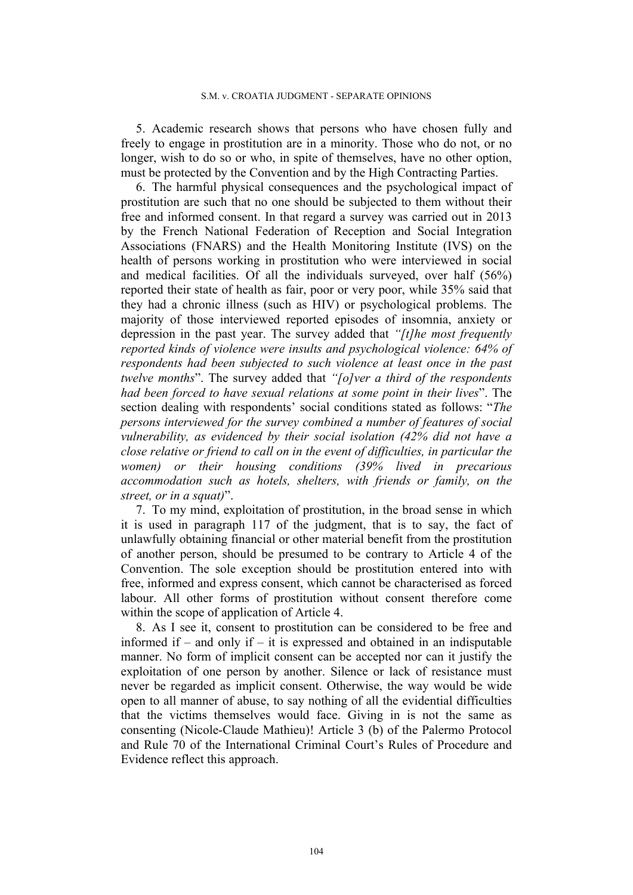5. Academic research shows that persons who have chosen fully and freely to engage in prostitution are in a minority. Those who do not, or no longer, wish to do so or who, in spite of themselves, have no other option, must be protected by the Convention and by the High Contracting Parties.

6. The harmful physical consequences and the psychological impact of prostitution are such that no one should be subjected to them without their free and informed consent. In that regard a survey was carried out in 2013 by the French National Federation of Reception and Social Integration Associations (FNARS) and the Health Monitoring Institute (IVS) on the health of persons working in prostitution who were interviewed in social and medical facilities. Of all the individuals surveyed, over half (56%) reported their state of health as fair, poor or very poor, while 35% said that they had a chronic illness (such as HIV) or psychological problems. The majority of those interviewed reported episodes of insomnia, anxiety or depression in the past year. The survey added that *"[t]he most frequently reported kinds of violence were insults and psychological violence: 64% of respondents had been subjected to such violence at least once in the past twelve months*". The survey added that *"[o]ver a third of the respondents had been forced to have sexual relations at some point in their lives*". The section dealing with respondents' social conditions stated as follows: "*The persons interviewed for the survey combined a number of features of social vulnerability, as evidenced by their social isolation (42% did not have a close relative or friend to call on in the event of difficulties, in particular the women) or their housing conditions (39% lived in precarious accommodation such as hotels, shelters, with friends or family, on the street, or in a squat)*".

7. To my mind, exploitation of prostitution, in the broad sense in which it is used in paragraph 117 of the judgment, that is to say, the fact of unlawfully obtaining financial or other material benefit from the prostitution of another person, should be presumed to be contrary to Article 4 of the Convention. The sole exception should be prostitution entered into with free, informed and express consent, which cannot be characterised as forced labour. All other forms of prostitution without consent therefore come within the scope of application of Article 4.

8. As I see it, consent to prostitution can be considered to be free and informed if – and only if – it is expressed and obtained in an indisputable manner. No form of implicit consent can be accepted nor can it justify the exploitation of one person by another. Silence or lack of resistance must never be regarded as implicit consent. Otherwise, the way would be wide open to all manner of abuse, to say nothing of all the evidential difficulties that the victims themselves would face. Giving in is not the same as consenting (Nicole-Claude Mathieu)! Article 3 (b) of the Palermo Protocol and Rule 70 of the International Criminal Court's Rules of Procedure and Evidence reflect this approach.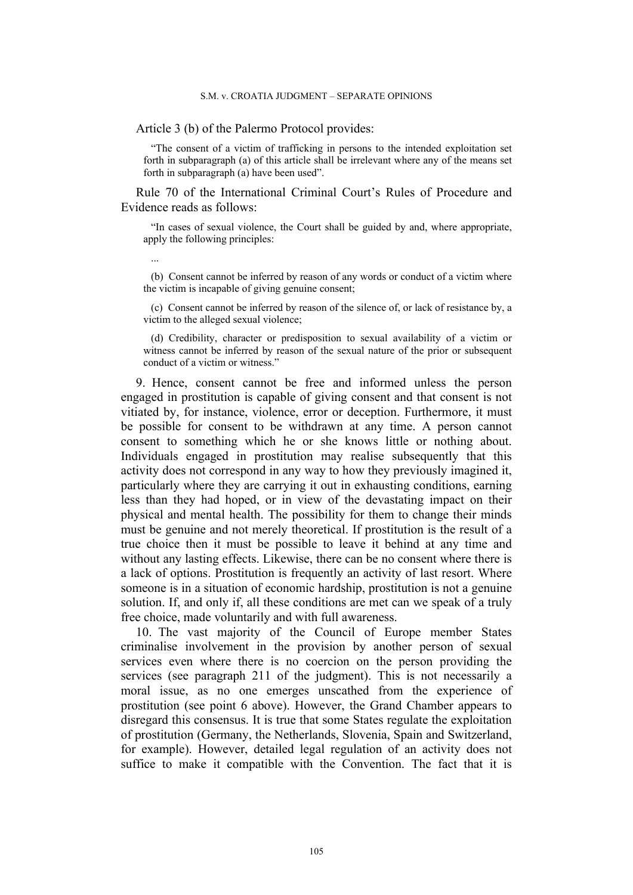Article 3 (b) of the Palermo Protocol provides:

"The consent of a victim of trafficking in persons to the intended exploitation set forth in subparagraph (a) of this article shall be irrelevant where any of the means set forth in subparagraph (a) have been used".

Rule 70 of the International Criminal Court's Rules of Procedure and Evidence reads as follows:

"In cases of sexual violence, the Court shall be guided by and, where appropriate, apply the following principles:

...

(b) Consent cannot be inferred by reason of any words or conduct of a victim where the victim is incapable of giving genuine consent;

(c) Consent cannot be inferred by reason of the silence of, or lack of resistance by, a victim to the alleged sexual violence;

(d) Credibility, character or predisposition to sexual availability of a victim or witness cannot be inferred by reason of the sexual nature of the prior or subsequent conduct of a victim or witness."

9. Hence, consent cannot be free and informed unless the person engaged in prostitution is capable of giving consent and that consent is not vitiated by, for instance, violence, error or deception. Furthermore, it must be possible for consent to be withdrawn at any time. A person cannot consent to something which he or she knows little or nothing about. Individuals engaged in prostitution may realise subsequently that this activity does not correspond in any way to how they previously imagined it, particularly where they are carrying it out in exhausting conditions, earning less than they had hoped, or in view of the devastating impact on their physical and mental health. The possibility for them to change their minds must be genuine and not merely theoretical. If prostitution is the result of a true choice then it must be possible to leave it behind at any time and without any lasting effects. Likewise, there can be no consent where there is a lack of options. Prostitution is frequently an activity of last resort. Where someone is in a situation of economic hardship, prostitution is not a genuine solution. If, and only if, all these conditions are met can we speak of a truly free choice, made voluntarily and with full awareness.

10. The vast majority of the Council of Europe member States criminalise involvement in the provision by another person of sexual services even where there is no coercion on the person providing the services (see paragraph 211 of the judgment). This is not necessarily a moral issue, as no one emerges unscathed from the experience of prostitution (see point 6 above). However, the Grand Chamber appears to disregard this consensus. It is true that some States regulate the exploitation of prostitution (Germany, the Netherlands, Slovenia, Spain and Switzerland, for example). However, detailed legal regulation of an activity does not suffice to make it compatible with the Convention. The fact that it is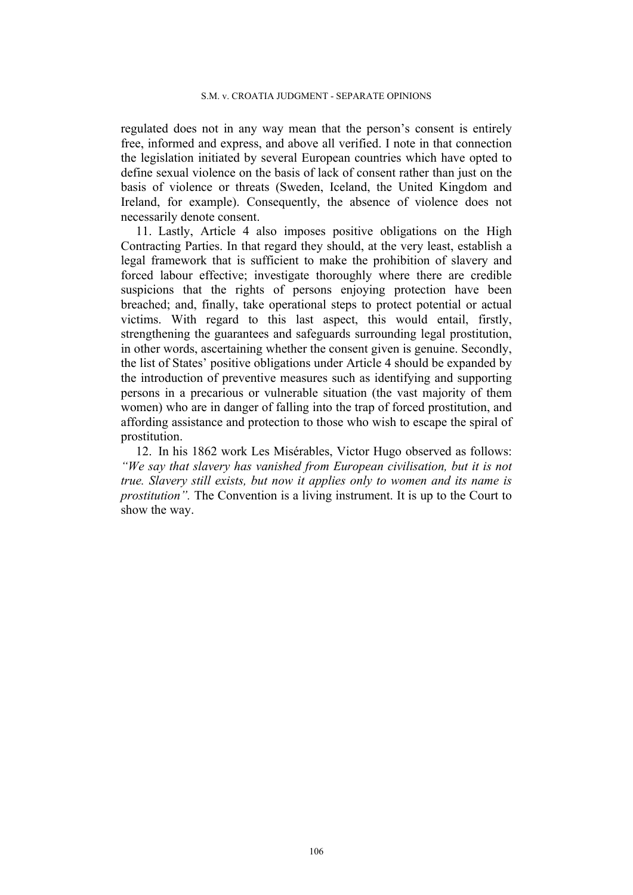regulated does not in any way mean that the person's consent is entirely free, informed and express, and above all verified. I note in that connection the legislation initiated by several European countries which have opted to define sexual violence on the basis of lack of consent rather than just on the basis of violence or threats (Sweden, Iceland, the United Kingdom and Ireland, for example). Consequently, the absence of violence does not necessarily denote consent.

11. Lastly, Article 4 also imposes positive obligations on the High Contracting Parties. In that regard they should, at the very least, establish a legal framework that is sufficient to make the prohibition of slavery and forced labour effective; investigate thoroughly where there are credible suspicions that the rights of persons enjoying protection have been breached; and, finally, take operational steps to protect potential or actual victims. With regard to this last aspect, this would entail, firstly, strengthening the guarantees and safeguards surrounding legal prostitution, in other words, ascertaining whether the consent given is genuine. Secondly, the list of States' positive obligations under Article 4 should be expanded by the introduction of preventive measures such as identifying and supporting persons in a precarious or vulnerable situation (the vast majority of them women) who are in danger of falling into the trap of forced prostitution, and affording assistance and protection to those who wish to escape the spiral of prostitution.

12. In his 1862 work Les Misérables, Victor Hugo observed as follows: *"We say that slavery has vanished from European civilisation, but it is not true. Slavery still exists, but now it applies only to women and its name is prostitution".* The Convention is a living instrument. It is up to the Court to show the way.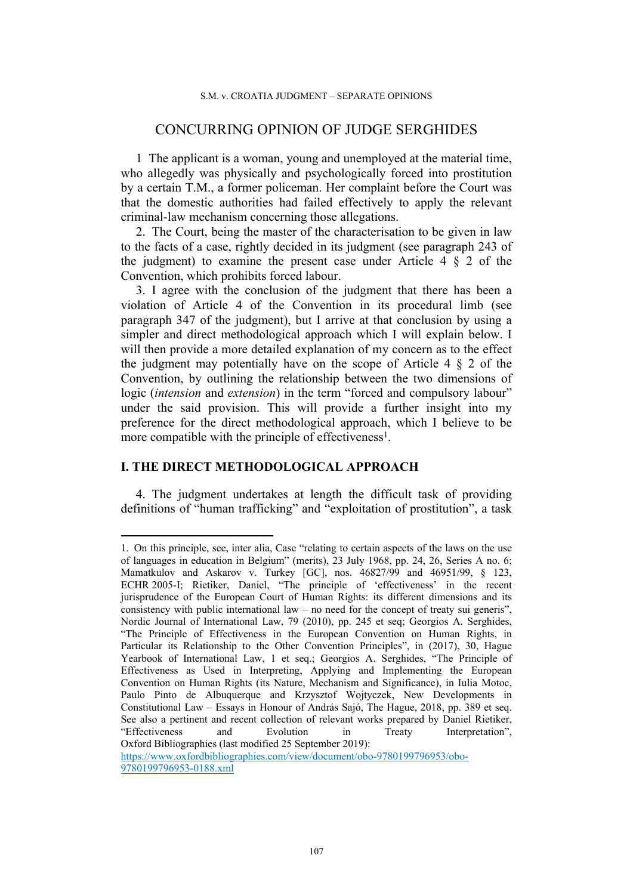# CONCURRING OPINION OF JUDGE SERGHIDES

1 The applicant is a woman, young and unemployed at the material time, who allegedly was physically and psychologically forced into prostitution by a certain T.M., a former policeman. Her complaint before the Court was that the domestic authorities had failed effectively to apply the relevant criminal-law mechanism concerning those allegations.

2. The Court, being the master of the characterisation to be given in law to the facts of a case, rightly decided in its judgment (see paragraph 243 of the judgment) to examine the present case under Article  $4 \S 2$  of the Convention, which prohibits forced labour.

3. I agree with the conclusion of the judgment that there has been a violation of Article 4 of the Convention in its procedural limb (see paragraph 347 of the judgment), but I arrive at that conclusion by using a simpler and direct methodological approach which I will explain below. I will then provide a more detailed explanation of my concern as to the effect the judgment may potentially have on the scope of Article  $4 \tS 2$  of the Convention, by outlining the relationship between the two dimensions of logic (*intension* and *extension*) in the term "forced and compulsory labour" under the said provision. This will provide a further insight into my preference for the direct methodological approach, which I believe to be more compatible with the principle of effectiveness<sup>1</sup>.

# **I. THE DIRECT METHODOLOGICAL APPROACH**

4. The judgment undertakes at length the difficult task of providing definitions of "human trafficking" and "exploitation of prostitution", a task

<sup>1.</sup> On this principle, see, inter alia, Case "relating to certain aspects of the laws on the use of languages in education in Belgium" (merits), 23 July 1968, pp. 24, 26, Series A no. 6; Mamatkulov and Askarov v. Turkey [GC], nos. 46827/99 and 46951/99, § 123, ECHR 2005-I; Rietiker, Daniel, "The principle of 'effectiveness' in the recent jurisprudence of the European Court of Human Rights: its different dimensions and its consistency with public international law – no need for the concept of treaty sui generis", Nordic Journal of International Law, 79 (2010), pp. 245 et seq; Georgios A. Serghides, "The Principle of Effectiveness in the European Convention on Human Rights, in Particular its Relationship to the Other Convention Principles", in (2017), 30, Hague Yearbook of International Law, 1 et seq.; Georgios A. Serghides, "The Principle of Effectiveness as Used in Interpreting, Applying and Implementing the European Convention on Human Rights (its Nature, Mechanism and Significance), in Iulia Motoc, Paulo Pinto de Albuquerque and Krzysztof Wojtyczek, New Developments in Constitutional Law – Essays in Honour of András Sajó, The Hague, 2018, pp. 389 et seq. See also a pertinent and recent collection of relevant works prepared by Daniel Rietiker, "Effectiveness and Evolution in Treaty Interpretation", Oxford Bibliographies (last modified 25 September 2019): [https://www.oxfordbibliographies.com/view/document/obo-9780199796953/obo-](https://www.oxfordbibliographies.com/view/document/obo-9780199796953/obo-9780199796953-0188.xml)

[<sup>9780199796953-0188.</sup>xml](https://www.oxfordbibliographies.com/view/document/obo-9780199796953/obo-9780199796953-0188.xml)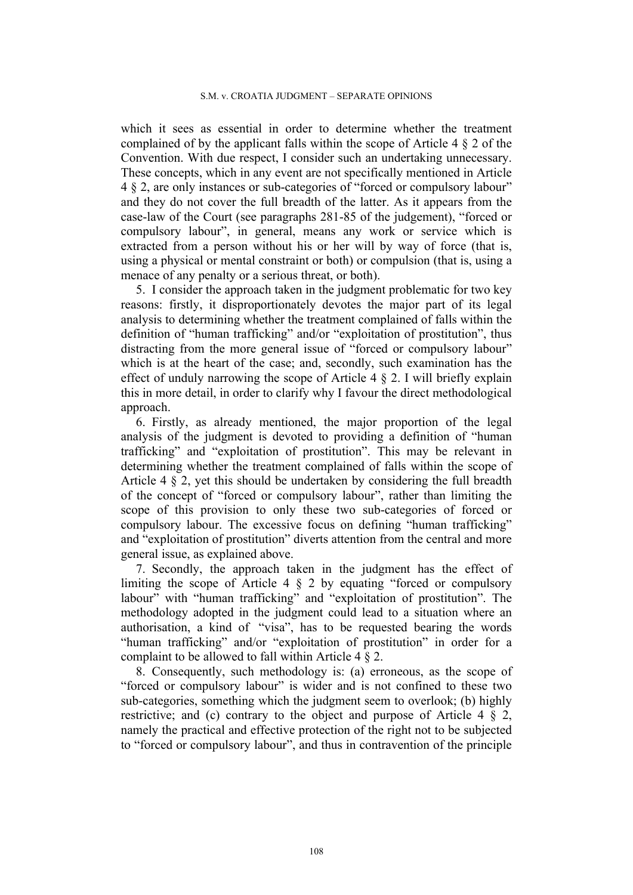which it sees as essential in order to determine whether the treatment complained of by the applicant falls within the scope of Article 4 § 2 of the Convention. With due respect, I consider such an undertaking unnecessary. These concepts, which in any event are not specifically mentioned in Article 4 § 2, are only instances or sub-categories of "forced or compulsory labour" and they do not cover the full breadth of the latter. As it appears from the case-law of the Court (see paragraphs 281-85 of the judgement), "forced or compulsory labour", in general, means any work or service which is extracted from a person without his or her will by way of force (that is, using a physical or mental constraint or both) or compulsion (that is, using a menace of any penalty or a serious threat, or both).

5. I consider the approach taken in the judgment problematic for two key reasons: firstly, it disproportionately devotes the major part of its legal analysis to determining whether the treatment complained of falls within the definition of "human trafficking" and/or "exploitation of prostitution", thus distracting from the more general issue of "forced or compulsory labour" which is at the heart of the case; and, secondly, such examination has the effect of unduly narrowing the scope of Article  $4 \xi$  2. I will briefly explain this in more detail, in order to clarify why I favour the direct methodological approach.

6. Firstly, as already mentioned, the major proportion of the legal analysis of the judgment is devoted to providing a definition of "human trafficking" and "exploitation of prostitution". This may be relevant in determining whether the treatment complained of falls within the scope of Article 4 § 2, yet this should be undertaken by considering the full breadth of the concept of "forced or compulsory labour", rather than limiting the scope of this provision to only these two sub-categories of forced or compulsory labour. The excessive focus on defining "human trafficking" and "exploitation of prostitution" diverts attention from the central and more general issue, as explained above.

7. Secondly, the approach taken in the judgment has the effect of limiting the scope of Article 4 § 2 by equating "forced or compulsory labour" with "human trafficking" and "exploitation of prostitution". The methodology adopted in the judgment could lead to a situation where an authorisation, a kind of "visa", has to be requested bearing the words "human trafficking" and/or "exploitation of prostitution" in order for a complaint to be allowed to fall within Article 4 § 2.

8. Consequently, such methodology is: (a) erroneous, as the scope of "forced or compulsory labour" is wider and is not confined to these two sub-categories, something which the judgment seem to overlook; (b) highly restrictive; and (c) contrary to the object and purpose of Article 4 § 2, namely the practical and effective protection of the right not to be subjected to "forced or compulsory labour", and thus in contravention of the principle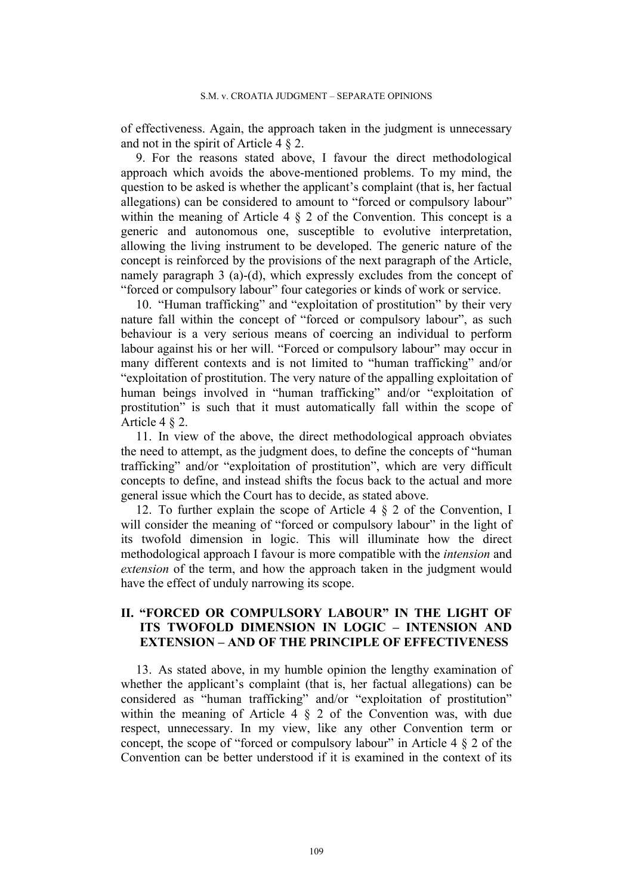of effectiveness. Again, the approach taken in the judgment is unnecessary and not in the spirit of Article 4 § 2.

9. For the reasons stated above, I favour the direct methodological approach which avoids the above-mentioned problems. To my mind, the question to be asked is whether the applicant's complaint (that is, her factual allegations) can be considered to amount to "forced or compulsory labour" within the meaning of Article 4  $\&$  2 of the Convention. This concept is a generic and autonomous one, susceptible to evolutive interpretation, allowing the living instrument to be developed. The generic nature of the concept is reinforced by the provisions of the next paragraph of the Article, namely paragraph 3 (a)-(d), which expressly excludes from the concept of "forced or compulsory labour" four categories or kinds of work or service.

10. "Human trafficking" and "exploitation of prostitution" by their very nature fall within the concept of "forced or compulsory labour", as such behaviour is a very serious means of coercing an individual to perform labour against his or her will. "Forced or compulsory labour" may occur in many different contexts and is not limited to "human trafficking" and/or "exploitation of prostitution. The very nature of the appalling exploitation of human beings involved in "human trafficking" and/or "exploitation of prostitution" is such that it must automatically fall within the scope of Article 4 § 2.

11. In view of the above, the direct methodological approach obviates the need to attempt, as the judgment does, to define the concepts of "human trafficking" and/or "exploitation of prostitution", which are very difficult concepts to define, and instead shifts the focus back to the actual and more general issue which the Court has to decide, as stated above.

12. To further explain the scope of Article 4 § 2 of the Convention, I will consider the meaning of "forced or compulsory labour" in the light of its twofold dimension in logic. This will illuminate how the direct methodological approach I favour is more compatible with the *intension* and *extension* of the term, and how the approach taken in the judgment would have the effect of unduly narrowing its scope.

## **II. "FORCED OR COMPULSORY LABOUR" IN THE LIGHT OF ITS TWOFOLD DIMENSION IN LOGIC – INTENSION AND EXTENSION – AND OF THE PRINCIPLE OF EFFECTIVENESS**

13. As stated above, in my humble opinion the lengthy examination of whether the applicant's complaint (that is, her factual allegations) can be considered as "human trafficking" and/or "exploitation of prostitution" within the meaning of Article 4  $\S$  2 of the Convention was, with due respect, unnecessary. In my view, like any other Convention term or concept, the scope of "forced or compulsory labour" in Article 4 § 2 of the Convention can be better understood if it is examined in the context of its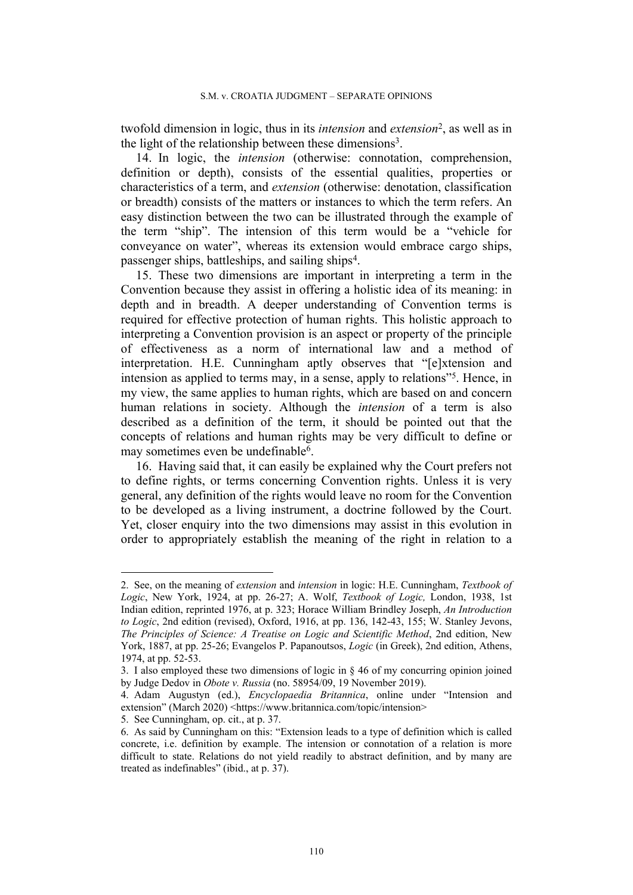twofold dimension in logic, thus in its *intension* and *extension*<sup>2</sup> , as well as in the light of the relationship between these dimensions<sup>3</sup>.

14. In logic, the *intension* (otherwise: connotation, comprehension, definition or depth), consists of the essential qualities, properties or characteristics of a term, and *extension* (otherwise: denotation, classification or breadth) consists of the matters or instances to which the term refers. An easy distinction between the two can be illustrated through the example of the term "ship". The intension of this term would be a "vehicle for conveyance on water", whereas its extension would embrace cargo ships, passenger ships, battleships, and sailing ships<sup>4</sup>.

15. These two dimensions are important in interpreting a term in the Convention because they assist in offering a holistic idea of its meaning: in depth and in breadth. A deeper understanding of Convention terms is required for effective protection of human rights. This holistic approach to interpreting a Convention provision is an aspect or property of the principle of effectiveness as a norm of international law and a method of interpretation. H.E. Cunningham aptly observes that "[e]xtension and intension as applied to terms may, in a sense, apply to relations"<sup>5</sup>. Hence, in my view, the same applies to human rights, which are based on and concern human relations in society. Although the *intension* of a term is also described as a definition of the term, it should be pointed out that the concepts of relations and human rights may be very difficult to define or may sometimes even be undefinable<sup>6</sup>.

16. Having said that, it can easily be explained why the Court prefers not to define rights, or terms concerning Convention rights. Unless it is very general, any definition of the rights would leave no room for the Convention to be developed as a living instrument, a doctrine followed by the Court. Yet, closer enquiry into the two dimensions may assist in this evolution in order to appropriately establish the meaning of the right in relation to a

<sup>2.</sup> See, on the meaning of *extension* and *intension* in logic: H.E. Cunningham, *Textbook of Logic*, New York, 1924, at pp. 26-27; A. Wolf, *Textbook of Logic,* London, 1938, 1st Indian edition, reprinted 1976, at p. 323; Horace William Brindley Joseph, *An Introduction to Logic*, 2nd edition (revised), Oxford, 1916, at pp. 136, 142-43, 155; W. Stanley Jevons, *The Principles of Science: A Treatise on Logic and Scientific Method*, 2nd edition, New York, 1887, at pp. 25-26; Evangelos P. Papanoutsos, *Logic* (in Greek), 2nd edition, Athens, 1974, at pp. 52-53.

<sup>3.</sup> I also employed these two dimensions of logic in § 46 of my concurring opinion joined by Judge Dedov in *Obote v. Russia* (no. 58954/09, 19 November 2019).

<sup>4.</sup> Adam Augustyn (ed.), *Encyclopaedia Britannica*, online under "Intension and extension" (March 2020) [<https://www.britannica.com/topic/intension>](https://www.britannica.com/topic/intension)

<sup>5.</sup> See Cunningham, op. cit., at p. 37.

<sup>6.</sup> As said by Cunningham on this: "Extension leads to a type of definition which is called concrete, i.e. definition by example. The intension or connotation of a relation is more difficult to state. Relations do not yield readily to abstract definition, and by many are treated as indefinables" (ibid., at p. 37).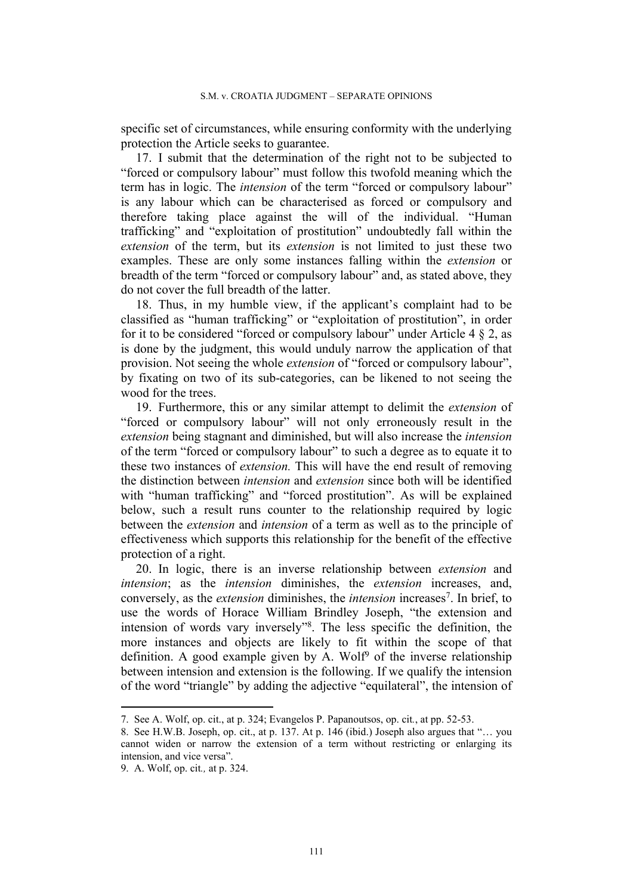specific set of circumstances, while ensuring conformity with the underlying protection the Article seeks to guarantee.

17. I submit that the determination of the right not to be subjected to "forced or compulsory labour" must follow this twofold meaning which the term has in logic. The *intension* of the term "forced or compulsory labour" is any labour which can be characterised as forced or compulsory and therefore taking place against the will of the individual. "Human trafficking" and "exploitation of prostitution" undoubtedly fall within the *extension* of the term, but its *extension* is not limited to just these two examples. These are only some instances falling within the *extension* or breadth of the term "forced or compulsory labour" and, as stated above, they do not cover the full breadth of the latter.

18. Thus, in my humble view, if the applicant's complaint had to be classified as "human trafficking" or "exploitation of prostitution", in order for it to be considered "forced or compulsory labour" under Article 4  $\S$  2, as is done by the judgment, this would unduly narrow the application of that provision. Not seeing the whole *extension* of "forced or compulsory labour", by fixating on two of its sub-categories, can be likened to not seeing the wood for the trees.

19. Furthermore, this or any similar attempt to delimit the *extension* of "forced or compulsory labour" will not only erroneously result in the *extension* being stagnant and diminished, but will also increase the *intension* of the term "forced or compulsory labour" to such a degree as to equate it to these two instances of *extension.* This will have the end result of removing the distinction between *intension* and *extension* since both will be identified with "human trafficking" and "forced prostitution". As will be explained below, such a result runs counter to the relationship required by logic between the *extension* and *intension* of a term as well as to the principle of effectiveness which supports this relationship for the benefit of the effective protection of a right.

20. In logic, there is an inverse relationship between *extension* and *intension*; as the *intension* diminishes, the *extension* increases, and, conversely, as the *extension* diminishes, the *intension* increases<sup>7</sup> . In brief, to use the words of Horace William Brindley Joseph, "the extension and intension of words vary inversely"<sup>8</sup> . The less specific the definition, the more instances and objects are likely to fit within the scope of that definition. A good example given by A. Wolf<sup>9</sup> of the inverse relationship between intension and extension is the following. If we qualify the intension of the word "triangle" by adding the adjective "equilateral", the intension of

<sup>7.</sup> See A. Wolf, op. cit., at p. 324; Evangelos P. Papanoutsos, op. cit*.*, at pp. 52-53.

<sup>8.</sup> See H.W.B. Joseph, op. cit., at p. 137. At p. 146 (ibid.) Joseph also argues that "… you cannot widen or narrow the extension of a term without restricting or enlarging its intension, and vice versa".

<sup>9.</sup> A. Wolf, op. cit*.,* at p. 324.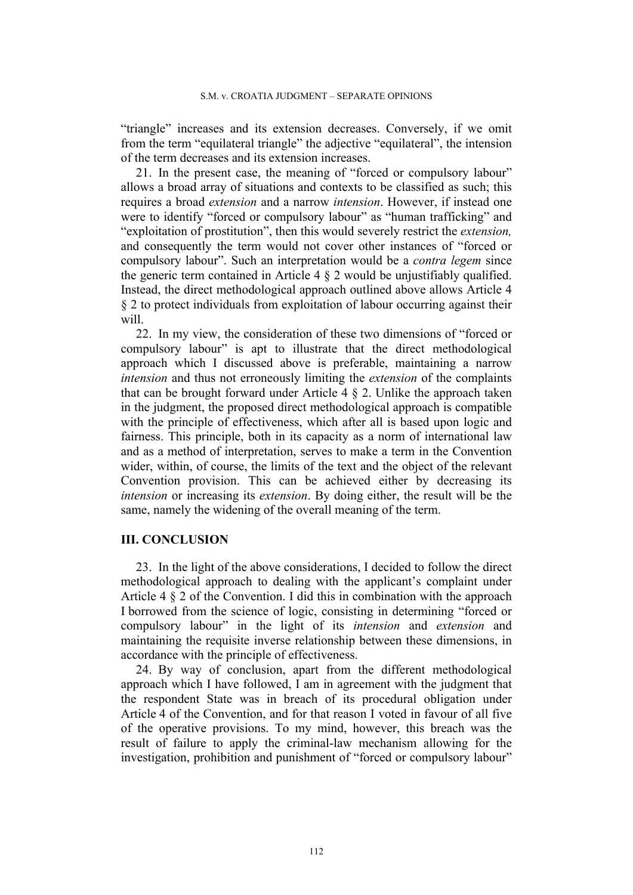"triangle" increases and its extension decreases. Conversely, if we omit from the term "equilateral triangle" the adjective "equilateral", the intension of the term decreases and its extension increases.

21. In the present case, the meaning of "forced or compulsory labour" allows a broad array of situations and contexts to be classified as such; this requires a broad *extension* and a narrow *intension*. However, if instead one were to identify "forced or compulsory labour" as "human trafficking" and "exploitation of prostitution", then this would severely restrict the *extension,* and consequently the term would not cover other instances of "forced or compulsory labour". Such an interpretation would be a *contra legem* since the generic term contained in Article  $4 \tS 2$  would be unjustifiably qualified. Instead, the direct methodological approach outlined above allows Article 4 § 2 to protect individuals from exploitation of labour occurring against their will.

22. In my view, the consideration of these two dimensions of "forced or compulsory labour" is apt to illustrate that the direct methodological approach which I discussed above is preferable, maintaining a narrow *intension* and thus not erroneously limiting the *extension* of the complaints that can be brought forward under Article 4 § 2. Unlike the approach taken in the judgment, the proposed direct methodological approach is compatible with the principle of effectiveness, which after all is based upon logic and fairness. This principle, both in its capacity as a norm of international law and as a method of interpretation, serves to make a term in the Convention wider, within, of course, the limits of the text and the object of the relevant Convention provision. This can be achieved either by decreasing its *intension* or increasing its *extension*. By doing either, the result will be the same, namely the widening of the overall meaning of the term.

## **III. CONCLUSION**

23. In the light of the above considerations, I decided to follow the direct methodological approach to dealing with the applicant's complaint under Article 4 § 2 of the Convention. I did this in combination with the approach I borrowed from the science of logic, consisting in determining "forced or compulsory labour" in the light of its *intension* and *extension* and maintaining the requisite inverse relationship between these dimensions, in accordance with the principle of effectiveness.

24. By way of conclusion, apart from the different methodological approach which I have followed, I am in agreement with the judgment that the respondent State was in breach of its procedural obligation under Article 4 of the Convention, and for that reason I voted in favour of all five of the operative provisions. To my mind, however, this breach was the result of failure to apply the criminal-law mechanism allowing for the investigation, prohibition and punishment of "forced or compulsory labour"